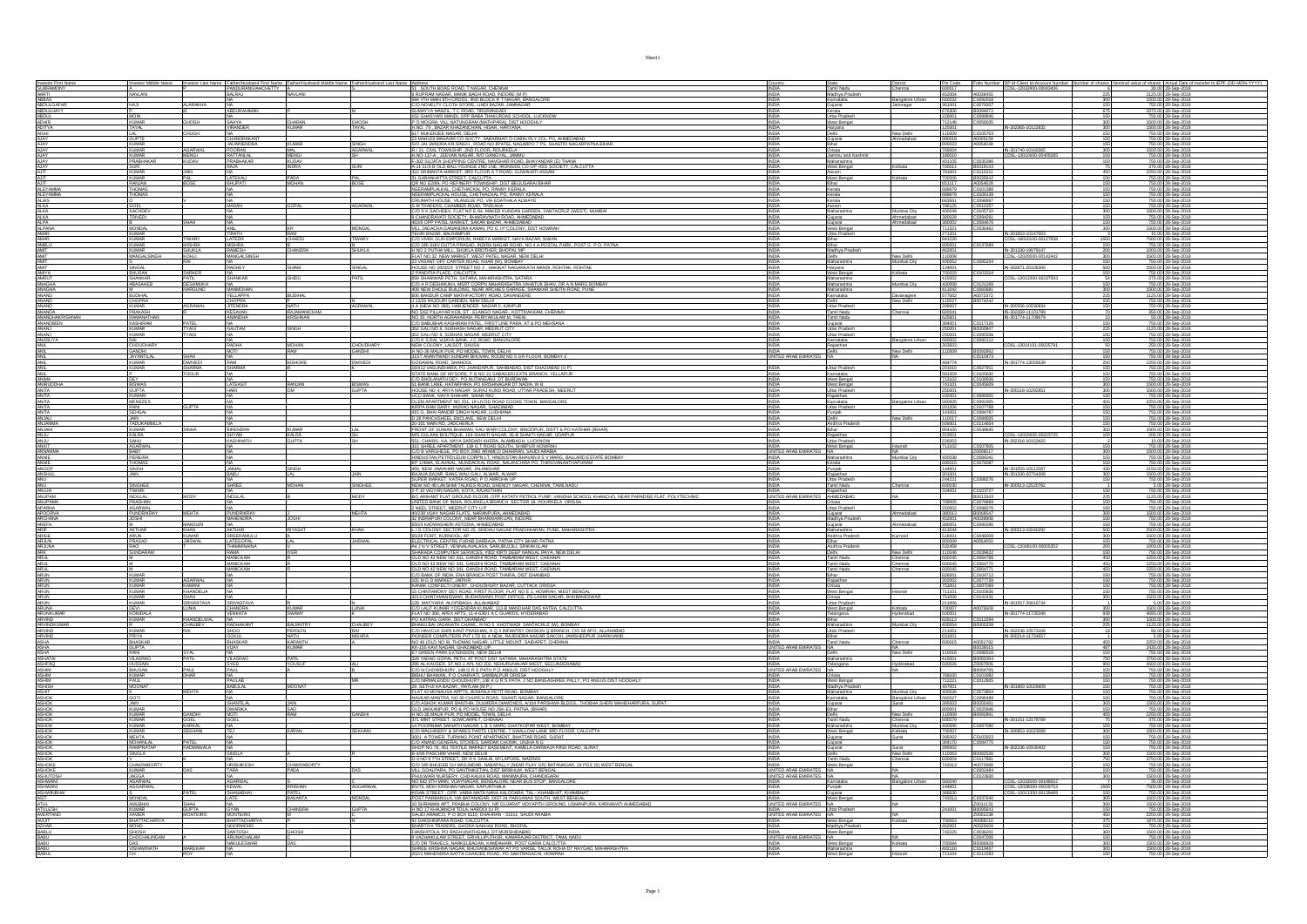| Investor First Name<br>SUBRAMONY<br>ABBAS<br>ABBULGAFAR<br>ABDULGAFAR<br>ABDUL<br>ADHIR<br>ADITYA<br>AJAY<br>AJAY<br>AJAY<br>AJAY                                                                                                                                                                      | Investor Middle Name               |                                |                                              | Investor Last Name Father/Husband First Name Father/Husband Middle Name |                            | 51 SOUTH BOAG ROAD, T NAGAR, CHENNAL                                                                                                                                                                                                                                                    | <b>INDIA</b>                                                            |                                            | Chennai                     | Pin Code                                     |                                  | Folio Number DP Id-Client Id-Account Number<br>CDSL-12032800-00043406<br>umber of shan | Actual Date of transfer to IEPF (D                                                     |
|--------------------------------------------------------------------------------------------------------------------------------------------------------------------------------------------------------------------------------------------------------------------------------------------------------|------------------------------------|--------------------------------|----------------------------------------------|-------------------------------------------------------------------------|----------------------------|-----------------------------------------------------------------------------------------------------------------------------------------------------------------------------------------------------------------------------------------------------------------------------------------|-------------------------------------------------------------------------|--------------------------------------------|-----------------------------|----------------------------------------------|----------------------------------|----------------------------------------------------------------------------------------|----------------------------------------------------------------------------------------|
|                                                                                                                                                                                                                                                                                                        | NAVLANI                            |                                | PANDURANGIAHCHETTY A                         | NAVLANI                                                                 |                            |                                                                                                                                                                                                                                                                                         | <b>INDIA</b>                                                            | Tamil Nadu<br>Madhya Pradesh<br>Kamataka   |                             | 600017<br>452004 A0039455                    |                                  | 225                                                                                    | 30.00 28-Sep-2018                                                                      |
|                                                                                                                                                                                                                                                                                                        | <b>HAJI</b>                        | <b>ALARAKHA</b>                |                                              |                                                                         |                            | 31 SUPRAM NAGAR, MANIK BAGH ROAD, INDORE (MP)<br>58 RUPRAM NAGAR, MANIK BAGH ROAD, INDORE (MP)<br>584 VTH MAIN 8TH CROSS, IND BLOCK R T NAGAR, BANGALORI                                                                                                                                | INDIA                                                                   | Gujarat                                    | Bangalore Urban<br>Jamnagar |                                              |                                  | 150                                                                                    | 1500.00 28-Sep-2018<br>750.00 28-Sep-2018                                              |
|                                                                                                                                                                                                                                                                                                        |                                    |                                | ABDURAHIMAN                                  |                                                                         |                            | SUMAYYA MANZIL. T C ROAD. TIRURANGADI<br>152 GHASYARI MANDI, OPP BABA THAKURDAS SCHOOL, LUCKNOW                                                                                                                                                                                         | INDIA                                                                   | Kerala                                     |                             | 676306 B0094672                              |                                  | 675                                                                                    | 3375.00 28-Sep-2018                                                                    |
|                                                                                                                                                                                                                                                                                                        | <b>MOIN</b><br>KI IMAR             | <b>GHOSH</b>                   | SAHYA                                        | <b>CHARAN</b>                                                           | <b>GHOSH</b>               | P O MOGRA, VILL NATUNGRAM (MATHPARA), DIST HOOGHLY                                                                                                                                                                                                                                      | <b>INDIA</b><br>INDIA                                                   | Uttar Pradesh<br>West Bengal               |                             | 226001<br>712148                             | C0098846<br>C0058035             |                                                                                        | 750.00 28-Sep-2018<br>1500.00 28-Sep-2018                                              |
|                                                                                                                                                                                                                                                                                                        |                                    | <b>CHUGH</b>                   |                                              |                                                                         |                            |                                                                                                                                                                                                                                                                                         | INDIA                                                                   | Haryana                                    |                             |                                              | C0105703                         |                                                                                        | 1500.00 28-Sep-2018<br>750.00 28-Sep-2018                                              |
|                                                                                                                                                                                                                                                                                                        | LAL<br>GUPTE<br>KUMAR              |                                | CHANDRAKANT<br>JAUAINENDRA                   |                                                                         |                            | P U MAGRA, VILL RATURGRAM (WATP-WAG), USIT FRUGURICI<br> H.NO. 79, BAZAR KHAZANCHIAN, HISAR, HARYANA<br> 23 MAHJUN MAHAR, DOSCITY, SABARMATI D-CABIN RLY COL PO, AHMEDABAD<br> 30 JAN JAINDRA KR.SINGH , ROAD NO.BPATEL NAGARPO 7 PS, S                                                 | <b>INDIA</b><br><b>INDIA</b>                                            | Delhi<br>Gujarat                           | New Delhi<br>Ahmedabad      | 110009<br>380019                             | A0005159<br>A0054048             |                                                                                        | 750.00 28-Sep-2018<br>750.00 28-Sep-2018                                               |
|                                                                                                                                                                                                                                                                                                        | <b>KUMAR</b>                       | <b>AGARWA</b>                  | POORAN                                       | <b>KUMAR</b><br>MAL.                                                    | SINGH<br><b>AGARWAL</b>    | R / 21 CIVIL TOWNSHIP, 2ND FLOOR, ROURKELA                                                                                                                                                                                                                                              | <b>INDIA</b>                                                            | Bihar<br>Orissa                            |                             | 800023<br>769004                             |                                  | IN-301740-10160365                                                                     | 1500.00 28-Sep-2018                                                                    |
| AJAY<br>AJAY<br>AJAY                                                                                                                                                                                                                                                                                   | KLIMAR                             | <b>MENG</b>                    | <b>RATTANIAI</b>                             | <b>MENGL</b>                                                            |                            |                                                                                                                                                                                                                                                                                         | <b>INDIA</b><br><b>INDIA</b>                                            | Jammu and Kast                             |                             | 180010<br>401105                             | C0035386                         |                                                                                        | 750.00 28-Sep-201                                                                      |
|                                                                                                                                                                                                                                                                                                        | PRABHAKAR                          | KUDAV                          | PRABHAKAR<br>RAJA                            | KUDAV<br>INDRA                                                          | <b>SURI</b>                |                                                                                                                                                                                                                                                                                         |                                                                         | Maharashtra<br>West Bengal                 | Kolkata                     |                                              |                                  |                                                                                        | 750.00 28-Sep-2018                                                                     |
| AJAY<br>AJIT<br>AJIT                                                                                                                                                                                                                                                                                   | SURI<br>KUMAR<br><b>KUMAR</b>      | <b>JAIN</b><br>PAL             | LATEKALI                                     | PADA                                                                    |                            |                                                                                                                                                                                                                                                                                         | INDIA<br>INDIA<br>INDIA                                                 | Assam<br>West Bengal                       | Kolkata                     | 700011 B0019143<br>781001 C0116211<br>700006 | B0035642                         | $\frac{75}{450}$                                                                       | 375.00 28-Sep-2018<br>2250.00 28-Sep-2018<br>750.00 28-Sep-2018                        |
|                                                                                                                                                                                                                                                                                                        | RANJAN                             |                                | <b>BHUPATI</b>                               | <b>MOHAN</b>                                                            | PAL<br>BOSE                |                                                                                                                                                                                                                                                                                         | <b>INDIA</b>                                                            |                                            |                             | 851117                                       | A0054628                         |                                                                                        | 750.00 28-Sep-2018                                                                     |
| AJIT<br>ALEYAMMA<br>ALEYAMMA<br>ALIAS<br>ALKA                                                                                                                                                                                                                                                          | THOMAS<br>THOMAS                   |                                |                                              |                                                                         |                            | NEERAMPLALKAL, CHETHACKAL PO, RANNY KERALA                                                                                                                                                                                                                                              |                                                                         | Kerala                                     |                             | 689679                                       | C0101388                         |                                                                                        | 750.00 28-Sep-2018                                                                     |
|                                                                                                                                                                                                                                                                                                        | GOEL                               |                                | <b>MADAN</b>                                 | GOPAL                                                                   | <b>AGARWAL</b>             | <b>INDEXANDUADUL CHEINGARD FOR INFORMATION CARRIER</b><br><b>INDEXANDUADULE CHEINGARD FOR INDEXANDA ALWAYE<br/> IS IN TRADERS, CHANGER ROAD, TINSUKIA<br/> SIM TRADERS, CHANGER ROAD, TINSUKIA<br/> CO S K SACHOEV, FLAT NO E-84 AMAKER KUNDAN QARE</b>                                 |                                                                         | Kerala<br>Kerala                           |                             |                                              | C0109139<br>C0096897<br>C0010357 |                                                                                        | 750.00 28-Sep-2018                                                                     |
| <b>ALKA</b><br>ALKA<br>ALKA                                                                                                                                                                                                                                                                            | SACHDEV<br>TRIVEDI                 |                                |                                              |                                                                         |                            |                                                                                                                                                                                                                                                                                         | INDIA<br><b>INDIA</b>                                                   | Assam<br>Maharashtra                       | Mumbai City                 | 786125<br>400049                             | C0105710                         | 150<br>300                                                                             | 750.00 28-Sep-2018<br>1500.00 28-Sep-2018                                              |
|                                                                                                                                                                                                                                                                                                        |                                    | SHAH                           |                                              |                                                                         |                            | 9 CHANDRAVATI SOCIETY, BHAIRAVNATH ROAD, AHMEDABAD<br>463/6 OPP PATEL MARKET, SAKAR BAZAR, AHMEDABAD                                                                                                                                                                                    | INDIA                                                                   | Gujarat                                    | Ahmedabad<br>Ahmedabad      | 380028<br>380002<br>711321                   | C0094261                         |                                                                                        | 750.00 28-Sep-2018                                                                     |
| ALPA<br>ALPANA<br>AMAR                                                                                                                                                                                                                                                                                 | <b>MONDAL</b>                      |                                |                                              |                                                                         | <b>MONDAL</b>              |                                                                                                                                                                                                                                                                                         | <b>INDIA</b><br>INDIA                                                   | Gujarat<br>West Bengal                     |                             |                                              | C0084676<br>C0036462             |                                                                                        | 750.00 28-Sep-2018<br>1500.00 28-Sep-2018<br>15.00 28-Sep-2018                         |
|                                                                                                                                                                                                                                                                                                        | KUMAR<br>KUMAR<br>KUMAR            | <b>TIWARY</b>                  | <b>TRATH</b>                                 | RAM<br>CHHEDI                                                           | <b>TIWARY</b>              |                                                                                                                                                                                                                                                                                         | <b>INDIA</b>                                                            | Uttar Pradesh<br>Bihar                     |                             | 271201<br>841226                             |                                  | IN-301653-10147003<br>CDSL-16010100-00127938<br>1500                                   | 7500.00 28-Sep-2018                                                                    |
| AMAR<br>AMBUJ<br>AMIT<br>AMIT                                                                                                                                                                                                                                                                          | <b>KUMAR</b>                       | <b>MISHRA</b><br><b>SHUKLA</b> | <b>MISHRA</b><br><b>RAMESH</b>               | CHANDRA                                                                 | N<br>SHUKLA                |                                                                                                                                                                                                                                                                                         | <b>INDIA</b><br><b>INDIA</b>                                            | Bihar<br>Madhya Prades!                    |                             | 800001<br>462001                             | C0137689                         | IN-301330-19979147<br>200                                                              | 750.00 28-Sep-2018<br>1000.00 28-Sep-2018                                              |
|                                                                                                                                                                                                                                                                                                        | <b>MANGALSINGH</b>                 | KOHLI                          | ANGALSINGI                                   |                                                                         |                            | <b>URAN CIPY PATEL MARGEL SIMON BACK, ANNEXING IS THOUGHT<br/> THE REACT AND RESIDENT AND RESOLUTION TO A THOUGHT AND REACT AND REACT AND REACT AND RESOLUTION OF THE REACT AND REACT AND REACT AND REACT AND REACT AND REACT AND RE</b><br>23 VASANT OFF CARTER ROAD. KHAR (W). BOMBAY | <b>INDIA</b>                                                            | Delhi<br>Maharashtra                       | New Delhi                   | 400052                                       | C0085254                         |                                                                                        | 500.00 28-Sep-2018<br>750.00 28-Sep-2018                                               |
|                                                                                                                                                                                                                                                                                                        | SINGAL                             |                                | <b>ADHEY</b>                                 | MAIH                                                                    | <b>GINCAL</b>              |                                                                                                                                                                                                                                                                                         |                                                                         |                                            | Mumbai City                 | 124001<br>700029                             |                                  | IN-302871-2010630                                                                      |                                                                                        |
|                                                                                                                                                                                                                                                                                                        | SHANKAR                            | SARKER                         | NA<br>SHANKAR                                | <b>SHIDU</b>                                                            | Patil                      | <b>FIGURE 10 1823/21 STREET NO 2 . HAKIKAT MAGARKATH MANDI, ROHTAK, ROHTAK</b><br>2 PANDITIA PLACE, CALCUTTA<br>889 SHANIWAR PETH, SATARA, MAHARASHTRA, SATARA<br>890 SHANIWAR PETH, SATARA, MAHARASHTRA, SATARA                                                                        | INDIA<br>INDIA                                                          | Haryana<br>West Bengal<br>Maharashtra      | Kolkata                     | 415002                                       | C0103324                         | CDSL-12013300-0023759                                                                  | 750.00 28-Sep-2018<br>270.00 28-Sep-2018                                               |
|                                                                                                                                                                                                                                                                                                        | ABASAHEB                           | <b>DESHMUKH</b>                |                                              |                                                                         |                            | CO A R DESHMUKH, MSRT CORPN MAHARASHTRA VAHATUK BHAV, DR A N MARG BOMBAY                                                                                                                                                                                                                | <b>INDIA</b>                                                            | Maharashtra                                | fumbai City                 | 400008                                       | C0121269                         |                                                                                        | 750.00 28-Sep-2018                                                                     |
| AMIT<br>AMIT<br>AMIT<br>AMIRUT<br>ANAGHA<br>ANAGHA<br>ANAND                                                                                                                                                                                                                                            | <b>BUDIHAL</b>                     | NARGUND                        | <b>MANMOHAN</b><br>YELLAPPA                  | <b>BUDIHAL</b>                                                          |                            | 606 BANDUR CAMP MATHFACTORY ROAD, DAVANGERE                                                                                                                                                                                                                                             | INDIA<br><b>INDIA</b>                                                   | Maharashtra<br>Karnataka                   | Davanagere                  | 411042<br>577002                             | C0060681<br>A0072372             | 300                                                                                    | 1500.00 28-Sep-2018<br>1125.00 28-Sep-2018                                             |
|                                                                                                                                                                                                                                                                                                        | CHOPRA<br>KUMAR                    | AGRAWAL                        | CHOPRA<br><b>JITENDRA</b>                    | <b>NATH</b>                                                             | <b>AGRAWAL</b>             |                                                                                                                                                                                                                                                                                         | <b>INDIA</b><br>INDIA                                                   | Delhi<br>Uttar Pradesh                     | New Delhi                   | 110027<br>208007                             | B0074242                         | IN-300556-10030934                                                                     | 750.00 28-Sep-2018<br>750.00 28-Sep-2018                                               |
|                                                                                                                                                                                                                                                                                                        | PRAKASH                            |                                | <b>KESAVAN</b>                               | RAJAMANICKAM                                                            |                            |                                                                                                                                                                                                                                                                                         | <b>INDIA</b>                                                            | Tamil Nadu<br>Tamil Nadu                   | Chennai                     | 600041                                       |                                  | IN-302269-11101789<br>IN-301774-11709679                                               | 350.00 28-Sep-2018<br>50.00 28-Sep-2018                                                |
|                                                                                                                                                                                                                                                                                                        | RAMANATHA<br>KASHIRAM<br>KUMAR     | PATEL                          | ANANDHA                                      |                                                                         |                            | ARK MARIAN (AMERIKAN MARIAN DA MARIAN DA MARIAN DA MARIAN DA MARIAN DA MARIAN DA MARIAN DA MARIAN DA MARIAN DA MARIAN DA MARIAN DA MARIAN DA MARIAN DA MARIAN DA MARIAN DA MARIAN DA MARIAN DA MARIAN DA MARIAN DA MARIAN DA M                                                          | <b>INDIA</b><br><b>INDIA</b>                                            | Gujarat<br>Uttar Pradesh                   |                             | 625601<br>384001                             | C0117126<br>B0000847             |                                                                                        | 750.00 28-Sep-2018                                                                     |
|                                                                                                                                                                                                                                                                                                        | Kumar                              | <b>TYAGI</b><br><b>TYAGI</b>   | SAUTAM                                       | SINGH                                                                   |                            |                                                                                                                                                                                                                                                                                         | <b>INDIA</b><br><b>INDIA</b>                                            | Uttar Pradesh                              |                             | 250001                                       |                                  |                                                                                        | 1125.00 28-Sep-2018<br>750.00 28-Sep-2018                                              |
|                                                                                                                                                                                                                                                                                                        | CHOUDHARY                          |                                | HOAR                                         |                                                                         |                            |                                                                                                                                                                                                                                                                                         |                                                                         | Karnataka<br>Rajasthan                     | Ingalore Urba               | 250001                                       | C0095556<br>C0092112             | CDSL-12014101-00025791                                                                 | 750.00 28-Sep-2018<br>250.00 28-Sep-2018                                               |
| ANAND<br>ANAND<br>ANANDA<br>ANANDA<br>ANANDA<br>ANANDA<br>ANANDA<br>ANANDA<br>ANANDA<br>ANANDA<br>ANANDA<br>ANANDA<br>ANANDA<br>ANANDA<br>ANANDA<br>ANANDA<br>ANANDA<br>ANANDA<br>ANANDA<br>ANANDA<br>ANANDA<br>ANANDA<br>ANANDA<br>ANANDA<br>ANANDA<br>ANANDA<br>ANANDA<br>ANANDA<br>ANANDA<br>ANANDA | GANDHI<br>JAYANTILAL               |                                |                                              | <b>MOHAN</b>                                                            | CHOUDHARY<br><b>GANDHI</b> | 302 GALI IO 8, SUBHAS I WGAN, MEERUT CITY<br>COD K B RAI JUAN BANK J C ROAD BANGALORE<br>COD K B RAI JUAN BANK J C ROAD BANGALORE<br>HEVY COLONY, LALSOT, DAUSA<br>J 1957 MANKTWAD SUNDAR BHUVAN, ROOM NO 5 GR FLOOR, BOMBAY-2                                                          | INDIA                                                                   | Delhi                                      | New Delhi                   | 303503<br>110009                             | B0092892                         |                                                                                        | 750.00 28-Sep-2018                                                                     |
|                                                                                                                                                                                                                                                                                                        | <b>KUMAR</b>                       | SHAH<br><b>DWIVED!</b>         | RAM                                          | <b>KISHORE</b>                                                          | <b>DWIVED!</b>             | GODAWAL ROAD, SHAHDOL                                                                                                                                                                                                                                                                   |                                                                         |                                            |                             | 484774                                       | 0110473                          | IN-301774-13055639<br>250                                                              | 750.00 28-Sep-2018<br>1250.00 28-Sep-2018                                              |
|                                                                                                                                                                                                                                                                                                        | <b>KUMAR</b>                       | SHARMA                         | SHARMA                                       |                                                                         |                            | COLUMNA YADAI SAMPADA.<br>1941 - MARIN MARINGARI SAMBARIK SAHIBABAD, DIST GHAZIABAD (U.P.)<br>1941 - MARIN MARINGARI, PERIO 21 SABAGERI EXTI BRANCH, YELLAPUR<br>1951 - MARINGARI MENTER, PORTANGANJ, OT BURDWAN<br>1953 - MARIN MARINGARI                                              | <b>INDIA</b>                                                            | Uttar Pradesh                              |                             | 581359                                       | C0027911                         |                                                                                        | 750.00 28-Sep-2018                                                                     |
|                                                                                                                                                                                                                                                                                                        |                                    | <b>TODUR</b>                   |                                              |                                                                         |                            |                                                                                                                                                                                                                                                                                         | INDIA<br>INDIA                                                          | Karnataka<br>West Bengal<br>West Bengal    |                             | 713102<br>741101                             | C0105630<br>C0108506<br>C0045929 |                                                                                        | 750.00 28-Sep-2018<br>750.00 28-Sep-2018<br>1500.00 28-Sep-2018                        |
|                                                                                                                                                                                                                                                                                                        | DEY<br>BISWAS<br>GUPTA             |                                | NA<br>LATEASIT                               | RANJAN                                                                  | BISWAS<br>GUPTA            |                                                                                                                                                                                                                                                                                         | <b>INDIA</b>                                                            | Uttar Pradesh                              |                             | 250001                                       |                                  | IN-300118-10282851                                                                     | 1500.00 28-Sep-2018                                                                    |
| ANITA                                                                                                                                                                                                                                                                                                  | <b>KUMARI</b>                      |                                |                                              |                                                                         |                            | UCO BANK, NAYA SHAHAR, SIKAR RAJ<br>OLEM APARTMENT NO 201, 19 LIYOD ROAD COOKE TOWN, BANGALORE                                                                                                                                                                                          | <b>INDIA</b>                                                            | Raiasthan                                  |                             | 332001                                       | C0089305                         |                                                                                        | 750.00 28-Sep-2018                                                                     |
|                                                                                                                                                                                                                                                                                                        | MENEZES<br>RANI<br>SEHGAL          | <b>SUPTA</b>                   |                                              |                                                                         |                            | KIRPA RAM DAIRY, MURAO NAGAR, GHAZIABAD<br>415 G, BHAI RANDIR SINGH NAGAR, LUDHIANA                                                                                                                                                                                                     | INDIA                                                                   | Karnataka<br>Uttar Pradesh<br>Punjab       | Bangalore Urban             | 560005<br>201206<br>141001                   | C0091905<br>C0107788<br>C0084787 | 450                                                                                    | 2250.00 28-Sep-2018                                                                    |
| ANITA<br>ANITA<br>ANITA<br>ANJAMAA<br>ANJAMAA                                                                                                                                                                                                                                                          |                                    |                                |                                              |                                                                         |                            | D 28 PANCHSHEEL ENCLAVE, NEW DELHI                                                                                                                                                                                                                                                      |                                                                         | Delhi                                      | <b>Vow Delh</b>             | 11001                                        | C0088505                         |                                                                                        | 750.00 28-Sep-201<br>750.00 28-Sep-201<br>750.00 28-Sep-2018                           |
|                                                                                                                                                                                                                                                                                                        | JAIN<br>TADUKAMMLL                 |                                |                                              |                                                                         |                            | 20-101 MAIN RD. JADCHERLA<br>FRONT OF SUWAN BHAWAN, KALI WARI COLONY, BINODPUR, DISTT & PO KATIHAR (BIHAR                                                                                                                                                                               | <b>INDIA</b>                                                            | Andhra Prade                               |                             | 509301                                       | C0114654                         |                                                                                        | 750.00 28-Sep-2018                                                                     |
|                                                                                                                                                                                                                                                                                                        | Kumar<br>KALRA                     | SINHA                          | <b>BIRENDRA</b><br>SHYAM                     | <b>KUMAR</b><br>KALRA                                                   | <b>SH</b>                  | M/S DULAAN BOUTIQUE, 164-SHAKTI NAGAR, 35-B SHAKTI NAGAR, UDAIPUR                                                                                                                                                                                                                       | INDIA<br>INDIA                                                          | Bihar<br>Rajasthan                         |                             | 854105<br>313001                             | C0048845                         | 300<br>CDSL-12010605-00223725                                                          | 1500.00 28-Sep-2018<br>500.00 28-Sep-2018                                              |
| ANJU<br>ANJU<br>ANKIT<br>ANNIE<br>ANNIE<br>ANNIE                                                                                                                                                                                                                                                       | SAHU<br>AGARWAL<br>BABY<br>PEREIRA |                                |                                              | <b>GUPTA</b>                                                            |                            | <b>SIGNAL CONDUCT DESCRIPTIONS SECURE DE SUBJECTIVITS DE SUBJECTIVITS DE SUBJECTIVITS DE SUBJECTIVITS DE SUBJECTIVITS DE SUBJECTIVITS DE SUBJECTIVITS DE SUBJECTIVITS DE SUBJECTIVITS DE SUBJECTIVITS DE SUBJECTIVITS DE SUBJECT</b>                                                    |                                                                         | Uttar Pradesh                              | Howrah                      | 226003<br>711102                             |                                  | IN-302316-10153425                                                                     | 10.00 28-Sep-201                                                                       |
|                                                                                                                                                                                                                                                                                                        |                                    |                                |                                              |                                                                         |                            |                                                                                                                                                                                                                                                                                         | INDIA<br>UNITED ARAB EMIRATES NA<br>INDIA<br>INDIA Maharashtra          |                                            | un<br>Aumbai City           |                                              | C0107905<br>Z0009517<br>C0086041 |                                                                                        | 750.00 28-Sep-2018<br>1500.00 28-Sep-2018<br>750.00 28-Sep-2018                        |
|                                                                                                                                                                                                                                                                                                        | THOMAS                             |                                |                                              |                                                                         |                            |                                                                                                                                                                                                                                                                                         | INDIA                                                                   | Kerala                                     |                             | 400038                                       |                                  | 150                                                                                    | 750.00 28-Sep-2018                                                                     |
|                                                                                                                                                                                                                                                                                                        | <b>SINGH</b><br>JAIN               |                                | LAIMAL.                                      | SINGH                                                                   | <b>LAIN</b>                | 493. NEW JAWAHAR NAGAR, JALANDHAR                                                                                                                                                                                                                                                       | <b>INDIA</b>                                                            | Puniab<br>Raiasthan                        |                             | 144001<br>301001                             |                                  | IN-301055-10512087<br>430<br>IN-301330-20754308<br>300                                 | 2150.00 28-Sep-2018<br>500.00 28-Sep-2018                                              |
| ANOOP<br>ANSHUL<br>ANU<br>ANU<br>ANUJA                                                                                                                                                                                                                                                                 | SINGHEE                            |                                | <b>MARFF</b>                                 | <b>MOHAN</b>                                                            | SINGHEE                    | 1766 DE DE MUNICIPIO MARINO AMARICANA (N. 1990)<br>1990 - BAJAR BANS WALIGALI, ALVAR, ALWAR<br>1990 - NEW NO 48 LAKSHMI TALKIES ROAD, SHENOY NAGAR, CHENNAI, TAMILNADU                                                                                                                  |                                                                         | Uttar Pradesh                              |                             |                                              | <b>COORR276</b>                  | IN-300513-1252078                                                                      | 750.00 28-Sep-201                                                                      |
|                                                                                                                                                                                                                                                                                                        |                                    |                                |                                              |                                                                         |                            | TRENT NO 46 DASANNI TAKARES NOAD, STRENDT TANSANT, GRENNAL TAWILINGO<br>12-T-10 VISYAN NAGAR, KOTA, RAJASTHAN<br>18/1 ARIHANT FLAT GROUND FLOOR. OPP KATATV PETROL PUMP. VANDNA SCHOOL KHANCHO. NEAR PARADISE FLAT. POLYTECHNI                                                          | <b>INDIA</b>                                                            | Rajasthan                                  | hennai                      | 334001                                       | C0103727                         |                                                                                        | 750.00 28-Sep-2018                                                                     |
| ANUPAM<br>ANUPAMA                                                                                                                                                                                                                                                                                      | <b>INDULAL</b><br>PRADHAN          |                                | <b>INDULAI</b><br>NA                         |                                                                         | <b>MODY</b>                | UNITED BANK OF INDIA, ROURKELA BRANCH SECTOR 19, ROURKELA ORISSA                                                                                                                                                                                                                        | UNITED ARAB EM<br><b>INDIA</b>                                          | AHMEDABAD<br>Orissa                        |                             |                                              | B0013343                         | 150                                                                                    | 125.00 28-Sep-2018<br>750.00 28-Sep-2018                                               |
|                                                                                                                                                                                                                                                                                                        | <u>AGARWAL</u><br>PUNDRIKRAY       | <b>MEHTA</b>                   | PUNDRIKRAY                                   |                                                                         | <b>MEHTA</b>               | 2 NEEL STREET, MEERUT CITY U P<br>40/238 VIJAY NAGAR FLATS, NARANPURA, AHMEDABAD                                                                                                                                                                                                        | INDIA<br>INDIA                                                          |                                            |                             | 250002<br>380013                             | C0098276                         | $\frac{150}{300}$                                                                      | 750.00 28-Sep-2018<br>1500.00 28-Sep-2018                                              |
|                                                                                                                                                                                                                                                                                                        | <b>JOSHI</b>                       |                                | MAHENDRA                                     | <b>JOSHI</b>                                                            |                            |                                                                                                                                                                                                                                                                                         |                                                                         | Uttar Pradesh<br>Gujarat<br>Madhya Pradesh | Ahmedabad                   |                                              | A0039908<br>C0090286             |                                                                                        | 750.00 28-Sep-2018                                                                     |
|                                                                                                                                                                                                                                                                                                        | <b>AKTHAR</b>                      | MANSURI<br>KHAN                | na<br>Akthar                                 | RIYASAT                                                                 | <b>KHAN</b>                | SUSSING THE COLONY, NEAR BHANWARKUAN, INDORE<br>132 INDRAPURI COLONY, NEAR BHANWARKUAN, INDORE<br>1503 KADWASHERI ASTODIA. AHMEDABAD<br>1.16 COLONY SECTOR NO 25, SINDHU NAGAR PRADHIKARAN, PUNE, MAHARASHTRA.                                                                          | INDIA<br>INDIA                                                          | Gujarat<br>Maharashtra                     |                             | 452001<br>380001<br>411044                   |                                  | $\frac{150}{500}$<br>IN-300513-15040292                                                | 750.00 28-Sep-2018<br>2500.00 28-Sep-2018                                              |
| APARNA<br>APOORVA<br>ARCHANA<br>AREFA<br>ARIF<br>ARIGE<br>ARUN                                                                                                                                                                                                                                         | ARUN<br>PRASAD                     | <b>KUMAR</b>                   | SREERAMULU<br>LATEGOPAL                      |                                                                         | <b>JAISWAL</b>             | 65/28 FORT, KURNOOL, AP<br>ELECTRICAL CENTRE PURAB DARBAJA, PATNA CITY BIHAR PATNA                                                                                                                                                                                                      | INDIA<br>INDIA                                                          | Andhra Pradesh                             | Kurnool                     | 518001                                       | C0046008<br>A0054050             | 300                                                                                    | 1500.00 28-Sep-2018<br>750.00 28-Sep-2018                                              |
|                                                                                                                                                                                                                                                                                                        | <b>RAO</b>                         |                                | <b>HAMMINAINA</b>                            |                                                                         |                            |                                                                                                                                                                                                                                                                                         | <b>INDIA</b>                                                            | Bihar<br>Andhra Pradesh                    |                             | 800009<br>532458                             |                                  | CDSL-12048100-00005352                                                                 | 1000.00 28-Sep-2018                                                                    |
| ARJUNA<br>ARK<br>ARUL                                                                                                                                                                                                                                                                                  | SUNDARAM                           |                                | MNICKAM                                      |                                                                         |                            | M J N V STREET, VENNALAVALASA, SARUBULJILI, SRIKAKULAM<br>SHARADA COMPUTER SERVICES. #302 KIRTI DEEP NANSAL RAYA. NEW DELHI<br>OLD NO 42 NEW NO 341, GANDHI ROAD, TAMBARAM WEST, CHENNAL                                                                                                |                                                                         | Tamil Nadu                                 | <b>Vew Delhi</b><br>hennai  | 600045                                       | C0039622<br>C0064768             |                                                                                        | 2250.00 28-Sep-2018                                                                    |
|                                                                                                                                                                                                                                                                                                        |                                    |                                | MANICKAM<br>MANICKAM                         |                                                                         |                            | OLD NO 42 NEW NO 341, GANDHI ROAD, TAMBARAM WEST, CHENNAL OLD NO 42 NEW NO 341, GANDHI ROAD, TAMBARAM WEST, CHENNAL                                                                                                                                                                     | INDIA<br>INDIA                                                          | Tamil Nadu<br>Tamil Nadu                   | Chennai                     | 600045                                       | C0064770<br>C0064771             | 450                                                                                    | 2250.00 28-Sep-2018                                                                    |
|                                                                                                                                                                                                                                                                                                        | <b>KUMAR</b>                       |                                |                                              |                                                                         |                            | C/O BANK OF INDIA, ENA BRANCH POST THARIA, DIST DHANBAD                                                                                                                                                                                                                                 | INDIA                                                                   | Bihar                                      | Chennai                     | 826001                                       | C0104712                         | 150                                                                                    | 2250.00 28-Sep-2018<br>750.00 28-Sep-2018                                              |
| ARUL<br>ARUL<br>ARUN<br>ARUN<br>ARUN<br>ARUN<br>ARUN                                                                                                                                                                                                                                                   | <b>KUMAR</b>                       | <b>AGARWAL</b><br><b>KAMAN</b> |                                              |                                                                         |                            | 105 M G D MARKET, JAIPUR                                                                                                                                                                                                                                                                | INDIA<br>INDIA                                                          | Raiasthan<br>Orissa                        |                             | 302002                                       | C0077728                         |                                                                                        | 750.00 28-Sep-2018<br>750.00 28-Sep-2018                                               |
|                                                                                                                                                                                                                                                                                                        |                                    | KHANDELIA                      |                                              |                                                                         |                            |                                                                                                                                                                                                                                                                                         | <b>INDIA</b>                                                            | West Bengal                                | Howrah                      | 753001<br>711101                             | C0087069<br>C0105836             |                                                                                        | 750.00 28-Sep-2018                                                                     |
| ARUN                                                                                                                                                                                                                                                                                                   | KUMAR<br>KUMAR<br>KUMAR<br>KUMAR   | SHAH<br>SRIVASTAVA             | -NA<br><b>SRIVASTAVA</b>                     |                                                                         |                            | 100 M GD MARKET, JAPIH R<br>19 MARK CONFECTI ONERY, CHOLIDHURY BAZAR, CUITTACK ORISSA<br>15 CHINTAMONY DEY ROAD, FRIST FLOOR, FLAT NO E 1, HOWRAH, WEST BENGAL<br>1923 CHINTAMANISYMAR, BUDHISYMAR POST OFFICE, PS-LAWIR SAGAR, BHURANE                                                 | <b>INDIA</b><br><b>INDIA</b>                                            | Onssa<br>Uttar Pradesh                     |                             | 751006<br>211006                             | C0141431                         | 300<br>N-301557-20816734                                                               | 1500.00 28-Sep-2018<br>5.00 28-Sep-2018                                                |
| ARUNA<br>ARUNKUMAR<br>ARUNKUMAR<br>ARVIND<br>ARVIND<br>ARVIND<br>ASHA                                                                                                                                                                                                                                  | <b>DEVI</b><br><b>KONIDALA</b>     | <b>LUNIA</b>                   | CHANDRA<br>VENKATA                           | <b>KUMAR</b><br>SWAMY                                                   | LUNIA                      | FLAT NO 306, APEX APTS, 11-4-636/1 A C GUARDS, HYDERABAD                                                                                                                                                                                                                                | <b>INDIA</b><br>INDIA                                                   | West Bengal<br>Telangana                   | Kolkata<br>Hyderabad        | 700007<br>500001                             |                                  | 300<br>IN-301774-11735349<br>939                                                       | 1500.00 28-Sep-2018<br>4695.00 28-Sep-2018                                             |
|                                                                                                                                                                                                                                                                                                        | <b>KUMAR</b>                       | <b>KHANDELWAL</b>              | RADHAKAN                                     | <b>RAUANTRY</b>                                                         | <b>CHALIREY</b>            | PO KATRAS GARH, DIST DHANBAD                                                                                                                                                                                                                                                            | INDIA                                                                   | Bihar<br>Maharashtra                       | Mimhai City                 | 828113<br>400054                             | C0112294<br><b>BOODS338</b>      |                                                                                        | 1500.00 28-Sep-2018                                                                    |
|                                                                                                                                                                                                                                                                                                        | <br>Kumar                          |                                | SHOO                                         | PERSON                                                                  | RAI<br>RAI<br>MISHRA       |                                                                                                                                                                                                                                                                                         |                                                                         | Uttar Pradesh                              |                             | 211001                                       |                                  | IN-302236-10573106                                                                     | 90.00 28-Sep-2018                                                                      |
|                                                                                                                                                                                                                                                                                                        | PRIYA<br>BHASKAR<br>GUPTA          |                                | GOKUL<br>BHASKAR                             | NATH<br>KARANTH                                                         |                            | <u>I PO KATRAS GARH, DISTI PHANBAD NA BARTACRIZ WA BOMBAY<br/>GHANLIBAI JAGANATH CHAWIL R NO 5 KHOTWADI SANTACRIZ WA BOMBAY<br/>COO HAVICLIC SHRI KANT PRADHAN, H Q 4 INFANTRY DIVISION Q BRANCH, CIO 56 APO, ALLAHABAD<br/>PIOAEER COMPUTER</u>                                        | INDIA                                                                   | Bihar<br>Tamil Nadu                        | hennai                      | 831001                                       | A0051782                         | IN-300214-11754657                                                                     | 5.00 28-Sep-2018<br>250.00 28-Sep-2018                                                 |
| <b>ASHA</b><br><b>ASHA</b>                                                                                                                                                                                                                                                                             | RANI                               | SYAL                           | VIJAY                                        | <b>KUMAR</b>                                                            |                            | KK-155 KAVI NAGAR, GHAZIABAD, UP<br>E7 GREEN PARK EXTENSION. NEW DELHI                                                                                                                                                                                                                  | UNITED ARAB EMIR<br><b>TES</b> NA<br><b>INDIA</b>                       |                                            | New Delhi                   | 110016                                       | B0039015<br>C0088318             | 487                                                                                    | 2435.00 28-Sep-2018<br>750.00 28-Sep-2018                                              |
|                                                                                                                                                                                                                                                                                                        | <b>VILASRAO</b>                    | PATL                           | <b>VILASRAO</b>                              | PATIL                                                                   |                            | 329 YADAO GOPAL PETH, AT POST DIST SATARA, MAHARASHTRA STAT                                                                                                                                                                                                                             | INDIA                                                                   | Maharashtra                                |                             | 415001                                       |                                  | 750                                                                                    | 3750.00 28-Sep-2018                                                                    |
| ASHA<br>ASHATAL<br>ASHFAQ<br>ASHIM<br>ASHIM<br>ASHIM<br>ASHIM                                                                                                                                                                                                                                          | HUSSAIN<br>BHUSAN<br>KUMAR         | PAUL                           | SYED<br>PAUL                                 | YOUSUF                                                                  |                            |                                                                                                                                                                                                                                                                                         | INDIA<br>UNITED ARAB EMIRATES NA                                        |                                            | Hyderabad                   | 500026                                       | B0082084<br>Z0007806<br>B0064795 | 900                                                                                    | 4500.00 28-Sep-2018                                                                    |
|                                                                                                                                                                                                                                                                                                        | PAUL                               | DHAR                           | PAULAB                                       |                                                                         |                            |                                                                                                                                                                                                                                                                                         | <b>INDIA</b><br><b>INDIA</b>                                            | Orissa<br>West Bengal                      |                             | 768100<br>712221                             | C0101982<br>C0012805             |                                                                                        | 750.00 28-Sep-2018<br>750.00 28-Sep-2018                                               |
|                                                                                                                                                                                                                                                                                                        | <b>MOONAT</b>                      |                                | <b>BABULAL</b>                               | <b>MOONAT</b>                                                           |                            |                                                                                                                                                                                                                                                                                         | <b>INDIA</b>                                                            | Madhya Prades!                             |                             | 457001                                       |                                  | IN-301983-10029609                                                                     | 750.00 28-Sep-2018                                                                     |
| ASHIT<br>ASHOK<br>ASHOK                                                                                                                                                                                                                                                                                |                                    | <b>MEHTA</b>                   |                                              |                                                                         |                            |                                                                                                                                                                                                                                                                                         |                                                                         | Maharashtra<br>Karnataka<br>Gujarat        | Mumbai City                 |                                              | C0073804<br>C0096489             |                                                                                        | 750.00 28-Sep-2018<br>750.00 28-Sep-2018<br>1500.00 28-Sep-2018                        |
|                                                                                                                                                                                                                                                                                                        | <b>JAIN</b>                        |                                | SHANTILAL                                    | JAIN                                                                    |                            | 20 SEDIMA RAZAR, RATUAN (M.P.).<br>1747 AN MARINEZ, NO SO GUIRGH RATUA (SOMBA) RANGA BANGARET (M. 1990)<br>1747 AN MARINEZ, NO SO GUIRGH RADA, SHARTI NGAR, BANGARORE<br>120 ASHOK KUMMI BANTINA, DULMERA DIAMONDS, AYIGI PARSHIYA BILG                                                 | <b>INDIA</b>                                                            |                                            | Bangalore Urba<br>Surat     | 395003                                       | B0055481                         | 300                                                                                    |                                                                                        |
| ASHOK<br>ASHOK                                                                                                                                                                                                                                                                                         | <b>KUMAR</b>                       | GANDH                          | WARIKA                                       | SAO                                                                     | Gandhi                     | OLD JAKKANPUR. PO & PO HOUSE NO JSK-E1. PATNA. (BIHAR)<br>H NO-36 MALIK PUR, PO MODEL TOWN, DELHI                                                                                                                                                                                       | <b>INDIA</b><br><b>INDIA</b>                                            | Bihar<br>Delhi                             | New Delhi                   | 800001<br>110009                             | C0025946<br>B0092891             | 150                                                                                    | 750.00 28-Sep-2018<br>2250.00 28-Sep-2018                                              |
| <b>ASHOK</b><br>ASHOK                                                                                                                                                                                                                                                                                  | KUMAR<br>KUMAR                     | GOEL<br>KARKAL                 | GOEL                                         |                                                                         |                            | 371 MINT STREET, SOWCARPET, CHENNAL SHATKOPAR WEST, BOMBAY                                                                                                                                                                                                                              | <b>INDIA</b>                                                            | Tamil Nadu<br>Maharashtra                  | Chennai<br>Mumbai City      | 600079<br>400086                             | C0087590                         | IN-301151-13178789                                                                     | 375.00 28-Sep-2018<br>750.00 28-Sep-2018                                               |
| ASHOK<br>ASHOK<br>ASHOK<br>ASHOK<br>ASHOK<br>ASHOK<br>ASHOK<br>ASHOK<br>ASHOK<br>ASHOK<br>ASHOK                                                                                                                                                                                                        | <b>KUMAR</b>                       | SEKHANI                        |                                              | KARAN                                                                   | SEKHANI                    | - THE DOWNLINE WAS PARED PARTS CENTRE, 7 SWALLOW LANE SIDE A CALCUITTA<br>3001 A TOWIRE, TURNING POINT APPAIRMENT, INATION LANE SIDE A CADA CALCUITTA<br>200 ANANO GENERAL STORES, SARDAR CHOWK, UNIHA NG<br>SHOP NO 78, 451 TEXTLE                                                     | <b>INDIA</b>                                                            | West Bengal                                | Kolkata                     | 700007<br>395002<br>384170                   |                                  | IN-300853-10023098                                                                     | 1500.00 28-Sep-2018                                                                    |
|                                                                                                                                                                                                                                                                                                        | MEHTA<br>MOHANLAL                  | PATEL<br>KADMAWALA             |                                              |                                                                         |                            |                                                                                                                                                                                                                                                                                         | INDIA<br>INDIA                                                          | Gujarat<br>Gujarat                         |                             |                                              | C0102923<br>C0084770             |                                                                                        | 750.00 28-Sep-2018<br>750.00 28-Sep-2018                                               |
|                                                                                                                                                                                                                                                                                                        | RAMPRATAP                          |                                |                                              |                                                                         |                            |                                                                                                                                                                                                                                                                                         | INDIA<br><b>INDIA</b>                                                   | Gujarat<br>Delhi                           | Surat<br>New Delhi          | 395002<br>110063                             | B0082536                         | IN-302236-10930402                                                                     | 750.00 28-Sep-2018<br>1500.00 28-Sep-2018                                              |
|                                                                                                                                                                                                                                                                                                        |                                    |                                |                                              |                                                                         |                            | B-4/95 PASCHIM VIHAR, NEW DELHI<br>D-3 NO 9 7TH STREET, DR R K SAALAI, MYLAPORE, MADRAS                                                                                                                                                                                                 | <b>INDIA</b>                                                            | Tamil Nadu                                 | Chennai                     | 600004                                       | C0117861                         |                                                                                        | 3750.00 28-Sep-2018                                                                    |
|                                                                                                                                                                                                                                                                                                        | CHAKRABORTY<br>KUMAR               |                                | RISHIKESH<br>ARA                             | CHAKRABORTY                                                             |                            | L'OUSE DE CHARAINE DE MARIA EN L'ARGENT (NE AR PUNY GRI BATANAGAR, 24 PGS (S) WEST BENGAL.<br> VIL GOLDARA PO SANTINIETAN, DISTRIBUIRA (NE AR PLAY GRI BATANAGAR, 24 PGS (S) WEST BENGAL.<br> PHULWARI NURSERY, CHD KALKA ROAD, MANI                                                    | INDIA West Bengal<br>UNITED ARAB EMIRATES NA<br>UNITED ARAB EMIRATES NA |                                            |                             | 743313                                       | A0072989<br>C0002484             |                                                                                        | 750.00 28-Sep-2018<br>750.00 28-Sep-2018                                               |
| <b>ASHUTOSH</b>                                                                                                                                                                                                                                                                                        | <b>JAGGA</b><br>AGARWAL            |                                | <b><i>AGARWA</i></b>                         |                                                                         |                            |                                                                                                                                                                                                                                                                                         | <b>INDIA</b>                                                            | Karnataka                                  | NA.<br>Bangalore Urb        | 560040                                       | C0123930                         | 300<br>CDSL-12033500-00199502                                                          | 1500.00 28-Sep-2018<br>35.00 28-Sep-2018                                               |
| ASHWANI<br>ASHWANI                                                                                                                                                                                                                                                                                     | <b>AGGARWAL</b>                    |                                | <b>KEWAL</b>                                 | KRISHAN                                                                 | <b>AGGARWA</b>             |                                                                                                                                                                                                                                                                                         | <b>INDIA</b>                                                            | Punjab                                     |                             | 144601                                       |                                  | CDSL-12038000-00029753<br>1500                                                         | 7500.00 28-Sep-2018                                                                    |
| ASHWINBHAI<br>ASHWINBHAI<br>ATUL<br>ATULESH<br>AVERTAND<br>AVUIT<br>AZHAR<br>AZHAR<br>AZHAR                                                                                                                                                                                                            | <b>MONDAL</b>                      | PATEL                          | SHANABHAI<br>LATE                            | PATEL<br><b>BASANTA</b>                                                 | <b>MONDAL</b>              | , BV/75, MOH KRISHAN NAGAR, KAPURTHALA<br>KISAN STREET, OPP, VARIA MATA NANA KALODARA, TAL.- KHAMBHAT, KHAMBHAT<br>POST PARBANGLA, VIA BATANAGAR, DIST 24 PARGANAS SOUTH, WEST BENGAL                                                                                                   | INDIA                                                                   | Gujarat<br>West Bengal                     |                             | 388630<br>743313                             | C0037640                         | CDSL-12011300-00139489                                                                 | 750.00 28-Sep-2018<br>500.00 28-Sep-201                                                |
|                                                                                                                                                                                                                                                                                                        | AMUBHAL<br>KUMAR                   | SHAH                           |                                              | CHANDRA                                                                 | <b>GUPTA</b>               | 10 SHRAMAN APT, PRABHA COLONY, NR GUJARAT VIDYAPITH GROUND, USMANPURA, KARNAVATI AHMEDABAD<br> HAQ IT KHAJANGHI TOLA, HARDOI (U.P.)<br> SALIDI ARANCO, P O BOX 8110, DHAHRAN - 31311, SAUDI ARABIA                                                                                      | UNITED ARAB EMIRATES NA<br>INDIA<br>UNITED ARAB EMIRATES NA             |                                            |                             | 241001                                       | Z0011131<br>B0095643             |                                                                                        | 1500.00 28-Sep-2018<br>750.00 28-Sep-2018<br>750.00 28-Sep-2018<br>2250.00 28-Sep-2018 |
|                                                                                                                                                                                                                                                                                                        | XAVIER                             | GUPTA<br>MONTEIRO              | GYAN<br>MONTEIRO<br>BHATTACHARYA<br>NOORMOHD |                                                                         |                            |                                                                                                                                                                                                                                                                                         |                                                                         | West Bengal                                |                             | 700063                                       | 20001238                         | 450                                                                                    |                                                                                        |
|                                                                                                                                                                                                                                                                                                        | BHATTACHARYA                       |                                |                                              |                                                                         |                            | 92 DAKSHINPARA ROAD, CALCUTTA<br>BHARTIYA TRADERS, GHORA NAKHAS ROAD, BHOPAL                                                                                                                                                                                                            | INDIA                                                                   | Madhya Prades                              | <b>Colkata</b>              | 462001                                       | A0068216<br>A0025604             |                                                                                        | 1875.00 28-Sep-2018<br>50.00 28-Sep-2018                                               |
|                                                                                                                                                                                                                                                                                                        | GHOSH<br>HOCHALINGAM               |                                | SANTOSH<br>ARLINACHAL AM                     | GHOSH                                                                   |                            | FANSHITOLA, PO RAGHUNATHGANJ, DT MURSHIDABAD                                                                                                                                                                                                                                            | INDIA<br>UNITED ARAB EMIRATES NA                                        | West Bengal                                |                             | 742225                                       | C0036201<br>COO47006             | 300                                                                                    | 1500.00 28-Sep-2018                                                                    |
|                                                                                                                                                                                                                                                                                                        | <b>ASHAWNATH</b>                   | MAREKAR                        | <b>VAKULESWAR</b>                            |                                                                         |                            | 1. – PAN HUGGEL I V PRINTHON FRANCH JE IN MARTHAMBAN DISTRICT, TAMIL NADU<br>19 VAZHAIKULAM STREET, SRANLIPUTHUR, KAMARAJAR DISTRICT, TAMIL NADU<br>19 NORE KRISHAN NAGAR, BHUWANESHWAR AT PO VARSE, TALUK ROHA DT RAYGAD, MAHARASHT                                                    |                                                                         | West Bengal                                | Kolkata                     | 700084                                       | B0086928<br>C0119457<br>C0111593 |                                                                                        | 500.00 28-Sep-2018                                                                     |
|                                                                                                                                                                                                                                                                                                        |                                    |                                |                                              |                                                                         |                            |                                                                                                                                                                                                                                                                                         |                                                                         | Maharashtra<br>West Bengal                 |                             | 402116                                       |                                  | 300                                                                                    | 1500.00 28-Sep-2018                                                                    |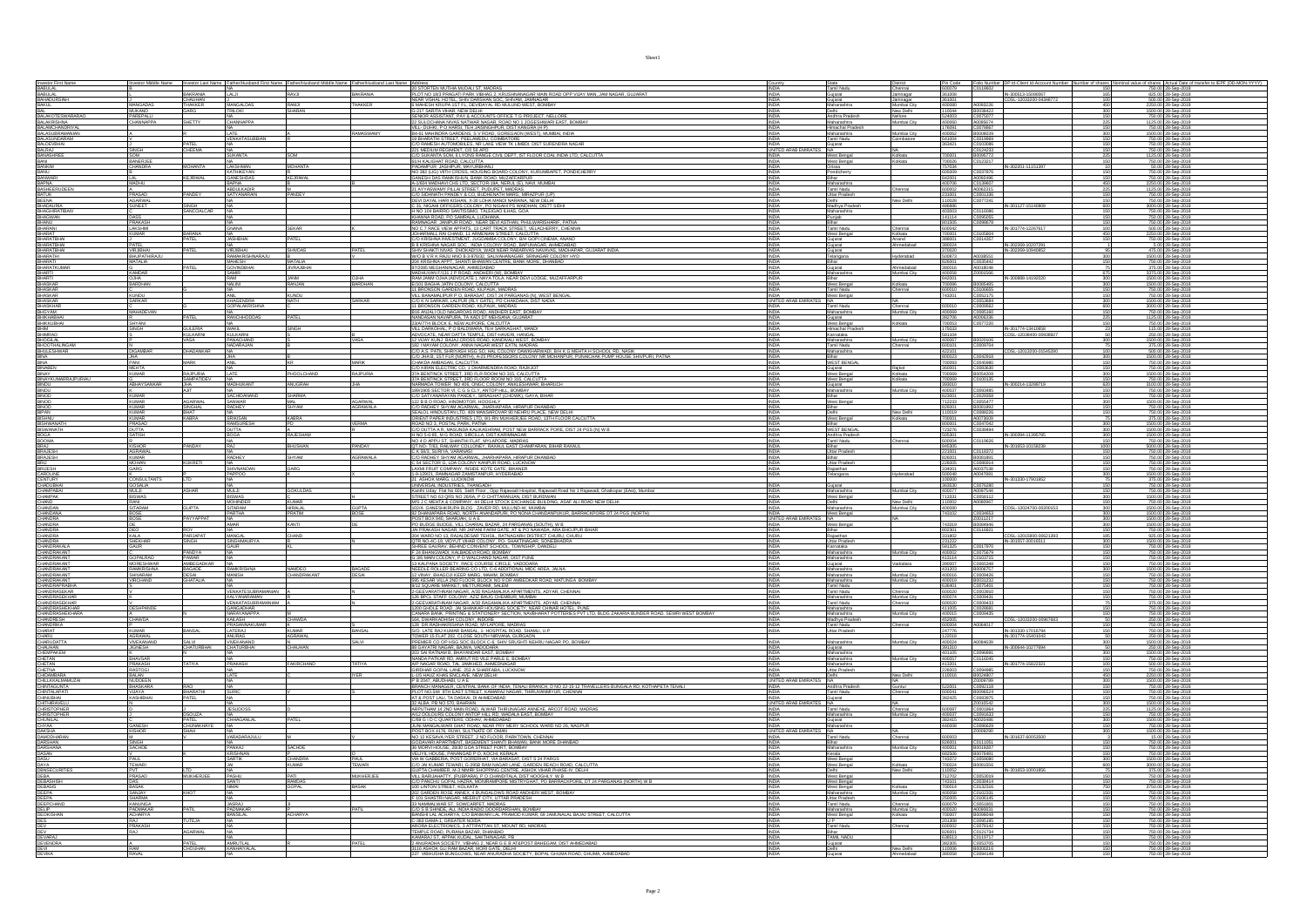|                                                                  |                                               | Investor Middle Name Investor Last Name Father/Hus | and First Name Father/Hr                               |                             | and Middle Name Father/Husband Last Name Address |                                                                                                                                                                                                                                                                                  | <b>INDIA</b>                                                    |                                               | District                          |                                      |                                                       | Pin Code Folio Number DP Id-Client Id-Acc               | unt Number Number of shares No | al value of shares Actual Date of transfer to IEPF (D)                                 |
|------------------------------------------------------------------|-----------------------------------------------|----------------------------------------------------|--------------------------------------------------------|-----------------------------|--------------------------------------------------|----------------------------------------------------------------------------------------------------------------------------------------------------------------------------------------------------------------------------------------------------------------------------------|-----------------------------------------------------------------|-----------------------------------------------|-----------------------------------|--------------------------------------|-------------------------------------------------------|---------------------------------------------------------|--------------------------------|----------------------------------------------------------------------------------------|
|                                                                  |                                               |                                                    | <b>INA</b><br>LALJI                                    | RAVIL                       | BAKRANIA                                         | AND STORTEN MUTHA MUDALI ST, MADRAS<br> PLOT NO 183 PRAGATI PARK VIBINAG 2, RRUSHNANGAR MAN ROAD OPP VUAY MAN, JAM NAGAR, GUJARAT<br>  NEAR VISHAL HOTEL, SHIV DARSHAN SOC, SHIVAN, JAMINGAR<br>  6 MAHESI KRUJEA 15T FLOEVDAYAL RD MUL                                          |                                                                 | Tamil Nadu                                    | Chennai                           |                                      | 600079 C0118602                                       |                                                         | 150                            | 750.00 28-Sep-2018<br>825.00 28-Sep-2018<br>500.00 28-Sep-2018<br>2250.00 28-Sep-2018  |
| BABULAL<br>BABULAL<br>BAHADURSINH<br>BAKUL<br>BAKUL              |                                               | BAKRANIA<br>CHAUHAN<br>THAKKER                     |                                                        |                             |                                                  |                                                                                                                                                                                                                                                                                  |                                                                 | Tumi<br>Gujarat<br>Gujarat<br>Maharashtra     | Jamnagar                          | 361008<br>361001<br>400080           |                                                       | IN-300513-15090067<br>CDSL-12033200-04348772            |                                |                                                                                        |
|                                                                  | MANGADAS                                      |                                                    | MANGALDAS                                              | RAMJI                       | <b>THAKKER</b>                                   |                                                                                                                                                                                                                                                                                  |                                                                 |                                               | Mumbai City                       |                                      | A0093226                                              |                                                         |                                |                                                                                        |
| BAL<br>BALAKOTESWARARAO                                          | MUKAND<br>PAREPALLI                           |                                                    | <b>RILOKI</b><br><b>INA</b>                            | <b>HARAN</b>                |                                                  | G-217 SARITA VIHAR, NEW DELHI<br>SENIOR ASSISTANT, PAY & ACCOUNTS OFFICE T G PROJECT, NELLORE                                                                                                                                                                                    | <b>INDIA</b><br><b>INDIA</b>                                    | Delhi<br>Andhra Pradesh                       | New Delhi<br>Nellore              |                                      |                                                       |                                                         | $\frac{300}{150}$              | 1500.00 28-Sep-2018<br>750.00 28-Sep-2018                                              |
|                                                                  | CHANNAPPA                                     | <b>SHETTY</b>                                      | CHANNAPPA                                              |                             |                                                  | SENDAPASSAI MILITANY SKALOUSN'I OVERLE I SYNCHOLOGICAL SENDAPAS (STATISTICAL SENDAPAS)<br>1991 - DIARA POLITICAN IN MINIMAL MAGNI, FRONT DIA TANGGRAMAR EAST, BOMBAY<br>1944 : MARIA POLITICAN, TRANSICAL CONSENDANCIA (H. 1911)<br>199                                          | <b>INDIA</b>                                                    |                                               | Mumbai City                       | 400060                               | A0085674                                              |                                                         | 225                            | 1125.00 28-Sep-2018                                                                    |
|                                                                  |                                               |                                                    |                                                        |                             |                                                  |                                                                                                                                                                                                                                                                                  |                                                                 |                                               |                                   | 176091                               | C0078867                                              |                                                         |                                | 750.00 28-Sep-20                                                                       |
| BALAKRISHNA<br>BALAKRISHNA<br>BALASUBRAMANIAN<br>BALASUBRAMANIAN |                                               |                                                    |                                                        |                             | <b>MASWAM</b>                                    |                                                                                                                                                                                                                                                                                  |                                                                 | Maharashtra<br>Himachal Prades<br>Maharashtra | Mumbai City                       | 400062                               | B0008039                                              |                                                         |                                | 1500.00 28-Sep-2018<br>750.00 28-Sep-2018                                              |
| BALASUNDARAM<br>BALDEVBHAI                                       |                                               |                                                    | <b>VENKATASUBBI</b>                                    |                             |                                                  |                                                                                                                                                                                                                                                                                  | <b>INDIA</b>                                                    | Tamil Nadu<br>Gujarat                         | Combatore                         | 641004<br>363421                     | C0019969<br>C0103086                                  |                                                         |                                | 750.00 28-Sep-201                                                                      |
| BALRAJ                                                           | SINGH                                         | CHEEMA                                             | INA.                                                   |                             |                                                  |                                                                                                                                                                                                                                                                                  | UNITED ARAB EMIRATES NA                                         |                                               | NA.                               |                                      | C0124233                                              |                                                         | 150                            | 750.00 28-Sep-2018                                                                     |
| <b>BANASHREE</b>                                                 | SOM<br>BANERJEE<br>CHANDRA                    |                                                    | <b>SUKANTA</b>                                         |                             |                                                  | 221 MEDIUM REGIMENT, C/0 56 APO<br>C/O SUKANTA SOM, 6 LYONS RANGE CIVIL DEPT, IST FLOOR COAL INDIA LTD. CALCUTTA                                                                                                                                                                 | <b>INDIA</b>                                                    | West Bengal                                   | Kolkata                           | 700001                               | B0095772                                              |                                                         | 225                            | 1125.00 28-Sep-2018                                                                    |
| BANI<br>BANI<br>BANKIM<br>BANU                                   |                                               | <b>MOHANTA</b>                                     |                                                        | MOHANTA                     |                                                  | 61/H KALIGHAT ROAD, CALCUTTA                                                                                                                                                                                                                                                     | <b>INDIA</b>                                                    | West Bengal                                   | Kolkata                           | 700026<br>757034<br>605009           | C0123217                                              | IN-302201-11151397                                      |                                | 750.00 28-Sep-2018<br>50.00 28-Sep-2018<br>750.00 28-Sep-2018<br>750.00 28-Sep-2018    |
|                                                                  |                                               |                                                    | LAKSHMAN<br>KATHIKEYAN                                 |                             |                                                  | <b>SUMMER JASHPUR, MAYURBHANJ<br/>INO 382 (LIG) VIITH CROSS, HOUSING BOARD COLONY, KURUMBAPET, PONDICHERRY</b><br>GANESH DAS RAMKISHUN, BANK ROAD, MUZAFFARPUR<br>SANESH DAS RAMKISHUN, BANK ROAD, MUZAFFARPUR                                                                   |                                                                 | Orissa<br>Pondicherry                         |                                   |                                      | C0037876                                              |                                                         |                                |                                                                                        |
| BANWARI                                                          | LAL                                           | <b>KEJRIVAL</b>                                    | <b>GANESHDAS</b>                                       | <b>KEJRIWAL</b>             |                                                  |                                                                                                                                                                                                                                                                                  | <b>INDIA</b>                                                    | Bihar                                         |                                   | 842001                               |                                                       |                                                         | 150                            |                                                                                        |
| BAPNA                                                            | MADHU                                         |                                                    | BAPNA                                                  |                             |                                                  | A-1/604 MADHAVI CHS LTD, SECTOR-19A, NERUL (E), NAVI, MUMBAL<br>21 AYYASWAMY PILLAI STREET, PUDUPET, MADRAS                                                                                                                                                                      | <b>INDIA</b>                                                    | Maharashtra                                   |                                   |                                      | 400706 C0139607                                       |                                                         | 450                            | 2250.00 28-Sep-2018                                                                    |
| <b>BASHEERUDEEN</b>                                              |                                               | PANDEY                                             | <b>ABDULKADIR</b>                                      | <b>ANDEY</b>                |                                                  |                                                                                                                                                                                                                                                                                  | <b>INDIA</b>                                                    | Tamil Nadu                                    | Chennai                           |                                      | 600002 A0062315                                       |                                                         | 225                            | 1125.00 28-Sep-2018                                                                    |
| BATUK<br>BEENA                                                   | PRASAD<br>AGARWA                              |                                                    | ATYANARAI                                              |                             |                                                  | .<br>Cio Sidhnath Pandey & Co, budhenath Marg, Mirazpur (up)<br>Devi Dayal Hari Kishan, X-30 Loha Mandi Naraina, New Delhi                                                                                                                                                       |                                                                 | Uttar Pradesh                                 | New Delhi                         |                                      | C0001336<br>C0077241                                  |                                                         |                                | 750.00 28-Sep-2018<br>750.00 28-Sep-2018                                               |
| <b>BHADAURIA</b>                                                 | SUNEET                                        | SINGH                                              |                                                        |                             |                                                  | SE 31, NISAHI OFFICERS COLONY, PO NISAHI PS WAIDHAN, DISTT SIDHI<br>H NO 104 BAIRRO SANTISSIMO. TALEIGAO ILHAS. GOA                                                                                                                                                              |                                                                 | Madhya Pradesh                                |                                   |                                      |                                                       | IN-301127-15140809                                      | 600                            | 3000.00 28-Sep-2018                                                                    |
| BHAGHIRATIBAIV                                                   |                                               | SANCOALCA                                          |                                                        |                             |                                                  |                                                                                                                                                                                                                                                                                  | <b>INDIA</b>                                                    | Maharashtra                                   |                                   | 403003                               |                                                       |                                                         | 150                            | 750.00 28-Sep-2018                                                                     |
| BHAGWAN                                                          | DASS                                          |                                                    |                                                        |                             |                                                  | KHANNA ROAD, PO SAMRALA, LUDHIANA<br> RAMNAGAR_JANPUR ROAD, NEAR DEVI ASTHAN, PHULWARISHARIF, PATNA<br> NO C 7 RACE VIEW APPATS, 13 CART TRACK STREET, VELACHERRY, CHENN                                                                                                         | INDIA                                                           | Punjab                                        |                                   | 141114                               | C0095055                                              |                                                         | 150                            | 750.00 28-Sep-2018                                                                     |
| BHANU<br>BHARANI                                                 | <b>PRAKASH</b><br>LAKSHMI                     |                                                    | GNANA                                                  | SEKAR                       |                                                  |                                                                                                                                                                                                                                                                                  | INDIA<br>INDIA                                                  | Bihar<br>Tamil Nadu                           | Chennai                           | 801505<br>600042                     | C0098678                                              | IN-301774-12267617                                      |                                | 750.00 28-Sep-2018<br>500.00 28-Sep-2018                                               |
| BHARAT<br>BHARATBHAI<br>BHARATBHAI                               | <b>KUMAR</b>                                  | <b>BARANA</b>                                      |                                                        |                             |                                                  | <b>COLLY ANGELES WAS ARREST TO A COLLY AND A CONSTANT AND A CONSTANT AND CONSTANT AND A CONSTANT OF A COLLY AND A CONSTANT AND A CONSTANT AND A CONSTANT AND A CONSTANT AND A CONSTANT AND A CONSTANT AND A CONSTANT AND A CONST</b>                                             |                                                                 | West Bengal<br>Gujarat<br>Gujarat             | Kolkata                           | 700001<br>388001<br>380024           |                                                       |                                                         |                                | 2250.00 28-Sep-2018<br>750.00 28-Sep-2018<br>5.00 28-Sep-2018                          |
|                                                                  |                                               |                                                    | <b>JASHBHAI</b>                                        | PATFI                       |                                                  |                                                                                                                                                                                                                                                                                  | INDIA<br>INDIA                                                  |                                               | Anand<br>Ahmedabad                |                                      |                                                       |                                                         |                                |                                                                                        |
|                                                                  | PATEL                                         | PATEL                                              | NA<br>VRJIBHA                                          |                             |                                                  |                                                                                                                                                                                                                                                                                  |                                                                 |                                               |                                   |                                      |                                                       | IN-302269-10207291                                      |                                |                                                                                        |
| BHARATBHAI<br>BHARATHI                                           | VIRJIBHAI<br>BHUPATHIRAJU                     |                                                    |                                                        | <b>SHIVDAS</b>              | PATEL                                            |                                                                                                                                                                                                                                                                                  | <b>INDIA</b><br><b>INDIA</b>                                    | Gujarat<br>Telangana                          | Hyderabad                         |                                      | 370020<br>500873 A0038551                             | IN-302269-10940852                                      | $\frac{95}{300}$               | 475.00 28-Sep-2018<br>1500.00 28-Sep-2018                                              |
| BHARATI                                                          | MATALIA                                       |                                                    | <b>MAHESH</b>                                          | MATALIA                     |                                                  | 204 KRISHNA APPT, SHANTI BHAWAN CENTRE, BANK MORE, DHANBAD                                                                                                                                                                                                                       | <b>INDIA</b>                                                    | Bihar                                         |                                   | 826001                               | C0035442                                              |                                                         |                                | 750.00 28-Sep-2018                                                                     |
| <b>BHARATKUMAR</b>                                               |                                               |                                                    | <b>GOVINDBHA</b>                                       | <b>JIVRAJBHA</b>            |                                                  |                                                                                                                                                                                                                                                                                  | <b>INDIA</b>                                                    | Guiarat                                       | Ahmedabad                         | 380016<br>400058                     | A0018048                                              |                                                         |                                | 375.00 28-Sep-2018                                                                     |
| <b>BHARTI</b><br>BHARTI                                          | KAMDAR                                        |                                                    |                                                        |                             |                                                  | 87/2085 MEGHANINAGAR, AHMEDABAD<br>MADHUVAN F/131 J P ROAD, ANDHERI (W), BOMBAY<br>RAM JANM OJHA (ADVOCATE), NAYA TOLA, NEAR DEVI LODGE, MJZAFFARPUR                                                                                                                             |                                                                 | Maharashtra                                   | Mumbai City                       |                                      | Z0001566                                              |                                                         |                                | 3375.00 28-Sep-2018                                                                    |
|                                                                  | OJHA<br>BARDHAN                               |                                                    | RAM                                                    | <b>JANM</b>                 | <b>OJHA</b><br><b>BARDHAN</b>                    |                                                                                                                                                                                                                                                                                  |                                                                 | Bihar<br>West Bengal                          |                                   | 842001                               | B0085485                                              | IN-300888-14192020                                      | 300                            |                                                                                        |
| BHASKAR<br><b>BHASKAR</b>                                        |                                               |                                                    | <b>NALINI</b><br>NA                                    | ANJAN                       |                                                  | E/101 BAGHA JATIN COLONY, CALCUTTA<br>11 BRONSON GARDEN ROAD, KILPAUK, MADRAS                                                                                                                                                                                                    | <b>INDIA</b><br>INDIA                                           | Tamil Nadu                                    | Kolkata<br>Chennai                | 700086<br>600010                     | C0106655                                              |                                                         | 300<br>150                     | 1500.00 28-Sep-2018<br>750.00 28-Sep-2018                                              |
| BHASKAR                                                          | <b>KUNDU</b>                                  |                                                    | ANIL                                                   | KUNDU                       |                                                  |                                                                                                                                                                                                                                                                                  | <b>INDIA</b>                                                    | West Bengal                                   |                                   | 743201                               | C0052175                                              |                                                         | 150                            | 750.00 28-Sep-2018                                                                     |
| <b>BHASKAR</b>                                                   | SARKAR                                        |                                                    | <b>KHAGENDRA</b>                                       | <b>NATH</b>                 | SARKAR                                           |                                                                                                                                                                                                                                                                                  | UNITED ARAB EMIR<br>S NA                                        |                                               | <b>NA</b>                         |                                      | C0053684                                              |                                                         | 300                            | 1500.00 28-Sep-2018                                                                    |
| <b>BHASKHAR</b>                                                  | MAHADEVAI                                     |                                                    | <b>GOPALAKRISHNA</b>                                   |                             |                                                  | A BANARA UNIVERSIDADE DE LA PARCANAS DE VEST BENGAL (CO E N SANCA) EN EL PARCANAS DE VEST BENGAL (CO E N SANCA)<br>11 BRONARA LA PART (EL CA EL CATE), PO CHARONARA DES TARDAS (CATE)<br>11 BRONARA LA PART (EQUE), NUPARA, MADROS<br>1                                          | <b>INDIA</b>                                                    | Tamil Nadu                                    | Chennai<br>mbai City              |                                      | 600010 C0009562<br>400069 C0085160<br>382706 A0006336 |                                                         | 600                            | 3000.00 28-Sep-2018<br>750.00 28-Sep-2018<br>1125.00 28-Sep-2018                       |
| <b>BHGYAM</b><br>BHIKHABHAI                                      |                                               | PATEL                                              | RANCHHODDAS                                            | PATEL                       |                                                  |                                                                                                                                                                                                                                                                                  | INDIA<br>INDIA                                                  | Maharashtra<br>Gujarat                        |                                   |                                      |                                                       |                                                         | $\frac{150}{225}$              |                                                                                        |
|                                                                  | SHYANI<br>SINGH                               |                                                    |                                                        |                             |                                                  |                                                                                                                                                                                                                                                                                  |                                                                 | West Bengal                                   | Kolkata                           |                                      |                                                       |                                                         |                                |                                                                                        |
| Bhikkubhai<br>Bhim                                               |                                               | GULERIA                                            | NA<br>WAKIL                                            | SINGH                       |                                                  | 23/A/77/4 BLOCK E, NEW ALIPORE, CALCUITA<br>VILL DARKOHAL, P O BALDWARA, TEH SARKAGHAT, MANDI<br>ADVOCATE, NEAR DATTA TEMPLE, DIST-HAVERI, HANGAL                                                                                                                                | INDIA<br>INDIA                                                  | Himachal Prades                               |                                   |                                      |                                                       |                                                         | $\frac{150}{23}$               | 750.00 28-Sep-2018<br>115.00 28-Sep-2018                                               |
| BHIMRAO<br><b>BHOGLAL</b>                                        |                                               | <b>KULKARNI</b><br>ACA                             | KULKARNI<br>PANACHAND                                  |                             |                                                  |                                                                                                                                                                                                                                                                                  | <b>INDIA</b><br><b>MOIA</b>                                     | Karnataka                                     | Mumhai City                       | 581104<br>400067                     | B0020106                                              | CDSL-12038400-00938                                     |                                | 250.00 28-Sep-2018<br>500.00 28-Sep-201                                                |
| <b>BHOOTHALINGAM</b>                                             |                                               |                                                    | <b>JADARAJAN</b>                                       |                             |                                                  | <u>(20 MAN MAN) (MAN MAN) (MAN MANIMULANSE)</u><br>1921 MAYAM COLONY, ANNA NAGAR WEST EXTN, MARNAS<br>2021 MAYAM COLONY, ANNA NAGAR WEST EXTN, MARNAS, MINITAR PUMPONA POLITICIA DI MASIK<br>200 JIA B. 15T FLE INDITIII, A 25 PROFESSORS CO                                     |                                                                 | <b>Tamil Nadu</b>                             | Chennai                           | 600101                               | C0009704                                              |                                                         |                                | 375.00 28-Sep-2018                                                                     |
| <b>BHULESHWAR</b>                                                | <b>DIGAMBAR</b>                               | DHADANKAR                                          |                                                        |                             |                                                  |                                                                                                                                                                                                                                                                                  | <b>INDIA</b>                                                    | Maharashtra                                   |                                   | 422101                               |                                                       | CDSL-12013200-01545280                                  | 100                            |                                                                                        |
|                                                                  |                                               |                                                    |                                                        |                             |                                                  |                                                                                                                                                                                                                                                                                  |                                                                 |                                               |                                   |                                      | C0042918                                              |                                                         |                                | 500.00 28-Sep-2018<br>1500.00 28-Sep-2018                                              |
| BINA                                                             | PANI                                          | MARK                                               | ANIL                                                   |                             | <b>MARIK</b>                                     | CHAKDA AMBAGAN, CALCUTTA<br>C/O KIRAN ELECTRIC CO. 1 DHARMENDRA ROAD. RAJKJOT<br>37A BENTINCK STREET, 3RD FLR ROOM NO 315, CALCUTTA                                                                                                                                              | <b>INDIA</b>                                                    | Bihar<br>WEST BENGAL                          |                                   | 700093                               | C0045980                                              |                                                         | 150                            | 750.00 28-Sep-2018                                                                     |
| BINABEN                                                          | <b>MEHTA</b><br><b>KUMAR</b>                  | RAJPURM                                            | <b>ATF</b>                                             | PHOOL CHAND                 | RAJPURIA                                         |                                                                                                                                                                                                                                                                                  | <b>INDIA</b><br><b>INDIA</b>                                    | Guiarat<br>West Bengal                        | Raikot<br>Kolkata                 | 360001<br>700069                     | C0083630<br>B0054208                                  |                                                         | 150<br>300                     | 750.00 28-Sep-2018<br>1500.00 28-Sep-2018                                              |
| BINAY<br>BINAY<br>BINDU<br>BINDU                                 |                                               |                                                    |                                                        |                             |                                                  |                                                                                                                                                                                                                                                                                  |                                                                 | West Bengal                                   | Kolkata                           |                                      |                                                       |                                                         |                                |                                                                                        |
|                                                                  | <b>ABHAYSANKAR</b>                            | SAMPATIDEV                                         | MOHUKANT                                               | ANUGRAH                     |                                                  | 37A BENTINCK STREET, 3RD FLOOR ROOM NO 315, CALCUITTA<br>NARMADA TOWER NO 406, ONGC COLONY, ANKLESHWAR, BHARUCH<br>1891905 SECTOR V.L.C G S CLY, ANTOP HILL, BOMBAY                                                                                                              |                                                                 | Sujarat                                       |                                   |                                      | 700069 C0100135<br>393010 C0100135                    | IN-300214-13289719                                      |                                | 750.00 28-Sep-2018<br>3100.00 28-Sep-2018                                              |
| <b>BINDU</b>                                                     |                                               | AJIT                                               | NA.                                                    |                             |                                                  |                                                                                                                                                                                                                                                                                  | INDIA                                                           | Maharashtra                                   | Mumbai City                       | 400037                               | C0093485                                              |                                                         | 150                            | 750.00 28-Sep-2018                                                                     |
| BINOD                                                            | <b>KUMAR</b>                                  |                                                    | SACHIDANANI                                            | SHARMA                      |                                                  | C/O SATYANARAYAN PANDEY, SIRIAGHAT (CHOWK), GAYA, BIHAR                                                                                                                                                                                                                          | <b>INDIA</b>                                                    | Bihar                                         |                                   | 823001                               | C0029358                                              |                                                         | 150                            | 750.00 28-Sep-2018                                                                     |
| <b>BINOD</b>                                                     | <b>KUMAR</b>                                  | AGARWAL                                            | SANWAR<br>RADHEY                                       | MAL.<br>SHYAM               | <b>AGARWAL</b><br><b>AGRAWALA</b>                |                                                                                                                                                                                                                                                                                  | <b>INDIA</b>                                                    | West Bengal                                   |                                   | 712233                               | C0055477                                              |                                                         | 300                            | 1500.00 28-Sep-2018                                                                    |
| BINOD<br>BIPAN                                                   | <b>KUMAR</b><br>KUMAR                         | <b>SINGHAL</b><br>BHAT                             |                                                        |                             |                                                  | 122 B B D ROAD, HINDMOTOR, HOOGHLY<br>COO RADHEY SHYAM AGARWAL, JHARHAPARA, HIRAPUR DHANBAD<br>SEALOL HINDUSTAN LTD, 409 MANSAROVAR 90 NEHRU PLACE, NEW DELH                                                                                                                     |                                                                 |                                               | New Delhi                         | 826001<br>110019                     | B0081892<br>C0088226                                  |                                                         |                                | 750.00 28-Sep-2018<br>750.00 28-Sep-2018                                               |
|                                                                  | <b>KUMAR</b>                                  | KABRA                                              | <b>SRIKISAN</b>                                        | KABRA                       |                                                  | ORIENT PAPER INDUSTRIES LTD, 9/1-RN MUKHERJEE ROAD, 13TH FLOOR CALCUTTA                                                                                                                                                                                                          |                                                                 | West Bengal                                   | Kolkata                           | 700001                               | A0073609                                              |                                                         |                                | 375.00 28-Sep-2018                                                                     |
| <b>BISHWANATH</b>                                                | PRASAD                                        |                                                    | RAMSURESI<br>DUTTA                                     |                             |                                                  | ROAD NO 3. POSTAL PARK. PATNA<br>C/O DUTTA A R, MASUNDA KALIKASHRAM, POST NEW BARRACK PORE, DIST 24 PGS (N) W B                                                                                                                                                                  | <b>INDIA</b>                                                    | Bihar<br>WEST BENGAL                          |                                   | 800001                               | C0047042                                              |                                                         | 300                            | 1500.00 28-Sep-2018                                                                    |
| BISWANATH<br><b>BOGA</b>                                         | <b>DUTTA</b>                                  |                                                    |                                                        | RAJESHAM                    |                                                  |                                                                                                                                                                                                                                                                                  | INDIA<br><b>INDIA</b>                                           |                                               |                                   | 723276                               | C0039494                                              | IN-300394-11395785                                      | 300                            | 1500.00 28-Sep-2018                                                                    |
| <b>BOOMA</b>                                                     | SATISH                                        |                                                    | <b>BOGA</b><br><b>NA</b>                               |                             |                                                  | H NO 5-6-85, M G ROAD, SIRCILLA, DIST KARIMNAGAR<br>NO 4 D APPU ST. SHANTHI FLAT. MYLAPORE. MADRAS                                                                                                                                                                               | <b>INDIA</b>                                                    | Andhra Pradesh<br>Tamil Nadu                  |                                   | 505301<br>600004                     | C0119626                                              |                                                         | 300<br>150                     | 1500.00 28-Sep-2018<br>750.00 28-Sep-2018                                              |
| <b>BRAJ</b>                                                      | <b>KISHOR</b>                                 | PANDAY                                             | RAI                                                    | <b>BHUSHAN</b>              | <b>ANDAY</b>                                     | QT.NO- T/63, RAILWAY COLLONEY, RAXAUL EAST CHAMPARAN, BIHAR RAXAI                                                                                                                                                                                                                | <b>INDIA</b>                                                    | Bihar                                         |                                   | 845305                               |                                                       | IN-301653-10158238                                      | 1000                           | 5000.00 28-Sep-2018                                                                    |
| BRAJESH<br>BRAJESH                                               | AGRAWAL<br>KUMAR<br>MOHAN                     |                                                    |                                                        |                             |                                                  | GIVAL TRANSPORT COLLONGER PRODUCE AND THRAPPAGE CHECK SALTARY SHAPE CONTRACT CONTRACT CONTRACT CONTRACT CONTRACT CONTRACT CONTRACT CONTRACT CONTRACT CONTRACT CONTRACT CONTRACT CONTRACT CONTRACT CONTRACT CONTRACT CONTRACT C                                                   |                                                                 | Uttar Pradesh                                 |                                   | 221001<br>826001                     | C0118372<br>B0081891                                  |                                                         | 150                            | 750.00 28-Sep-2018<br>750.00 28-Sep-2018                                               |
|                                                                  |                                               |                                                    | NA<br>RADHEY                                           | <b>SHYAM</b>                | <b>AGRAWALA</b>                                  |                                                                                                                                                                                                                                                                                  |                                                                 | Bihar<br>Uttar Pradesh                        |                                   |                                      |                                                       |                                                         |                                |                                                                                        |
| <b>BRIJ</b><br><b>BRUESH</b>                                     | <b>GARG</b>                                   | <b>KUKRETI</b>                                     | NA.<br><b>SHIVNANDAN</b>                               | GARG                        |                                                  |                                                                                                                                                                                                                                                                                  | INDIA<br><b>INDIA</b>                                           | Raiasthan                                     |                                   | 226005<br>334001                     | C0086914<br>A0037538                                  |                                                         | 150<br>150                     | 750.00 28-Sep-2018<br>750.00 28-Sep-2018                                               |
| CAROLINE                                                         |                                               |                                                    | PAPPOO                                                 |                             |                                                  | 1-9-129/21, RAMNAGAR ZAMISTANPUR, HYDERABAD                                                                                                                                                                                                                                      |                                                                 | Telangana                                     | Hyderabad                         |                                      | 500048 A0047881                                       |                                                         | 300                            | 1500.00 28-Sep-2018                                                                    |
| CENTURY<br>CHADUBHAI                                             | CONSULTANTS                                   |                                                    |                                                        |                             |                                                  | 21 ASHOK MARG, LUCKNOW<br>UNIVERSAL INDUSTRIES, THANGADH                                                                                                                                                                                                                         |                                                                 |                                               |                                   | 100000                               |                                                       | IN-301330-17901952                                      |                                | 375.00 28-Sep-2018<br>750.00 28-Sep-2018                                               |
|                                                                  |                                               |                                                    |                                                        |                             |                                                  |                                                                                                                                                                                                                                                                                  | <b>INNIA</b>                                                    | Guiarat                                       |                                   |                                      | C0076280                                              |                                                         |                                |                                                                                        |
| CHAMPABAL                                                        | MULJI                                         | <b>ASHAR</b>                                       | <b>MULJI</b>                                           | <b>GOKULDAS</b>             |                                                  |                                                                                                                                                                                                                                                                                  | <b>INDIA</b>                                                    | Maharashtra                                   | Mumbai City                       | 400077                               | A0097544                                              |                                                         | 150                            | 750.00 28-Sep-2018                                                                     |
| CHAMPAK<br>CHAND                                                 | <b>BISWAS</b><br>RANI                         |                                                    | BISWAS<br>MOHINDER                                     | <b>KUMAR</b>                |                                                  |                                                                                                                                                                                                                                                                                  | <b>INDIA</b><br><b>INDIA</b>                                    | West Bengal<br>Delhi                          | New Delhi                         | 713331<br>10002                      | C0058112<br>A0080967                                  |                                                         | 300                            | 1500.00 28-Sep-2018<br>750.00 28-Sep-2018                                              |
|                                                                  |                                               | <b>GUPTA</b>                                       |                                                        | HIRALAL<br>PRATIM           | <b>GUPTA</b>                                     | University, (IRAL) (1935, 1946Raulan<br>  Starth Usin, P. El Kolls) (1946 P. C. Opp Rajamad Hospital, Rajamad Road No 1 Rajamad, Ghatkopar (EAst), Mumbai<br>  STARET NO, GA (1948 NO 2006 P. C. OPP THRANJAN, DIST BURLOWS), ASAF A                                             |                                                                 | Maharashtra                                   | Mumbai City                       | 400080                               |                                                       | CDSL-12024700-00200153                                  | $\frac{150}{300}$              | 1500.00 28-Sep-2018                                                                    |
| CHANDAN<br>CHANDANA                                              | SITARAM<br>BOSE                               |                                                    | SITARAM<br>PARTHA                                      |                             |                                                  |                                                                                                                                                                                                                                                                                  |                                                                 | West Bengal                                   |                                   | 743102                               | C0034653                                              |                                                         | 300                            | 1500.00 28-Sep-2018                                                                    |
|                                                                  |                                               |                                                    | NA.                                                    |                             |                                                  |                                                                                                                                                                                                                                                                                  |                                                                 |                                               |                                   |                                      |                                                       |                                                         | 300                            | 1500.00 28-Sep-2018                                                                    |
|                                                                  | <b>BOSE</b>                                   | PAYYAPPAT                                          |                                                        |                             |                                                  |                                                                                                                                                                                                                                                                                  | UNITED ARAB EMIRATES NA                                         |                                               |                                   |                                      |                                                       |                                                         |                                | 1500.00 28-Sep-2018<br>750.00 28-Sep-2018                                              |
|                                                                  |                                               |                                                    |                                                        |                             |                                                  |                                                                                                                                                                                                                                                                                  |                                                                 | West Bengal                                   |                                   |                                      |                                                       |                                                         |                                |                                                                                        |
| CHANDRA<br>CHANDRA<br>CHANDRA                                    | DE                                            |                                                    | NA                                                     |                             |                                                  |                                                                                                                                                                                                                                                                                  | INDIA<br>INDIA                                                  | Bihar                                         |                                   | 743319<br>802301                     | Z0011217<br>B0084946<br>C0116821                      |                                                         | 300                            |                                                                                        |
|                                                                  |                                               | PARJAPAT<br>SINGH                                  |                                                        | CHAND                       |                                                  |                                                                                                                                                                                                                                                                                  | <b>INDIA</b><br>INDIA                                           |                                               |                                   |                                      |                                                       | CDSL-12015800-00621393<br>IN-301557-20016511            |                                |                                                                                        |
| CHANDRA<br>CHANDRA<br>CHANDRAKALA                                | KALA<br>SHEKHAR<br>GAUR                       |                                                    | MANGAL<br>SINGHMAURYA<br>GAUR                          |                             |                                                  | SHREE GAURAV, BEHIND CONVENT SCHOOL, TOWNSHIP, DANDELI                                                                                                                                                                                                                           | <b>INDIA</b>                                                    | Rajasthan<br>Uttar Pradesh<br>Karnataka       |                                   | 331802<br>231222<br>581325           | C0017970                                              |                                                         |                                | 925.00 28-Sep-2018<br>1500.00 28-Sep-2018<br>750.00 28-Sep-2018                        |
| CHANDRAKAN                                                       |                                               | PANDYA                                             |                                                        |                             |                                                  | F 24 BHANGWADI, KALBADEVI ROAD, BOMBAY                                                                                                                                                                                                                                           | <b>INDIA</b>                                                    | Maharashtra                                   | Mumbai City                       | 400002                               |                                                       |                                                         |                                | 750.00 28-Sep-2018                                                                     |
| CHANDRAKANT                                                      | <b>GOPALRAO</b>                               |                                                    |                                                        |                             |                                                  |                                                                                                                                                                                                                                                                                  |                                                                 | Maharashtra                                   |                                   | 413114                               | C0075679<br>C0103715                                  |                                                         |                                | 750.00 28-Sep-2018                                                                     |
|                                                                  |                                               |                                                    |                                                        |                             |                                                  |                                                                                                                                                                                                                                                                                  |                                                                 |                                               | Vadodara                          |                                      |                                                       |                                                         |                                |                                                                                        |
| CHANDRAKANT<br>CHANDRAKANT<br>CHANDRAKANT                        | MORESHWAR<br>RAMKRISHNA<br>SHIVARAM           | PAWAR<br>AMBEGADKAR<br>BAGADE<br>DESAI             | na<br>Ramkrishna<br>MANISH                             | <b>NAMDEO</b><br>CHANDRAKAN | <b>BAGADE</b>                                    | I F 24 BHANGWADI, KALBADEVI ROAD, BOMBAY<br>G 3/8 MAIN COLONY, P O WALCHAND NAGAR, DIST PUNE<br>13 KALPANA SOCIETY, RACE COURSE CIRCLE, VADODARA<br>NEEDLE ROLLER BEARING CO LTD, C-6 ADDITIONAL MIDC AREA, JALNA<br>12 VINAY, BHAGOJI KEER MARG, MAHIM, BOMBAY                  | INDIA<br>INDIA<br><b>INDIA</b>                                  | Sujarat<br>Vlaharashtra<br>Maharashtra        | Mumbai City                       | 390007<br>431203<br>400016           | C0065348<br>B0006757<br>C0009426                      |                                                         | $\frac{150}{300}$              | 750.00 28-Sep-2018<br>500.00 28-Sep-2018<br>750.00 28-Sep-2018                         |
| CHANDRAKANT                                                      | VIRCHAND                                      | ALIATALE                                           |                                                        |                             |                                                  | 595 KESAR VILLA 2ND FLOOR. BLOCK NO 9 DR AMBEDKAR ROAD. MATUNGA BOMBA'                                                                                                                                                                                                           | <b>INDIA</b>                                                    | Maharashtra                                   | Mumbai City                       | 400019                               | B0031232                                              |                                                         |                                | 750.00 28-Sep-2018                                                                     |
|                                                                  |                                               |                                                    |                                                        |                             |                                                  | 9/12 SQUARE MARKET, METTURDAMI, SALEM                                                                                                                                                                                                                                            | <b>INDIA</b>                                                    | Tamil Nadu                                    |                                   | 636401                               | C0075401                                              |                                                         |                                | 750.00 28-Sep-2018                                                                     |
|                                                                  |                                               |                                                    | VENKATESUBRAMANIAN                                     |                             |                                                  |                                                                                                                                                                                                                                                                                  | <b>INDIA</b>                                                    | Tamil Nadu                                    |                                   |                                      | C0003910                                              |                                                         |                                | 750.00 28-Sep-2018                                                                     |
| CHANDRAPRABHA<br>CHANDRASEKHAR                                   |                                               |                                                    | <b>KALYANARAMAN</b><br>VENKATASUBRAMANIA               |                             |                                                  |                                                                                                                                                                                                                                                                                  | INDIA                                                           | Maharashtra<br>Tamil Nadu                     |                                   | 400074<br>600020                     |                                                       |                                                         | 150<br>- 75                    | 750.00 28-Sep-2018<br>375.00 28-Sep-2018                                               |
|                                                                  | .<br>DESHPANDE                                |                                                    | <b>GANGADHAR</b>                                       |                             |                                                  | 37 23 JONA MART IN MISSING AND MARTIN APARTMENTS, ADVAR, CHENNAL 126 BPCL STAFF COLONY. AZIZ BAUG CHEMBUR, MUMBAL 2-GEEVARATHAM NAGAR, A/30 RAGAMALIKA APARTMENTS, ADVAR, CHENNAL 2-GEEVARATHAM NAGAR, A/30 RAGAMALIKA APARTME                                                   | <b>INDIA</b>                                                    | Maharashtra                                   | Chennai<br>Mumbai City<br>Chennai | 411005                               | C0009431<br>C0009433<br>C0028681                      |                                                         | 150                            | 750.00 28-Sep-2018                                                                     |
| CHANDRASHEKHAR<br>CHANDRASHEKHARA                                | CHAWDA                                        |                                                    | NARAYANAPP/<br>KAILASH                                 | CHAWDA                      |                                                  | 1200 GHOLE ROAD. JAI SHANKAR HOUSING SOCIETY. NEAR CHINAR HOTEL. PUNE<br>CANARA BANK, PRINTING & STATIONERY SECTION, NAVBHARAT POTTERIES PVT LTD, BLDG ZAKARIA BUNDER ROAD, SEWRI WEST BOMBAY                                                                                    | <b>INDIA</b><br><b>INDIA</b>                                    | Maharashtra<br>Madhya Pradesh                 | Mumbai City                       | 400015<br>452005                     | C0009435                                              | CDSL-12033200-00967683                                  |                                | 750.00 28-Sep-2018<br>250.00 28-Sep-2018                                               |
|                                                                  |                                               |                                                    | PRASANNAKI IMAR                                        |                             |                                                  |                                                                                                                                                                                                                                                                                  |                                                                 |                                               | <b>Thermail</b>                   |                                      | A0064017                                              |                                                         |                                |                                                                                        |
|                                                                  | <b>KUMAR</b>                                  | BANSAL                                             |                                                        | KUMAR                       | BANSAL                                           |                                                                                                                                                                                                                                                                                  | <b>INDIA</b>                                                    | Tamil Nadu<br>Uttar Pradesh                   |                                   | 247776                               |                                                       | IN-301330-17016794                                      |                                | 750.00 28-Sep-2018                                                                     |
| CHANDRESH<br>CHANDRIKA<br>CHARAT                                 |                                               |                                                    |                                                        | <b>AGRAWAL</b>              |                                                  |                                                                                                                                                                                                                                                                                  |                                                                 |                                               |                                   |                                      |                                                       | IN-301774-15401043                                      |                                |                                                                                        |
| CHARU<br>CHARUDATTA<br>CHAUHAN                                   | <u>AGRAWAL</u><br>VIVEKANAN<br><b>JIGNESH</b> | CHATURBHA                                          | <b>ENGINEERS</b><br>LATERAJ<br>VIVEKANAN<br>CHATURBHAI | CHAUHAN                     | <b>SALVI</b>                                     |                                                                                                                                                                                                                                                                                  | <b>INDIA</b>                                                    | <b>Maharashtra</b><br>Gujarat                 | lumbai City                       | 122018<br>400024<br>391310           | A0084639                                              |                                                         |                                | 250.00 28-Sep-2018<br>1500.00 28-Sep-2018<br>250.00 28-Sep-2018                        |
| CHEMPAKEM                                                        |                                               |                                                    |                                                        |                             |                                                  | UNIXOR DE MARIA BASA DI MARCA ESCUAL INTERES PY LUCI<br>101 DE BADIANSISTAN BOAD, MOLECUL BASA EN ANTIUR DE MARIA DE MARIA ESTADO DE MARIA EN EN ANTIUR DE MARIA EN EN<br>101 DE BADIANSISTAN BOAD, MOLECUL SINT BURBAN<br>1700ER 15<br>203 SAI RATNAM B. BHAYANDAR EAST. BOMBAY | <b>INDIA</b>                                                    | Maharashtra                                   |                                   | 401105                               | COORREL                                               | IN-300644-10277694                                      |                                | 1500.00 28-Sep-2018                                                                    |
| CHETAN                                                           | <b>BHAVSAR</b>                                |                                                    |                                                        |                             |                                                  | NANDA PATKAR RD, AMRUT RD VILE PARLE E, BOMBAY                                                                                                                                                                                                                                   | <b>INDIA</b>                                                    | Maharashtra                                   | Mumbai City                       | 400057                               | C0116045                                              |                                                         | 150                            | 750.00 28-Sep-2018                                                                     |
|                                                                  |                                               | TATIYA                                             | RAKASH                                                 | FAKIRCHAND                  | TATIYA                                           |                                                                                                                                                                                                                                                                                  |                                                                 |                                               |                                   |                                      |                                                       |                                                         |                                |                                                                                        |
|                                                                  |                                               |                                                    |                                                        |                             |                                                  |                                                                                                                                                                                                                                                                                  |                                                                 | Maharashtra<br>Uttar Pradesh                  |                                   | 413201<br>226003                     |                                                       |                                                         |                                | 500.00 28-Sep-2018                                                                     |
|                                                                  | PRAKASH<br>RASTOGI<br>BALAN<br>NUDDEEN        |                                                    |                                                        |                             |                                                  | A PINGAR ROAD, TALJAMKHED, AHMEDNAGAR<br>GIRDHAR GOPAL LANE, 253 A SHARFABA, LUCKNOW<br>L-1/5 HAUZ KHAS ENCLAVE, NEW DELHI                                                                                                                                                       | INDIA<br>UNITED ARAB EMIRA                                      |                                               | New Delhi                         | 110016                               | Z0009789                                              | IN-301774-15822321<br>C0094985<br>B0024807<br>Z00023807 | 450                            | 2250.00 28-Sep-2018<br>1500.00 28-Sep-2018                                             |
| CHETAN<br>CHETAN<br>CHIDAMBARA<br>CHILLKKALMAMUZA<br>CHINTAGUNTA | <b>BHASKARA</b>                               | <b>RAO</b>                                         |                                                        |                             |                                                  | P B 2047. ABUDHABI, U A E<br>BRANCH MANAGER, CENTRAL BANK OF INDIA, TENALI BRANCH, D NO 22-15-12 TRAVELLERS BUNGALA RD, KOTHAPETA TENALI                                                                                                                                         | <b>INDIA</b>                                                    | Andhra Pradesh                                | Guntur                            | 522001                               | C0092118                                              |                                                         | 300                            | 750.00 28-Sep-2018                                                                     |
|                                                                  |                                               |                                                    | <b>SURIC</b>                                           |                             |                                                  |                                                                                                                                                                                                                                                                                  |                                                                 | Tamil Nadu                                    | Chennai                           |                                      |                                                       |                                                         |                                |                                                                                        |
| CHINTALAPATI                                                     | <b>VIJAYA</b><br>KASHIBHA                     | BHARATHI                                           |                                                        |                             |                                                  | PLOT NO.544 8TH EAST STREET, KAMARAJ NAGAR, THIRUVANMIYUR, CHENNAI AT & POST LALI, TA DASKAI, DI AHMEDABAD                                                                                                                                                                       |                                                                 |                                               |                                   | 600041<br>382425                     | B0096524<br>C0083975                                  |                                                         |                                |                                                                                        |
|                                                                  |                                               |                                                    |                                                        |                             |                                                  |                                                                                                                                                                                                                                                                                  |                                                                 |                                               | Chennai                           | 600087                               | 20010542<br>C0001864                                  |                                                         | 300<br>225                     | 750.00 28-Sep-2018<br>750.00 28-Sep-2018<br>1500.00 28-Sep-2018<br>1125.00 28-Sep-2018 |
| CHRISTOPHER<br>CHRISTOPHER                                       |                                               | <b>DSOUZ</b>                                       |                                                        |                             |                                                  | AN ALSO, PENO STO, BANKAIN<br>ARPUTHAM 14 2ND MAN ROAD, ALWAR THIRUNAGAR ANNEXE, ARCOT ROAD, MADRAS<br>ARPUTHAM 14 2ND MAN ROAD, ALWAR THIRUNAGAR ANNEXE, ARCOT ROAD, MADRAS<br>AYIZ DOLOURS COLONY ANTOP HILL RD, WADALA EAST, BOMBAY                                           | <b>NDIA</b><br>UNITED ARAB EMIRATES NA<br>With Maria Tamil Nadu | Maharashtra                                   | Mumbai City                       | 400037                               | C0091633                                              |                                                         |                                | 750.00 28-Sep-2018                                                                     |
| CHUNILAL                                                         |                                               |                                                    | CHHAGANLAL                                             | PATEL                       |                                                  |                                                                                                                                                                                                                                                                                  | <b>INDIA</b>                                                    | Gujarat                                       |                                   |                                      | 382415 A0020486                                       |                                                         | 300                            | 1500.00 28-Sep-2018                                                                    |
| <b>CHYAA</b>                                                     | <b>GANESH</b>                                 | PATEL<br>CHUNAKHAYE                                |                                                        |                             |                                                  | C/69 G I D C QUARTERS, ODHAV, AHMEDABAD<br>JUNI MANGALWARI GHAT ROAD, NEAR PRY MERY SCHOOL WARD NO 26, NAGPUR                                                                                                                                                                    |                                                                 | Maharashtra                                   | <b>NA</b>                         | 440008                               | C0086629                                              |                                                         |                                | 750.00 28-Sep-2018                                                                     |
|                                                                  |                                               | SHAH                                               |                                                        |                             |                                                  |                                                                                                                                                                                                                                                                                  | UNITED ARAB EMIRATES NA                                         |                                               |                                   |                                      | Z0009290                                              | IN-301637-60053500                                      | 300                            |                                                                                        |
|                                                                  |                                               |                                                    |                                                        |                             |                                                  |                                                                                                                                                                                                                                                                                  | INDIA<br>INDIA                                                  |                                               |                                   |                                      |                                                       |                                                         | $\frac{3}{150}$                |                                                                                        |
| DAKSHA<br>DAKSHA<br>DARSHAN<br>DARSHANA<br>DARSHANA              | KISHOR<br>M<br>SINGH<br>SACHDE                |                                                    | NA<br>PANKAJ                                           | <b>SACHDE</b>               |                                                  | <b>POST BOX 4176, RUWI, SULTIVATE OF OMAN<br/> NO 12 KESAVA IYER STREET, 2 ND FLOOR, PARKTOWN, CHENNAI<br/> NO 12 KESAVA IYER STREET, 2 ND FLOOR, PARKTOWN, BAKK MORE DHANBAD<br/> 36 MORVI HOUSE, 28/30 GOA STREET FORT, BOMBAY</b>                                             | <b>INDIA</b>                                                    | ron<br>Tamil Nadu<br>Bihar<br>Maharashtra     | Mumbai City                       | 600003<br>826001<br>400001           | C0111051<br>B0019287                                  |                                                         |                                | 1500.00 28-Sep-2018<br>15.00 28-Sep-2018<br>750.00 28-Sep-2018<br>750.00 28-Sep-2018   |
| DASAN                                                            |                                               |                                                    | <b>KRISHNAN</b>                                        |                             |                                                  |                                                                                                                                                                                                                                                                                  | <b>INDIA</b>                                                    | Kerala                                        |                                   | 682506                               | B0076481                                              |                                                         | 150                            | 750.00 28-Sep-2018                                                                     |
| DASU                                                             | PAUL                                          |                                                    | SARTIK                                                 | CHANDRA<br>KUMAR            | PAUL                                             | VELIYIL HOUSE, PANANGAD P O, KOCHI, KERALA<br>VIA W GABBERIA, POST GORERHAT, VIA BARASAT, DIST S 24 PARGS                                                                                                                                                                        | <b>INDIA</b>                                                    | West Bengal                                   |                                   | 743372                               | C0059080                                              |                                                         | 300                            | 1500.00 28-Sep-2018                                                                    |
| DAYA<br>DBNSECURITIES                                            | TEWARI<br>PVT                                 |                                                    |                                                        |                             |                                                  |                                                                                                                                                                                                                                                                                  |                                                                 | West Bengal                                   |                                   |                                      | B0081556                                              | IN-301653-10001856                                      | 600                            |                                                                                        |
|                                                                  |                                               | MUKHERJEE                                          | PASHL                                                  |                             | <b>MUKHERJEE</b>                                 |                                                                                                                                                                                                                                                                                  |                                                                 | West Bengal                                   | Kolkata<br>New Delhi              | 12702                                |                                                       |                                                         |                                | 3000.00 28-Sep-2018<br>375.00 28-Sep-2018<br>750.00 28-Sep-2018                        |
| DEBA<br>DEBA<br>DEBASHISH                                        |                                               |                                                    |                                                        | RAMDAS                      |                                                  | <u>CO AN ARMA TEWAS, C-2958 PAM MAGAS LANE, GAROEN REACH FOAD, C-ALCUITA.</u><br>GUPTA CHAMBER, M-3 IMMRI SHOPPING CENTRE, ASHOK WHAT PHASE-IV, DELHI<br>VAL BARICHIATYY, (PUBPARA), PO CHANDITALA, DIST HOOGHLY, W.B. PHASE-IV, DELHI<br>CO                                     | <b>INDIA</b>                                                    |                                               |                                   | 743101                               | C0038414                                              |                                                         |                                | 750.00 28-Sep-2018                                                                     |
| DEBASIS                                                          | PRASAD<br>DAS<br>BASAK                        | KHOT                                               | NIMAI                                                  | GOPAL                       |                                                  |                                                                                                                                                                                                                                                                                  | <b>INDIA</b><br><b>INDIA</b>                                    | West Bengal<br>West Bengal                    | Kolkata<br>Mumbai City            | 700014                               | C0132316                                              |                                                         | 150<br>150                     | 3750.00 28-Sep-2018                                                                    |
| DEEPA<br>DEEPA                                                   | SANJAY<br>SHARMA                              |                                                    |                                                        |                             |                                                  | 100 LINTON STREET, KOLKATA<br>202 GARDEN ROSE ANNEX, 4 BUNGALOWS ROAD ANDHERI WEST, BOMBAY<br>F 101 SHASTRI NAGAR, MEERUT CITY, UTTAR PRADESH                                                                                                                                    |                                                                 | Maharashtra<br>Uttar Pradesh                  |                                   | 400058<br>250005                     | C0102331<br>C0106145                                  |                                                         |                                | 750.00 28-Sep-2018<br>750.00 28-Sep-2018                                               |
|                                                                  |                                               |                                                    |                                                        |                             |                                                  |                                                                                                                                                                                                                                                                                  |                                                                 | Tamil Nadu                                    |                                   |                                      |                                                       |                                                         |                                |                                                                                        |
|                                                                  |                                               | <b>PATIL</b>                                       |                                                        |                             |                                                  |                                                                                                                                                                                                                                                                                  |                                                                 |                                               |                                   |                                      |                                                       |                                                         |                                |                                                                                        |
| DEEPCHAND<br>DELIP<br>DEOKISHAN<br>DES                           | KANUNGA<br>PADMAKAR<br>ACHARYA                | <b>TUTEJA</b>                                      | JASRAJ<br>PADMAKAR<br>BANSLAL                          | <b>ACHARYA</b>              |                                                  | 23 NAMMALWAR ST, SOWCARPET, IMORAS - 1996-941<br>COLS B SHIMBE ALL INDA RADIO DODERARSHAN, BOMBAY<br>BANSHI LAL ACHARYA, CO BANWARI LAL PRAMOD KUMAR, 69 JAMUNALAL BAJAJ STREET, CALCUTTA                                                                                        | <b>INDIA</b><br><b>INDIA</b>                                    | Maharashtra<br>West Bengal                    | Chennai<br>Mumbai City<br>Kolkata | 600079<br>400020<br>700007<br>201308 | C0051801<br>A0090831<br>B0099048                      |                                                         | 150                            | 750.00 28-Sep-2018<br>750.00 28-Sep-2018<br>750.00 28-Sep-2018                         |
|                                                                  | RAJ<br>PRAKASH                                |                                                    |                                                        |                             |                                                  | C-363 GAMA-1, GREATER NOIDA<br>ARORA ELECTRONICS, 3 ATTIPATTAN ST, MOUNT RD, MADRAS                                                                                                                                                                                              |                                                                 | Tamil Nadu                                    | Chennai                           |                                      | C0095195<br>C0078142                                  |                                                         |                                | 750.00 28-Sep-2018<br>750.00 28-Sep-2018                                               |
| DEV                                                              | RAI                                           | <b>AGARWAL</b>                                     |                                                        |                             |                                                  | TEMPLE ROAD, PURANA BAZAR, DHANBAD                                                                                                                                                                                                                                               | <b>INDIA</b>                                                    | Bihar                                         |                                   | 826001                               | C0121734                                              |                                                         | 150                            | 750.00 28-Sep-2018                                                                     |
|                                                                  |                                               |                                                    | <b>MRUTLAL</b>                                         |                             |                                                  |                                                                                                                                                                                                                                                                                  |                                                                 | TAMIL NADU                                    |                                   | 638513                               | C011971                                               |                                                         |                                |                                                                                        |
| DEVARAJ<br>DEVENDRA<br>DEVI<br>DEVIKA                            |                                               | PATEL<br>CHOUHAN                                   | KANHAIYALA                                             |                             |                                                  | KAMARAJ ST. APPAK KUDAL, SAKTHINAGAR, PB<br>2 ANURADHA SOCIETY, VIBHAG 2, NEAR G E B AT&POST BAHEGAM, DIST AHMEDABAD<br>3116 ASHOK GU RAM BAZAR, MORI GATE, DELHI<br>237 VIBHUSHA BUNGLOWS, NEAR ANURADHA SOCIETY, BOPAL GHUMA ROAD, GH                                          |                                                                 | Jelhi                                         | New Delhi                         | 382305<br>110006                     | C0053705<br>B0000216                                  |                                                         |                                | 750.00 28-Sep-2018<br>750.00 28-Sep-2018                                               |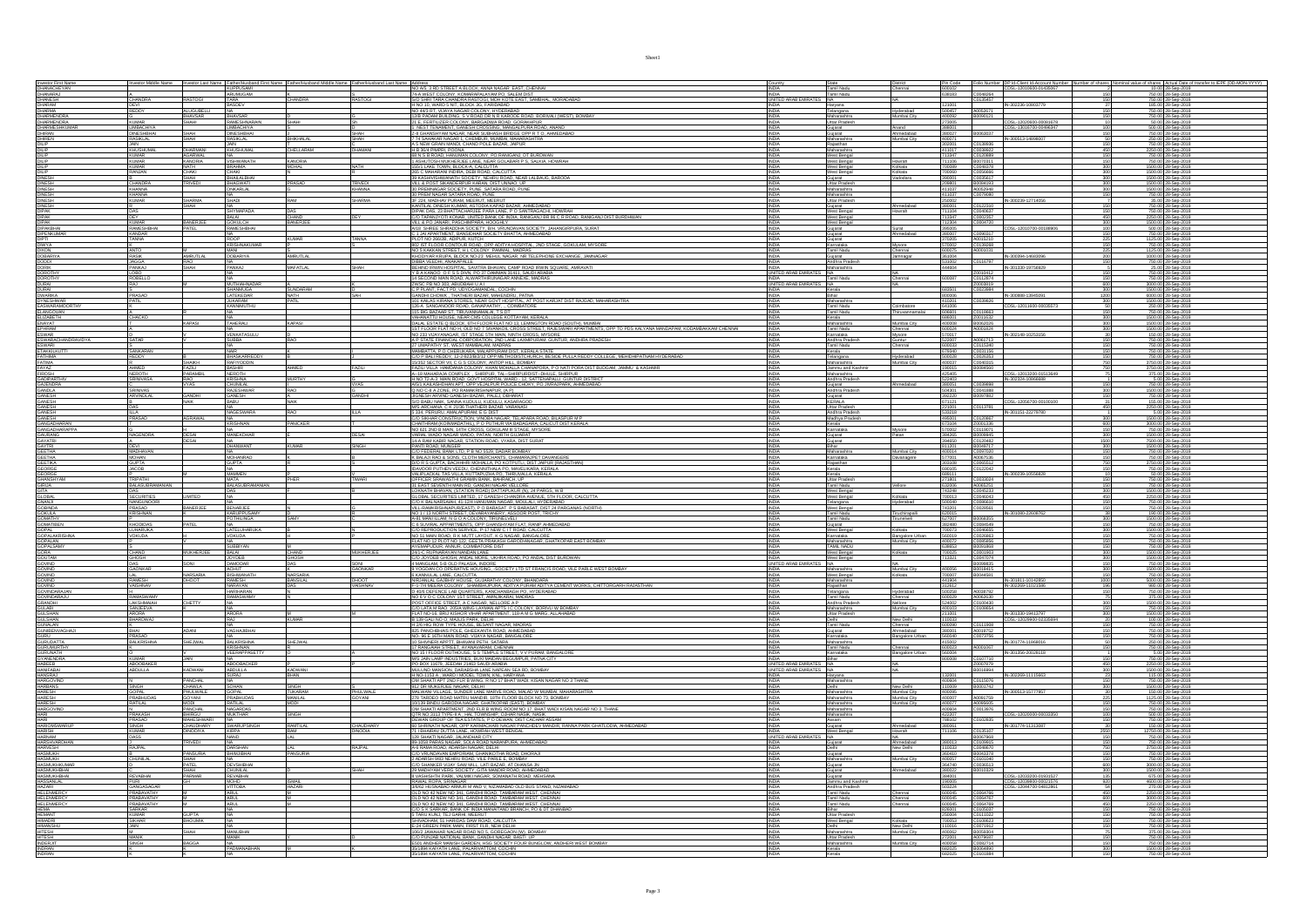|                                                                                                                                                 |                                   | stor Last Na                      | Father/Husbar<br>KUPPUSAM                           |                            |                 | NO A/5, 3 RD STREET A BLOCK, ANNA NAGAR EAST, CHENNAL                                                                                                                                                                                                                                                                     | <b>INDIA</b>                                         | Tamil Nadu                                                                      |                                                       |                                                          | er DP Id-Client Id-Account Numb<br>CDSL-12010600-01435067           | shares Actual Date of tr<br>10.00 28-Sep-2018                                          |
|-------------------------------------------------------------------------------------------------------------------------------------------------|-----------------------------------|-----------------------------------|-----------------------------------------------------|----------------------------|-----------------|---------------------------------------------------------------------------------------------------------------------------------------------------------------------------------------------------------------------------------------------------------------------------------------------------------------------------|------------------------------------------------------|---------------------------------------------------------------------------------|-------------------------------------------------------|----------------------------------------------------------|---------------------------------------------------------------------|----------------------------------------------------------------------------------------|
| Investor First Name<br>DHANACHEYAN<br>DHANARAJ<br>DHANESH                                                                                       |                                   |                                   |                                                     |                            |                 |                                                                                                                                                                                                                                                                                                                           |                                                      | Chennai                                                                         | Pin Code<br>600102<br>638183                          |                                                          |                                                                     |                                                                                        |
|                                                                                                                                                 | .<br>CHANDRA<br>DEVI              | <b>RASTOGI</b>                    | ARUMUGAM<br>TARA<br>BASDEV                          | CHANDRA                    | S<br>RASTOGI    | 74-A WEST COLONY, KOMARAPALAYAM PO, SALEM DIST<br>SIO SHRI TARA CHANDRA RASTOGI, MOH KOTE EAST, SAMBHAL, MORADABAD<br>H NO 10, WARD 5 NIT, BLOCK 3G, FARIDABAD                                                                                                                                                            | INDIA Tamil Nadu<br>UNITED ARAB EMIRATES NA<br>INDIA | Haryana                                                                         | 121001                                                | C0048264<br>C0135457                                     | IN-302236-10803779                                                  | 750.00 28-Sep-2018<br>750.00 28-Sep-2018<br>185.00 28-Sep-2018                         |
| DHARAM<br>DHARMA                                                                                                                                |                                   | <b>ALUGUBELLI</b>                 |                                                     |                            |                 | NO 44/3 RT. VIJAYA NAGAR COLONY. HYDERABAD                                                                                                                                                                                                                                                                                | <b>INDIA</b>                                         | Telangana<br>Hyderabad                                                          | 500457                                                | A0052671                                                 |                                                                     | 750.00 28-Sep-2018                                                                     |
| DHARMENDRA                                                                                                                                      | <b>KUMAR</b>                      | BHAVSAR<br><b>SHAHI</b>           | <b>BHAVSAR</b><br>RAMESHNARAIN                      | SHAHI                      |                 | RU 440 KI. VUATA NASAN LOUDINT, HTUEKARAD<br>1218 PADAM BUILDING, S. V. ROAD DR. N. R. KARODE ROAD, BORIVALI (WEST), BOMBAY<br>21 E., FERTILIZER COLONY, BARGADWA ROAD, GORAKHPUR                                                                                                                                         | <b>INDIA</b>                                         | Maharashtra<br>Mumbai City<br>Uttar Pradesh                                     | 400092<br>273005                                      | B0090121<br>$\overline{\phantom{a}}$                     |                                                                     | 750.00 28-Sep-2018                                                                     |
| DHARMENDRA<br>DHARMESHKUMAF<br>DHIRAN                                                                                                           | LIMBACHIYA                        |                                   | <b>IMBACHIYA</b>                                    |                            |                 | <u>1. NEST TENAMENT. GANESH CROSSING. MANGALPURA ROAD. ANAND</u><br>Z-8 GHANSHYAM NAGAR, NEAR SUBHASH BRIDGE OPP R T.O., AHMEDA                                                                                                                                                                                           | <b>INDIA</b>                                         | Gujarat<br>Anand                                                                | 388001                                                | B0063037                                                 | CDSL-12020600-00081678<br>CDSL-13016700-00496347                    | 500.00 28-Sep-2018                                                                     |
| DHIREN<br>DILIP                                                                                                                                 | DINESHBHAI<br>RASIKLAL            | SHAH<br>SHAH                      | <b>DINESHBHAI</b><br>RASIKLAL                       | <b>BHIKHALAL</b>           | SHAH<br>SHAH    |                                                                                                                                                                                                                                                                                                                           | INDIA<br>INDIA                                       | Gujarat<br>Ahmedabad<br>Maharashtra<br>Mumbai City                              | 380027<br>400071                                      |                                                          | N-300513-14898007                                                   | 750.00 28-Sep-2018<br>250.00 28-Sep-2018<br>750.00 28-Sep-2018                         |
|                                                                                                                                                 | KHUSHUMAL                         | DHARMANI                          | KHUSHUMAL                                           | CHELLARAM                  | DHAMANI         | 7 74 SAHAKAR NAGAR 1, CHEMBUR, MUMBAI, MAHARASHTRA<br>A 5 NEW GRAIN MANDI, CHAND POLE BAZAR, JAIPUR                                                                                                                                                                                                                       | <b>INDIA</b>                                         | Rajasthan<br>Maharashtra                                                        | 302001<br>411017                                      | C0138936                                                 |                                                                     | 2250.00 28-Sep-2018                                                                    |
|                                                                                                                                                 |                                   |                                   |                                                     |                            |                 | H B 36/4 PIMPRI, POONA<br>68 N S B ROAD, HANUMAN COLONY, PO RANIGANJ, DT BURDWAN<br>1 ASHUTOSH MUKHERJEE LANE, NEAR GOLABARI P S, SALKIA, HOWRAH                                                                                                                                                                          |                                                      | West Bengal                                                                     | 713347<br>711106                                      | C0038922<br>C0120889<br>B0070311                         |                                                                     | 750.00 28-Sep-2018<br>750.00 28-Sep-2018                                               |
| DILIP<br>DILIP<br>DILIP<br>DILIP<br>DILIP                                                                                                       | <b>KUMAR</b>                      | AGARWAL<br>KANORIA                | <u>NA</u><br>VISHWANATH<br><b>BRAHMA</b>            | KANORIA<br>MOHAL           | <b>NATH</b>     |                                                                                                                                                                                                                                                                                                                           | <b>INDIA</b><br><b>INDIA</b>                         | Howrah<br>West Bengal<br>West Bengal<br>Kolkata                                 | 700089                                                |                                                          | 150                                                                 |                                                                                        |
|                                                                                                                                                 | KUMAR<br>RANJAN                   | CHAKI                             | CHAKI                                               |                            |                 | 155/1 LAKE TOWN, BLOCK-A, CALCUTTA<br>265 C MAHARANI INDIRA, DEBI ROAD, CALCUTTA<br>39 KASHIVISHWANATH SOCIETY, NEHRU ROAD, NEAR LALBAUG, BAROD.                                                                                                                                                                          | INDIA                                                | West Bengal<br>Kolkata                                                          | 700060                                                | C0048378<br>C0056666                                     | $\frac{300}{300}$                                                   | 1500.00 28-Sep-2018<br>1500.00 28-Sep-2018                                             |
| DINESH<br>DINESH<br>DINESH                                                                                                                      | CHANDRA                           | SHAH<br>TPIVEN                    | BHAILALBHAI                                         | PRASAD                     | <b>TRIVEDI</b>  |                                                                                                                                                                                                                                                                                                                           |                                                      | Gujarat<br>Vadodara<br><b>Littar Pradesh</b>                                    | 390001<br>209801                                      | C0035617<br><b>BOOR4193</b>                              | 300                                                                 | 1500.00 28-Sep-2018<br>1500.00 28-Sep-201                                              |
|                                                                                                                                                 | KHANNA                            |                                   | ONKARLAL                                            |                            | KHANNA          | VILL & POST SIKANDERPUR KARAN, DIST UNNAO, UP                                                                                                                                                                                                                                                                             |                                                      | Maharashtra                                                                     | 411037                                                | A0052948                                                 | 300                                                                 | 1500.00 28-Sep-2018                                                                    |
| DINESH<br>DINESH<br>DINESH                                                                                                                      | KHANNA<br>KUMAR                   | SHARMA                            | na<br>Shadi                                         | RAM                        | <b>SHARMA</b>   | 30 PREM NAGAR SATARA ROAD, PUNE<br>3F 224, MADHAV PURAM, MEERUT, MEERUT                                                                                                                                                                                                                                                   | INDIA<br>INDIA                                       | Maharashtra<br>Uttar Pradesh                                                    | 411037<br>250002                                      |                                                          | C0079080<br>IN-300239-12714056<br>150                               | 750.00 28-Sep-2018<br>35.00 28-Sep-2018                                                |
| <b>DIPAK</b>                                                                                                                                    |                                   |                                   | <b>SHYMAPAD</b>                                     | DAS                        |                 | KANTILAL DINESH KUMAR, ASTODIA KAPAD BAZAR, AHMEDABAD<br>DIPAK DAS, 23 BHATTACHARJEE PARA LANE, P O SANTRAGACHI, HOWRAH                                                                                                                                                                                                   | INDIA<br><b>INDIA</b>                                | Gujarat<br>Ahmedabad<br>West Bengal                                             | 380001<br>11104                                       | C0122310<br>C0040637                                     |                                                                     | 750.00 28-Sep-2018<br>750.00 28-Sep-2018                                               |
| <b>DIPAK</b>                                                                                                                                    | <b>DEY</b>                        |                                   | BALAI                                               | CHAND                      |                 | C/O TAPANJYOTI KONAR. UNITED BANK OF INDIA. RANIGANJ BR 86 C R ROAD. RANIGANJ DIST BURDHWAN                                                                                                                                                                                                                               | <b>INDIA</b>                                         | West Bengal                                                                     | 713347                                                | C0002357                                                 | 450                                                                 | 2250.00 28-Sep-2018                                                                    |
|                                                                                                                                                 | KUMAR<br>RAMESHBHAI               | BANERJEE<br>PATEL                 | Gokulch<br>Rameshbhai                               | BANERJEE                   |                 | <b>ULL A PO JANARI, PASCHIMPARA, HOOGHI VALLA PORTUGAL EN SA DIT NICEL LORDER DI SA DIT NICEL LORDER DI SA DIT NI<br/>A 18 SHREE SHRADDHA SOCIETY, BAH, VRUMDAVAN SOCIETY, JAHANGIRPURA, SURAT<br/>C.1 JAI APARTMENT, BANSIDHAR SOCIETY </b>                                                                              |                                                      | West Bengal<br>Surat<br>Ahmedabad<br>Gujarat                                    | 712304<br>395005                                      |                                                          | C0004720<br>C0004720<br>CDSL-12010700-00188906<br>$\frac{300}{100}$ | 1500.00 28-Sep-2018<br>500.00 28-Sep-2018                                              |
|                                                                                                                                                 | <b>KANDAR</b><br>TANNA            |                                   | <b>ROOP</b>                                         | <b>KUMAR</b>               |                 |                                                                                                                                                                                                                                                                                                                           | <b>INDIA</b><br><b>INDIA</b>                         | Gujarat<br>Gujarat                                                              | 380007<br>370205                                      | C0090317                                                 | 150                                                                 | 750.00 28-Sep-2018<br>1125.00 28-Sep-2018                                              |
| DIPAK<br>DIPAKBHAI<br>DIPENKUMAR<br>DIPTI<br>DIWYA                                                                                              |                                   |                                   | RISHNAKUMA                                          |                            |                 | PLOT NO 266/2B. ADIPUR. KUTCH<br>802 IST FLOOR CONTOUR ROAD, OPP ADITYA HOSPITAL, 2ND STAGE, GOKULAM, MYSORE                                                                                                                                                                                                              | <b>INDIA</b>                                         | Karnataka<br>Mysore                                                             | 570002                                                | A0015210                                                 |                                                                     | 750.00 28-Sep-2018                                                                     |
| DIXON<br>DOBARIYA<br>DODDI<br>DOROTHY<br>DOROTHY<br>DOROTHY                                                                                     | RASIK                             | <b>AMRUTLAL</b>                   | MANI<br>DOBARIYA                                    | AMRUTI AL                  |                 | NO 5 KAKKAN STREET, H.L. COLONY. PAMMAL, MADRAS<br>KHODIYAR KRUPA, BLOCK NO-23 MEHUL NAGAR, NR TELEPHONE EXCHANGE, JAMNAGAR                                                                                                                                                                                               |                                                      | Tamil Nadu<br>Chennai<br>Jamnagar                                               | 600075<br>361004                                      | A0001031                                                 | 225<br>IN-300394-14683096                                           | 1125.00 28-Sep-2018<br>1000.00 28-Sep-2018                                             |
|                                                                                                                                                 | <b>JAGGA</b>                      | SHAH                              | <b>ANKAJ</b>                                        | MAFATLAL                   |                 | NYODITAN NOUZY, BLOOD, NOVES INSTRUCTIONS IN, INTELEFTIONE EXCHANGE, JAWA, DEBIND REWIN HOSPITAL, SANTIFA BHAVAR, CAMP ROAD INVINSIBILITY IS A KANDO OF ST S DIVN, PO 37 DAMMAN 31411, SAUDI ARABIA<br>BEHIND REWIN HOSPITAL, SAN                                                                                         |                                                      | Andhra Pradesh                                                                  |                                                       | C0116797                                                 |                                                                     | 750.00 28-Sep-2018                                                                     |
|                                                                                                                                                 | PANKAJ<br>LOBO<br>ROBELLO         |                                   |                                                     |                            |                 |                                                                                                                                                                                                                                                                                                                           |                                                      | Maharashtra<br>NA<br>Tamil Nadu                                                 | 44604                                                 | Z0010412                                                 |                                                                     | 25.00 28-Sep-2018<br>750.00 28-Sep-2018                                                |
| <b>DURAI</b>                                                                                                                                    |                                   |                                   | MUTHIAHNADAR                                        |                            |                 | ZWSC PB NO 303, ABUDBAHI U A I                                                                                                                                                                                                                                                                                            | <b>INDIA</b><br>ES NA<br><b>LINITED ARAB EM</b>      | Chennai                                                                         | 600087                                                | C0112874<br>20003819                                     | 150<br>600                                                          | 750.00 28-Sep-2018<br>3000.00 28-Sep-2018                                              |
|                                                                                                                                                 | PRASAD                            |                                   | SHANMUGA<br><b>I ATEKEDAR</b>                       | SUNDARAM                   |                 | C P PLANT, FACT PD, UDYOGAMANDAL, COCHIN                                                                                                                                                                                                                                                                                  | <b>INDIA</b>                                         | Kerala                                                                          | 683501<br>800006                                      | C0023984                                                 | 300<br>IN-300888-13945091                                           | 1500.00 28-Sep-2018<br>6000.00 28-Sep-201                                              |
|                                                                                                                                                 | <b>PATIL</b>                      |                                   | JUKARAM<br>KANNIMUTHU                               | NATH<br>PATIL              |                 |                                                                                                                                                                                                                                                                                                                           |                                                      | Bihar<br>Maharashtra<br>Tamil Nadu                                              | 410201<br>641006                                      |                                                          | 300                                                                 | 1500.00 28-Sep-2018<br>250.00 28-Sep-2018                                              |
|                                                                                                                                                 |                                   |                                   |                                                     |                            |                 | LC PLART, PRI, UPO, UPORABARAC, UOGRIBA<br>LGMANICA CARRICA DE CARRICA DE CARRICA DE CARRICA DE PRIMERA DE CARRICA DE CARRICA DE CARRICA DE CARRICA DE C<br>1926 DE ARRICANO E CONSE, SARÁN COUTRE LO DE CARRICA DE PRIMERA DE TRAGA                                                                                      |                                                      | Coimbatore<br>Tamil Nadu<br>ruvannamai                                          |                                                       |                                                          | C0039826<br>CDSL-12011600-00035573                                  | 750.00 28-Sep-2018                                                                     |
| DURAI<br>DURAI<br>DYNESHWAR<br>EASWARAMOORTHY<br>ELANGOVAN<br>ELANGOVAN<br>ELANGOVAN                                                            | CHACKO                            |                                   |                                                     |                            |                 |                                                                                                                                                                                                                                                                                                                           | <b>INDIA</b>                                         | Kerala                                                                          |                                                       |                                                          | 300                                                                 | 1500.00 28-Sep-2018                                                                    |
| ELIZABETH<br>EPHRAM<br>ESWAR<br>ESWAR<br>ESWARI<br>ETAKKILKUTTI<br>FATHIMA<br>FATHIMA                                                           |                                   | <b>KAPASI</b>                     | TAHERALI                                            | <b>KAPASI</b>              |                 | ) MARATION DAS PERINDIS CASSER POLITICAL EN CONTROLLER DE CONTROLLER DE VIDEO DE VALIVAN ANNO 1990.<br>1991 - ESTATE QUIDOK, DIFILIO DI MARATION DA CONSISTERET, RAUGNARI APARTHENTS, OPP TO POS KALYANA MANDAPAM, KODAMBAKKAM CH                                                                                         |                                                      | Mumbai City<br>Maharashtra<br>Tamil Nadu                                        | 400008<br>600024                                      | B0062026<br>A0001824                                     | 300                                                                 | 1500.00 28-Sep-2018<br>1500.00 28-Sep-2018                                             |
|                                                                                                                                                 |                                   |                                   | ENKATASUL                                           |                            |                 |                                                                                                                                                                                                                                                                                                                           |                                                      | Karnataka<br>hysare                                                             |                                                       | A0061713                                                 | IN-302148-10253156                                                  | 150.00 28-Sep-201                                                                      |
|                                                                                                                                                 |                                   |                                   |                                                     |                            |                 |                                                                                                                                                                                                                                                                                                                           |                                                      | Andhra Prades<br>Tamil Nadu<br>untur.<br>hennai                                 | \$00033                                               | C0115340                                                 |                                                                     | 750.00 28-Sep-2018<br>750.00 28-Sep-2018                                               |
|                                                                                                                                                 | SANKARAN                          |                                   | NAIR<br>HASKARREDD                                  |                            |                 | 27 UWPARTHY ST, WEST MAMBALJAN, NAURAS<br>MAMBATTA, P.O.CHERUKARA, MALAPPURAM DIST, KERALA STATE<br>CO P BALI REDDY, 12-2-822/B/2/12 OPP METHODISTCHURCH, BESIDE PULLA REDDY COLLEGE, MEHIDHIPATNAM HYDERABAD                                                                                                             | INDIA                                                | Kerala<br>Telangana<br>Hyderabad                                                | 679340                                                | C0031156                                                 | 150                                                                 | 750.00 28-Sep-2018<br>750.00 28-Sep-2018                                               |
| FATIMA                                                                                                                                          |                                   |                                   | RAFIYODDIN<br>BASHR<br>NEROTH<br>KRISHNA<br>CHUNEAL | AHMED                      | <b>FA711</b>    | <b>COURE THE RESIDENCE CONSULTING IN A STATE OF A PARTICULAR CONSULTANCE CONSULTING IN A MARKET CONSULTANCE OF A STATE OF A STATE OF A STATE OF A STATE OF A STATE OF A STATE OF A STATE OF A STATE OF A STATE OF A STATE OF A S</b>                                                                                      | <b>INDIA</b>                                         | Maharashtra<br>Jammu and Kash<br>Maharashtra<br>Mumbai City                     |                                                       | C0040315<br>B0084560<br>C0039898<br>C0039898<br>C0044888 | 750<br>750<br>75                                                    | 3750.00 28-Sep-2018<br>3750.00 28-Sep-2018                                             |
| FATINA<br>FIROSH<br>GADIPARTHIV<br>GAJENDRA<br>GANESH<br>GANESH                                                                                 | :<br>AHMED<br>NEROTH<br>SRINIVASA | FAZILI<br>PARAMBI<br>RAO          |                                                     |                            |                 |                                                                                                                                                                                                                                                                                                                           |                                                      |                                                                                 | 400037<br>190015<br>425405                            |                                                          | CDSL-12013200-01513649<br>IN-302324-10866688                        | 375000 28-Sep-2018<br>375.00 28-Sep-2018<br>5.00 28-Sep-2018<br>750.00 28-Sep-2018     |
|                                                                                                                                                 |                                   |                                   |                                                     | <b>MURTHY</b>              |                 |                                                                                                                                                                                                                                                                                                                           | INDIA                                                | Andhra Pradesh<br>Gujarat                                                       | 522403                                                |                                                          |                                                                     |                                                                                        |
|                                                                                                                                                 | SRINIVAS                          | GANDHI                            | <b>RAJESHWAR</b><br><b>GANESH</b>                   | RAO                        | <b>GANDHI</b>   | JIGNESH ARVIND GANESH BAZAR, PALEJ, DBHARAT                                                                                                                                                                                                                                                                               | <b>INDIA</b>                                         | Andhra Pradesh                                                                  | 504301 C0041888<br>392220 80097882                    |                                                          | 300<br>150                                                          | 1500.00 28-Sep-2018<br>750.00 28-Sep-2018                                              |
|                                                                                                                                                 | ARVINDLAL                         |                                   |                                                     | <b>NAIK</b>                |                 | S/O BABU NAIK. SANNA KUDULU. KUDULU. KASARAGOD                                                                                                                                                                                                                                                                            | <b>INDIA</b>                                         | Guiarat<br><b>KERALA</b>                                                        | 671121                                                |                                                          | CDSL-12056700-00100100                                              | 155.00 28-Sep-2018                                                                     |
| GANESH<br>GANESH<br>GANESH                                                                                                                      |                                   |                                   | <br>IAGESWARA                                       | RAO                        | <b>ILLA</b>     |                                                                                                                                                                                                                                                                                                                           |                                                      | Uttar Pradesh                                                                   | 221001<br>533218<br>495001                            | C0113781                                                 | IN-301151-22279780                                                  |                                                                                        |
| GANESH                                                                                                                                          | ILLA<br>PRASAD                    |                                   |                                                     | PANICKER                   |                 | MS ARCHANA, C.K.2178 THATHERI BAZAR, VANAVASI<br>5 334, PERURU, AMALAPURAM, E G DIST<br>CO SIKHAR CONSTRUCTION, VINOBA NAGAR, TELAPARA ROAD, BILASPUR M P<br>CO SIKHAR CONSTRUCTION, VINOBA NAGAR, TELAPARA ROAD, BILASPUR M P                                                                                            | <b>INDIA</b>                                         | Madhya Prades                                                                   |                                                       | C0120867                                                 | 300                                                                 | 2250.00 28-Sep-2018<br>5.00 28-Sep-2018<br>1500.00 28-Sep-2018                         |
|                                                                                                                                                 |                                   |                                   | <b>CRISHNAN</b><br>NA                               |                            |                 | CHAITHRAM (KOINMADATHIL). P O PUTHUR VIA BADAGARA. CALICUT DIST<br>NO 621 2ND B MAIN, 14TH CROSS, GOKULAM III STAGE, MYSORE                                                                                                                                                                                               | <b>INDIA</b><br>INDIA                                | Kerala<br>Karnataka<br>Mysore                                                   | 673104                                                | Z0001336                                                 | $\frac{600}{150}$                                                   | 3000.00 28-Sep-2018<br>750.00 28-Sep-2018                                              |
|                                                                                                                                                 | NAGENDRA                          | DESAI                             | MANEKDHAR                                           |                            | DESAI           |                                                                                                                                                                                                                                                                                                                           |                                                      | Gujarat<br>Gujarat<br>Patan                                                     | 384265<br>394650                                      | B0009945                                                 | 300                                                                 |                                                                                        |
| GANGADHARAN<br>GANGADHARAN<br>GANARANG<br>GANARANG<br>GEETHA<br>GEETHA<br>GEETHA<br>GEORGE<br>GANASHYAM<br>GIRIJA<br>GIRIJA<br>GIRIJA<br>GIRIJA | DEVI                              |                                   | <b>DHANWANT</b>                                     | <b>KUMAR</b>               | <b>SINGH</b>    |                                                                                                                                                                                                                                                                                                                           | <b>INDIA</b>                                         | Bihar                                                                           | 811201                                                | B0049717                                                 | 300                                                                 | 1500.00 28-Sep-2018<br>7500.00 28-Sep-2018<br>1500.00 28-Sep-2018                      |
|                                                                                                                                                 | MADHAVAN<br>MOHAN                 |                                   | <u>NA</u><br>MOHANRAO                               |                            |                 |                                                                                                                                                                                                                                                                                                                           | INDIA                                                | Mumbai City<br>Maharashtra<br>Karnataka<br>Davanagere                           | 400014<br>577001                                      | C0097020<br>A0067536                                     | 150                                                                 | 750.00 28-Sep-2018<br>750.00 28-Sep-2018                                               |
|                                                                                                                                                 | <b>GUPTA</b><br><b>JACOB</b>      |                                   | <b>GUPTA</b>                                        |                            |                 |                                                                                                                                                                                                                                                                                                                           | <b>INDIA</b><br><b>INDIA</b>                         | Rajasthan<br>Kerala                                                             |                                                       |                                                          | 750<br>150                                                          | 3750.00 28-Sep-2018<br>750.00 28-Sep-2018                                              |
|                                                                                                                                                 |                                   |                                   | <b>MAMMEN</b>                                       |                            |                 |                                                                                                                                                                                                                                                                                                                           |                                                      | Kerala                                                                          | 689111                                                |                                                          | IN-300239-10556828                                                  |                                                                                        |
|                                                                                                                                                 | r<br>TRIPATHI<br>BALASUBRA        |                                   | MATA<br>BALASUBRA                                   | PHER                       | <b>TIWARI</b>   |                                                                                                                                                                                                                                                                                                                           |                                                      | Uttar Pradesh<br>Tamil Nadu                                                     |                                                       | C0033024<br>A0065251                                     |                                                                     | 50.00 28-Sep-2018<br>750.00 28-Sep-2018<br>750.00 28-Sep-2018                          |
|                                                                                                                                                 | DAS                               | LIMITED                           | DAS                                                 |                            |                 |                                                                                                                                                                                                                                                                                                                           | INDIA                                                | West Bengal                                                                     | 743248                                                | C0045233                                                 | 300                                                                 | 1500.00 28-Sep-2018                                                                    |
|                                                                                                                                                 | <b>SECURITIES</b>                 |                                   |                                                     |                            |                 |                                                                                                                                                                                                                                                                                                                           | <b>INDIA</b><br>INDIA                                | West Bengal<br>Kolkata                                                          | 700013                                                | C0046043<br>C0086610                                     | 450<br>150                                                          | 2250.00 28-Sep-2018<br>750.00 28-Sep-2018                                              |
|                                                                                                                                                 | NANGUNOORI                        |                                   |                                                     |                            |                 |                                                                                                                                                                                                                                                                                                                           |                                                      | Telangana<br>Hyderabad                                                          | 500040                                                |                                                          |                                                                     |                                                                                        |
|                                                                                                                                                 |                                   | BANERJEE                          |                                                     |                            |                 |                                                                                                                                                                                                                                                                                                                           |                                                      |                                                                                 |                                                       | C0028561                                                 | IN-301080-22608762                                                  |                                                                                        |
|                                                                                                                                                 | PRASAD<br>KRISHNAN                |                                   | BENARJEE<br>KARUPPUSAMY<br>POTHILINGA               | SAMY                       |                 | GLOBAL SECURITIES LIMITED. 17 GANESH CHANDRA AVENUE, 5TH FLOOR, CALCUTTA<br>CO K BALNARSAIAH, 41-124 HANUMAN NAGAR, MOULALL, HYDERABAD<br>VILL-RAMKRISHNAPUR(EAST), P O BARASAT, P S BARASAT, DIST 24 PARGANAS (NORTH)<br>NO 1 / 13 NOR                                                                                   |                                                      | West Bengal<br>Tamil Nadu<br>Tamil Nadu<br>Tiruchirapalli<br><b>Tirunelveli</b> | 743201<br>620015<br>627007                            | B0068355                                                 | 300                                                                 | 750.00 28-Sep-2018<br>190.00 28-Sep-2018<br>1500.00 28-Sep-2018                        |
| GITA<br>GLOBAL<br>GNANJI<br>GOBANDA<br>GOMATIN'<br>GOMATINEN<br>GOMATINEN<br>GOMATINEN                                                          | KHODIDAS                          |                                   |                                                     |                            |                 |                                                                                                                                                                                                                                                                                                                           | <b>INDIA</b>                                         |                                                                                 | 382480                                                |                                                          | 150                                                                 | 750.00 28-Sep-2018                                                                     |
| <b>GOPAL</b>                                                                                                                                    | LUHARUKA.<br>VOKUDA               |                                   | NA<br>LATELUHARUKA<br>VOKUDA                        |                            |                 | NOT THE MAIN THE CONDITIONS AND CONTROL CONTROL CONTROL CONTRACT CONTRACT CONTRACT CONTRACT CONTRACT CONTRACT CONTRACT CONTRACT CONTRACT CONTRACT CONTRACT CONTRACT CONTRACT CONTRACT CONTRACT CONTRACT CONTRACT CONTRACT CONT                                                                                            | <b>INDIA</b>                                         | Gujarat<br>West Bengal<br>Kolkata<br>Karnataka                                  | 700073<br>560019                                      | C0084549<br>C0046655                                     | 300                                                                 | 1500.00 28-Sep-2018                                                                    |
| GOPALAKRISHNA                                                                                                                                   |                                   |                                   | <b>SUBBIYAN</b>                                     |                            |                 | NO 51 MAIN ROAD, R K MUTT LAYOUT, K G NAGAR, BANGALORE<br>FLAT NO 12 PLOT NO 122, GEETA PRAKASH GARODIANAGAR, GHATKOPAR EAST BOMBAY<br>AYEMAPUDUR. ANNUR. COIMBATORE DIST                                                                                                                                                 |                                                      | Bangalore Urban<br>Mumbai City<br>Maharashtra<br>TAMIL NADU                     | 638653                                                | C0026863<br>C0085856<br>B0091868                         | 150                                                                 | 750.00 28-Sep-2018<br>750.00 28-Sep-2018<br>750.00 28-Sep-2018                         |
|                                                                                                                                                 | CHAND                             | MUKHERJE                          |                                                     | <b>HAND</b>                | MIKHER.IFF      |                                                                                                                                                                                                                                                                                                                           |                                                      |                                                                                 |                                                       |                                                          |                                                                     |                                                                                        |
| GOPALSAMY<br>GORA<br>GOUTAM                                                                                                                     | GHOSH                             | SONI                              | BALAI<br>JOYDEB                                     | <b>GHOSH</b><br>DAS        |                 | 24/1-C RUPNARAYAN NANDAN LANE<br>C/O JOYDEB GHOSH, ANDAL MORE, UKHRA ROAD, PO ANDAL DIST BURDWAN                                                                                                                                                                                                                          | UNITED ARAB EMIR                                     | West Bengal<br>West Bengal                                                      | 13321                                                 | C0001903<br>C0047074                                     | 300                                                                 | 1500.00 28-Sep-2018                                                                    |
| GOVIND<br>GOVIND<br>GOVIND                                                                                                                      | DAS<br>GAONKAR<br>LAL             | NARSARIA                          | DAMODAR<br>NCHUT<br>BISHWANAT                       | <b>NARSARIA</b>            | SONI<br>GAONKAR | 4 MANGLAM, 5-B OLD PALASIA, INDORE<br>9 YOGDAN CO OPERATIVE HOUSING, -SOCIETY LTD ST FRANCIS ROAD, VILE PARLE WEST BOMBAY.<br>6 KANNULAL LANE, CALCUTTA                                                                                                                                                                   | <b>INDIA</b>                                         | NA<br>Maharashtra<br>NA.<br>Mumbai City<br>West Bengal<br>Kolkata               | 400056<br>700007                                      | B0099835<br>B0018415<br>B0044581                         | 150<br>150                                                          | 750.00 28-Sep-2018<br>500.00 28-Sep-2018<br>750.00 28-Sep-2018                         |
|                                                                                                                                                 | <b>RAMESH</b>                     | DHOOT                             | RAMESH                                              | <b>BANSILAL</b><br>DAS     | <b>DHOOT</b>    |                                                                                                                                                                                                                                                                                                                           | <b>INDIA</b><br><b>INDIA</b>                         |                                                                                 | 441904<br>312612                                      |                                                          | IN-301811-10142850<br>1000                                          | 5000.00 28-Sep-2018                                                                    |
|                                                                                                                                                 | VAISHNAV                          |                                   | NARAYAN<br>HARIHARAN                                |                            | VAISHNAV        | STRUMUM GAJRIHY HOUSE, GIUARATHY COLONY, BHANDARA<br>F-17/4 MEERA COLONY, SHAMBHUFURA, ADITYA PURAM ADITYA CEMENT WORKS, CHITTORGARH RAJASTHAN<br>10 408 DEFENCE LAB QUARTERS, KANCHANBAGH PO, HYDERABAD                                                                                                                  | <b>INDIA</b>                                         | Maharashtra<br>Rajasthan<br>Telangana<br>Hyderabad                              | 312612<br>500258                                      | A0038792                                                 | IN-302269-11021586<br>196<br>150                                    | 980.00 28-Sep-2018                                                                     |
|                                                                                                                                                 | <br>RAMASWAMY<br>LAKSHMAIAH       | CHETTY                            | <b>AMASWAMY</b>                                     |                            |                 |                                                                                                                                                                                                                                                                                                                           | <b>INDIA</b><br><b>INDIA</b>                         | Tamil Nadu<br>Andhra Pradesh<br>Chennai<br>Nellore                              |                                                       |                                                          | $-75$<br>300                                                        | 375.00 28-Sep-2018<br>1500.00 28-Sep-2018                                              |
|                                                                                                                                                 | SANJEEVA                          |                                   |                                                     |                            |                 |                                                                                                                                                                                                                                                                                                                           | <b>INDIA</b><br><b>INDIA</b>                         | Maharashtra<br>Mumbai City                                                      | 600029 A0062630<br>524002 C0100430<br>400103 C0108654 |                                                          | 150                                                                 | 750.00 28-Sep-2018                                                                     |
| GOVIND<br>COVIND<br>COVINDARAJAN<br>COVINDARAJAN<br>CULSHAN<br>CULSHAN<br>CULSHAN                                                               | ARORA<br><b>SHARDWAJ</b>          |                                   | ARORA                                               | <b>KUMAR</b>               |                 | NO 6 V O C COLONY 1ST STREET, AMINJIKARAJ, MADRAS<br> POST OFFICE STREET, A C NAGAR, NELLORE A P<br> C/O LATA M RAO, 2015/A WING LAXMAN APTS I C COLONY, BORIVAJ W BOMBAY<br> FLAT NO-16, BRU KISHOR VIHAR APARTMENT, 118-A M G MARG, A<br>B 139 GALI NO O. MAJLIS PARK. DELHI                                            | <b>INDIA</b>                                         | Uttar Pradesh<br>Delhi<br>New Delhi                                             | 211001<br>110033                                      |                                                          | IN-301330-19413797<br>300<br>CDSL-12029900-0233569-                 | 1500.00 28-Sep-2018<br>100.00 28-Sep-2018                                              |
|                                                                                                                                                 |                                   | <b>ADANI</b>                      | <b>IAGHAJBHAI</b>                                   |                            |                 |                                                                                                                                                                                                                                                                                                                           | <b>INDIA</b>                                         | Tamil Nadu                                                                      |                                                       | C0111908                                                 |                                                                     |                                                                                        |
| GULSHAN<br>GUNALAN<br>GUNIBENVAGHAJI                                                                                                            | BHAI                              |                                   |                                                     |                            |                 | B 139 GALI NO O, MADIS PARK, DELHI<br>H 2/6 HIG ROW TYPE HOUSE, BESANT NAGAR, MADRAS<br>825 PANCHBHAIS POLE, GHEEKANTA ROAD, AHMEDABA                                                                                                                                                                                     |                                                      | Chennai<br>Ahmedabad<br>Gujarat<br>Karnataka<br>Bangalore Urbar                 | 380001                                                | A0019752<br>C0073756                                     |                                                                     | 750.00 28-Sep-2018<br>750.00 28-Sep-2018                                               |
| GURU<br>GURUDATTA<br>GURUMURTHY                                                                                                                 | PRASAD<br>BALKRISHNA              | SHEJWAL                           | na<br>Balkrishna<br><b>KRISHNAN</b>                 | <b>SHEJWAL</b>             |                 | NO- 96 E 16TH MAIN ROAD, VIJAYA NAGAR, BANGALORE<br>10 SHIVNERI APPTT, BHAVANI PETH, SATARA<br>17 RANGAIAH STREET, AYANAVARAM, CHENNAI                                                                                                                                                                                    | INDIA<br>INDIA<br><b>INDIA</b>                       | Maharashtra<br>Tamil Nadu<br>Chennai                                            | 560040<br>415002<br>600023                            | A0001067                                                 | IN-301774-11868016                                                  | 750.00 28-Sep-2018<br>250.00 28-Sep-2018<br>750.00 28-Sep-2018                         |
| <b>GURUNATH</b>                                                                                                                                 | KUMAR                             | <b>JAIN</b>                       | VEERAPPASETTY                                       |                            |                 | NO 15 I FLOOR OUTHOUSE. S S TEMPLE STREET. V V PURAM. BANGALORI                                                                                                                                                                                                                                                           | <b>INDIA</b><br><b>INDIA</b>                         | Karnataka<br><b>Bangalore Urba</b><br>Bihar                                     | 560004                                                |                                                          | IN-301356-2002811                                                   | 5.00 28-Sep-2018                                                                       |
| <b>GYANENDRA</b>                                                                                                                                |                                   |                                   |                                                     |                            |                 |                                                                                                                                                                                                                                                                                                                           |                                                      |                                                                                 | 800008                                                | $\frac{1}{\sqrt{\frac{1}{10007710}}}}$                   |                                                                     |                                                                                        |
| HABEEB<br>HANIFABAI                                                                                                                             | ABOOBAKER<br>ABDULLA              | <b>KADWANI</b>                    | ABOOBACKER<br>ABDULLA<br>SURAJ                      | KADWANI<br>BHAN            |                 |                                                                                                                                                                                                                                                                                                                           | UNITED ARAB EMIRATES NA<br>UNITED ARAB EMIRATES NA   | Haryana                                                                         | 132001                                                | $\frac{20007879}{B0016994}$                              | $\frac{450}{300}$<br>IN-302269-11115663<br>- 23                     | 750.00 28-Sep-2018<br>2250.00 28-Sep-2018<br>1500.00 28-Sep-2018<br>115.00 28-Sep-2018 |
|                                                                                                                                                 | SINGH                             | <b>PANCHAL</b>                    |                                                     |                            |                 | INCLUSTER DE MARIADOR A SUBMINATION EN L'UTIMON RENOVALISME<br>1979 ANN LAMP ROUSTRES, BUXIDI MAQUIN BEGUNA DR. PATRICITY<br>1980 ANN LAMP ROUSTRES, BUXIDI MAQUIN SEA RO, BOMBAY<br>1980-1130 A. (VIARD HAOBSHALMAE NAN, HANY/MA)<br>1980                                                                                |                                                      | Maharashtra                                                                     | 400604                                                | C0115076                                                 | 300                                                                 | 750.00 28-Sep-2018                                                                     |
|                                                                                                                                                 |                                   | CHAWLA                            | SOHAN                                               | SINGH                      |                 | 912 DR MUKERJEE NAGAR, DELHI                                                                                                                                                                                                                                                                                              |                                                      | Delhi<br>New Delhi<br>Maharashtra                                               | 110009                                                | B0001742                                                 | IN-300513-15777957                                                  | 1500.00 28-Sep-2018                                                                    |
| HANSRAJ<br>HARGOVIND<br>HARBANS<br>HARESH<br>HARESH<br>HARESH                                                                                   | GOPAL<br>PRABHUDAS                | PHULWALE                          | SOPAL<br>PRABHUDAS                                  |                            | PHULWALE        |                                                                                                                                                                                                                                                                                                                           |                                                      |                                                                                 |                                                       | A0091759                                                 |                                                                     | 150.00 28-Sep-2018                                                                     |
| <b>HARESH</b>                                                                                                                                   | RATILAL                           | <b>MODI</b><br>PANCHAL            | RATILAL<br>VAGARDA                                  | TUKARAM<br>MANILAL<br>MODI |                 | 1912 DR MUKERJEE NAGAR, DEUH<br>1890 WAN WILAGE, SUNDER LANE MARVE ROAD, MALAD W MUMBAL MAHARASHTRA<br>1978 BENDU GARODIA NAGAR, GHATKOPAR (EAST), BOMBAY<br>1971 BENDU GARODIA NAGAR, GHATKOPAR (EAST), BOMBAY<br>1971 BENDU GARODIA NAGA                                                                                | <b>INDIA</b><br><b>INDIA</b>                         | Mumbai City<br>Mumbai City<br>Mumbai City<br>Maharashtra<br>Maharashtra         | 400077<br>400604                                      | A0095605<br>C0013976                                     | 150<br>150                                                          | 750.00 28-Sep-2018<br>750.00 28-Sep-2018                                               |
| HARGOVIND<br>HARI                                                                                                                               | N<br>PRAKASH                      | <b>BHIRGU</b><br><b>MAHESHWAR</b> | <b>IUKTHAR</b>                                      | SINGH                      |                 |                                                                                                                                                                                                                                                                                                                           | INDIA<br>INDIA                                       | Maharashtra<br>Assam                                                            | 422207                                                | C0102835                                                 |                                                                     | 500.00 28-Sep-2018<br>750.00 28-Sep-2018                                               |
|                                                                                                                                                 | PRASAD<br>SINGH                   | <b>CHAUDHAR</b>                   | NA<br>SWARUPSING                                    | RAMTILAL                   | CHAUDHARY       | OTR.NO.3113 TYPE-II A., HAL TOWNSHIP, OJHAR NASIK, NASIK<br>DEWAN GROUP OF TEA ESTATES, P. O DEWAN, DIST CACHAR ASSAM<br>180 SHRINATH NAGAR, OPP KARMACHARI NAGAR PANCHDEV MANDIR, RANNA PARK GHATLODIA, AHMEDABAD                                                                                                        |                                                      | Gujarat<br>Ahmedabad<br>Howrah                                                  | 788102<br>380061                                      | C0135107                                                 | IN-3017<br>2550                                                     | 150.00 28-Sep-201                                                                      |
| Hari<br>Hariomswarup<br>Harish<br>HARNAM                                                                                                        | KUMAR<br>DASS                     | DINODIYA                          | KIRPA<br>NAND                                       | RAM                        | <b>DINODIA</b>  |                                                                                                                                                                                                                                                                                                                           | UNITED ARAB EMIR                                     | West Bengal<br>NA                                                               | 711106                                                |                                                          | 150                                                                 | 12750.00 28-Sep-2018                                                                   |
|                                                                                                                                                 | <b>RAJPAL</b>                     | <b>TRIVEDI</b>                    | NA<br>DARSHAN                                       | ۱ <u>ü,</u>                | <b>RAJPAL</b>   |                                                                                                                                                                                                                                                                                                                           | INDIA<br>INDIA                                       | NA<br>Ahmedabad<br>Gujarat<br>Delhi<br>New Delhi                                | 380013<br>110033                                      | B0067968<br>C0109915<br>C0048670                         | 150                                                                 | 750.00 28-Sep-2018<br>750.00 28-Sep-2018<br>3750.00 28-Sep-2018                        |
| HARSHVARDHAN<br>HARVESH<br>HASMUKH                                                                                                              | CHUNILAL                          | PANSURIA<br>SHAH                  | BHIMJIBHA                                           | PANSURIA                   |                 | SO UNIMIDATION DUTA LANE, HOWRAH WEST BENGAL<br>1718 SHAKTI NAGAR, JALANDHAR CITY<br>1893 HAKTI NAGAR, JALANDHAR CITY<br>189-1058 PARAS NAGAR, SOLA ROAD NARANPURA, AHMEDABAD<br>A-6 RAMA ROAD, ADARSH NAGAR, DELHI<br>C/O VRUNDAVAN EMPORIAM, GHANIKOTHA ROAD, DHORAJI<br>2 ADARSH 9/83 NEHRU ROAD, VILE PARLE E, BOMBAY | <b>INDIA</b>                                         | Guiarat<br>Maharashtra<br>Mumbai City                                           | 360410<br>400057                                      | B0043378<br>C0101040                                     |                                                                     | 750.00 28-Sep-2018<br>750.00 28-Sep-2018                                               |
|                                                                                                                                                 |                                   |                                   |                                                     |                            |                 |                                                                                                                                                                                                                                                                                                                           |                                                      |                                                                                 |                                                       |                                                          |                                                                     |                                                                                        |
| HASMUKH<br>HASMUKHKUMAR<br>HASMUKHBHAI<br>HASMUKHBHAI                                                                                           | REVABHAI                          | PARMA                             | REVSHIBHAI<br>HUNILAL<br>REVABHAI                   |                            | SHAH            |                                                                                                                                                                                                                                                                                                                           | <b>INDIA</b>                                         | Gujarat<br>Gujarat<br>Gujarat                                                   | 384001                                                | C0036513<br>B0010329                                     | 600<br>CDSL-12033200-0193152<br>135                                 | 3000.00 28-Sep-2018<br>675.00 28-Sep-2018                                              |
|                                                                                                                                                 |                                   |                                   |                                                     |                            |                 | CO SHANKER VIJAY SAW MILL, LATI BAZAR, AT DHANSA JN<br>29 MADHYAM VERG SOCIETY, GITA MANDIR ROAD, AHMEDABAD<br>8 VASHISHTH PARK, VALMIKI NAGAR, SOMANATH ROAD, MEHSAN                                                                                                                                                     | <b>INDIA</b>                                         | Jammu and Kash                                                                  | 190005                                                |                                                          | CDSL-12039800-00021576<br>920<br>CDSL-12044700-04812861             | 4600.00 28-Sep-2018                                                                    |
| HASSANLAL<br>HAZARI                                                                                                                             | PURI<br>GANGASAGAR                |                                   | MOHD<br>VITTOBA                                     | ISMAIL<br>HAZARI           |                 | RAWAL ROPA, SRINAGAR<br>3/6/62 HUSNABAD ARMUR M AND V, NIZAMABAD OLD BUS STAND, NIZAMAE                                                                                                                                                                                                                                   | <b>INDIA</b><br>INDIA                                | Andhra Pradesh<br>Tamil Nadu<br>Chennai                                         | 503224                                                | C0064766                                                 | 54                                                                  | 270.00 28-Sep-2018                                                                     |
|                                                                                                                                                 | PRABAVATHY                        |                                   | <b>ARUL</b><br>ARUL<br>ARUL                         |                            |                 | OLD NO 42 NEW NO 341, GANDHI ROAD, TAMBARAM WEST, CHENNAL OLD NO 42 NEW NO 341, GANDHI ROAD, TAMBARAM WEST, CHENNAL                                                                                                                                                                                                       |                                                      | <b>Tamil Nadu</b><br>Chennai<br>Tamil Nadu<br>Chennai                           | 600045<br>600045<br>600045                            | C0064767                                                 | 450                                                                 | 2250.00 28-Sep-2018<br>3000.00 28-Sep-2018                                             |
|                                                                                                                                                 | PRABAVATHY                        |                                   |                                                     |                            |                 |                                                                                                                                                                                                                                                                                                                           |                                                      |                                                                                 |                                                       | C0064769                                                 | 450                                                                 |                                                                                        |
|                                                                                                                                                 | KUMAR<br><b>SIKHAR</b>            | <b>GUPTA</b><br>BHOUMIK           |                                                     |                            |                 |                                                                                                                                                                                                                                                                                                                           | <b>INDIA</b><br><b>INDIA</b>                         | Bihar<br>Uttar Pradesh<br>West Bengal<br>Kolkata                                | 250004<br>700053                                      |                                                          |                                                                     | 2250.00 28-Sep-2018<br>750.00 28-Sep-2018<br>750.00 28-Sep-2018                        |
| HELENMERCY<br>HELENMERCY<br>HELENMERCY<br>HEMA<br>HEMANT<br>HIMADRI<br>HIMADRI<br>HIMADRI                                                       |                                   | <b>SHAH</b>                       | MANUBHAI                                            |                            |                 | <b>OLD NO 42 NEW NO 341, GANDH ROAD, TAMBARAM WEST, CHENNA<br/>CLO BE ASBROAR BANK OF BURA MANATAND BRANCH PO &amp; DET DHANBA<br/>CLO BE ASBRAR BANK OF BURA MANATAND BRANCH PO &amp; DT DHANBA<br/>STARU KUNJ, TEJ GARDH, MEERLT<br/>SESA GREEN PARK M</b><br>106/2 JAWAHAR NAGAR ROAD NO 5, GOREGAON (W), BOMBAY       | <b>INDIA</b>                                         | New Delhi<br>Maharashtra<br>Mumbai City                                         | 400062                                                | C0105037<br>C0111022<br>C0108623<br>C0071912<br>B0059304 |                                                                     | 750.00 28-Sep-2018<br>750.00 28-Sep-2018<br>375.00 28-Sep-2018                         |
|                                                                                                                                                 | MANIK                             |                                   |                                                     |                            |                 |                                                                                                                                                                                                                                                                                                                           |                                                      |                                                                                 |                                                       |                                                          |                                                                     |                                                                                        |
| HITESH<br>HITESH<br>NDERJIT<br>NDRAN                                                                                                            |                                   | <b>BAGGA</b>                      |                                                     |                            |                 | , 1996, 2008 MICRAIN, BANK, GANDHI NAGAR, BASTI, UP<br>ESOT ANDHER MANISH GARDER, HSG SOCIETY FOUR BUNGLOW, ANDHERI WEST BOMBAY<br>ESOT ANDHER MANISH GARDER, HSG SOCIETY FOUR BUNGLOW, ANDHERI WEST BOMBAY<br>35/1894 KAVYATH LANE, PA                                                                                   |                                                      | Uttar Pradesh<br>Mumbai City<br>Kerala                                          | 682025                                                | A0079687<br>B0064890                                     |                                                                     | 750.00 28-Sep-2018<br>1500.00 28-Sep-2018                                              |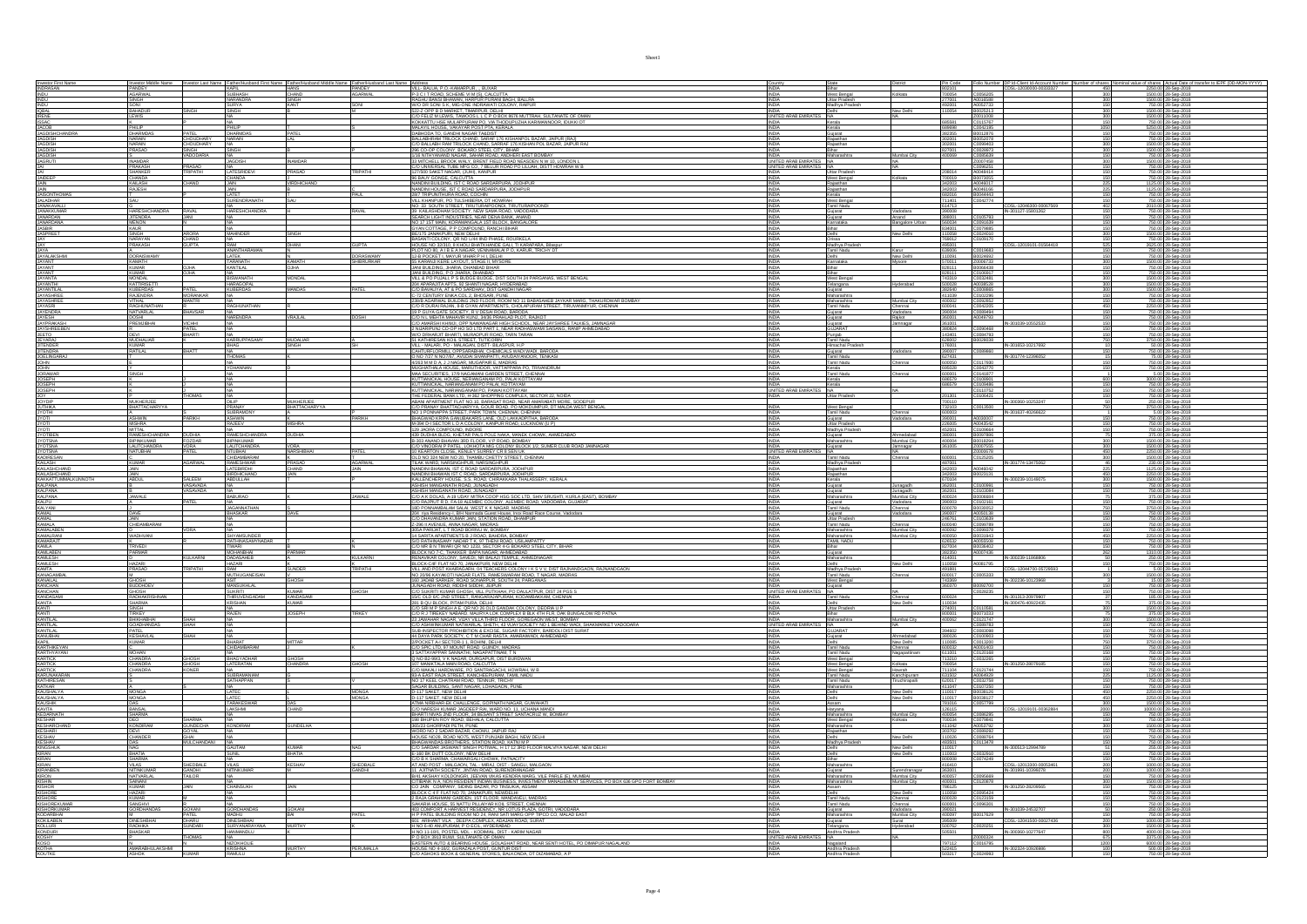|                                                                                                                                                                                                                                                                                                                                      |                                             |                              |                                         |                       |                    |                                                                                                                                                                                                                                                                                                      | Country<br>INDIA                                   | State<br>District                                                                          |                                                |                                                          |                                                     | Pin Code Folio Number 10P Id-Client Id-Account Number Number of shares Nominal value of shares Actual Date of transfer to IEPF (DD-MON-YYYY)<br>802101 CDSL-12030000-00333327 450 |
|--------------------------------------------------------------------------------------------------------------------------------------------------------------------------------------------------------------------------------------------------------------------------------------------------------------------------------------|---------------------------------------------|------------------------------|-----------------------------------------|-----------------------|--------------------|------------------------------------------------------------------------------------------------------------------------------------------------------------------------------------------------------------------------------------------------------------------------------------------------------|----------------------------------------------------|--------------------------------------------------------------------------------------------|------------------------------------------------|----------------------------------------------------------|-----------------------------------------------------|-----------------------------------------------------------------------------------------------------------------------------------------------------------------------------------|
| Investor First Name<br>INDRASAN<br>INDU                                                                                                                                                                                                                                                                                              |                                             |                              |                                         |                       |                    | Thomas Made Name   Investor Lea Marin   Made   Marin   Marin   Marin   Marin   Marin   Marin   Marin   Marin  <br>  Marin   Marin   Marin   Marin   Marin   Marin   Marin   Marin   Marin   Marin   Marin   Marin   Marin   Mari                                                                     | <b>INDIA</b>                                       | Bihar<br>West Bengal<br>Kolkata                                                            | 700054                                         | C0056205                                                 | 300                                                 | 1500.00 28-Sep-2018                                                                                                                                                               |
|                                                                                                                                                                                                                                                                                                                                      | SONI                                        |                              | <b>SURYA</b>                            |                       |                    |                                                                                                                                                                                                                                                                                                      | <b>INDIA</b>                                       | Uttar Pradesh<br>Madhya Pradesi                                                            | 277001<br>492001                               | A0016588                                                 |                                                     | 1500.00 28-Sep-2018<br>750.00 28-Sep-2018                                                                                                                                         |
|                                                                                                                                                                                                                                                                                                                                      | BAHADU                                      |                              |                                         |                       |                    | <b>UNDER SON S.K. MIG-ONE INDRAVATE COLONY, RAIPUR<br/>R222 OPP B DAMRICET, TMARPURE, DELHI<br/>CO FELIZ M LEWIS, TAWOOS L.L.C.P O BOX 8676 MUTTRAH, SULTANATE OF OMAN<br/>KOKKATTU HSE MULAPPURAM PO, VIA THODUPUZHA KARIMANNOOR, IDUKKI DT</b>                                                     | INDIA<br>UNITED ARAB EMIRA                         | New Delhi<br>NA.                                                                           |                                                | A0052733<br>A0052733<br>B0025213<br>Z0011008<br>C0115767 | $\frac{300}{300}$                                   | 1500.00 28-Sep-2018<br>1500.00 28-Sep-2018                                                                                                                                        |
|                                                                                                                                                                                                                                                                                                                                      |                                             |                              |                                         |                       |                    |                                                                                                                                                                                                                                                                                                      |                                                    | Kerala                                                                                     | 685581                                         |                                                          |                                                     | 750.00 28-Sep-2018                                                                                                                                                                |
|                                                                                                                                                                                                                                                                                                                                      | PHILIP<br>DHARMDAS                          | PATEL                        | PHILIP<br>DHARMDAS                      | ATEL                  |                    | MALAYIL HOUSE, VAKAYAR POST PTA, KERALA<br>DABHODA TO, GANDHI NAGAR TA&DIST                                                                                                                                                                                                                          | <b>INDIA</b><br><b>INDIA</b>                       | Kerala<br>Gujarat                                                                          | 689698<br>382355                               | C0042195<br>B0012876                                     | 150                                                 | 5250.00 28-Sep-2018<br>750.00 28-Sep-2018                                                                                                                                         |
| NDU<br>MARINE<br>MARINE<br>MARINE<br>MARINE<br>MARINE<br>MARINE<br>MARINE<br>MARINE<br>MARINE<br>MARINE<br>MARINE<br>MARINE<br>MARINE<br>MARINE<br>MARINE                                                                                                                                                                            | NARAIN<br>NARAIN<br>PRASAD                  | CHOUDHARY<br>CHOUDHARY       | NARAIN                                  |                       |                    | ONE-PORT IT WAS CITED AND A SAMPLE TO A MARINAL PRODUCTION OF BALARY AND BRACK AND BRACK THE SERVICE OF BACK AND STANDARD CONTROL CONTROL CONTROL CONTROL CONTROL CONTROL CONTROL CONTROL CONTROL CONTROL CONTROL CONTROL CONT                                                                       |                                                    | Rajasthan<br>Rajasthan                                                                     |                                                | B0052078<br>C0099403                                     |                                                     | 750.00 28-Sep-2018<br>1500.00 28-Sep-2018                                                                                                                                         |
|                                                                                                                                                                                                                                                                                                                                      |                                             | VADODARIA                    | SINGH                                   |                       |                    |                                                                                                                                                                                                                                                                                                      | <b>INDIA</b><br><b>INDIA</b>                       | Bihar<br>Aumbai City<br>Maharashtra                                                        | 827001<br>400069                               | C0028973<br>C0085639                                     | 300                                                 | 1500.00 28-Sep-2018<br>750.00 28-Sep-2018                                                                                                                                         |
|                                                                                                                                                                                                                                                                                                                                      | <b>INAMDAR</b>                              |                              | <b>JAGDISH</b>                          | <b>NAMDAR</b>         |                    |                                                                                                                                                                                                                                                                                                      | UNITED ARAB EMIRATES NA                            |                                                                                            |                                                | 20007458                                                 | $\frac{150}{300}$                                   | 1500.00 28-Sep-2018                                                                                                                                                               |
|                                                                                                                                                                                                                                                                                                                                      | PRAKASH<br>SHANKER                          | PRASAD<br>TRIPATHI           | <b>LATESRIDEVI</b>                      | <b>RASAD</b>          | RIPATH             | C/O UNIVERSAL TUBE MFG CO, 7 BELUR ROAD PO LILUAH, DISTT HOWRAH W B 127/500 SAKET NAGAR, (JUHI), KANPUR                                                                                                                                                                                              | UNITED ARAB EMIRATES NA                            | Uttar Pradesh                                                                              | 208014                                         | C0096251<br>A0048414                                     | 150                                                 | 750.00 28-Sep-2018<br>750.00 28-Sep-2018                                                                                                                                          |
|                                                                                                                                                                                                                                                                                                                                      | CHANDA<br>KALASH<br>RAJESH                  |                              | CHANDA                                  | <b>IRDHICHAND</b>     |                    | SERIUY GONGE, CALCUTTA<br>NANDINI BUILDING, IST C ROAD SARDARPURA, JODHPUR<br>NANDINI HOUSE, IST C ROAD SARDARPURA, JODHPUR                                                                                                                                                                          |                                                    | West Bengal<br>Kolkata                                                                     | 700019                                         | B0073055<br>A0046017<br>A0046166                         |                                                     | 750.00 28-Sep-2018                                                                                                                                                                |
|                                                                                                                                                                                                                                                                                                                                      |                                             |                              | JAIN<br>JAIN                            |                       |                    |                                                                                                                                                                                                                                                                                                      | <b>INDIA</b>                                       | Rajasthan<br>Rajasthan<br>Kerala                                                           | 342003<br>342003                               | B0044443                                                 | $\frac{225}{225}$                                   | 125.00 28-Sep-2018<br>1125.00 28-Sep-2018                                                                                                                                         |
|                                                                                                                                                                                                                                                                                                                                      |                                             |                              | LATET<br>SURENDRANA                     |                       |                    | 28/7 TRIPUNITHURA ROAD, COCHIN<br>VILL KHANPUR, PO TULSHIBERIA, DT HOWRAH                                                                                                                                                                                                                            |                                                    | West Bengal                                                                                | 682016<br>711401                               | C0042774                                                 |                                                     | 750.00 28-Sep-2018<br>750.00 28-Sep-2018                                                                                                                                          |
|                                                                                                                                                                                                                                                                                                                                      |                                             | RAVAL                        | <b>NA</b><br><b>HARESHCHAND</b>         |                       |                    | NO: 33 SOUTH STREET, TIRUTURAIPOONDI, TIRUTURAIPOOND                                                                                                                                                                                                                                                 | INDIA<br><b>INDIA</b>                              | Tamil Nadu<br>Vadodara                                                                     | 614713<br>390008                               |                                                          | CDSL-12046300-00067569<br>402<br>IN-301127-15801262 | 2010.00 28-Sep-2018<br>750.00 28-Sep-201                                                                                                                                          |
|                                                                                                                                                                                                                                                                                                                                      | HARESHCHANDRA<br>JITENDRA<br>MENON<br>KAURU |                              |                                         |                       |                    |                                                                                                                                                                                                                                                                                                      | INDU                                               | Gujarat<br>Gujarat<br>Karnataka<br>Anand<br>Bangalore Urban                                | 388001                                         | C0105793                                                 |                                                     | 750.00 28-Sep-2018<br>750.00 28-Sep-2018<br>750.00 28-Sep-2018<br>750.00 28-Sep-2018                                                                                              |
|                                                                                                                                                                                                                                                                                                                                      | <b>SINGH</b>                                | <b>ARORA</b>                 | <b>MAHINDER</b>                         | SINGH                 |                    |                                                                                                                                                                                                                                                                                                      | <b>INDIA</b>                                       | New Delhi<br>Delhi                                                                         | 560034<br>834001<br>110058                     | C0091639<br>C0079885<br>C0024010                         | 300                                                 | 1500.00 28-Sep-2018                                                                                                                                                               |
| JAY                                                                                                                                                                                                                                                                                                                                  | NARAYAN<br>PRAKASH                          | <b>CHAND</b><br><b>GUPTA</b> | RAM                                     | <b>DHANI</b>          | <b>GUPTA</b>       | NOT 33 SOUTH SHEET, INDIUNIVERSUARI, INDIUNIVERSI<br>38 KABASHDHAM SOCIETY, NEW SAMA ROAD, VADODARA<br>NOT 71 ST MAIN, KORAWANGALA 1ST BLOCK, BANGAB<br>GYAN COTTAGE, P P COMPOUND, RANCHI BIHAR<br>BEANAT COLONY, OR MO LAH<br>BASAMIT                                                              | <b>INDIA</b><br><b>INDIA</b>                       | Orissa<br>Madhya Pradesh                                                                   | 769012<br>495001                               | C0109170                                                 | CDSL-12019101-01564418<br>525                       | 750.00 28-Sep-2018<br>2625.00 28-Sep-2018                                                                                                                                         |
| <b>JAY<br/>JAYA<br/>JAYALAKSHM</b><br>JAYANT<br>JAYANT<br>JAYANT<br>JAYANT                                                                                                                                                                                                                                                           | A<br>DORAISWAM                              |                              | <mark>inantharaman</mark><br>Atek       |                       | DORASWAMY          | <b>JOUSE NO 32/310, 8 KHOLI BHATKHANDE GALL, TI KARAPARA, Bilaspur<br/>PLOT NO 80, A 18 E A NAGAR, VENNAMALAI P O, KARUR, TRICHY DT<br/>12-B POCKET I, MAYUR VIHAR P H I, DELH<br/>15 A KARANJ IKERE LAYOUT, STAGE II, MYSORE<br/>15 AN RHI DINC</b>                                                 |                                                    | Tamil Nadu<br>(arur<br>Vew Delhi                                                           |                                                | C0019683<br>B0024692<br>Z0006733                         |                                                     |                                                                                                                                                                                   |
|                                                                                                                                                                                                                                                                                                                                      | KAMATH                                      |                              | ARANATH                                 |                       | <b>SHIBRURKAR</b>  |                                                                                                                                                                                                                                                                                                      |                                                    | Karnataka<br>llysare                                                                       | 639006<br>110091<br>570011                     |                                                          |                                                     | 750.00 28-Sep-2018<br>750.00 28-Sep-2018<br>1500.00 28-Sep-2018                                                                                                                   |
|                                                                                                                                                                                                                                                                                                                                      | KUMAR<br>KUMAR                              | <b>OJHA</b>                  | <b>ANTILAL</b><br>NA 1                  |                       |                    | JANI BUILDING, JHARIA, DHANBAD BIHAR<br>JANI BUILDING, P.O. JHARIA, DHANBAD                                                                                                                                                                                                                          | <b>INDIA</b><br>INDIA                              | Bihar<br>Bihar                                                                             | 828111<br>828111                               | B0066438<br>C0106917                                     | 150                                                 | 750.00 28-Sep-2018<br>750.00 28-Sep-2018                                                                                                                                          |
|                                                                                                                                                                                                                                                                                                                                      | <b>MONDAL</b>                               |                              | SWANATH<br><b>IARAGOPA</b>              | MONDAL                |                    | VILL & PO PUJALI, P S BUDGE BUDGE, DIST SOUTH 24 PARGANAS, WEST BENGAL                                                                                                                                                                                                                               | <b>INDIA</b>                                       | hderabad                                                                                   |                                                | C0032481                                                 | 300                                                 | 1500.00 28-Sep-2018<br>1500.00 28-Sep-2018                                                                                                                                        |
|                                                                                                                                                                                                                                                                                                                                      | KATTIRISETT                                 | PATFI                        | KUBERDAS                                | <b>MANDAS</b>         |                    | <b>VALLE YOUGALLE'S BUDGE BUDGE, DIS JOURNAL PROGRAMMENT SURFAINER SURFAINER SURFAINER SURFAINER SURFAINER SURFAIN</b><br>COLEMANTA AT A PO SARDAYU, DIST GARDHI NAGAR<br>COLEMANTA AT A PO SARDAYU, DIST GARDHI NAGAR<br>COLEMANTA BULDAN S                                                         | INDIA<br>INDIA<br>INDIA<br>INDIA                   | West Bengal<br>Telangana<br>Gujarat<br>Maharashtra<br>Maharashtra<br>Tend Meda             | 743319<br>500028<br>382640<br>411039<br>400002 | C0032481<br>A0038528<br>C0008865<br>C0092852<br>C0043395 |                                                     | 1500.00 28-Sep-2018<br>750.00 28-Sep-2018<br>750.00 28-Sep-2018                                                                                                                   |
|                                                                                                                                                                                                                                                                                                                                      |                                             | MORANKAR<br>MANTRI           |                                         |                       |                    |                                                                                                                                                                                                                                                                                                      |                                                    | Mumbai City                                                                                |                                                |                                                          |                                                     |                                                                                                                                                                                   |
|                                                                                                                                                                                                                                                                                                                                      | VITHAL<br>RAGHUNATHAN<br><b>NATVARLAL</b>   | HAVSAR                       | RAGHUNATHAN                             |                       |                    |                                                                                                                                                                                                                                                                                                      | INDIA<br><b>INDIA</b>                              | Tamil Nadu<br>Chennai<br>Vadodara<br>Guiarat                                               | 390004 C0089494                                |                                                          | 450<br>150                                          | 2250.00 28-Sep-2018<br>750.00 28-Sep-2018                                                                                                                                         |
|                                                                                                                                                                                                                                                                                                                                      | PREMJIBHA                                   |                              | <b>JARENDRA</b>                         | <b>RAJLAL</b>         |                    |                                                                                                                                                                                                                                                                                                      |                                                    | Guiarat<br>Raikot<br>Jamnagar                                                              | 360001                                         | A0049793                                                 | IN-301039-10552533                                  | 750.00 28-Sep-2018                                                                                                                                                                |
| <b>JAYANTA<br/>JAYANTA<br/>JAYANTIJAL<br/>JAYANTIJAL<br/>JAYASHREE<br/>JAYASHREE<br/>JAYFRAKASH<br/>JAYFRAKASH<br/>JAYFRAKASH<br/>JEETOO</b><br>JEETOO<br>JEETOO                                                                                                                                                                     |                                             |                              |                                         |                       |                    | CO A DIARA BOLDER DE DE A MARISMA EN CARACTERISTA DE LA CARACTERISTA DE CONSUMERENT DE LA CARACTERISTA DE LA CARACTERISTA DE LA CARACTERISTA DE LA CARACTERISTA DE LA CARACTERISTA DE LA CARACTERISTA DE LA CARACTERISTA DE LA                                                                       |                                                    | Gujarat<br>GLUARAT                                                                         |                                                | C0090468                                                 |                                                     | 750.00 28-Sep-201                                                                                                                                                                 |
|                                                                                                                                                                                                                                                                                                                                      | <b>DEVI</b><br><b>MUDHALIA</b>              |                              | KARRUPPASA                              | <b>MUDALIAR</b>       |                    | 51 KATHIRESAN KOIL STREET, TUTICORIN<br>VILL - MALARI, PO - MALAGAN, DISTT- BILASPUR, H.P                                                                                                                                                                                                            | INDIA<br><b>INDIA</b>                              | Punjab<br>Tamil Nadu                                                                       | 143401<br>628002                               | C0084793<br>B0028038                                     |                                                     | 750.00 28-Sep-2018<br>3750.00 28-Sep-2018                                                                                                                                         |
| JEYARAJ<br>JITENDER                                                                                                                                                                                                                                                                                                                  | <b>KUMAR</b><br>RATILAL                     |                              | <b>BHAG</b>                             | SINGH                 |                    |                                                                                                                                                                                                                                                                                                      | INDIA                                              | Himachal Pradesh<br>Vadodara                                                               | 176001                                         | C0089860                                                 | IN-301653-10217692                                  | 50.00 28-Sep-2018                                                                                                                                                                 |
|                                                                                                                                                                                                                                                                                                                                      |                                             |                              | NA<br>THOMAS                            |                       |                    | CAHTURFLORMLL OPPSARABHAI, CHEMICALS WADI WADI, BARODA O NO 7/27 N NO7/67, AVUDAI SIVANPATTI, AVUDAIYANOOR, TENKASI                                                                                                                                                                                  | <b>INDIA</b><br>INDIA                              | Gujarat<br>Tamil Nadu<br>Tamil Nadu<br>Chennai                                             | 390007<br>627431                               | C0117930                                                 | IN-301774-1239605                                   | 750.00 28-Sep-2018<br>75.00 28-Sep-2018<br>750.00 28-Sep-2018                                                                                                                     |
|                                                                                                                                                                                                                                                                                                                                      | SINGH                                       |                              |                                         |                       |                    | STATISTICS, MILANDI, AND ANNI ANNI ANNO 1999 NO TRONG MARIA MUGHATHALA HOUSE. MARUTHOOR, VATTAPPARA PO. TRIVANDRUM<br>MUGHATHALA HOUSE. MARUTHOOR, VATTAPPARA PO. TRIVANDRUM<br>MAA SECURITIES, 17/9 NAGAMANI GARDEN STREET, CHENNAL                                                                 | <b>INDIA</b><br>INDIA                              | Kerala<br>Tamil Nadu<br>Chennai                                                            | 600001                                         | C0043770<br>C0043770                                     |                                                     | 750.00 28-Sep-2018                                                                                                                                                                |
|                                                                                                                                                                                                                                                                                                                                      |                                             |                              |                                         |                       |                    | KUTTIANICKAL HOUSE, NERIANGANAM PO, PALAI KOTTAYAM<br>KUTTIANICKAL, NARIANGANAM PO PALAI, KOTTAYAM                                                                                                                                                                                                   | INDIA                                              | Kerala<br>Kerala                                                                           |                                                |                                                          | 600                                                 | 3000.00 28-Sep-2018<br>750.00 28-Sep-2018                                                                                                                                         |
|                                                                                                                                                                                                                                                                                                                                      |                                             |                              |                                         |                       |                    | KUTTIANICKAL, NARIANGANAM PO, PAWAI KOTTAYAM                                                                                                                                                                                                                                                         | UNITED ARAB EMIRATES NA                            | <b>Uttar Prades</b>                                                                        | 201301                                         | C0110752<br>C0106421                                     |                                                     | 750.00 28-Sep-2018                                                                                                                                                                |
|                                                                                                                                                                                                                                                                                                                                      | MIKHER.IFF                                  |                              | DI IP                                   | <b>MUKHERJEE</b>      |                    |                                                                                                                                                                                                                                                                                                      |                                                    |                                                                                            | 700110                                         |                                                          | IN-300360-10253247                                  | 250.00 28-Sep-2018                                                                                                                                                                |
|                                                                                                                                                                                                                                                                                                                                      | <b>BHATTACHARYY</b>                         |                              | PRANAY<br>SUBRAMON                      | <b>BHATTACHARYY/</b>  |                    | NUI INRIGANI, NINRINGARING POL PARIGI NO ILITERA<br>1880 NORDAN DE MARCARDO NO SENDERING COMPLEX SECTOR 22 NOIDA<br>1890 NORTINGIT FLAT NO 10, BARASAT ROAD, PO MOKDIMPUR, DT MALD, SODEPUR<br>100 PRANAY BHATTACHARYYA, GOUR ROAD, PO                                                               | <b>INDIA</b>                                       | West Bengal<br>Chennai<br>Tamil Nadu                                                       | 732103<br>600003                               | C0013500                                                 | 750<br>IN-301637-402666                             | 3750.00 28-Sep-2018<br>5.00 28-Sep-2018                                                                                                                                           |
| JITENDER<br>JOELINGARI<br>JOELINGARI<br>JOERNIAR<br>JOERN<br>JOERN<br>JOERN<br>JOERN<br>JOERN<br>JOERN<br>JOERN<br>JOERN<br>JOERN<br>JOERN<br>JOERN<br>JOERN<br>JOERN<br>JOERN<br>JOERN<br>JOERN<br>JOERN<br>JOERN<br>JOERN<br>JOERN<br>JOERN<br>JOERN<br>JOERN<br>JOERN<br>JOERN<br>JOERN<br>JOERN<br>JOERN<br>JOERN<br>JOERN<br>JO | <b>ASHWIN</b><br><b>MISHRA</b>              | PARIKH                       | <b>ASHWIN</b><br>RAJEEV                 | <b>ISHRA</b>          | PARIKH             | BHAGWAD KRIPA GANUBAKARIS LANE, OLD LAKKADPITHA, BARODA<br>M-394 D-I SECTOR L D A COLONY. KANPUR ROAD. LUCKNOW (U P)                                                                                                                                                                                 | INDIA<br><b>INDIA</b>                              | Gujarat<br>Vadodara<br>Uttar Pradesh                                                       | 390001<br>226005                               | A0030007<br>A0043542                                     | 150                                                 | 750.00 28-Sep-2018<br>750.00 28-Sep-2018                                                                                                                                          |
|                                                                                                                                                                                                                                                                                                                                      | <b>MITTAL</b><br><b>RAMESHCHANDRA</b>       | <b>DUDHIA</b>                | RAMESHCHANDRA                           | <b>DUDHIA</b>         |                    | 129 JAORA COMPOUND. INDORE<br>439 DUDHIA BLDG, KHETAR PALS POLE NAKA, MANEK CHOWK, AHMEDABAD                                                                                                                                                                                                         | <b>INDIA</b><br><b>INDIA</b>                       | Madhya Prades<br>Gujarat<br><i><b>Indabad</b></i>                                          | 452001<br>380001                               | C010964<br>B0097886                                      |                                                     | 750.00 28-Sep-2018<br>375.00 28-Sep-2018                                                                                                                                          |
|                                                                                                                                                                                                                                                                                                                                      | BIPINKUMAR<br><b>LALITCHANDRA</b>           | <b>FOZDA</b>                 | BIPINKUMAR<br><b>LALITCHANDRA</b>       | VORA                  |                    | B-303 ANAND BHAVAN 3RD FLOOR. V P ROAD, BOMBAY<br>C/O VINODRAI P PATEL, LOKHOTA MIG COLONY BLOCK 1/2, SUMER CLUB ROAD JAMNAGAR                                                                                                                                                                       |                                                    | Maharashtra<br>Aumbai City                                                                 | 400004 B0018294<br>361005 Z0007555             |                                                          | 300<br>300                                          | 1500.00 28-Sep-2018                                                                                                                                                               |
|                                                                                                                                                                                                                                                                                                                                      | NATUBHAI                                    |                              | NTUBHAI<br>CHIDAMBARAM                  | NARSHIBHAI            |                    | 10 KEARTON CLOSE, KENLEY SURREY CR 8 SEN UK<br>OLD NO 324 NEW NO 20, THAMBU CHETTY STREET, CHENNAI                                                                                                                                                                                                   | <b>INDIA</b><br>UNITED ARAB EMIRATES NA Tamil Nadu | Gujarat<br>Jamnagar<br>hennai                                                              | 600001                                         | Z0000678<br>C0125205                                     | $\frac{450}{300}$                                   | 1500.00 28-Sep-2018<br>2250.00 28-Sep-2018<br>1500.00 28-Sep-2018                                                                                                                 |
|                                                                                                                                                                                                                                                                                                                                      | <b>KUMAR</b>                                | <b>AGARWA</b>                |                                         |                       | .<br>AGARWAL       | TILAK WARD, NARSINGHPUR, NARSINGHPUR                                                                                                                                                                                                                                                                 |                                                    |                                                                                            |                                                |                                                          | IN-301774-13475062                                  |                                                                                                                                                                                   |
|                                                                                                                                                                                                                                                                                                                                      |                                             |                              | <b>RAMESHWAR</b>                        | <b>RASAD</b>          |                    |                                                                                                                                                                                                                                                                                                      | <b>INDU</b>                                        | Madhya Prades                                                                              | 487001                                         |                                                          |                                                     | 230.00 28-Sep-2018                                                                                                                                                                |
|                                                                                                                                                                                                                                                                                                                                      |                                             |                              | BIRDHICHAND                             | <b>AIN</b>            |                    |                                                                                                                                                                                                                                                                                                      |                                                    | Raiasthar<br>Rajasthan                                                                     | 342003<br>342003                               | ADD46042                                                 | 450                                                 | 2250.00 28-Sep-2018                                                                                                                                                               |
|                                                                                                                                                                                                                                                                                                                                      | JAIN<br>ABDUL                               | SALEEM                       | ABDULLAH                                |                       |                    |                                                                                                                                                                                                                                                                                                      | <b>INDIA</b>                                       | Kerala                                                                                     |                                                | B0023131                                                 | IN-300239-10149075<br>300                           |                                                                                                                                                                                   |
| KARIKESAN<br>KAILASHCHAND<br>KAILASHCHAND<br>KAICASHCHAND<br>KAI DANA<br>KAI DANA<br><b>KALPANA</b>                                                                                                                                                                                                                                  |                                             | VASAVADA                     |                                         |                       |                    | THER WAS IMPOUNDED IN A REPORT OF A SARDARPURA JODHPUR<br>NANDIN BHAWAN IST C ROAD SARDARPURA JODHPUR<br>NANDIN BHAWAN IST C ROAD SARDARPURA, JODHPUR<br>KALLENCHERY HOUSE, S.S. ROAD, CHIRAKARA THALASSERY, KERALA<br>ASHISH MANGAMAT<br>ASHISH MANGANATH ROAD, JUNAGADY                            | INDIA                                              | Junagadh<br>Gujarat<br>Gujarat<br>Junagadh                                                 | 670104<br>362001<br>362001                     | C0100991<br>C0103084                                     |                                                     | 1500.00 28-Sep-2018<br>750.00 28-Sep-2018<br>750.00 28-Sep-2018                                                                                                                   |
|                                                                                                                                                                                                                                                                                                                                      | <b>JAWALE</b>                               | PATFI                        | BABURAO                                 |                       | <b>JAWALE</b>      | C/O A K DOLAS. A-19 UDAY MITRA COOP HSG SOC LTD. SHIV SRUSHTI, KURLA (EAST). BOMBAY<br>C/O RAJPIUT R D, FA-18 ALEMBIC COLONY, ALEMBIC ROAD, VADODARA, GUJARAT                                                                                                                                        | <b>INDIA</b><br><b>INDIA</b>                       | Maharashtra<br>Mumbai City<br>Guiarat<br>Vadodara                                          | 400024<br>390003                               | B0006684                                                 |                                                     | 375.00 28-Sep-2018<br>750.00 28-Sep-2018                                                                                                                                          |
|                                                                                                                                                                                                                                                                                                                                      | DAVE                                        |                              | <br>JAGANNATHAN<br>BHASKAR              | a<br>DAVE             |                    |                                                                                                                                                                                                                                                                                                      |                                                    | Tamil Nadu<br>Chennai<br>Vadodara                                                          | 600078<br>390007                               |                                                          | 750                                                 | 3750.00 28-Sep-2018<br>750.00 28-Sep-2018                                                                                                                                         |
| KALPANA<br>KALPU<br>KALYANI<br>KAMAL<br>KAMAL                                                                                                                                                                                                                                                                                        | <b>JAIN</b><br>CHIDAMBARAM                  |                              |                                         |                       |                    | THE PONNAMBALAM SALAI, WEST K K NAGAR, MADRAS<br>204 riya Residency-I, B/M Narmada Guest House, Incx Road Race Course, Vadodara<br>200 DHAVANDRA KUMAR JAIN, STATION ROAD, DHAMPUR<br>200 DHAVANDRA KUMAR JAIN, STATION ROAD, DHAMPUR                                                                | <b>INDIA</b><br><b>INDIA</b>                       | Gujarat<br>Uttar Pradesh<br>Tamil Nadu<br>Chennai                                          | 246761<br>600040                               | C0102161<br>B0030052<br>A0050138<br>C0103639             | 150                                                 | 750.00 28-Sep-2018<br>750.00 28-Sep-2018                                                                                                                                          |
|                                                                                                                                                                                                                                                                                                                                      | <b>WADHVANI</b>                             |                              | SHYAMSUNDER                             |                       |                    | Z-296 II AVENUE. ANNA NAGAR, MADRAS<br>305A PARIJAT, L T ROAD BORIVLI W, BOMBAY                                                                                                                                                                                                                      | <b>INDIA</b><br><b>INDIA</b>                       | Maharashtra<br>Mumbai City<br>Mumbai City                                                  | 400092                                         | C0099378                                                 |                                                     | 750.00 28-Sep-2018                                                                                                                                                                |
|                                                                                                                                                                                                                                                                                                                                      |                                             |                              | <b>ATHINASAMYNAD</b>                    |                       |                    |                                                                                                                                                                                                                                                                                                      |                                                    | Maharashtra<br>TAMIL NADU                                                                  | 400050                                         | B0031943<br>A0055508                                     |                                                     | 2250.00 28-Sep-2018<br>750.00 28-Sep-2018                                                                                                                                         |
|                                                                                                                                                                                                                                                                                                                                      | TRIVEDI<br>PARMAR                           |                              | <b>TWARI</b><br><b>MOHANBHA</b>         |                       |                    |                                                                                                                                                                                                                                                                                                      | <b>INDIA</b>                                       | Bihar<br>Gujarat                                                                           | 827004<br>382350                               | B0036402<br>A0007436                                     | 262                                                 | 750.00 28-Sep-2018<br>1310.00 28-Sep-2018                                                                                                                                         |
|                                                                                                                                                                                                                                                                                                                                      |                                             | <b>KULKARNI</b>              | DADASAHEB<br>HAZARI                     |                       | kulkarni           | SART ARABA (12 YANG 45 ANDRE) WARRAN DOMENY<br>14 SARTA APARTMENTS BJ ROAD, BAHDRA GOMENY<br>20 RATHRASAMY NADAY 17, 57 THEN ROAD, USBAMPATTY<br>19 DAN REN TANAR GR NO 1233, SECTOR 4-G BOKARD STEEL CITY, BHAR<br>19 RAYA COLONY, SAVEDI                                                           | <b>INDIA</b><br><b>INDIA</b>                       | Maharashtra<br>New Delhi                                                                   | 414001<br>110058                               | A0081795                                                 | IN-300239-11868806                                  | 250.00 28-Sep-2018<br>750.00 28-Sep-2018                                                                                                                                          |
| NAMALA<br>KAMALABEN<br>KAMALABEN<br>KAMARAJT<br>KAMLABEN<br>KAMESH<br>KAMESH<br>KAMACAMPAL<br>KAMACAMPAL                                                                                                                                                                                                                             | <b>HAZARI</b><br>PRASAD                     |                              | MUTHUGANEISAN                           | .<br>SUNDER           | .<br>RIPATH        | BLOCK-C4F FLAT NO 70, JANAKPURI, NEW DELHI<br>VILL AND POST KHAIRAGARH, 04 TEACHERS COLONY I K S V V, DIST RAJNANDGAON, RAJNANDGAON<br>NO 20/96 KAYAKOTI NAGAR FLATS, RAMESWARAM ROAD, T NAGAR, MADRAS                                                                                               | <b>INDIA</b>                                       | Delhi<br>Madhya Pradesi<br>Chennai                                                         | 491881<br>600017 C0005333                      |                                                          | 300                                                 | 5.00 28-Sep-2018                                                                                                                                                                  |
|                                                                                                                                                                                                                                                                                                                                      |                                             |                              |                                         | <b>HOSH</b>           |                    |                                                                                                                                                                                                                                                                                                      |                                                    |                                                                                            |                                                |                                                          |                                                     |                                                                                                                                                                                   |
|                                                                                                                                                                                                                                                                                                                                      | GHOSH<br>BUDDHDEV<br>GHOSH<br>RADHAKRISHNAM |                              | MANSUKHLAL<br><b>SUKRITI</b>            | Kumar<br>KANDASAMI    | SHOSH              |                                                                                                                                                                                                                                                                                                      | INDIA<br>UNITED ARAB EMIRATES NA<br><b>INDIA</b>   | Tamil Nadu<br>West Bengal<br>Gujarat                                                       | 743369<br>360370 B0092700<br>600024            | C0028235                                                 | IN-301313-2097990                                   | 1500.00 28-Sep-2018<br>15.00 28-Sep-2018<br>750.00 28-Sep-2018<br>750.00 28-Sep-2018<br>185.00 28-Sep-2018                                                                        |
|                                                                                                                                                                                                                                                                                                                                      | SHARMA<br>SINGH                             |                              | THIRLIVENGADAM<br><b>KRISHAN</b>        | KUMAR                 |                    | NU AURA KATAKUTI NAJARA PAJA SOMARA NE PARA MARA MARAMA (1990)<br>1990 ANDAR SARKER, ROAD SOMARPUR, SOUTH 24, PARGANAS<br>1900 SUKRIT KUAD, RODH SIDORI, ULE PUTRIAN, PO DAULATPUR, DIST 24 PGS S<br>1900 SUKRIT KUAMA GHOSH, VILL PUTR                                                              | <b>INDIA</b><br><b>INDIA</b>                       | Tamil Nadu<br>Delhi<br>Chennai<br>New Delhi<br>Uttar Pradesh                               | 110034<br>274001                               | C0110581                                                 | IN-300476-40922435                                  | 375.00 28-Sep-2018<br>1500.00 28-Sep-2018                                                                                                                                         |
| KANAGAMBAL<br>KANAGAMBAL<br>KANCHAN<br>KANDASAM<br>KANTA<br>KANTA                                                                                                                                                                                                                                                                    | <b>TIRKEY</b>                               |                              | RAJEN                                   | OSEPH                 | <b>TIRKEY</b>      | CO SRI M P SINGH A E. OR NO 26 OLD GANDAK COLONY. DEORIA U P                                                                                                                                                                                                                                         |                                                    | Bihar                                                                                      | 800001                                         |                                                          |                                                     | 375.00 28-Sep-2018                                                                                                                                                                |
| KANTI<br>KANTILAL                                                                                                                                                                                                                                                                                                                    | <b>BHIKHABH/</b><br>GOADHANDA               | SHAH                         |                                         |                       |                    | <b>200 R J TREKEY NABARD, MAURYA LOK COMPLEX B BLK 4TH FLR, DAK BUNGALOW RD PATNA</b><br>23 JANAHAR NAGAR, VIANY VILLA THIRD FLOOR, GOREGAON WEST, BOMBAY<br>23 JANAHAR NAGAR, VIANY VILLA THERD FLOOR, GOREGAON WEST, BUNJANY QUIVALENCE                                                            | UNITED ARAB EMIRA                                  | Maharashtra<br>Aumbai City                                                                 | 400062                                         | B0071033<br>C0089783                                     | 300<br>150                                          | 500.00 28-Sep-2018<br>750.00 28-Sep-2018                                                                                                                                          |
| KANTILAL<br>KANTILAL                                                                                                                                                                                                                                                                                                                 | PATEL<br><b>KESHAVLAL</b>                   | SHAH                         |                                         |                       |                    |                                                                                                                                                                                                                                                                                                      | <b>INDIA</b>                                       | NA<br>GUJARAT<br>Gujarat<br>Ahmedabad                                                      | 394602<br>380026                               | C0083098<br>C0100903                                     | 150                                                 | 750.00 28-Sep-2018<br>750.00 28-Sep-2018                                                                                                                                          |
|                                                                                                                                                                                                                                                                                                                                      |                                             |                              | BHARAT<br>CHIDAMBARAM                   | <b>ITTAR</b>          |                    | CO ASHWINGIMAR NATWARLAL SHETH 43 VILAYSOCETY NO 1 BEHIND WADI SHAKMARKET VADODARA<br>SUB-NSPECTOR PROHIBITON & EXCISE SUGARE FACTORY, BARDOLI DIST SURAT<br>44 DAYA PARK SOCETY, C.T.M.CHAR RASTA, AMMANIADI, AMMEDABAD<br>200 ORDELTA                                                              | <b>INDIA</b><br><b>INDIA</b>                       | New Delhi                                                                                  | 110085<br>600032                               | C0013200                                                 |                                                     | 3750.00 28-Sep-2018                                                                                                                                                               |
|                                                                                                                                                                                                                                                                                                                                      |                                             |                              |                                         |                       |                    |                                                                                                                                                                                                                                                                                                      |                                                    | Chennai                                                                                    |                                                |                                                          |                                                     |                                                                                                                                                                                   |
|                                                                                                                                                                                                                                                                                                                                      | MOHAN<br>CHANDRA                            | <b>GHOSH</b>                 | BHAGYADHAR<br>LATERATAN                 | GHOSH<br>CHANDRA      | SHOSH              |                                                                                                                                                                                                                                                                                                      | INDIA<br>INDIA<br><b>INDIA</b>                     | Tamil Nadu<br>Tamil Nadu<br>West Bengal<br>Kolkata<br>West Bengal                          | 713210<br>700054                               | A0001403<br>C0120168<br>C0032265                         | IN-301250-28079185                                  | 750.00 28-Sep-2018<br>750.00 28-Sep-2018<br>750.00 28-Sep-2018                                                                                                                    |
| <b>KANTUBHAL<br/>KAPIL<br/>KARTHIKEYAN<br/>KARTICK<br/>KARTICK<br/>KARTICK<br/>KARTICK</b>                                                                                                                                                                                                                                           | CHANDRA<br>CHANDRA                          | GHOSH<br>KONER               | SUBRAMANIAM                             |                       |                    | 2002 SPIC LIBRARY CONTROL CONTRACTOR AND SAFEKEEP CONTRACTOR CONTRACTOR CONTRACTOR CONTRACTOR CONTRACTOR CONTRACTOR CONTRACTOR CONTRACTOR CONTRACTOR CONTRACTOR CONTRACTOR CONTRACTOR CONTRACTOR CONTRACTOR CONTRACTOR CONTRAC<br>93-A EAST RAJA STREET, KANCHEEPURAM, TAMIL NADU                    | <b>INDIA</b>                                       | West Bengal<br>Howrah<br>Tamil Nadu<br>Kanchipuram                                         | 11104<br>631502                                | C0121744<br>A0064929                                     | 225                                                 | 750.00 28-Sep-2018<br>750.00 28-Sep-2018<br>1125.00 28-Sep-2018                                                                                                                   |
|                                                                                                                                                                                                                                                                                                                                      |                                             |                              | SATHAPPAN                               |                       |                    | NO 17 KEEL CHATRAM ROAD. TENNUR. TRICHY                                                                                                                                                                                                                                                              | <b>INDIA</b>                                       | Tamil Nadu<br>iruchirapall<br>Maharashtra                                                  | 620017<br>411047                               | C0032758<br>C0107250                                     |                                                     | 750.00 28-Sep-2018<br>750.00 28-Sep-2018                                                                                                                                          |
|                                                                                                                                                                                                                                                                                                                                      | <b>MONGA</b><br>MONGA                       |                              |                                         |                       | MONGA<br>MONGA     |                                                                                                                                                                                                                                                                                                      | <b>INDIA</b><br><b>INDIA</b>                       | New Delhi<br>New Delhi<br>Delhi<br>Delhi                                                   | 10017<br>10017                                 | B0038126<br>B0038127                                     | $\frac{450}{450}$                                   | 2250.00 28-Sep-2018<br>2250.00 28-Sep-2018                                                                                                                                        |
| KARUNAKARAN<br>KATHIRESAN<br>KATKAR<br>KAUSHALYA<br>KAUSHALYA<br>KAUSHIK                                                                                                                                                                                                                                                             | DAS<br>BANSAL                               |                              | LATEC<br>LATEC<br>TARAKESWAR<br>LAKSHML |                       |                    | BO THE SAGE BUILDING, SANT NAGAR, LOHAGAON, PUNE<br>D-117 SAKET, NEW DELHI<br>D-117 SAKET, NEW DELHI<br>ATMA NIRBHAR-EK CHALLENGE, GOPINATH NAGAR, GUWAHAT                                                                                                                                           | <b>INDIA</b><br><b>INDIA</b>                       | Assam<br>Harvana                                                                           | 81016<br>126115                                | C0057799                                                 | 300<br>2000                                         | 1500.00 28-Sep-2018<br>10000.00 28-Sep-2018                                                                                                                                       |
|                                                                                                                                                                                                                                                                                                                                      | SHARMA                                      |                              |                                         |                       |                    | C/O NARESH KUMAR JAGDEEP RAI, WARD NO. 11, UCHANA MANDI<br>BHARTI NIVAS 2ND FLOOR, 34 BESANT STREET SANTACRUZ W, BOMBAY                                                                                                                                                                              | <b>INDIA</b>                                       | Maharashtra<br>Mumbai City                                                                 | 400054                                         | C0086295                                                 | 150                                                 | 750.00 28-Sep-2018                                                                                                                                                                |
|                                                                                                                                                                                                                                                                                                                                      | DEO<br>KONDIRAM                             | SHARMA<br>GUNDECHA           | KONDIRAM                                | <b>GUNDELHA</b>       |                    |                                                                                                                                                                                                                                                                                                      |                                                    | West Bengal<br>Maharashtra<br>Colkata                                                      | 700034<br>411042                               |                                                          |                                                     | 750.00 28-Sep-2018<br>1500.00 28-Sep-2018                                                                                                                                         |
|                                                                                                                                                                                                                                                                                                                                      | DEVI<br>CHANDER                             |                              |                                         |                       |                    | 198 BHUPEN ROY ROAD, BEHALA, CALCUTTA<br>365/23 GHORPADI PETH, PUNE<br>WORD NO 2 SADAR BAZAR, CHOMU, JAIPUR RAJ                                                                                                                                                                                      | <b>INDIA</b><br><b>INDIA</b>                       | Rajasthan<br>vew Delhi                                                                     | 303702<br>110026                               | C0079841<br>A0053792<br>C0089292                         | 150                                                 | 750.00 28-Sep-2018<br>750.00 28-Sep-2018                                                                                                                                          |
| <b><i>VANTA</i></b><br>KEDARNATH<br>KESHAR<br>KESHARCHAND<br>KESHARI<br>KESHAN<br>KESHAN<br>KESHAN<br>KESHAN                                                                                                                                                                                                                         | DAS<br><b>NAG</b>                           | SHAI<br>MULCHANDANI          | GAUTAM                                  | <b>KUMAR</b><br>HATIA |                    | HOUSE NO28, ROAD NO75, WEST PUNJABLAGH, NEW DELHI<br>BHAGWANDAS BROTHERS, STATION ROAD, KATNI M P<br>C/O SARDAR JASWANT SINGH POTIWAL, H 17 12 3RD FLOOR MALVIYA NAGAR, NEW DELHI                                                                                                                    | <b>INDIA</b><br><b>INDIA</b><br><b>INDIA</b>       | Delhi<br>Madhya Pradesi<br>Delhi<br>New Delhi                                              | 483501<br>110017                               | C0088764<br>C0113478                                     | IN-300513-12994789                                  | 750.00 28-Sep-2018<br>255.00 28-Sep-2018                                                                                                                                          |
|                                                                                                                                                                                                                                                                                                                                      | BHATIA                                      |                              |                                         |                       |                    |                                                                                                                                                                                                                                                                                                      |                                                    | New Delhi                                                                                  | 110003                                         | C0032910<br>C0074249                                     |                                                     | 750.00 28-Sep-2018                                                                                                                                                                |
|                                                                                                                                                                                                                                                                                                                                      | SHARMA<br>VILAS<br>NITINKUMAR               |                              | <u>VILAS<br/>NITINKUMAR</u>             | KESHAV                | SHEDBALE<br>GANDHI |                                                                                                                                                                                                                                                                                                      |                                                    | Maharashtra<br>iurendranaga<br>Gujarat                                                     | 416410<br>363001                               |                                                          | CDSL-12013300-00053461<br>N-301991-10399278         | 750.00 28-Sep-2018<br>1000.00 28-Sep-2018<br>1000.00 28-Sep-2018                                                                                                                  |
| KINGSHUK<br>KIRAN<br>KIRAN<br>KIRANBEN<br>KIRANBEN<br>KIRANBEN                                                                                                                                                                                                                                                                       | NATVARLAL<br>SAINANI                        | SHEDBALE<br>GANDHI<br>TAILOR |                                         |                       |                    | COMMON CONSTRUCTION (CONSTRUCT) (CONSTRUCT) (COMMON CONSTRUCT) (COMMON CONSTRUCT) (CONSTRUCT) (CONSTRUCT) (CONSTRUCT) (CONSTRUCT) (CONSTRUCT) (CONSTRUCT) (CONSTRUCT) (CONSTRUCT) (CONSTRUCT) (CONSTRUCT) (CONSTRUCT) (CONSTRU                                                                       | <b>INDIA</b><br><b>INDIA</b>                       | Maharashtra<br>Mumbai City<br>Maharashtra<br>Aumbai City                                   | 400057<br>400001                               | C0095669<br>C0120878                                     | 300                                                 | 750.00 28-Sep-2018<br>1500.00 28-Sep-2018                                                                                                                                         |
| <b>KISHIN</b><br>KISHOR                                                                                                                                                                                                                                                                                                              | <b>KUMAR</b>                                | <b>JAIN</b>                  | CHAINSUKH                               | <b>AIN</b>            |                    | CITIBANK N.A. NON RESIDENT INDIAN BUSINESS. INVESTMENT MANAGEMENT SERVICES. PO BOX 636 GPO FORT BOMBAY                                                                                                                                                                                               | <b>INDIA</b>                                       | Assam                                                                                      | 786125                                         |                                                          | IN-301250-28209565                                  | 750.00 28-Sep-2018                                                                                                                                                                |
|                                                                                                                                                                                                                                                                                                                                      | <b>HAZARI</b><br>KUMAR                      |                              |                                         |                       |                    |                                                                                                                                                                                                                                                                                                      | <b>INDIA</b><br>INDIA                              |                                                                                            |                                                |                                                          |                                                     |                                                                                                                                                                                   |
|                                                                                                                                                                                                                                                                                                                                      | SANGHV<br>GORDHANDA:                        | GOKANI<br>PATEL              | GORDHANDAS                              | GOKANI                |                    | BLOCK C 4 F FLAT NO 70, JANAKPURI, NEWDELHI<br>2 RAJA GRAHMANI GARDEN, 1ST FLOOR, MANDAVELI, MADRAS<br>SAKARIA HOUSE, 55 NATTU PILLAYAR KOIL STREET, CHENNAI                                                                                                                                         | <b>INDIA</b><br>INDIA                              | New Delhi<br>Chennai<br>Chennai<br>Delhi<br>Tamil Nadu<br>Tamil Nadu<br>Gujarat<br>adodara | $\frac{110058}{600028}$<br>390021              | C0095424<br>C0123159<br>C0096301                         | IN-301039-245327                                    | 750.00 28-Sep-2018<br>750.00 28-Sep-2018<br>750.00 28-Sep-2018<br>250.00 28-Sep-2018                                                                                              |
| KISHORE<br>KISHORE<br>KISHOREKUMAR<br>KISHORKUMAR<br>KODARBHA                                                                                                                                                                                                                                                                        |                                             |                              | <b>MADHU</b>                            | <b>MURTHY</b>         |                    | 403 COMFORT A HARVEST RESIDENCY. NR LOTUS PLAZA. GOTRI. VADODARA.<br>H P PATEL BUILDING ROOM NO 24, RANI SATI MARG OPP TIPCO CO, MALAD EAST.                                                                                                                                                         |                                                    | Mumbai City<br>Maharashtra                                                                 | 400097                                         | B0017629<br>C0020251                                     | CDSL-12041500-00027436                              | 750.00 28-Sep-2018                                                                                                                                                                |
| KOKILABEN<br>KOLLURI                                                                                                                                                                                                                                                                                                                 | DINESHBHAL<br>RADHIKA<br><b>SHASKAR</b>     | DHARU<br>SUNDARI             | DINESHBHAI<br>SURYANARAYANA             |                       |                    | 601 ARIHANT VILA, DEEPA COMPLEX, ADAJAN ROAD, SURAT.<br>H NO 6-40 ANUPURAM, P O ECIL, HYDERABAD                                                                                                                                                                                                      |                                                    | Gujarat<br>Telangana<br>Andhra Pradesh<br>lyderabad                                        | 395009<br>500762                               | 70000324                                                 | IN-300360-10277647                                  | 1000.00 28-Sep-2018<br>1500.00 28-Sep-2018<br>4000.00 28-Sep-2018                                                                                                                 |
| KONDURI<br>KOSHY<br>KOSO<br>KOTHA<br>KOTHA                                                                                                                                                                                                                                                                                           | AMARABHULAKSHMI                             |                              | NIZOKHOLIE<br>KRISHNA<br>RAMILLI        | <b>MURTHY</b>         | PERUMALLA          | HAND 11-18/1, POSTEL MDL - KODIMAL, DIST - KARIM NAGAR<br>JP O BOX 3813 BLWL SULTANATE OF OMAN<br>EASTERN AUTO & BEARING HOUSE, GOLAGHAT ROAD, NEAR SENTI HOTEL, PO DIMAPUR NAGALAND<br>HOUSE NO 4-16/2, GURAZALA POST, GUNTUR DIST<br>C/O ASHOKS ROOK & GENERAL STORES, RALKONDA, DT DIZAMARAD, A P | TED ARAB EMIRA<br>INDIA                            | Nagaland<br>Andhra Pradesh                                                                 | 797112<br>522415                               | C0016795<br>C0024993                                     | IN-302324-10926986                                  | 3375.00 28-Sep-2018<br>6000.00 28-Sep-2018<br>500.00 28-Sep-2018                                                                                                                  |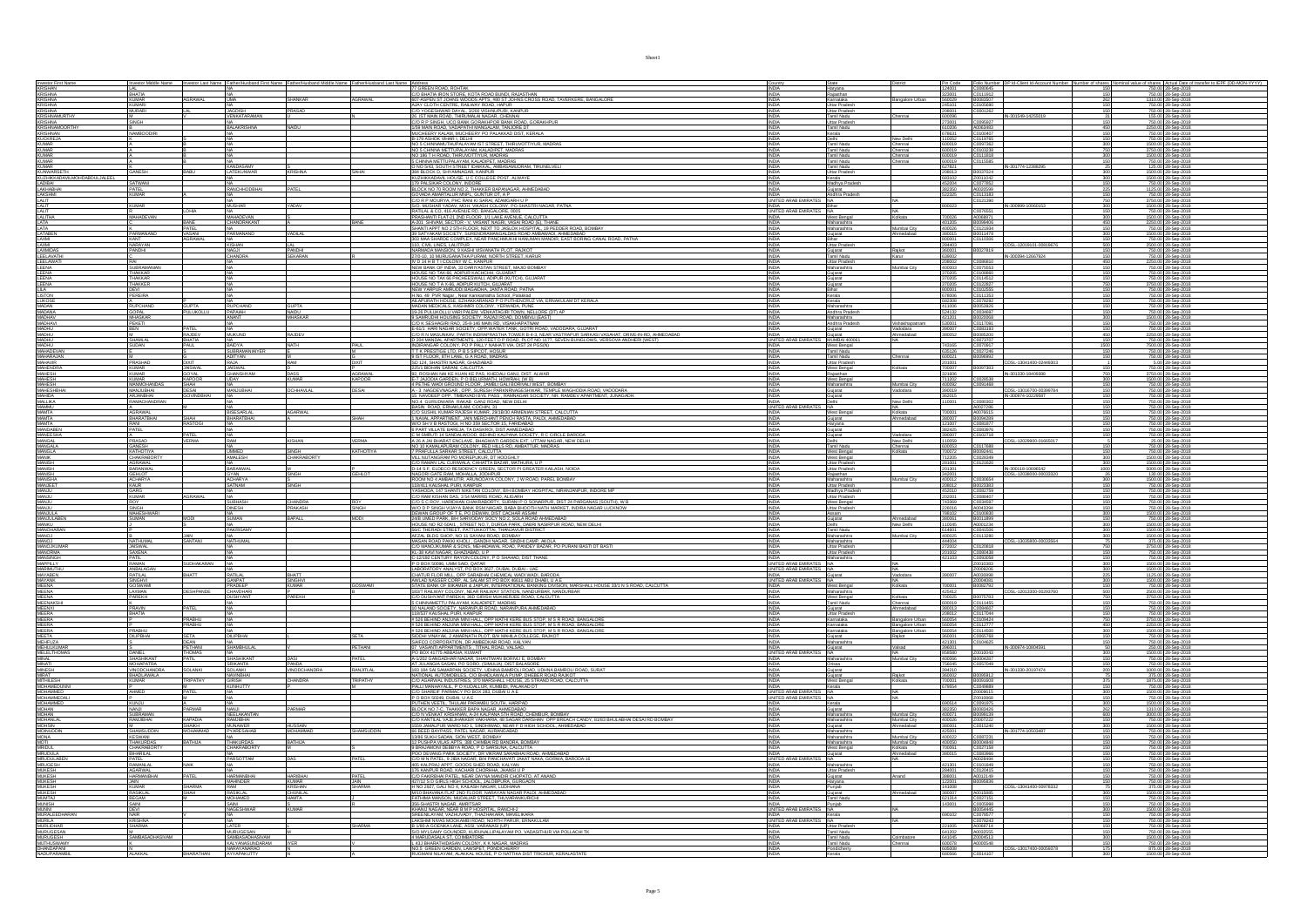|                                                                                                                                |                                                       |                                |                                           |                                 | Investor Middle Name Investor Last Name Father/Husband First Name Father/Husband Middle Name Father/Husband Last Name Address |                                                                                                                                                                                                                                                                                                                | <b>INDIA</b>                               | State<br>Haryana                                      | District                                     |                            |                                                                               |                                                                                                                                                         |
|--------------------------------------------------------------------------------------------------------------------------------|-------------------------------------------------------|--------------------------------|-------------------------------------------|---------------------------------|-------------------------------------------------------------------------------------------------------------------------------|----------------------------------------------------------------------------------------------------------------------------------------------------------------------------------------------------------------------------------------------------------------------------------------------------------------|--------------------------------------------|-------------------------------------------------------|----------------------------------------------|----------------------------|-------------------------------------------------------------------------------|---------------------------------------------------------------------------------------------------------------------------------------------------------|
| Investor First Name<br>KRISHAN<br>KRISHNA<br>KRISHNA                                                                           | <b>BHATIA</b>                                         |                                |                                           |                                 |                                                                                                                               | C/O BHATIA IRON STORE, KOTA ROAD BUNDI, RAJASTHAN<br>607-ASPEN ST JOHNS WOODS APTS, #80 ST JOHNS CROSS ROAD, TAVERKERE, BANGALORE                                                                                                                                                                              |                                            | Rajasthan                                             |                                              |                            |                                                                               |                                                                                                                                                         |
| <b>KRISHNA</b>                                                                                                                 | <b>KUMAR</b><br><b>KUMARI</b>                         | GRAWAL                         |                                           | SHANKAR                         | <b>AGRAWAL</b>                                                                                                                |                                                                                                                                                                                                                                                                                                                |                                            | Karnataka<br>Uttar Pradesh                            | Bangalore Urban                              |                            |                                                                               | 750.00 28-Sep-2018                                                                                                                                      |
|                                                                                                                                |                                                       |                                |                                           | PRASAD                          |                                                                                                                               |                                                                                                                                                                                                                                                                                                                |                                            | Uttar Pradesi<br>Tamil Nadu                           | hennai                                       |                            | C0105690<br>C0001262<br>IN-301549-14255019                                    | <u>750.00 28-Sep-2018</u><br>155.00 28-Sep-2018                                                                                                         |
|                                                                                                                                | M<br>SINGH                                            |                                |                                           |                                 |                                                                                                                               | ANNY CLOTH CENTRE, RAILWAY ROAD, HAPUR<br>20 YOGERHWAR DAYAL, 3/200 VISHNIJPURI, KANPUR<br>26 IST MAIN ROAD, THIRUMALAI NAGAR, CHENNAI<br>20 IST MAIN ROAD, THIRUMALAI NAGAR, CHENNAI<br>20 R P SINGH, UCO BANK GORAKHPOR BANK ROAD, GORAK                                                                     | <b>INDIA</b>                               | Uttar Pradesh                                         |                                              | 273001                     | C0095927                                                                      | 750.00 28-Sep-2018                                                                                                                                      |
|                                                                                                                                | NAMBOODIRI                                            |                                | <b>BALAKRISHN</b>                         |                                 |                                                                                                                               | 1/59 MAIN ROAD, VADAPATHI MANGALAM, TANJORE DT<br>MUCHEERY KALAM, MUCHEERY PO PALAKKAD DIST, KERALI                                                                                                                                                                                                            | <b>INDIA</b><br><b>INDIA</b>               | Tamil Nadu<br>Kerala                                  |                                              | 610206<br>678631           | A0063483<br>C0100407                                                          | 2250.00 28-Sep-2018<br>750.00 28-Sep-2018                                                                                                               |
|                                                                                                                                |                                                       |                                |                                           |                                 |                                                                                                                               | B-179 ASHOK VIHAR I, DELHI<br>NO 5 CHINNAMUTHUPALAYAM IST STREET, THIRUVOTTIYUR, MADRAS                                                                                                                                                                                                                        | INDIA<br>INDIA                             | Delhi<br>Tamil Nadu<br>Tamil Nadu                     | New Delhi<br>Chennai                         | 110052<br>500019           | C0119765<br>C0097362<br>C0103238                                              | 750.00 28-Sep-2018<br>1500.00 28-Sep-2018<br>3750.00 28-Sep-2018                                                                                        |
|                                                                                                                                |                                                       |                                |                                           |                                 |                                                                                                                               | NO 5 CHINNA METTUPALAYAM, KALADIPET, MADRAS                                                                                                                                                                                                                                                                    | INDIA                                      |                                                       | Chennai                                      |                            |                                                                               |                                                                                                                                                         |
| ERISHIM<br>KRISHNAMURTHY<br>KRISHNAMOORTHY<br>KRISHNAMOORTHY<br>KUCKREJA<br>KUMAR<br>KUMAR<br>KUMAR<br>KUMAR<br>KUMAR<br>KUMAR |                                                       |                                |                                           |                                 |                                                                                                                               | NO 186 T H ROAD, THIRUVOTTIYUR, MADRAS<br>5 CHINNA METTUPALAYAM, KALADIPET, MADRAS                                                                                                                                                                                                                             | <b>INDIA</b><br>INDIA                      | Tamil Nadu<br>Tamil Nadu                              | Chennai<br>Chennai                           | 600019<br>600019           | C0111818<br>C0115585<br>300<br>150                                            | 1500.00 28-Sep-2018<br>750.00 28-Sep-2018                                                                                                               |
| KUMAR<br>KUNWARSETH                                                                                                            | <b>GANESH</b>                                         |                                | KANDASAMY<br>LATEKUNWAR                   | KRISHNA                         | SAHAI                                                                                                                         | O NO 5/43, SOUTH STREET IDAIKKAL, AMBASAMUDRAM, TIRUNELVELI<br>384 BLOCK D, SHYAMNAGAR, KANPUR                                                                                                                                                                                                                 |                                            | Tamil Nadu<br>Uttar Pradesh                           |                                              | 627821                     | IN-301774-12388295<br>B0037024                                                | 125.00 28-Sep-2018<br>1500.00 28-Sep-2018                                                                                                               |
|                                                                                                                                |                                                       |                                |                                           |                                 |                                                                                                                               | SUCHIKKADAVIL HOUSE, UC COLLEGE POST, ALWAYE<br>179 PALSKAR COLONY. INDORE<br>BLOCK NO 70 ROOM NO 2, THAKKER BAPANAGAR, AHMEDABAD<br>BLOCK NO 70 ROOM NO 2, THAKKER BAPANAGAR, AHMEDABAD                                                                                                                       |                                            |                                                       |                                              |                            | Z0011042<br>C0077852<br>A0020599                                              | 1500.00 28-Sep-2018                                                                                                                                     |
| NUNTURKADAMUMOHDABDULJALEEL<br>LADIBAI<br>LADIBAI<br>LAKSHMI<br>LAKSHMI<br>LALIT                                               | SATWANI<br>PATEL<br><b>KUMAR</b>                      |                                | RANCHHODBHA                               | PATEL                           |                                                                                                                               |                                                                                                                                                                                                                                                                                                                |                                            | Kerala<br>Madhya Pradesh<br>Gujarat<br>Andhra Pradesh |                                              | 382350<br>522325           | C0113183                                                                      | 125.00 28-Sep-2018                                                                                                                                      |
|                                                                                                                                |                                                       |                                |                                           |                                 |                                                                                                                               | GOVADA AMARTALUR MNPL, GUNTUR DT, A P.<br>C/O R P MOURYA, PHC RANI KI SARAI, AZAMGARH U P.                                                                                                                                                                                                                     | INDIA<br>UNITED ARAB EMIRA                 |                                                       |                                              | 800023                     | C0121390                                                                      | 750.00 28-Sep-2018<br>3750.00 28-Sep-2018                                                                                                               |
| LALIT                                                                                                                          | <b>KUMAR</b>                                          |                                | <b>MUSHAR</b>                             | YADAV                           |                                                                                                                               | S/O. MUSHAR YADAV, MOH. VIKASH COLONY, PO.SHASTRI NAGAR, PATNA<br>RATILAL & CO. 416 AVENUE RD. BANGALORE, 0005                                                                                                                                                                                                 | <b>INDIA</b><br>UNITED ARAB EMIRATES       | Bihar                                                 |                                              |                            | IN-300999-10060153<br>300<br>C0076551                                         | 1500.00 28-Sep-2018<br>750.00 28-Sep-2018                                                                                                               |
| <b>LALIT<br/>LALITHA<br/>LATA<br/>LATABEN</b>                                                                                  | MAHADEVAN                                             | BANE                           | MAHADEVAN<br>CHANDRAKANT                  |                                 | <b>BANE</b>                                                                                                                   | , PRUSA ANOX 1990 NEW BROWN WAS ARRESTED ON THE PROGRAM IN THE PRODUCT OF PROGRAM IN THE PRODUCT OF PRODUCT IN<br>1.420 SEPTIMA SECTOR - V, VASANT WAS IN THE PARTIES OF THANKS AND A SEPTIMATE OF PRODUCT OF THE SECTOR ROAD, BO                                                                              | <b>INDIA</b><br><b>INDIA</b>               | West Bengal<br>Maharashtra                            | Kolkata                                      | 700026                     | A0068871<br>300                                                               | 780.00 28-Sep-2018<br>2250.00 28-Sep-2018<br>750.00 28-Sep-2018                                                                                         |
|                                                                                                                                | PARMANAND                                             | VASANI                         | PARMANAND                                 | VADILAL                         |                                                                                                                               |                                                                                                                                                                                                                                                                                                                | INDIA                                      | Maharashtra<br>Gujarat                                | Mumbai City<br>Ahmedabad                     | 401205<br>400026<br>380015 | B0099406<br>C0121934<br>B0011478<br>$\frac{450}{150}$<br>300                  | 1500.00 28-Sep-2018                                                                                                                                     |
| LAXM<br>LAXM                                                                                                                   | KANT<br>NARAYAN                                       |                                | KISHAN                                    |                                 |                                                                                                                               |                                                                                                                                                                                                                                                                                                                | <b>INDIA</b><br><b>INDIA</b>               | Uttar Pradesh                                         |                                              | 800001<br>284403           | C0110306<br>CDSL-12019101-00819676<br>500                                     | 750.00 28-Sep-2018<br>2500.00 28-Sep-2018                                                                                                               |
| <b>LAXMDAS</b><br>LEELAVAT                                                                                                     | PANDHI                                                |                                |                                           | <b>PANDHI</b><br>SEKARA         |                                                                                                                               |                                                                                                                                                                                                                                                                                                                |                                            | .<br>Famil Nadu                                       | Raikot                                       |                            | B0027819                                                                      | 750.00 28-Sep-201                                                                                                                                       |
| LEELAWATI                                                                                                                      |                                                       |                                |                                           |                                 |                                                                                                                               | 380 MARJANDE LA CARELLA (NEW PARA-HARIAN HANGAMAN)<br>110, CML LANES, LAUTPUR<br>NARAMOA MANSION, 9 KASH UNSUNAKTH PUCT, RAIKOT<br>1770-10, 10 MURUGANATHA PURAM, NORTH STREET, KARUR<br>NOUSE NO TAX-66, ADPINI AND ANGEREET. MAJID BOMBA                                                                     | INDIA                                      | Uttar Pradesh                                         |                                              | 208002                     | C0086810<br>450                                                               | 2250.00 28-Sep-2018                                                                                                                                     |
| LEENA<br>LEENA                                                                                                                 | THAKKAR                                               |                                |                                           |                                 |                                                                                                                               |                                                                                                                                                                                                                                                                                                                | <b>INDIA</b><br><b>INDIA</b>               | Maharashtra<br>Gujarat                                | Wumbai City                                  | 400003<br>370205           | C0075553<br>150<br>C0108860                                                   | 750.00 28-Sep-2018<br>750.00 28-Sep-2018                                                                                                                |
| LEENA                                                                                                                          | THAKKAR<br>THAKKER                                    |                                |                                           |                                 |                                                                                                                               | HOUSE NO TAX 66 PACHEESWALI, ADIPUR (KUTCH), GUJAR<br>HOUSE NO T A X-66, ADIPUR KUTCH, GUJARAT                                                                                                                                                                                                                 | <b>INDIA</b><br><b>INDIA</b>               | Gujarat<br>Guiarat                                    |                                              | 370205<br>370205           | C0114512<br>150                                                               | 750.00 28-Sep-2018<br>3750.00 28-Sep-201                                                                                                                |
|                                                                                                                                | DEVI<br>PEREIRA                                       |                                |                                           |                                 |                                                                                                                               |                                                                                                                                                                                                                                                                                                                |                                            | Bihar                                                 |                                              | 800001                     |                                                                               |                                                                                                                                                         |
| LEENA<br>LILA<br>LISTON<br>LUKOSE<br>MADANA<br>MADANA                                                                          |                                                       |                                |                                           |                                 |                                                                                                                               | PROGE WAY FAR ARRUPATION OF MANUAL SOGNISHING PROGET IN A NEW YARPUR AMEUDD BAGAIDHA, JANTA ROAD, PATRA<br>JABAY YARPUR AMEUDDI BAGAIDHA, JANTA ROAD, PATRA<br>JAILAPURATH HOUSE, EZHAKKARANAD P O PUTHENCRUZ VIA, ERNAKULAM DT KERA                                                                           | INDIA<br>INDIA<br>INDIA                    | Kerala<br>Kerala                                      |                                              | 678006<br>682308           | C0122827<br>C0122827<br>C0111353<br>C0078292<br>B0053926<br>150<br>150<br>150 | 750.00 28-Sep-2018<br>750.00 28-Sep-2018<br>750.00 28-Sep-2018                                                                                          |
|                                                                                                                                | A<br>RUPCHAND<br><b>GOPAL</b>                         | <b>GUPTA</b><br><b>ULUKOLL</b> | NA<br>RUPCHAND<br>PAPAIAH                 | <b>GUPTA</b><br>NAIDU           |                                                                                                                               | 19-26 PULUKOLLU VARI PALEM. VENKATAGIRI TOWN. NELLORE (DT) AF                                                                                                                                                                                                                                                  | <b>INDIA</b>                               | Maharashtra<br>Andhra Prades                          |                                              | 411006<br>524132           | C0034697                                                                      | 750.00 28-Sep-2018<br>750.00 28-Sep-2018                                                                                                                |
|                                                                                                                                | <b>MHASKAR</b>                                        |                                | ANANT                                     | <b>MHASKAR</b>                  |                                                                                                                               | 9 SAMRUDHI HOUSING SOCIETY, RAJAJI ROAD, DOMBIVLI (EAST)                                                                                                                                                                                                                                                       | <b>INDIA</b>                               | Maharashtra                                           |                                              | 421201                     | B0020068<br>300                                                               | 1500.00 28-Sep-2018                                                                                                                                     |
|                                                                                                                                |                                                       |                                |                                           |                                 |                                                                                                                               |                                                                                                                                                                                                                                                                                                                |                                            | Indhra Pradest                                        | Vishakhapatnam<br>Vadodara<br>Ahmedabad      |                            | C0117091<br>C0083193                                                          |                                                                                                                                                         |
| MADHAV<br>MADHAVI<br>MADHU<br>MADHU<br>MADHU<br>MADHU                                                                          | SHAMLAL<br>SUDAN                                      | RAJDE<br>BHATIA                | MUKUND<br>NA<br>BAIDYA                    | RAJDEV                          |                                                                                                                               | 12 SAMOARDA SACETT, MARIA WARDA DA BARNI ERROR<br>12 DE SEBAGAI NA SACETT, ANNI EN NA GODIRIANA<br>12 DE NAMBARA SOCITT, APPARTEN NORTRO DA MONDA GUJARIT<br>12 DE NAMBARAY, PARTI NORVPASTIVA TOURE BELS, NEAR VISTRAPUR SARAGI VASANT                                                                        | UNITED ARAB E                              | Gujarat<br>MUMBAI 40006                               |                                              |                            | B0085200<br>C0073707                                                          | 2250.00 28-Sep-2018<br>750.00 28-Sep-2018<br>7500.00 28-Sep-2018                                                                                        |
| MAHADEVAN<br>MAHARAJAN                                                                                                         |                                                       | PAUL                           | SUBRAMANIAIYE<br>ADITYAN                  | <b>NATH</b>                     | PAUL                                                                                                                          | T T K PRESTIGE LTD, P B 5 SIPCOT, HOSUR<br>9 IST FLOOR, 8TH LANE, G A ROAD, MADRAS                                                                                                                                                                                                                             | INDIA                                      | West Bengal<br>Tamil Nadu<br>Tamil Nadu               |                                              | 743165<br>635126<br>600021 | C0070917<br>1500<br>C0027246<br>B0096992                                      | 750.00 28-Sep-2018<br>750.00 28-Sep-2018                                                                                                                |
|                                                                                                                                | PRASHAD                                               |                                | RAJA                                      | RAM                             |                                                                                                                               |                                                                                                                                                                                                                                                                                                                |                                            |                                                       | hennai                                       |                            | CDSL-13041400-0244930                                                         |                                                                                                                                                         |
| MAHAVIR<br>MAHENDRA<br>MAHESH<br>MAHESH<br>MAHESH                                                                              | KUMAR<br>KUMAR                                        | JAISWA<br>GOYAL                | JAISWAL<br>GHANSHYAM                      | DASS                            | AGRAWAL                                                                                                                       | SD 124, SHASTRI NAGAR, GHAZIABAD<br>2261 BIDHAN SARANI, CALCUTTA<br>92, ROSHAN NAI KE KUAN KE PAS, KHEDALI GANJ, DIST. ALWAR                                                                                                                                                                                   | INDIA<br>INDIA                             | Uttar Pradesh<br>West Bengal<br>Rajasthan             |                                              | 700007<br>321606           | B0097383<br>IN-301330-18409388                                                | 5.00 28-Sep-2018<br>750.00 28-Sep-2018<br>7750.00 28-Sep-2018                                                                                           |
|                                                                                                                                | KUMAR<br>MANMOHANDAS                                  | <b>KAPOOR</b>                  | <b>UDAY</b>                               | KUMAR                           | <b>KAPOOR</b>                                                                                                                 | E-7 JAJODIA GARDEN, P O BELURMATH, HOWRAH, (W B)<br>4 PETHE WADI GROUND FLOOR, JAMBLI GALI BORIVALI WEST, BOMBAY                                                                                                                                                                                               | <b>INDIA</b><br><b>INDIA</b>               | West Bengal<br>Maharashtra                            | Mumbai City                                  | 711202<br>400092           | C0028538<br>C0091468<br>300                                                   | 1500.00 28-Sep-2018<br>750.00 28-Sep-2018                                                                                                               |
|                                                                                                                                | MANJUBHAI<br><b>ARJANBHA</b>                          | DESAI<br><b><i>CANDRHA</i></b> | MAJUBHAI                                  | <b>OCHHAVLAL</b>                | <b>DESAI</b>                                                                                                                  | A - 3 NAGDEVNAGAR , OPP. SURESH PARKNRNAGESHWAR, TEMPLE WAGHODIA ROAD, VADODARA                                                                                                                                                                                                                                | <b>INDIA</b><br><b>INDIA</b>               | Gujarat<br>texein.                                    | Vadodara                                     | 390019                     | CDSL-13016700-00399784<br>IN-300974-10229587                                  | 750.00 28-Sep-2018<br>750.00 28-Sep-2018                                                                                                                |
| MAHESHBHAL<br>MAHIDA<br>MALLIKA                                                                                                | RAMACHANDRA                                           |                                |                                           |                                 |                                                                                                                               | NO.4 GURUDWARA RAKAB GANJ ROAD, NEW DELHI                                                                                                                                                                                                                                                                      |                                            |                                                       | New Delhi                                    | 110001                     | C0080302                                                                      | 750.00 28-Sep-201                                                                                                                                       |
| MAMMU<br>MAMTA<br>MAMTA<br>MANGA<br>MANGA<br>MANGA<br>MANGA<br>MANGA<br>MANGA<br>MANGA<br>MANGA                                | A<br>AGRAWAL                                          |                                | NA<br>BISESARLAL                          | AGARWAL                         |                                                                                                                               | BASIN ROAD, ERNAKULAM, COCHIN, 31<br>C/O SUSHIL KUMAR RAJESH KUMAR, 29/18/30 ARMENIAN STREET, CALCUTTA                                                                                                                                                                                                         | UNITED ARAB EMIRA                          | NA<br>West Bengal                                     | NA<br>Kolkata                                |                            | A0027286<br>A0076615<br>150                                                   | 750.00 28-Sep-2018<br>750.00 28-Sep-2018                                                                                                                |
|                                                                                                                                | BHARATBHAI                                            |                                | BHARATBHAI                                |                                 | SHAH                                                                                                                          | 1 NAVAL APPARTMENT, JAIN MERCHANT PENCH RASTA, PALDI, AHMEDABAD                                                                                                                                                                                                                                                | <b>INDIA</b><br><b>INDIA</b>               | Gujarat<br>Harvana                                    | Ahmedabad                                    | 380007<br>121007           | B0094289<br>C0081877                                                          | 750.00 28-Sep-2018<br>750.00 28-Sep-2018                                                                                                                |
|                                                                                                                                | RANI<br>PATEL                                         |                                |                                           |                                 |                                                                                                                               | W/O SH V B RASTOGI, H NO 359 SECTOR 15, FARIDABAD<br>6 PART VILLATE BAREJA, TA DASKROI, DIST AHMEDABAD                                                                                                                                                                                                         | <b>INDIA</b><br><b>INDIA</b>               | Gujarat<br>Gujarat                                    | Vadodara                                     | 382425<br>390007           | C0083976<br>C0102718                                                          | 750.00 28-Sep-2018<br>750.00 28-Sep-2018                                                                                                                |
|                                                                                                                                | A<br>PRASAD<br>GANESH<br>KATHOTIY.                    |                                |                                           |                                 | VERMA                                                                                                                         | 2 PART VILOUS BREEV, OD DEPIRIO KALPANA SOCETY, R.C. CIRCLE BARODA<br>A 20 A SMEUI 14 SANDALWOOD, BEHIND KALPANA SOCETY, R.C. CIRCLE BARODA<br>A 20 A JAN BHARAT ENGLANCE BARACAI CARDER EXT. UTTAM NAGRAS<br>20 A DE MAMA APURAN CO                                                                           | INDIA<br>INDIA                             | Delhi<br>Tamil Nadu                                   | New Delhi                                    | 110059                     | C0117688                                                                      | 25.00 28-Sep-2018<br>750.00 28-Sep-2018                                                                                                                 |
|                                                                                                                                |                                                       |                                | NA<br>UMMED                               | SINGH<br>CHAKRABORTY            | KATHOTIYA                                                                                                                     |                                                                                                                                                                                                                                                                                                                | INDIA                                      | West Bengal                                           | Chennai<br>Kolkata                           | 600063<br>700072           | B0092441<br>C0028349                                                          | 750.00 28-Sep-2018<br>1500.00 28-Sep-2018                                                                                                               |
|                                                                                                                                | <b>CHAKRABORT</b><br><b>AGRAWAL</b>                   |                                | <b>AMALESH</b>                            |                                 |                                                                                                                               | C/O RAMAN LAL CURIWALA, CHHATTA BAZAR, MATHURA, U P                                                                                                                                                                                                                                                            | <b>INDIA</b>                               | West Bengal<br>Uttar Pradesh                          |                                              | 712205<br>281001           | C0121620<br>300                                                               | 1500.00 28-Sep-2018                                                                                                                                     |
| MANISH<br>MANISH<br>MANISH                                                                                                     | <b>BARANWAL</b>                                       |                                | <b>BARANWA</b><br>GYAN                    | SINGH                           | GEHLOT                                                                                                                        | D-14 S F, ELDECO RESIDENCY GREEN, SECTOR PI GREATER KAILASH, NOIDA                                                                                                                                                                                                                                             |                                            | <b>Uttar Prades</b>                                   |                                              | 201301<br>42001            | IN-300118-10696542                                                            | 5000.00 28-Sep-201<br>130.00 28-Sep-2018                                                                                                                |
| MANISHA<br>MANJEET                                                                                                             | GEHLOT<br>ACHARYA<br>KAUR<br>GARG                     |                                | ACHARY/<br>SATNAM                         | SINGH                           |                                                                                                                               | LET S P. EULEUX RESIDENCT GREEN, SECUR PI GREATER KAILASPI, NOD<br>NAGORI GATE RAM, MOHALLA, JODHPUR<br>ROOM NO 4 AMBAKUTIR, ARUNODAYA COLONY, J.W. ROAD, PAREL BOMBAY<br>118/411 KAUSHAL PURI, KANPUR                                                                                                         | <b>INDIA</b><br>INDIA                      | Maharashtra<br>Uttar Pradesh                          | Mumbai City                                  | 400012                     | C0030654<br>B0023383<br>300                                                   | 1500.00 28-Sep-2018<br>750.00 28-Sep-2018                                                                                                               |
| <b>LUMAN</b><br><b>LUANA</b>                                                                                                   | <b>KUMAR</b>                                          |                                |                                           |                                 |                                                                                                                               | 118/411 KAUSHAL PURI, KANPUR<br>YASHODA, 147 SHANTI NIKETAN COLONY, B/H BOMBAY HOSPITAL, NIRANJANPUR, INDORE MP                                                                                                                                                                                                | <b>INDIA</b><br><b>INDIA</b>               | Madhya Pradesi<br>Uttar Pradesh                       |                                              | 452010<br>102001           | C0082759<br>C0088407                                                          | 750.00 28-Sep-2018<br>750.00 28-Sep-2018                                                                                                                |
| <b>MANJU</b>                                                                                                                   | ROY                                                   |                                | <b>SUBHASH</b>                            | CHANDRA                         | ROY                                                                                                                           | C/O RAM KISHAN DAS, 3 54 MARRIS ROAD, ALIGARH<br>C/O S C ROY, HARIDHAN CHAKRABORTY, SURANI P O SONARPUR, DIST 24 PARGANAS (SOUTH), W B                                                                                                                                                                         | <b>INDIA</b>                               | West Bengal                                           |                                              | 743369                     | C0034597                                                                      |                                                                                                                                                         |
|                                                                                                                                |                                                       |                                |                                           |                                 |                                                                                                                               |                                                                                                                                                                                                                                                                                                                |                                            |                                                       |                                              |                            |                                                                               | 750.00 28-Sep-2018                                                                                                                                      |
|                                                                                                                                |                                                       |                                | <b>DINESH</b>                             | PRAKASH                         | SINGH                                                                                                                         |                                                                                                                                                                                                                                                                                                                |                                            |                                                       |                                              | 226016<br>788102           |                                                                               |                                                                                                                                                         |
|                                                                                                                                | SINGH<br>MAHESHWARI<br>SUMAN                          |                                | SUMAN <sub></sub>                         | BAPALL                          | <b>MODI</b>                                                                                                                   | WO D P SINGH VUAYA BANK RSM NAGAR, BABA BHOOTH NATH MARKET, INDIRA NAGAR LUCKNOW<br>DEWAN GROUP OF TE, PO DEWAN, DIST CACHAR ASSAM<br>24/B UMED PARK, BH SARVODAY SOCY NO 2, SOLA ROAD AHMEDABAD                                                                                                               | INDIA<br>INDIA<br><b>INDIA</b>             | Uttar Pradesh<br>Assam<br>Gujarat                     | <b>Mmedabad</b><br>low Delhi                 | 380061<br>110045           | A0043394<br>C0100830<br>B0011899<br>150<br>300<br>150                         | 750.00 28-Sep-2018<br>1500.00 28-Sep-2018<br>750.00 28-Sep-2018                                                                                         |
| MANJU<br>MANJULA<br>MANJULABEN<br>MANCHARAN<br>MANOHARAN                                                                       |                                                       |                                | PAKRISAMY                                 |                                 |                                                                                                                               | HOUSE NO RZ-50A/1 . STREET NO.7. DURGA PARK, DABRI NASIRPUR ROAD, NEW DELHI SEC THERADI STREET, PATTUKKOTTAI, THANJAVUR DISTRICT                                                                                                                                                                               | INDIA                                      | Tamil Nadu                                            | Mumbai City                                  | 614601                     | A0001234<br>C0041506<br>300<br>C0113280                                       | 1500.00 28-Sep-2018<br>1500.00 28-Sep-2018                                                                                                              |
|                                                                                                                                | NATHUMAL                                              | JAIN<br>SANTANI                | VATHUMA                                   |                                 |                                                                                                                               | AFZAL BLDG SHOP, NO 11 SAYANI ROAD, BOMBAY<br>MASAN ROAD PAKKI KHOLI , GANDHI NAGAR, SINDHI CAMP, AKOLA                                                                                                                                                                                                        |                                            |                                                       |                                              | 44004                      | 300<br>CDSL-13035800-00033564<br>C0120818                                     | 1500.00 28-Sep-2018<br>375.00 28-Sep-2018                                                                                                               |
|                                                                                                                                |                                                       |                                |                                           |                                 |                                                                                                                               | C/O MANOJKUMAR & SONS, MEHADAWAL ROAD, PANDEY BAZAR, PO PURANI BASTI DT BASTI                                                                                                                                                                                                                                  |                                            | Maharashtra<br>Maharashtra<br>Uttar Pradesh           |                                              |                            |                                                                               | 3750.00 28-Sep-2018                                                                                                                                     |
|                                                                                                                                | JAISWAL<br>SAXENA<br>PATIL                            | SUDHAKARAN                     |                                           |                                 |                                                                                                                               | KL-38 KAVI NAGAR, GHAZIABAD, U P<br>KL-38 KAVI NAGAR, GHAZIABAD, U P<br>C-12/192 CENTURY RAYON COLONY, P O SHAHAD, DIST THANE                                                                                                                                                                                  | NA                                         | Uttar Pradesi<br>Maharashtra                          |                                              | 421103                     | C0080438<br>C0093058                                                          | 750.00 28-Sep-2018                                                                                                                                      |
| MANOJKUMAR<br>MANORMA<br>MANSINGH<br>MARMUTHU<br>MARMUTHU                                                                      | RAMAN<br>ANBALAGAN<br>RATILAL                         | RHATT                          | RATILAL                                   | BHATT                           |                                                                                                                               | P O BOX 50096, UMM SAID, QATAR<br>LABORATORY ANALYST, PO BOX 3627, DUBAL DUBAI - UAE<br>CHATUR FLOR MILL, OPP SARABHAI CHEMICAL WADI WADI, BARODA                                                                                                                                                              | UNITED ARAB EMIRA<br>S NA<br><b>INDIA</b>  | Gujarat                                               | Vadodara                                     | 390007                     | Z0010383<br>Z0009206<br>300<br>300<br>A0030898                                | 1500.00 28-Sep-2018<br>1500.00 28-Sep-2018<br>1125.00 28-Sep-2018                                                                                       |
|                                                                                                                                |                                                       |                                | <b>GANPAT</b>                             | SINGHVI<br><b>KUMAR</b>         | BOSWAM                                                                                                                        |                                                                                                                                                                                                                                                                                                                | UNITED ARAB EMIRATES NA<br><b>INDIA</b>    | West Bengal                                           | Kolkata                                      | 700001                     | Z0004081<br>B0082792                                                          | 1500.00 28-Sep-2018                                                                                                                                     |
| MAYABEN<br>MAYANK<br>MEENA                                                                                                     | SINGHM<br>GOSWAMI<br>LAXMAN                           | DESHPANDE                      | PRADEEP<br>CHAVDHARI<br><b>USHYANT</b>    | PAREKH                          |                                                                                                                               | AWLAD NASSER CORP. AL SALAM ST PO BOX 49611 ABLI DHABLI LA E<br>STATE BANK OF BIKAMER & JAPUR, INTERNATIONAL BANKING DIVISION, MARSHALL HOUSE 33/1 N S ROAD, CALCUTTA<br>1837 RABJAVAY COLONY, NEAR RABJAVAY STATION, NANDURBAR, NAN                                                                           | INDIA                                      | Maharashtra                                           |                                              | 425412                     | CDSL-12013300-00293760<br>500                                                 | 7500.00 28-Sep-2018<br>750.00 28-Sep-2018<br>2500.00 28-Sep-2018                                                                                        |
|                                                                                                                                | <b>PAREKH</b>                                         |                                |                                           |                                 |                                                                                                                               |                                                                                                                                                                                                                                                                                                                | INDIA<br><b>INDIA</b><br>INDIA             | West Bengal<br>Tamil Nadu<br><b>Guiarat</b>           | Kolkata<br>Chennai<br>hmedahar               | 700025<br>600019<br>380013 | B0075783<br>750                                                               | 3750.00 28-Sep-2018<br>750.00 28-Sep-2018<br>750.00 28-Sep-2018                                                                                         |
|                                                                                                                                | K.<br>PRAVIN<br>BHATIA                                |                                |                                           |                                 |                                                                                                                               | C/O DUSHYANT PAREKH, 36D GIRISH MUKHERJEE ROAD, CALCUTTA<br>5 CHINNAMETTU PALAYAM, KALADIPET, MADRAS<br>10 NALAND SOCIETY, NARANPUR ROAD, NARANPURA AHMEDABAD<br>118/537 KAUSHAL PURI, KANPUR                                                                                                                  |                                            | Uttar Pradesh                                         |                                              | 208012<br>580054           | C0111455<br>C0084607<br>C0117044                                              | 750.00 28-Sep-2018                                                                                                                                      |
|                                                                                                                                |                                                       | PRABHU<br>PRABHU               |                                           |                                 |                                                                                                                               |                                                                                                                                                                                                                                                                                                                |                                            | Karnataka                                             | Bangalore Urban                              |                            | C0109424<br>750                                                               | 3750.00 28-Sep-2018                                                                                                                                     |
|                                                                                                                                | F<br>Prabhu<br>Dilipbhai                              |                                | DILIPBHA                                  |                                 | <b>SETA</b>                                                                                                                   | T18837 KAUSHAL PURI, KANFUR<br># 526 BEHIND ANJUNA MINI HALL, OPP MATHI KERE BUS STOP, M S R ROAD, BANGALORE<br># 526 BEHIND ANJUNA MINI HALL, OPP MATHI KERE BUS STOP. M S R ROAD, BANGALORE<br># 526 BEHIND ANJUNA MINI HALL, OPP MAT                                                                        | INDIA                                      | Karnataka<br>Karnataka<br>Sujarat                     | Bangalore Urban<br>Bangalore Urban<br>Rajkot | 560054<br>360001           | C0112777<br>C0114500<br>$\frac{450}{300}$<br>C0065768                         | 2250.00 28-Sep-2018<br>1500.00 28-Sep-2018                                                                                                              |
| MEENA<br>MEENA<br>MEENA<br>MEENA<br>MEERA<br>MEERA<br>MEERA<br>MEERA<br>MEERA<br>MEERA<br>MEERA<br>MEERA<br>MEERA              |                                                       | <b>JEAN</b><br>PETHANI         | SHAMBHULA                                 |                                 | PETHANI                                                                                                                       | SIDDHI VINAYAK, 2 AMARNATH PLOT, B/H MAHILA COLLEGE, RAJKOT SAIFCO CORPORATION, DR AMBEDKAR ROAD, KALYAN<br>07 VASANTI APPARTMENTS, TITHAL ROAD, VALSAD.                                                                                                                                                       | INDIA                                      | Maharashtra<br>Gujarat                                | Valsad                                       | 421301<br>396001           | C0104625<br>IN-300974-10804591                                                | 750.00 28-Sep-2018<br>750.00 28-Sep-2018<br>250.00 28-Sep-2018                                                                                          |
|                                                                                                                                | DANIFI                                                | <b>THOMAS</b>                  |                                           |                                 | PATEL                                                                                                                         |                                                                                                                                                                                                                                                                                                                | <b>UNITED ARAB EMBATE</b>                  |                                                       |                                              | REBERO                     | 70010043                                                                      | 500.00 28-Sep-201                                                                                                                                       |
|                                                                                                                                |                                                       | PATL                           |                                           | PANDA<br>VINODCHANDRA           |                                                                                                                               |                                                                                                                                                                                                                                                                                                                |                                            | Maharashtra<br>Orissa<br>sujarat                      | Mumbai City                                  | 400066<br>756045           | B0004287<br>C0057049<br>IN-301330-20197474                                    | 750.00 28-Sep-2018                                                                                                                                      |
| MEHULKUMAR<br>MELELTHOMAS<br>MINAL<br>MINATI<br>MIRATI<br>MENILESH<br>MIRATI                                                   | SHASHIKANT<br>MOHAPATRA<br>VINODCHANDRA<br>BHADLAWALA | OLANKI                         | INA<br>SRIKANTA<br>SOLANKI<br>NAVINBHAI   |                                 | RANJITLAL                                                                                                                     |                                                                                                                                                                                                                                                                                                                | <b>INDIA</b><br>INDIA<br><b>INDIA</b>      | Gujarat                                               | Rajkot                                       | 394210<br>360002           | B0095912                                                                      | 750.00 28-Sep-2018<br>1000.00 28-Sep-2018<br>375.00 28-Sep-2018                                                                                         |
| <b>MITHILESH</b><br>MOHAMEDUNNI                                                                                                | <b>KUMAR</b>                                          | <b>RIPATHY</b>                 | <b>KUNHUTT</b>                            | CHANDRA                         | <b>TRIPATHY</b>                                                                                                               | C/O AGARWAL INDUSTRIES, 370 MARSHALL HOUSE, 25 STRAND ROAD, CALCUTTA<br>PALLI MANHAYALIL. P O KUDALLUR. KUMBIDI. PALAKAD DT                                                                                                                                                                                    | <b>INDIA</b>                               | West Bengal<br>Kerala                                 |                                              | 700001<br>679554           | B0091608<br>375<br>C0049889                                                   | 1875.00 28-Sep-2018<br>750.00 28-Sep-2018                                                                                                               |
|                                                                                                                                | AHMED                                                 |                                |                                           |                                 |                                                                                                                               |                                                                                                                                                                                                                                                                                                                | JNITED ARAB EMIRATE<br>JNITED ARAB EMIRATE |                                                       |                                              |                            | Z0009615<br>Z0010868                                                          |                                                                                                                                                         |
| MOHAMMED<br>MOHAMMED<br>MOHAMMED<br>MOHAMMED                                                                                   | <b>KUNJU</b>                                          |                                | NANJ                                      |                                 |                                                                                                                               | CO SHAREIF PARMACY PO BOX 283, DUBAI U A E<br>P O BOX 50249, DUBAI, U A E<br>PUTHEN VEETIL, THULAM PARAMBU SOUTH, HARIPAD                                                                                                                                                                                      |                                            | Kerala<br><b>Sujarat</b>                              |                                              | 382350                     | C0091975<br>B0083426                                                          | 1500.00 28-Sep-2018<br>750.00 28-Sep-2018<br>1500.00 28-Sep-2018                                                                                        |
| MOHAN<br>MOHAN                                                                                                                 | NANJI<br>SUBRAMAN<br>RAMJIBHAI                        | <b>APADIA</b>                  | NEELAKANTAN                               |                                 |                                                                                                                               | BLOCK NO 7-C. THAKKER BAPA NAGAR. AHMEDABAD<br>C/O N VENKAT KRISHNAN, A-24 KALPANA 5TH ROAD, CHEMBUR, BOMBAY                                                                                                                                                                                                   | INDIA                                      | Maharashtra                                           | Mumbai City                                  | 400071                     | $\frac{262}{600}$<br>B0099139                                                 | 1310.00 28-Sep-2018<br>3000.00 28-Sep-2018                                                                                                              |
| MOHANLAL<br>MOHSIN                                                                                                             | SHAMSUDDIN                                            | MOHAMMAD                       | RAMJIBHAI<br>MUNAWER                      | <b>HUSSAIN</b>                  | <b>SHAMSLIDDIN</b>                                                                                                            | C/O KANTILAL VAJEJHANKER VAKHARIA, 48 SAGAR DARSHAN. OPP BREACH CANDY, 81/83 BHULABHAI DESAI RD BOMBAY.<br>1559 JAMALPUR WARD NO 1, SINDHINAD, NEAR F D HIGH SCHOOL, AHMEDABAD                                                                                                                                 | <b>INDIA</b>                               | Maharashtra<br>Gujarat                                | Mumbai City<br>Ahmedabad                     | 400026<br>380001<br>425001 | Z0007222<br>C0015240<br>150<br>300                                            |                                                                                                                                                         |
|                                                                                                                                |                                                       |                                | PYARESAHAB                                | MOHAMMAD                        |                                                                                                                               |                                                                                                                                                                                                                                                                                                                |                                            | Maharashtra                                           |                                              |                            |                                                                               |                                                                                                                                                         |
|                                                                                                                                | KESWANI<br>CHAKRABORTY                                | ALIHTAB                        | <b>THAKURDAS</b><br>CHAKRABORTY           | <b>BATHUA</b>                   |                                                                                                                               | 1928 2000/2010 NWAD WAS INTEL NAGAR, AURANGARA D<br>1920 BEED BAYPASS, PATEL NAGAR, AURANGARAD<br>1920 BEED BAYPASS, PATEL NAGAR, AURANGARAD<br>1920 PUSHPA VILAS APTS, 388 CHIMBAI RD BANDRA, BOMBAY<br>9 BRAJAMONI DEBBYA ROAD, P.O. SAR                                                                     | INDIA<br>INDIA<br>INDIA                    | Maharashtra<br>Maharashtra<br>West Bengal             | Mumbai City<br>Mumbai City<br>Kolkata        | 400022<br>400050<br>700061 | C0087231<br>B0004848<br>150<br>150<br>C0027158<br>150                         | 750.00 28-Sep-2018<br>1500.00 28-Sep-2018<br>750.00 28-Sep-2018<br>750.00 28-Sep-2018<br>750.00 28-Sep-2018<br>750.00 28-Sep-2018<br>750.00 28-Sep-2018 |
|                                                                                                                                | <b>BIHARILAL</b><br>PATEL                             |                                | ARSOTTAM                                  |                                 | <b>PATFI</b>                                                                                                                  | POO DEVANG PARK SOCIETY. DR VIKRAM SARABHAI ROAD. AHMEDABAD<br>C/O M N PATEL, 9 JIBA NAGAR, B/H PANCHAVATI JAKAT NAKA, GORWA, BARODA-16                                                                                                                                                                        | <b>INDIA</b><br>UNITED ARAB EMIRATES NA    | <b>Guiarat</b>                                        | Ahmedahad                                    | 280015                     | C0083966<br>A0028494                                                          | 750.00 28-Sep-2018<br>750.00 28-Sep-2018                                                                                                                |
|                                                                                                                                |                                                       |                                |                                           |                                 |                                                                                                                               |                                                                                                                                                                                                                                                                                                                |                                            | Maharashtra<br>Uttar Pradesi                          |                                              | 421301                     | C0101849<br>C0120415                                                          | 750.00 28-Sep-2018                                                                                                                                      |
| MOINUDDIN<br>MOINUDDIN<br>MOTI<br>MRUDULA<br>MRUDULABEN<br>MRUGESH<br>MUKESH<br>MUKESH<br>MUKESH                               | RAMANLAL<br>AGARWAL<br>HARMANBHAI                     | PATEL                          | <b>HARMANBHAL</b><br>MAHINDER.            | <b>HARIBHAL</b><br><b>KUMAR</b> | PATEL                                                                                                                         | 405 KALPRAL APPT, GOODS SHED ROAD, KALYAN<br>176 KANPUR ROAD, KACHARI CHORHHA, JHANSI U P<br>CO FAKIRBHAI PATEL, NEAR DAYNA MANDIR CHOPATO, AT ANAND<br>427/12 S.D GIRLS HIGH SCHOOL, JALOBPURA, GURGAON                                                                                                       | INDIA<br><b>INDIA</b>                      | Gujarat<br>Haryana                                    | Anand                                        | 388001<br>122001           | A0012149<br>150<br>B0095836                                                   | 750.00 28-Sep-2018<br>750.00 28-Sep-2018                                                                                                                |
| MUKESH<br>MUKESH<br>MUKESH                                                                                                     | JAIN<br>KUMAR                                         | SHARM<br>нан                   | RAM                                       | KRISHAN                         | JAIN<br>SHARMA                                                                                                                | H NO 2927, GALI NO 4, KAILASH NAGAR, LUDHIANA                                                                                                                                                                                                                                                                  | <b>INDIA</b><br><b>INDIA</b>               | Punjab                                                | Ahmedabad                                    | 141008<br>380007           | CDSL-13041400-00978332<br>A0015885<br>300                                     | 375.00 28-Sep-2018                                                                                                                                      |
| MUKESH<br>MUMTAJ                                                                                                               | <b>RASIKLAL</b><br>BEGAM                              |                                | RASIKLAL<br>MOHAMED                       | CHUNILAL                        |                                                                                                                               | M/10 BHAVANA FLAT 2ND FLOOR, NARAYAN NAGAR PALDI, AHMEDABAD FATHIMA MANSON, MUDALIAR STREET, THUVARANKURICHI                                                                                                                                                                                                   |                                            | Gujarat<br>Tamil Nadu                                 |                                              | 21314                      |                                                                               | 1500.00 28-Sep-2018<br>750.00 28-Sep-2018                                                                                                               |
|                                                                                                                                |                                                       |                                | SAINI<br>NAGESHWAR                        | S<br>KUMAR                      |                                                                                                                               |                                                                                                                                                                                                                                                                                                                | INDIA<br>UNITED ARAB EMIRATE               | Punjab                                                |                                              | 143001                     | C0005998<br>B0054445                                                          | 750.00 28-Sep-2018<br>1500.00 28-Sep-2018                                                                                                               |
|                                                                                                                                | BEGANI<br>SAINI<br>DEVI<br>KRISHNA<br>KRISHNA         |                                |                                           |                                 |                                                                                                                               |                                                                                                                                                                                                                                                                                                                | INDIA Ker<br>UNITED ARAB EMIRATES NA       | Kerala                                                |                                              | 690102                     | $\frac{300}{150}$<br>C0078577<br>C0078243                                     | 750.00 28-Sep-2018                                                                                                                                      |
| MUNISH<br>MUNNI<br>MURALEEDHARAN<br>MURILOHAR<br>MURLIDHAR                                                                     |                                                       |                                | LATER<br><b>MURUGESAN</b>                 |                                 |                                                                                                                               | FRIPADES SURGENC MADALINE SHEEL , ITIDONGKOMMANISTRA<br>SURGENCIAR MARIN SHEEL , ITIDONGKOMMANISTRA<br>SHEEMILAYAR NEAR BAR PHOSEITA. RANGHIZ<br>SHEEMILAYAR NGCHAALDEY, THAZHAKARA MAVELIKARA<br>LAKSHA NINS MOORARI NOOR NGCHAALDER.<br>S/O MYLSAMY GOUNDER, KURUNALLIPALAYAM PO, VADASITHUR VIA POLLACHI TK | <b>INDIA</b>                               | Uttar Pradesh<br>Tamil Nadu                           |                                              | 221005<br>641202           | A0068714<br>A0032555                                                          | 750.00 28-Sep-2018<br>750.00 28-Sep-2018<br>750.00 28-Sep-2018                                                                                          |
| MURUGESAN<br>MURUGESH<br>MUTHUSWAMY<br>DHANDAPANI<br>NADUPARAMBII                                                              | SAMBASADHASIVAM                                       |                                | SAMBASADHASIVAM<br><b>KALYANASUNDARAM</b> | <b>IYER</b>                     |                                                                                                                               | A MARIDASALA ST. COMBATORE<br>1 MARIDASALA ST. COMBATORE<br>NG. GREEN GARDEN, LAWSPET, PONDICHERRY<br>NG. GREEN GARDEN, LAWSPET, PONDICHERRY<br>NG. GREEN GARDEN, ALAKKAL HOUSE, P O NATTIKA DIST TRICK                                                                                                        |                                            | Tamil Nadu<br>Tamil Nadu                              | cimbatore<br>Chennai                         | 600078                     | 70004513<br>A0000548<br>CDSL-13017400-00059378                                | 750.00 28-Sep-2018<br>875.00 28-Sep-2018                                                                                                                |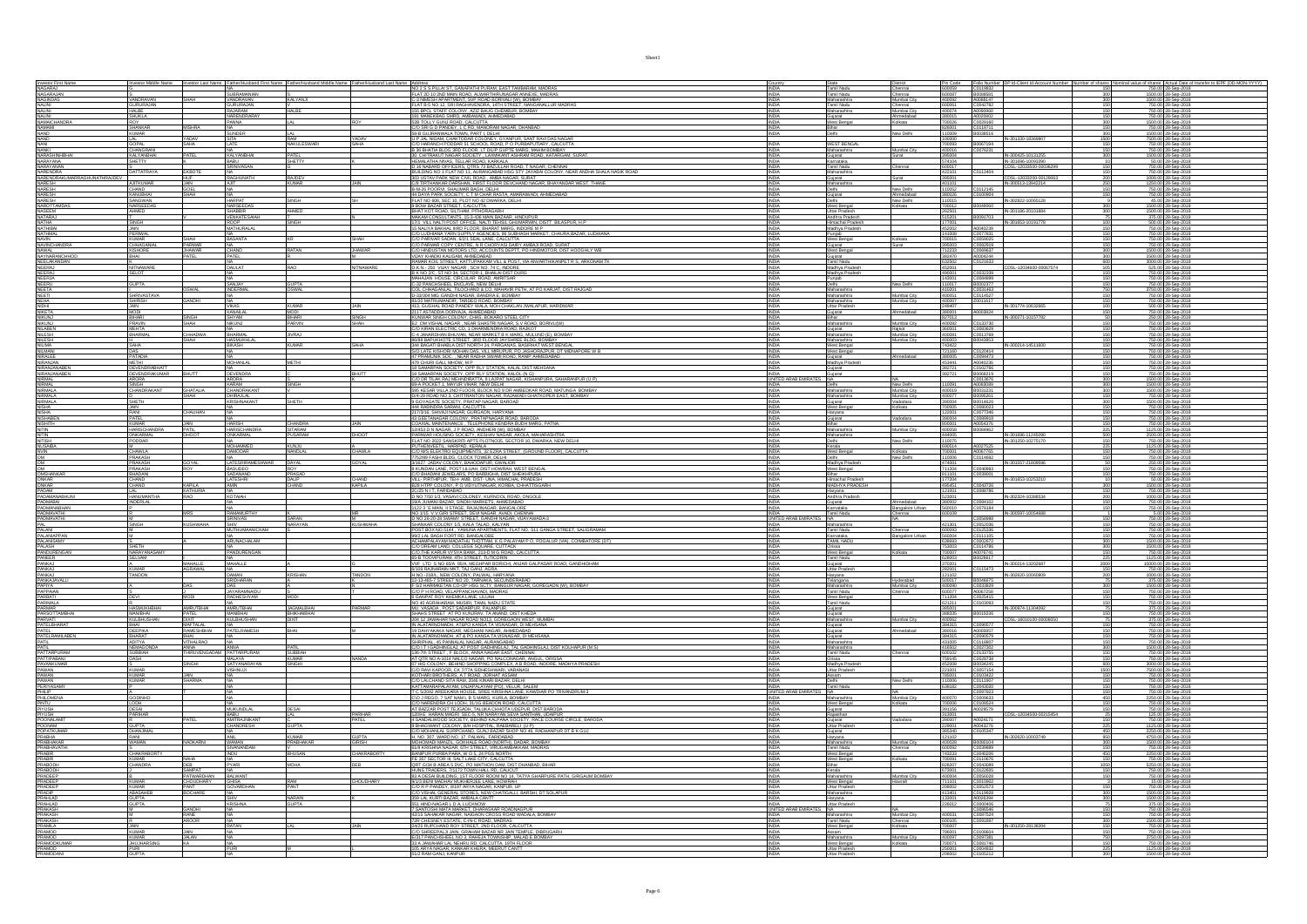|                                                                                                                                                                                                                               |                                             |                           | Investor Last Name Father/Husband First Nam |                         |                  | NO 2 S S PILLAI ST, GANAPATHI PURAM, EAST TAMBARAM, MADRAS                                                                                                                                                                                                                                                   |                                   | State<br>Tamil Nadu                                                          | Pin Code<br>600059                 |                                                  |                                                     | f shares Actual Date of transfer to IEP<br>750.00 28-Sep-2018    |
|-------------------------------------------------------------------------------------------------------------------------------------------------------------------------------------------------------------------------------|---------------------------------------------|---------------------------|---------------------------------------------|-------------------------|------------------|--------------------------------------------------------------------------------------------------------------------------------------------------------------------------------------------------------------------------------------------------------------------------------------------------------------|-----------------------------------|------------------------------------------------------------------------------|------------------------------------|--------------------------------------------------|-----------------------------------------------------|------------------------------------------------------------------|
| Investor First Name<br>NAGARAJ<br>NAGARAJAN<br>NAGINDAS                                                                                                                                                                       |                                             |                           |                                             |                         |                  |                                                                                                                                                                                                                                                                                                              | <b>INDIA</b>                      | Chennai                                                                      |                                    | Folio Number<br>C0119832<br>B0088581<br>A0088147 |                                                     |                                                                  |
|                                                                                                                                                                                                                               | VANDRAVAN<br><b>GURURAJAN</b>               | SHAH                      | SUBRAMANIAN<br>VANDRAVAN<br>GURURAJAN       | KALYANJI                |                  | FLAT 2D 10 2ND MAIN ROAD, ALWARTHIRUNAGAR ANNEXE, MADRAS C-3 NIMESH APARTMENT, SVP ROAD BORIVALI (W), BOMBAY<br>FLAT B-5 NO 12. SRI RAGHAVENDRA, 14TH STREET, NANGANALLUR MADRAS                                                                                                                             | INDIA<br>INDIA<br><b>INDIA</b>    | Tamil Nadu<br>Maharashtra<br>Chennai<br>Mumbai City<br>Tamil Nadu<br>Chennai | 600087<br>400092<br>600061         | C0042782                                         | $\frac{300}{300}$                                   | 1500.00 28-Sep-2018<br>1500.00 28-Sep-2018<br>750.00 28-Sep-2018 |
| NALINI<br>NALINI<br>NALINI                                                                                                                                                                                                    |                                             |                           |                                             | HAI RF                  |                  | FIXE BPOL STAFF COLONY, AZIZ BAUG CHEMBUR, BOMBAY<br>155 BPCL STAFF COLONY, AZIZ BAUG CHEMBUR, BOMBAY<br>1591 MANEKBAG SMRD, MIMEONADI, AHMEONBAD<br>220 TOLLY GUNJ ROAD, CALCUTTA<br>220 SRI G D PANDEY, L C RD, MANORAM NAGAR, DHANBA                                                                      |                                   | Mimhai City<br>Maharashtra                                                   | 400074                             | A0090960                                         |                                                     |                                                                  |
|                                                                                                                                                                                                                               | SHUKLA                                      |                           | NARENDRARAY<br>PANNA                        |                         |                  |                                                                                                                                                                                                                                                                                                              | <b>INDIA</b><br>INDIA             | hmedabad<br>Gujarat<br>West Bengal<br>Kolkata                                | 380015<br>700026                   | A0020802<br>C0029160                             | 300                                                 | 750.00 28-Sep-2018<br>1500.00 28-Sep-2018                        |
| NAMAICHANDRA<br>NAMAMI<br>NAND                                                                                                                                                                                                | <b>SHANKAR</b>                              |                           |                                             |                         |                  |                                                                                                                                                                                                                                                                                                              | <b>INDIA</b>                      | Bihar                                                                        | 826001                             | C0118711                                         |                                                     | 750.00 28-Sep-2018                                               |
|                                                                                                                                                                                                                               | KUMAR                                       | YADAV<br>SAHA             | <b>SUNDER</b>                               | RAM                     | YADAV<br>SAHA    | 58-B GUJRANWALA TOWN, PART I, DELHI                                                                                                                                                                                                                                                                          | <b>INDIA</b>                      | New Delhi<br>Delhi                                                           | 110009                             | B0038516                                         | 300<br>IN-301330-18369907<br>1500                   | 1500.00 28-Sep-2018                                              |
|                                                                                                                                                                                                                               | LAL<br>GOPAL                                |                           | SITA<br>LATE                                | <b>NAKULESWAR</b>       |                  | J P JAL NIGAM, CHAKTODAR COLONEY, GYANPUR, SANT RAVI DAS NAGAR, CO HARANCH PODDAR 51 SCHOOL ROAD, P O PURBAPUTIARY, CALCUTTA<br>B 36 BHATIA BLDG 3RD FLOOR, LT DILIP GUPTE MARG, MAHIM BOMBAY                                                                                                                | <b>INDIA</b>                      | <b>WEST BENGAL</b>                                                           | 100000                             | B0067194<br>C0076231                             |                                                     | 7500.00 28-Sep-2018<br>750.00 28-Sep-2018<br>750.00 28-Sep-2018  |
| MAND<br>MANI<br>MANIKI<br>MARASHINHBHAI<br>MARAYANA                                                                                                                                                                           | CHANGRANI<br>KALYANBHAI                     | PATEL                     | <b>KALYANBHAI</b>                           | PATEL                   |                  |                                                                                                                                                                                                                                                                                                              | <b>INDIA</b><br>INDIA             | Maharashtra<br>Mumbai City<br>Gujarat<br>kurat -                             | 400016<br>395004                   |                                                  | IN-300425-10131255<br>300                           | 1500.00 28-Sep-2018                                              |
|                                                                                                                                                                                                                               |                                             |                           | BABU<br>SRINIVASAN                          | SHETTY                  |                  | , 30 CHITRANDI INGGAS SOCIETY, LAXMINANT ASHRAM ROAD, KATARGAM, SURAT.<br>HEMALATHA NIVAS, TELLAR ROAD, KARKALAI ROAD, T. NAGAR, CHENNAI<br>JBUILDING NO 1 FLAT NO 11, AURANGABAD HSG STY JAVABAR, COLONY, NEAR ANDHA SHALA NASIK RO                                                                         | <b>INDIA</b><br><b>INDIA</b>      | Karnataka<br>Tamil Nadu<br>Chennai                                           | 574104                             |                                                  | IN-301696-10093390<br>CDSL-12033500-00036299        | 50.00 28-Sep-2018                                                |
| NARAYANAN<br>NARENDRA<br>NARENDRAKUMARRAGHUNATHRAJDEV                                                                                                                                                                         | S<br>DATTATRAYA                             | EKBOTE                    |                                             |                         |                  |                                                                                                                                                                                                                                                                                                              |                                   | Maharashtra                                                                  | 600017<br>422101                   | C0112404                                         | CDSL-12033200-00129063                              | 750.00 28-Sep-2018<br>750.00 28-Sep-2018                         |
|                                                                                                                                                                                                                               |                                             | HUF                       | RAGHUNATH                                   | <b>RAIDEV</b>           |                  | BRUAINS MOT THAN 1992 COMPARING MISSION COMPANY AND MANUSCRIPT AND A SUBJECT OF A SUBJECT OF A SUBJECT OF A SUBJECT OF A SUBJECT OF A SUBJECT OF A SUBJECT OF A SUBJECT OF A SUBJECT OF A SUBJECT OF A SUBJECT OF A SUBJECT OF                                                                               |                                   | Gujarat<br>Surat<br>Maharashtra                                              | 395001<br>401101                   |                                                  | IN-300513-13942214                                  | 1000.00 28-Sep-2018<br>250.00 28-Sep-2018                        |
|                                                                                                                                                                                                                               | CHAND                                       | GOEL                      |                                             |                         |                  |                                                                                                                                                                                                                                                                                                              | INDIA                             | New Delhi<br>Delhi                                                           | 110052                             | C0112145                                         |                                                     | 750.00 28-Sep-2018                                               |
|                                                                                                                                                                                                                               | KANUBHAI<br>SANGWAN                         | SHAH                      |                                             | SINGH                   |                  |                                                                                                                                                                                                                                                                                                              | <b>INDIA</b><br><b>INDIA</b>      | Gujarat<br>Ahmedabad<br>New Delhi<br>Delhi                                   | 380026<br>110015                   | C0100904                                         | IN-302822-10065128                                  | 750.00 28-Sep-2018<br>45.00 28-Sep-2018                          |
|                                                                                                                                                                                                                               | NARSEEDAS<br>NHMED                          |                           | NARSEEDAS<br>SHARRIR                        | <b>AHMED</b>            |                  | 8 BOW BAZAR STREET, CALCUTTA                                                                                                                                                                                                                                                                                 | INDIA                             | West Bengal<br>Kolkata                                                       | 700012<br>262501                   | B0049060                                         | IN-301186-20101884                                  | 1500.00 28-Sep-2018                                              |
| NARESH<br>NARESH<br>NARESH<br>NASOTTAMDAS<br>NASEEM<br>NATHA<br>NATHAMAL<br>NATHAMAL<br>NATHAMAL<br>NATHAMAL                                                                                                                  |                                             |                           | <b>VENKATESAIAH</b>                         |                         |                  | BHAT KOT ROAD, SILTHAM, PITHORAGARH<br>MAKAM CONSULTANTS, 15-3-436 MAIN BAZAAR, HINDUPUR                                                                                                                                                                                                                     | INDIA<br>INDIA                    | Uttar Pradesh<br>Andhra Pradesh                                              | 515201                             |                                                  | $\frac{10040239}{10040239}$                         | 375.00 28-Sep-2018                                               |
|                                                                                                                                                                                                                               | I<br>SINGH<br>JAIN                          |                           | ROOP<br>MATHURALAL                          | SINGH                   |                  | 17/1 VILL NALTI POST OFFICE, NALTI TEHSIL GHUMARWN, DISTT BILASPUR, H.P. 15 NALYA BAKHAL IIRD FLOOR, BHARAT MARG, INDORE M P                                                                                                                                                                                 | INDIA<br>INDIA                    | Himachal Pradesh<br>Madhya Pradesh                                           | 177001<br>452002                   |                                                  |                                                     | 500.00 28-Sep-2018<br>750.00 28-Sep-2018                         |
| <b>NAVIN</b>                                                                                                                                                                                                                  | <b>PERIWAL</b><br><b>KUMAR</b>              | SHAH                      | BASANTA                                     |                         | SHAH             | C/O LUDHIANA YARN SUPPLY AGENCIES, 86 SUBHASH MARKET, CHAURA BAZAR, LUDHIANA                                                                                                                                                                                                                                 | INDIA<br><b>INDIA</b>             | Punjab<br>West Bengal<br>Kolkata                                             | 141008<br>700015                   | C0077831<br>C0059025                             |                                                     | 750.00 28-Sep-2018<br>750.00 28-Sep-2018                         |
| <b>NAVINCHANDRA</b>                                                                                                                                                                                                           | CHHAGANIAL                                  |                           |                                             |                         |                  |                                                                                                                                                                                                                                                                                                              | <b>INDIA</b>                      | Surat<br>Gujarat                                                             | 395003                             | C0082919                                         |                                                     | 750.00 28-Sep-2018                                               |
|                                                                                                                                                                                                                               | KISHORE<br>BHAI                             | JHAWAR<br>PATEL           | CHAND<br>PATEL                              | RATAN                   | <b>JHAWAR</b>    | CO DORRINA SARA SUPET PARTICULA DE SUBDIVISTI INVOLUTION SUPER CONTRACTOR CONTRACTOR DE CONTRACTOR DE CONTRACTOR DE CONTRACTOR DE CONTRACTOR DE CONTRACTOR DE CONTRACTOR DE CONTRACTOR DE CONTRACTOR DE CONTRACTOR DE CONTRACT                                                                               | INDIA<br>INDIA                    | West Bengal<br>Gujarat                                                       | 712233<br>382470                   | C0069637<br>A0004244                             | $\frac{300}{300}$                                   | 1500.00 28-Sep-2018<br>1500.00 28-Sep-2018                       |
|                                                                                                                                                                                                                               |                                             |                           |                                             |                         |                  |                                                                                                                                                                                                                                                                                                              | INDIA                             | Tamil Nadu                                                                   | 632502                             | C0121633                                         | 600                                                 | 3000.00 28-Sep-2018                                              |
|                                                                                                                                                                                                                               | NITNAWARE<br>SELOT                          |                           | DAULAT                                      |                         | <b>NITNAWARE</b> | D.K.N.- 250 VIJAY NAGAR . SCH NO. 74 C. INDORE<br>B K NO 2/C, ST NO 34, SECTOR-1, BHAILAI DIST DURG                                                                                                                                                                                                          | <b>INDIA</b><br><b>INDIA</b>      | Madhya Prader<br>Madhya Prades!                                              | 452001<br>490001                   | C0032339                                         | 105                                                 | 525.00 28-Sep-2018<br>750.00 28-Sep-2018                         |
|                                                                                                                                                                                                                               | <b>GUPTA</b>                                |                           |                                             |                         |                  |                                                                                                                                                                                                                                                                                                              | <b>INDIA</b>                      | Punjab<br>lew Delhi                                                          | 143001 C0084899<br>110017 B0002377 |                                                  |                                                     | 750.00 28-Sep-2018                                               |
|                                                                                                                                                                                                                               |                                             | OSWAL                     | SANJAY<br>INDERMAL                          | GUPTA<br>OSWAL          |                  |                                                                                                                                                                                                                                                                                                              | <b>INDIA</b><br>INDIA             | Delhi<br>Maharashtra                                                         | 410201                             |                                                  | 150<br>750                                          | 750.00 28-Sep-2018<br>3750.00 28-Sep-2018                        |
| NAVAL<br>NAVAL<br>NAVARANOM<br>NEERA<br>NEERA<br>NEERA<br>NEERA<br>NEETA<br>NEETA<br>NEETA<br>NEETA<br>NEETA<br>NEETA<br>NEETA<br>NEETA                                                                                       | SHRIVASTAVA<br><b>SHIRISH</b>               | GANDHI                    |                                             |                         |                  | US AN 2CL, SI NO 28, SECURAR ROAD, AMBITSAR<br>CCL PANCHISTIER ENGLAR ROAD, AMBITSAR<br>CCL PANCHISTIER ENGLAR ROAD, AMBITSAR<br>CCL CHHAGANLAL TILOCHAND & CO, MAHAVIR PETH, AT PO KARJAT, DIST RAJGAD<br>CCL CHHAGANLAL TILOCHAND & CO,                                                                    | <b>INDIA</b><br><b>INDIA</b>      | Mumbai City<br>Maharashtra<br>Maharashtra<br>Mumbai City                     | 400051<br>400007                   | C0031463<br>C0114527<br>Z0011617                 |                                                     | 750.00 28-Sep-2018<br>750.00 28-Sep-2018                         |
| NIDHI<br>NIKETA<br>NIKUNJ<br>NIKUNJ<br>NILABEN                                                                                                                                                                                | <b>JAIN</b>                                 |                           | <b>VIKAS</b>                                | <b>KUMAR</b>            | <b>JAIN</b>      | 413, GUGHAL ROAD PANDEY WALA, MOH CHAKLAN JWALAPUR, HARIDWAR                                                                                                                                                                                                                                                 | INDIA                             | Uttar Pradesh<br>hmedahad                                                    | 249407                             | A0003824                                         | IN-301774-10632665                                  | 500.00 28-Sep-2018                                               |
|                                                                                                                                                                                                                               | MODI<br>Bihari                              | SINGH                     | KANAILA<br>SHYAM<br>NIKUNJ                  | MODI<br>BIHARI          | SINGH            | 413, SUGORA NORU PARA AHMEDARAN<br>2117 ASTADDA DORVAJA, AHMEDARAN<br>KUMWAR SINGH COLONY, CHAS, BOKARO STEEL CITY<br>2017 ASTADDA DORVAJA, AHMEDARAN NAGAR, S.V. ROAD, BORIVLIV<br>20 KIRAN ELECTRIC CO., 1 DHARMENDRA ROAD, RAJKOT 1110,                                                                   | INDIA                             | Gujarat<br>Bihar                                                             | 380001<br>827013                   |                                                  | IN-300271-10157782                                  | 750.00 28-Sep-2018<br>250.00 28-Sep-2018                         |
|                                                                                                                                                                                                                               | PRAVIN<br>MEHTA                             | SHAH                      |                                             | PARVIN                  |                  |                                                                                                                                                                                                                                                                                                              | <b>INDIA</b><br>INDIA             | Vlumbai City<br>Maharashtra                                                  | 400092<br>360001                   |                                                  |                                                     | 750.00 28-Sep-2018<br>750.00 28-Sep-2018                         |
| <b>NILESH</b>                                                                                                                                                                                                                 | BHARMAL                                     | <b>CHHADWA</b>            | BHARMAL                                     | <b>JIVRAJ</b>           |                  | C-4 JANARDHAN BHUVAN, NEAR MARKET B K MARG, MULUND (E), BOMBA                                                                                                                                                                                                                                                | <b>INDIA</b>                      | Gujarat<br>Rajkot<br>Maharashtra<br>Mumbai City                              | 400081                             | C0083629<br>C0013769                             |                                                     | 750.00 28-Sep-2018                                               |
| NILESH<br>NILIMA                                                                                                                                                                                                              | Saha                                        |                           | HASMI IKHI AI<br>BIKASH                     | <b>KUMAR</b>            | SAHA             | SE ARREST STREET, SED FLOOR AN'SHREE BLOG, BOMBAY<br>346 BARJIKHOTE STREET, SED FLOOR AN'SHREE BLOG, BOMBAY<br>346 BARJIKHOTE STREET, SED FLOOR AN'SHREE BLOG, BOMBAY<br>47 PRAMUNIK SOC, NEAR RADHA SWAMI ROAD, RANIP APMEDABAD<br>47                                                                       | <b>INDIA</b><br>INDIA             | Mumbai City<br>Maharashtra<br>West Bengal                                    | 400003<br>743422                   | B0043853                                         | IN-300214-14511600                                  | 750.00 28-Sep-201<br>750.00 28-Sep-2018                          |
|                                                                                                                                                                                                                               | DAS<br>PATADIA                              |                           |                                             |                         |                  |                                                                                                                                                                                                                                                                                                              | INDIA<br>INDIA                    | West Bengal                                                                  | 721160<br>380005                   |                                                  | $\frac{150}{150}$                                   | 750.00 28-Sep-2018<br>750.00 28-Sep-2018                         |
| NILMANI<br>NIRALEE<br>NIRANJAN<br>NIRANJANABEN                                                                                                                                                                                | <b>METHI</b>                                |                           | MOHANLAL                                    | <b>METHI</b>            |                  |                                                                                                                                                                                                                                                                                                              | INDIA                             | <b>Mmedabad</b><br>Gujarat<br>Madhya Pradesh                                 | 453441                             | C0120414<br>C0094473<br>A0040236                 |                                                     | 750.00 28-Sep-2018                                               |
|                                                                                                                                                                                                                               | <b>DEVENDRABHATT</b><br><b>DEVENDRAKUMA</b> | <b>RHITT</b>              | DEVENDRA                                    |                         | BHUTT            | 479 CHURI GALI, MHOW, M P<br>18 SAMARPAN SOCIETY. OPP RLY STATION. KALAL DIST MEHSANA<br>18 SAMARPAN SOCIETY. OPP RLY STATION. KALOL IN G)                                                                                                                                                                   | <b>INDIA</b><br><b>INDIA</b>      | Guiarat<br>Guiarat                                                           | 382721<br>382721                   | C0102766<br>B0068219                             |                                                     | 750.00 28-Sep-2018<br>750.00 28-Sep-2018                         |
| NIRANJANABEN<br>NIRANJANABEN<br>NIRAMAL<br>NIRMALA<br>NIRAMALA<br>NISHA<br>NISHA<br>NISHA<br>NISHA<br>NISHA<br>NISHA<br>NISHA<br>NISHA<br>NISHA                                                                               | ARORA<br>SINGH                              |                           | ARORA<br>KARAM                              |                         |                  | COORE TILAK KAJ MEHADIRATTA, 8 LAJPAT NAGAR, KISHANPURA, SAHARANPUR (U P)<br>1994 POCKET 1, MAYUR VIHAR, NEW DEUH<br>1995 KESAR VILLA 2ND FLOOR, BLOCK NO 9 DR AMBEDKAR ROAD, MATUNGA BOMBAY                                                                                                                 | UNITED ARAB EMIRATES NA           |                                                                              |                                    | C0013676<br>A0083089                             | 300                                                 | 1500.00 28-Sep-2018                                              |
|                                                                                                                                                                                                                               | CHANDRAKAN                                  | <b>GHATALIA</b>           | CHANDRAKAN                                  | S<br>NGH                |                  |                                                                                                                                                                                                                                                                                                              | <b>INDIA</b>                      | New Delhi<br>Maharashtra<br>Mumbai City                                      | 110091<br>400019                   | B0031231                                         | 300                                                 | 1500.00 28-Sep-2018                                              |
|                                                                                                                                                                                                                               | SHETH                                       | HAH                       | HIRAJLAL<br>KRISHNAKANT                     | <b>SHETH</b>            |                  | D/4-29 ROAD NO 3. CHITTRANTON NAGAR. RAJAWADI GHATKOPER EAST. BOMBAY<br>9 GOYAGATE SOCIETY, PRATAP NAGAR, BAROAD                                                                                                                                                                                             | <b>INDIA</b><br>INDIA             | Maharashtra<br>Mumbai City<br>Gujarat<br>Vadodara                            | 400077<br>390004                   | B0095261<br>B0014620                             | 300                                                 | 750.00 28-Sep-2018<br>1500.00 28-Sep-2018                        |
|                                                                                                                                                                                                                               |                                             |                           |                                             |                         |                  |                                                                                                                                                                                                                                                                                                              |                                   | West Bengal<br>Kolkata                                                       |                                    |                                                  |                                                     | 750.00 28-Sep-2018<br>750.00 28-Sep-2018                         |
|                                                                                                                                                                                                                               | JAIN<br>RANI<br>PATEL<br>KUMAR              | CHAUHAN                   |                                             |                         |                  | A MARINDRA SARAHI, CHADITTA<br>1941 NARINDRA SARAHI, CALCUITTA<br>1941 NARINDRA SARAHI, CALCUITTA<br>1973 NARINDRA SARAHI, CALCUITTA<br>1974 NARINDRA SARAHI, CHADRA NARINDRA ROAD, BARODA<br>1974 NARINDRA ALI PERPILANDRERI INYI, BOHBAY<br>19                                                             | <b>INDIA</b>                      | Haryana<br>Vadodara<br>Gujarat                                               | 700005<br>122001<br>390004         | C0080023<br>C0077346<br>C0089918                 | 150                                                 | 750.00 28-Sep-2018                                               |
|                                                                                                                                                                                                                               |                                             | JAIN                      | <b>HARISH</b>                               | CHANDRA<br>SITARAM      | <b>JAIN</b>      |                                                                                                                                                                                                                                                                                                              | <b>INDIA</b>                      | Bihar                                                                        | 800001                             | A0054376                                         | 150                                                 | 750.00 28-Sep-2018                                               |
|                                                                                                                                                                                                                               | HARISCHANDRA<br>ONKARMAL                    | PATIL<br>DHOOT            | <b>HARISCHANDRA</b><br>ONKARMAL             | PUSARAM                 | DHOOT            |                                                                                                                                                                                                                                                                                                              | <b>INDIA</b><br><b>INDIA</b>      | Mumbai City<br>Maharashtra<br>Maharashtra                                    | 400058<br>444005                   | B0084962                                         | 225<br>IN-301696-11245090<br>500                    | 1125.00 28-Sep-2018<br>2500.00 28-Sep-2018                       |
| NITIN<br>NITISH<br>NUSABA<br>NVIN<br>OM<br>OM                                                                                                                                                                                 |                                             |                           | <b>MOHAMMED</b>                             |                         |                  | LARSKO MURSKO, ZE POZNA ZARANSKO WAGAR, AKOLA, MANARASHTRA<br>PARIWAR HOUSING SOGIETY, KESHAY NAGAR, AKOLA, MANARASHTRA<br>PATH MOZZO SANSKIRI PATIS PACINGAS. SECTOR 10. DWARKA, NEW DELHI<br>COL MAS ELEKTRO EQUIPMENTS, SIZ EZRA STR                                                                      |                                   | New Delhi                                                                    | 690514                             | A0027525                                         |                                                     | 1125.00 28-Sep-2018                                              |
|                                                                                                                                                                                                                               |                                             |                           | <b>DAMODAR</b>                              | <b>KUNJU</b><br>NANDLAL | CHAWLA           |                                                                                                                                                                                                                                                                                                              | <b>INDIA</b><br>INDIA             | Kerala<br>West Bengal<br>lolkata<br>Jow Delhi                                | 700001<br>110006                   |                                                  |                                                     |                                                                  |
|                                                                                                                                                                                                                               | <u>CHAWLA</u><br>PRAKASH<br>PRAKASH         |                           | <b>LATESRIRAMESHWA</b>                      |                         |                  |                                                                                                                                                                                                                                                                                                              |                                   | Delhi<br>Madhya Pradesh                                                      |                                    | A0067765<br>C0114692                             |                                                     | 750.00 28-Sep-2018<br>750.00 28-Sep-2018                         |
|                                                                                                                                                                                                                               |                                             |                           |                                             |                         |                  |                                                                                                                                                                                                                                                                                                              |                                   |                                                                              |                                    |                                                  |                                                     |                                                                  |
|                                                                                                                                                                                                                               | PRAKASH                                     | GOYAL                     | <b>BASUDEO</b>                              | DAYAL<br>ROY            | GOYAL            | 3/1627 JADAV COLONY, BAHODAPUR, GWALIOR<br>8 KUNDAN LANE. POST LILUAH. DIST HOWRAH, WEST BENGA                                                                                                                                                                                                               | INDIA<br><b>INDIA</b>             | West Bengal                                                                  | 474001<br>711204                   | C0040993                                         | IN-301557-21809596                                  | 250.00 28-Sep-2018<br>750.00 28-Sep-2018                         |
|                                                                                                                                                                                                                               | BHADANI                                     |                           | SADANAND                                    | PRASAD                  |                  |                                                                                                                                                                                                                                                                                                              | <b>INDIA</b>                      | Bihar                                                                        | 811101                             | C0039001                                         |                                                     |                                                                  |
|                                                                                                                                                                                                                               | CHAND<br>CHAND                              |                           | LATESHRI<br>AMIN                            | <b>DALIP</b><br>CHAND   | CHAND<br>KAPILA  |                                                                                                                                                                                                                                                                                                              | INDIA<br>INDIA                    | Himachal Pradesh<br>MADHYA PRADESH                                           | 177204<br>495451                   |                                                  | $\frac{\text{IN-301653-10253210}}{\text{C0043726}}$ | 750.00 28-Sep-2018<br>50.00 28-Sep-2018<br>1500.00 28-Sep-2018   |
|                                                                                                                                                                                                                               | <b>HANLIMANTH</b>                           | KAPILA<br>KATHURIA        | KOTAIAH                                     |                         |                  |                                                                                                                                                                                                                                                                                                              | <b>INDIA</b><br><b>INDIA</b>      | Haryana<br>Andhra Pradest                                                    | 121001<br>523001                   | C0088786                                         |                                                     | 750.00 28-Sep-2018<br>1000.00 28-Sep-2018                        |
|                                                                                                                                                                                                                               | <b>INDERLAL</b>                             |                           |                                             |                         |                  | A DIAMANCANE PASTIGADAL INSTANTANTA PASTA DENSA<br>CO BHADAN JEVELARS, PO BARBOHA DIST SHEROPURA<br>VILL PRINIPUR, TEH AMB, DIST, UNA HAMCHA, PRADESH<br>EZA HITP COLONY, P. O VIDYUTNAGAR, KORBA, CHIATTISGARH<br>2028 N.T.T. ANDRAN COLO<br>19/A JUMANI BAZAR, SINDHI MARKETS, AHMEDABAD                   | <b>INDIA</b>                      | Gujarat<br>Ahmedabad                                                         | 380002                             | C0084102                                         |                                                     | 750.00 28-Sep-2018                                               |
|                                                                                                                                                                                                                               |                                             |                           | .<br>MAMIRTHY                               |                         |                  |                                                                                                                                                                                                                                                                                                              |                                   | Karnataka<br>Tamil Nadu<br>Bangalore Urban<br>Chennai                        |                                    | C0078184                                         | IN-300597-10054688                                  | 750.00 28-Sep-2018                                               |
| OM<br>OMSHANKAR<br>ONGHANKAR<br>ONGAR<br>PADMANARHUNI<br>PADMANARHAN<br>PADMANARHAN<br>PADMANATHI<br>PADMANATHI<br>PADMANATHI                                                                                                 | <sub>M</sub><br>SINGH                       | <b>KUSHWAHA</b>           | SRINIVAS                                    | SARAN<br>NARAYAN        | M<br>KUSHWAHA    | 1122 3 E MAIN, II STAGE, RAJAJINAGAR, BANGALORE<br>NO.1/15 V.V.GIRI STREET, DEVI NAGAR, AVADI, CHENNAI<br>D NO 26-20-28 SWAMY STREET, GANDHI NAGAR, VIJAYAWADA-3                                                                                                                                             | UNITED ARAB EMI<br><b>INDIA</b>   | <b>NA</b><br>Maharashtra                                                     | 421301                             | C0058988                                         |                                                     | 750.00 28-Sep-2018<br>750.00 28-Sep-2018                         |
| PAL<br>PALANI                                                                                                                                                                                                                 |                                             |                           | MUTHUMAANICKAI                              |                         |                  | SHANKAR COLONY 1/5, KALA TALAO, KALYAN<br>POST BOX NO.5144 , YAMUNA APARTMENTS, FLAT NO. S11 GANGA STREET, SALIGRAMA                                                                                                                                                                                         | <b>INDIA</b>                      | Tamil Nadu<br>Chennai                                                        | 600093                             | C0052036<br>C0125336                             |                                                     | 750.00 28-Sep-2018                                               |
|                                                                                                                                                                                                                               |                                             |                           | ARUNACHALAM                                 |                         |                  |                                                                                                                                                                                                                                                                                                              | <b>INDIA</b><br><b>INDIA</b>      | Bangalore Urbar<br>Karnataka<br>TAMIL NADU                                   | 560004                             |                                                  |                                                     |                                                                  |
|                                                                                                                                                                                                                               | SHETH                                       |                           |                                             |                         |                  |                                                                                                                                                                                                                                                                                                              | <b>INDIA</b>                      | elkata                                                                       | 753003                             | C0111105<br>C0002672<br>C0114786                 | 300                                                 | 750.00 28-Sep-2018<br>1500.00 28-Sep-2018<br>1500.00 28-Sep-2018 |
|                                                                                                                                                                                                                               | NARAYANASAMY<br>SELVAM                      |                           | NA<br>PANDURENGAN                           |                         |                  | <b>FOOL BACKWITHE TRIGGENOPHOTOGET - TRIGGENOPHOTOGET - TRIGGENOPHOTOGET - TRIGGENOPHOTOGET - TRIGGENOPHOTOGET - TRIGGENOPHOTOGET - TRIGGENOPHOTOGET - TRIGGENOPHOTOGET - TRIGGENOPHOTOGET - TRIGGENOPHOTOGET - TRIGGENOPHOTOGET</b>                                                                         | <b>INDIA</b><br>INDIA             | Orissa<br>West Bengal<br>Tamil Nadu                                          | 700007 A0076741<br>628003          | B0028617                                         | 150<br>225                                          | 750.00 28-Sep-2018<br>1125.00 28-Sep-2018                        |
|                                                                                                                                                                                                                               | <b>KUMAR</b>                                | <b>MAHALLE</b><br>AGRAWAL | MAHALLE                                     |                         |                  |                                                                                                                                                                                                                                                                                                              | <b>INDIA</b>                      | Gujarat<br>Uttar Pradesh                                                     | 370201<br>282001                   | C0115473                                         | IN-300214-13202687<br>2000                          | 10000.00 28-Sep-2018<br>750.00 28-Sep-2018                       |
| PALANIAPPAN<br>PALANISAMY<br>PALASH<br>PANDURENGAN<br>PANKAJ<br>PANKAJ<br>PANKAJ<br>PANKAJ                                                                                                                                    | TANDON                                      |                           | <b>AMAN</b>                                 | KRISHAN                 | <b>TANDON</b>    | WE LTD S NO 65/A 95/A MEGHPAR BORICHI, ANJAR GALPADAR ROAD, GANDHIDHAM<br>6/106 RAJNARAIN MKT, TAJ GANJ, AGRA                                                                                                                                                                                                | <b>INDIA</b>                      | Haryana                                                                      | 121102                             |                                                  | IN-302620-10060909                                  | 1000.00 28-Sep-2018                                              |
|                                                                                                                                                                                                                               |                                             |                           | ridhara                                     |                         |                  |                                                                                                                                                                                                                                                                                                              | <b>INDIA</b>                      | Telangana<br>Maharashtra<br>Hyderabad<br>Mumbai City                         | 400090                             | 80046675<br>C0033829                             | 300                                                 | 375.00 28-Sep-2018<br>1500.00 28-Sep-2018                        |
| PANKAJAVAL<br>PAPIYA<br>PAPPAJAN<br>PARBATI                                                                                                                                                                                   | <b>DEM</b>                                  |                           | <u>DAS</u><br>JAYARAMNAIDU<br>RADHESHYAM    |                         |                  | 2000 DEMONDATION COLONY, PALWAL, HARYANA<br>1970 - 2134 ANN COLONY, PALWAL, HARYANA<br>1972 - HARRY STREET NO 20. TARNAKA SECUNDER NASAR, GOREGAON (W), BOMBAY<br>200 P H ROAD, VELAPPANCHAVADI, MADRAS<br>6 GANPAT ROY KHEMKA LANE. LILUAH                                                                  | <b>INDIA</b><br><b>INDIA</b>      | Tamil Nadu<br>Chennai<br>West Bengal                                         | 600077<br>711204                   | A0067258<br>C0025415                             |                                                     | 750.00 28-Sep-2018<br>750.00 28-Sep-2018                         |
|                                                                                                                                                                                                                               |                                             | <b>AMRUTRHAL</b>          | <b>AMRUTRHAL</b>                            | <b>JAGMAI RHAI</b>      |                  | NO 40 AGRAHARAM, MUSIRI, TAMIL NADU STATE                                                                                                                                                                                                                                                                    | <b>INDIA</b>                      | Tamil Nadu                                                                   | 621211<br>385001                   | C0103093                                         |                                                     | 750.00 28-Sep-2018                                               |
|                                                                                                                                                                                                                               |                                             | PATEL                     |                                             | BHIKHAIBHAI             |                  |                                                                                                                                                                                                                                                                                                              |                                   | Gujarat                                                                      | 388335                             |                                                  |                                                     | 375.00 28-Sep-2018                                               |
|                                                                                                                                                                                                                               | ::<br>HASMUKHBHAI<br>MANIBHAI<br>KULBHUSHAN | <b>MAFTALAL</b>           | MANIBHAI<br>KULBHUSHAN                      |                         |                  |                                                                                                                                                                                                                                                                                                              | <b>INDIA</b><br><b>INDIA</b>      | fumbai City<br>Maharashtra<br>Guiarat                                        | 400062<br>384315                   |                                                  |                                                     | 375.00 28-Sep-2018<br>750.00 28-Sep-2018                         |
| PARBATI<br>PARMALA<br>PARMAR<br>PARSOTTAMBHAI<br>PATELBHARAT<br>PATEL<br>PATEL<br>PATEL                                                                                                                                       | DEEPIKA                                     | RAMESHBHAI                | PATELRAMESH                                 |                         |                  | WA AVANARARA MASIRI, IAMA DE ALAND SIN ISI<br>1911-YASADA POST SADARPUR, PIA ANNO, DISTRIEDA<br>2014: STREET AT PO KUNJAV, TA ANNO, DISTRIEDA<br>1912: JAWAHAR NAGAR, ROAD NOTS, GOREGAON WEST, MUMBA<br>19 DAPIYAKAKA NAGAR, MEGHANI NAGA                                                                   | <b>INDIA</b>                      | Gujarat<br><b>Ahmedabad</b>                                                  | 380016                             | A0005857                                         | B0015036<br>CDSL-16010100-00008050                  | 750.00 28-Sep-2018                                               |
|                                                                                                                                                                                                                               |                                             | BHAI<br>VITHALRAO         |                                             |                         |                  |                                                                                                                                                                                                                                                                                                              |                                   |                                                                              | 384315<br>431005                   | C0090579<br>C0118807                             |                                                     | 750.00 28-Sep-2018<br>750.00 28-Sep-2018                         |
|                                                                                                                                                                                                                               | NEMAGONDA                                   |                           |                                             |                         |                  |                                                                                                                                                                                                                                                                                                              | INDIA                             | Gujarat<br>Maharashtra<br>Maharashtra<br>hennai                              | 416502                             | C0027302                                         | 300                                                 | 500.00 28-Sep-2018                                               |
|                                                                                                                                                                                                                               | <b>HAIBBU</b><br>DASH                       | ANNA<br>THIRUVENGADA      | <b>ATTARPURAM</b><br>MALAYA                 | <b>SUBBIAH</b><br>KUMAR | NANDA            |                                                                                                                                                                                                                                                                                                              | <b>INDIA</b><br><b>INDIA</b>      | Tamil Nadu<br>Orissa                                                         | 600102<br>759145                   | C0133755<br>C0028738                             | 150                                                 | 750.00 28-Sep-2018<br>750.00 28-Sep-2018                         |
|                                                                                                                                                                                                                               | <b>KUMAR</b>                                | <b>SINGHI</b>             | SATYANARAYAN<br><b>ASHNELI</b>              | SINGHI                  |                  |                                                                                                                                                                                                                                                                                                              | <b>INDIA</b>                      | Madhya Pradesi<br>Uttar Pradesh                                              | 452008                             | B0034245<br>C0057154                             | 600                                                 | 3000.00 28-Sep-2018<br>7500.00 28-Sep-201                        |
|                                                                                                                                                                                                                               |                                             | JAIN                      |                                             |                         |                  |                                                                                                                                                                                                                                                                                                              |                                   | Assam                                                                        | 785001                             |                                                  |                                                     | 750.00 28-Sep-2018                                               |
|                                                                                                                                                                                                                               | KUMAR<br>KUMAR                              | SHARMA                    |                                             |                         |                  |                                                                                                                                                                                                                                                                                                              | <b>INDIA</b><br><b>INDIA</b>      | lew Delhi<br>Delhi<br>Tamil Nadu                                             | 110006<br>638182                   | C0103422<br>C0043020                             | 150<br>150                                          | 750.00 28-Sep-2018<br>750.00 28-Sep-2018                         |
|                                                                                                                                                                                                                               | <b>GODINHO</b>                              |                           |                                             |                         |                  |                                                                                                                                                                                                                                                                                                              | UNITED ARAB EMIRATES NA           | Mumbai City<br>Maharashtra                                                   |                                    | C0097923<br>C0009633                             |                                                     | 750.00 28-Sep-2018<br>2250.00 28-Sep-2018                        |
| PATEL<br>PATEL<br>PATEL<br>PATEL<br>PATEL<br>PATEL<br>PATEL<br>PATEL<br>PANAN<br>PANAN<br>PANAN<br>PANAN<br>PERYASAMY<br>PERYASAMY<br>PERYASAMY<br>PERYASAMY<br>PERYASAMY<br>PERYASAMY<br>PERYASAMY<br>PERYASAMY<br>PERYASAMY | LODH                                        |                           |                                             |                         |                  | CO DAVINAPOUR, CA ZIZZASIDIBSIWANO, VARANNO<br>I CO LACCHARD SITA RAM, ZABERNARIA RASAM<br>I CO LACCHARD SITA RAM, ZABERNARIA RASAM<br>I CO LACCHARD SITA LA MAPALAVAM (PO), VELUE, SALEM<br>I TC SZ2022 AREKVARA HOUSE, SREE KRISHAL ANNE                                                                   | <b>INDIA</b>                      | West Bengal<br>Kolkata                                                       | 400070<br>700006                   |                                                  |                                                     | 750.00 28-Sep-2018                                               |
|                                                                                                                                                                                                                               | DESAL<br>PARIHAR                            |                           | <b>MUKUNDLA</b>                             | DESAI                   |                  |                                                                                                                                                                                                                                                                                                              |                                   | Gujarat<br>Rajasthan                                                         | 391156<br>313001                   | C0108524<br>A0029579                             | CDSL-12034500-00215454                              | 750.00 28-Sep-2018                                               |
|                                                                                                                                                                                                                               |                                             |                           |                                             |                         | PARIHAR<br>PATEL |                                                                                                                                                                                                                                                                                                              |                                   | Vadodara                                                                     | 390007                             |                                                  |                                                     |                                                                  |
|                                                                                                                                                                                                                               | <br>GUPTA<br>DHANJIMAL                      |                           | AMITRAJNIKAN<br>CHANDRESH                   | <b>GUPTA</b>            |                  | CO 2193227 260 Verme 219 SHADON ROAD CALCUITA<br>1. AT APARE POST THUGADH 31106 BEADON ROAD CALCUITA<br>1. AT APARE POST THUGADH 1761 ANA CHAPADA ADDEPIRE TO BET ARRODA<br>1. 2005 - HARAN MAGIN SEC 5, NR MARK AN SOCK TY, RACE CO<br>C/O MOHANLAL SURPCHAND, GUNJ BAZAR SHOP NO 46, RADHANPUR DT B K GUJ  | <b>INDIA</b><br>INDIA<br>INDIA    | Gujarat<br>Uttar Pradesh<br>Gujarat                                          | 229001<br>385340                   | A0024171<br>A0043276<br>C0105347                 | 450                                                 | 750.00 28-Sep-2018<br>1125.00 28-Sep-2018<br>2250.00 28-Sep-2018 |
|                                                                                                                                                                                                                               | RANI                                        |                           | WAMAN                                       | <b>KUMAR</b>            | <b>GUPTA</b>     |                                                                                                                                                                                                                                                                                                              | INDIA<br>INDIA                    |                                                                              | 121102                             |                                                  | 300                                                 | 4750.00 28-Sep-2018                                              |
|                                                                                                                                                                                                                               | WAMAN                                       | NADKARNI                  | SIVANANDAM                                  | PRABHAKAR               | GIRISH           |                                                                                                                                                                                                                                                                                                              | INDIA                             | Haryana<br>Maharashtra<br>Mumbai City<br>Tamil Nadu<br>Chennai               | 400028<br>600092                   | B0080104<br>C0039889                             | 150                                                 | 1500.00 28-Sep-2018<br>750.00 28-Sep-2018                        |
|                                                                                                                                                                                                                               | S<br>CHAKRABORTY<br><b>KUMAR</b>            |                           |                                             | V<br>BHUSAN             | CHAKRABORTY      | CO BURNING THE MAIL IS A MAIL FAIRING AND THE MAIL IN A SAFEKEEP OF A MAIL IS A MAIL IS A MAIL IS A MAIL IS A MAIL IS A MAIL IS A MAIL IS A MAIL IS A MAIL IS A MAIL IS A MAIL IS A MAIL IS A MAIL IS A MAIL IS A MAIL IS A MA                                                                               | <b>INDIA</b><br><b>INDIA</b>      | West Bengal<br>West Bengal<br>Kolkata                                        | 743233<br>700091                   | C0040206<br>C0110676                             | 450                                                 | 2250.00 28-Sep-2018<br>750.00 28-Sep-2018                        |
| PHILOMENA<br>PINTUSH<br>PYUSH<br>POPATKUMA<br>POPATKUMAR<br>PRABHAKAR<br>PRABHAKAR<br>PRABHAKAR<br>PRABHAKAR<br>PRABHAKAR<br>PRABHAKAR<br>PRABHAKAR<br>PRABHAKAR                                                              | CHANDRA                                     | DEB<br>SAMPAT             | <b>YARI</b>                                 | <b>MOHA</b>             | DER              | QRT G/34 B AREA 5 DVC, PO MAITHON DAM, DIST DHANBAD, BIHAR. HUNS TRADERS, 7/1172 TOWN HALL RD, CALICUT                                                                                                                                                                                                       | <b>INDIA</b>                      | Bihar<br>Kerala                                                              | 828207<br>673001                   | C0043089                                         | 1050                                                | 5250.00 28-Sep-2018<br>750.00 28-Sep-2018                        |
| PRABODH<br>PRABODH<br>PRADEEP                                                                                                                                                                                                 |                                             | <b>ATWARDHAN</b>          | BALWANT                                     |                         |                  |                                                                                                                                                                                                                                                                                                              |                                   | Mumbai City<br>Maharashtra                                                   | 400004                             | C0056028                                         |                                                     | 750.00 28-Sep-2018                                               |
|                                                                                                                                                                                                                               | KUMAR<br>KUMAR                              | CHOUDHARY                 | GHISA<br>GOVARDHAI                          | RAM<br>PANT             | CHOUDHARY        |                                                                                                                                                                                                                                                                                                              | <b>INDIA</b><br><b>INDIA</b>      | West Bengal<br>Uttar Pradesh<br>kwrah                                        | 711101<br>208002                   | C0010902<br>C0052573                             |                                                     | 15.00 28-Sep-2018<br>750.00 28-Sep-2018                          |
|                                                                                                                                                                                                                               | ABASAHEB<br>GUPTA                           | <b>BOCHARE</b>            |                                             | <b>NARAIN</b>           |                  | <b>1990 - DEN BULDING, IST FLOOR ROOM NO 14, TATYA GHARPURE PATH, GIRGALIM BOMBAY</b><br>1991/3 BENI MADHAV MUKHERJEE LANE, HOWRAH<br>1990 R. P. PANDEY, AN 1970 ARYANGARA, KANPUR, UP<br>1990 R. PANDEY, AN 1970 R. ANDRO AJEMA CHANDIS, UP                                                                 | INDIA<br><b>INDIA</b>             | Maharashtra<br>Haryana                                                       | 413401<br>133001                   | C0119928<br>A0026394                             | 300                                                 | 1500.00 28-Sep-2018<br>1500.00 28-Sep-2018                       |
|                                                                                                                                                                                                                               | <b>GUPTA</b>                                |                           | <b>KRISHNA</b>                              | <b>GUPTA</b>            |                  | C/O VISHAL GENERAL STORES, NEW CHATIGALLI, BARSHI, DT SOLAPUR.<br>359 LAL KURTI BAZAR, AMBALA CANTT                                                                                                                                                                                                          | <b>INDIA</b>                      |                                                                              | 226012                             |                                                  |                                                     |                                                                  |
|                                                                                                                                                                                                                               |                                             |                           |                                             |                         |                  |                                                                                                                                                                                                                                                                                                              |                                   | Mumbai City                                                                  | 400031                             |                                                  |                                                     |                                                                  |
|                                                                                                                                                                                                                               |                                             | GANDHI<br>RANE<br>AROOR   |                                             |                         |                  |                                                                                                                                                                                                                                                                                                              | UNITED ARAB EMI<br>INDIA<br>INDIA | Uttar Pradesh<br>NA<br>Maharashtra<br>Tamil Nadu<br>Chennai                  |                                    | C0000406<br>C0066546<br>C0087524<br>C0091897     |                                                     | 375.00 28-Sep-2018<br>750.00 28-Sep-2018<br>750.00 28-Sep-2018   |
| PRADEEP<br>PRADEEP<br>PRAHLAD<br>PRAHLAD<br>PRAKASH<br>PRAKASH<br>PRAKASH<br>PRAKASH<br>PRAKASH<br>PRAKASH                                                                                                                    | <b>MIAL</b><br><b>KUMAR</b>                 | <b>JAIN</b>               |                                             |                         |                  | 381 DIMONDADA LO ALIDONOVI<br>1984 NOVEMBRICA DI ANDRE CHARASSAR ROADMAGPUR<br>1984 SAMUAR NAMARE LONARON CROSS ROAD WADALA, BOMBAY<br>1985 SAMAAR NAMAR, NAMARON CROSS ROAD WADALA, BOMBAY<br>1987 DIESBREY ESTATE, CANC ROAD, MADRAS<br>198<br>C/O SHREEPALJI JAIN, GRAHAM BAZAR NR JAIN TEMPLE, DIBRUGARH | <b>INDIA</b>                      | West Bengal<br><b>Colkata</b><br>Assam                                       | 600105<br>700007<br>786001         | C0108604                                         | IN-301250-28138204                                  | 1500.00 28-Sep-2018<br>750.00 28-Sep-2018<br>750.00 28-Sep-2018  |
| PRAMOD<br>PRAMOD<br>PRAMODKUMAR<br>PRAMOD                                                                                                                                                                                     | <b>JHUJHARSING</b>                          | MA IAL.                   |                                             |                         |                  | E/317 PANCHSHEEL NO 3, RAHEJA TOWNSHIP, MALAD E BOMBAY                                                                                                                                                                                                                                                       |                                   | Maharashtra<br>Mumhai City<br>West Bengal<br><b>Colkata</b>                  | 400097<br>700071                   | C0097381<br>C0081746                             |                                                     | 3750.00 28-Sep-20<br>750.00 28-Sep-2018                          |

PRAMODANI GUPTA NA NA NA SIZ RAMGANJ, KANPUR INDIA DITELERTRADESH NA NA 208002 C0105212 1 300 1500.00 28-Sep-2018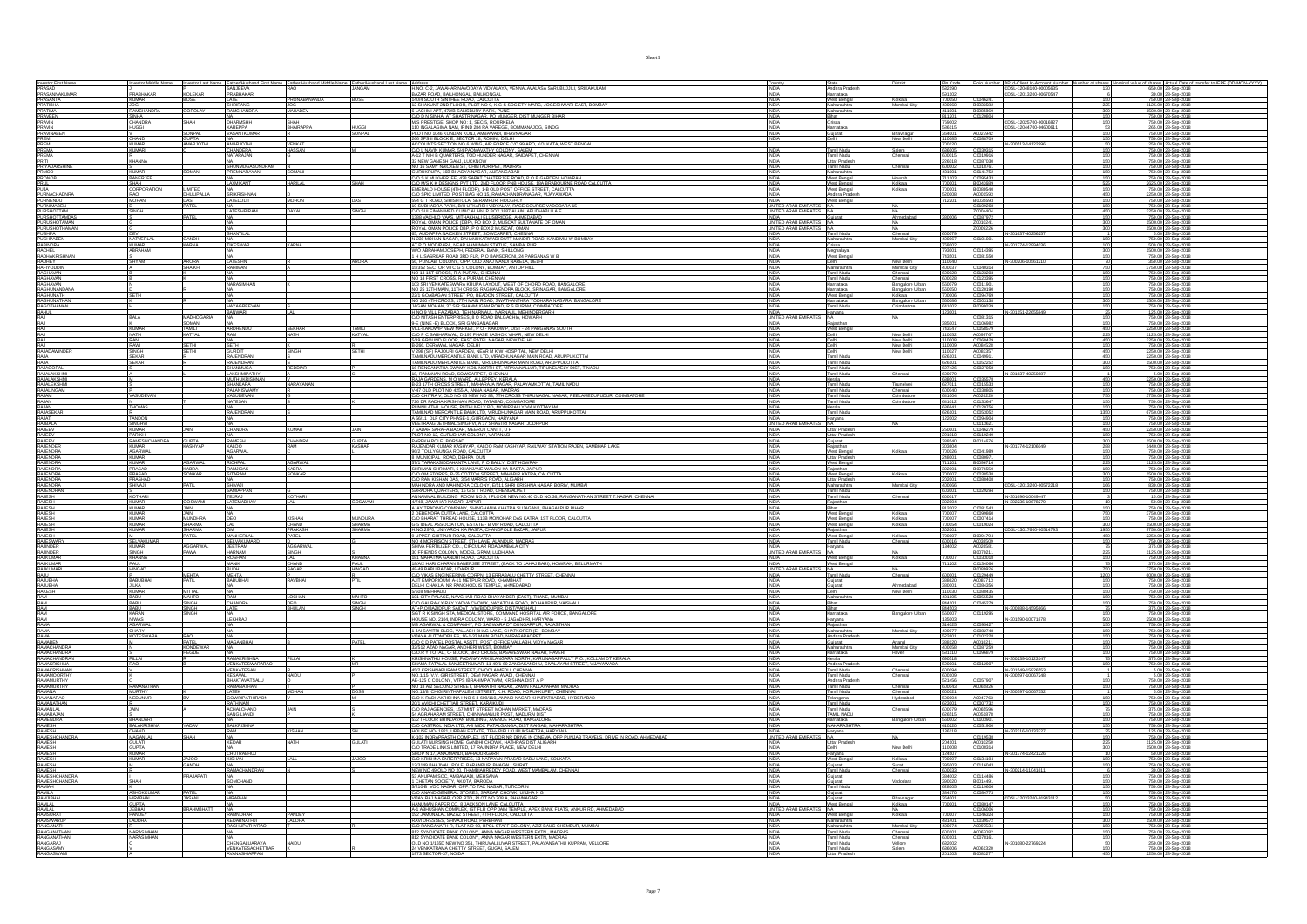| Investor First Name<br>PRASAD<br>PRASANNAKUMAR<br>PRASANTA                                                                                                        |                                            |                            |                                                                      | Father/                    | Father/Husban<br>JANGAM | H.NO. C-2, JAWAHAR NAVODAYA VIDYALAYA, VENNALAVALASA SARUBUJJILI, SRIKAKULAM                                                                                                                                                                                                                                | INDIA                                                                  | Andhra Pradesh                                       | Pin Code<br>532190                  |                                  | er DP Id-Client Id-Account Num<br>CDSL-12048100-00005635<br>CDSL-12013200-00670547 |                          | shares Actual Date of the<br>650.00 28-Sep-2018                  |
|-------------------------------------------------------------------------------------------------------------------------------------------------------------------|--------------------------------------------|----------------------------|----------------------------------------------------------------------|----------------------------|-------------------------|-------------------------------------------------------------------------------------------------------------------------------------------------------------------------------------------------------------------------------------------------------------------------------------------------------------|------------------------------------------------------------------------|------------------------------------------------------|-------------------------------------|----------------------------------|------------------------------------------------------------------------------------|--------------------------|------------------------------------------------------------------|
|                                                                                                                                                                   | PRABHAKAR.<br>KUMAR                        | <b>KOLEKAR</b>             | SANJEEVA<br>PRABHAKAR<br>LATE                                        |                            |                         | BAZAR ROAD, BAILHONGAL, BAILHONGAL<br>140/4 SOUTH SINTHEE ROAD, CALCUTTA                                                                                                                                                                                                                                    | <b>INDIA</b><br>INDIA                                                  | Karnataka<br>West Bengal                             | 591102<br>700050                    |                                  |                                                                                    | 130                      | 30.00 28-Sep-2018<br>750.00 28-Sep-2018                          |
| PRATIBHA                                                                                                                                                          |                                            |                            | SHRIRANG                                                             | PRONABANANDA<br><b>JOG</b> |                         | 12 SHAKUNT 2ND FLOOR, PLOT NO 9, K G S SOCIETY MARG, JOGESHWARI EAST, BOMBAY                                                                                                                                                                                                                                | <b>INDIA</b>                                                           | Kolkata<br>Maharashtra<br>Mumbai City                |                                     | C0046241<br>400060 B0033582      |                                                                                    | 225                      | 1125.00 28-Sep-2018                                              |
| PRATIMA                                                                                                                                                           | RAMCHANDRA                                 | <b>GOROLAY</b>             | AMCHANING A                                                          | MAHADEV                    |                         | 6 LACHMI APT. 472/B SALISBURY PARK. PUNE                                                                                                                                                                                                                                                                    | <b>INDIA</b>                                                           | Maharashtra                                          | 411001                              | B0085869                         |                                                                                    |                          | 1500.00 28-Sep-201                                               |
| <b>FRAVEEN</b><br>PRAVIN<br>PRAVIN<br>PRAVINABEN<br>PRAVINABEN                                                                                                    | SINHA<br>CHANDRA                           | SHAH                       | <b>DHARMSHH</b>                                                      |                            |                         | E LACHMI APT. 4720 SALISBURY PARK, PUNIE<br>CIO D'N SINHA, AT SHASTRINAGAR, PO MUNGER, DIST MUNGER BIHAR<br>MIS PRESTIGE SHOP NO: 1, SEC-5, ROURKELA<br>110 INGALAGIMA NAM. IRIND 284 RA VAREGE, ROMMANAJOG, SINDGI                                                                                         | <b>INDIA</b><br><b>INDIA</b>                                           | Orissa                                               | 811201<br>769002                    | C0120804                         | CDSL-12025700-00016827                                                             |                          | 750.00 28-Sep-2018<br>750.00 28-Sep-2018                         |
|                                                                                                                                                                   | HUGGI                                      | SONPAL                     | KAREPPA<br>/ASANTKUMAP                                               | SHAH<br>BHAIRAPPA          | HUGGI<br>SONPAL         |                                                                                                                                                                                                                                                                                                             | <b>INDIA</b>                                                           | Karnataka                                            | 586115                              | A0027942                         | CDSL-12044700-0460061                                                              |                          | 265.00 28-Sep-201                                                |
| FROM<br>PREM<br>PREM<br>PREMA<br>PRIVADARSHINE<br>PRIVADARSHINE<br>PRIVADARSHINE<br>PRIVADARSHINE<br>PRIVADARSHINE                                                | CHAND<br>KUMAR                             | GUPTA<br>AMARJOTHI         |                                                                      |                            |                         | OT NO 1046 KUNDAN KUNJ, AMBAWADI, BHAVNAGAR<br>266 SFS II BLOCK E, SECTOR 18, ROHINI, DELHI<br>ACCOUNTS SECTION NO 6 WING, AIR FORCE C/O 99 APO, KOLKATA, WEST BENGAL                                                                                                                                       | <b>INDIA</b><br><b>INDIA</b>                                           | Gujarat<br>Bhaynagar<br>Delhi<br>New Delhi           | 364001<br>110085                    | C0088709                         |                                                                                    |                          | 750.00 28-Sep-2018<br>750.00 28-Sep-2018                         |
|                                                                                                                                                                   | KUMARI                                     |                            | <b>MARJOTHI</b><br><b>IANDERA</b>                                    | <b>VENKAT</b><br>ASSAN     |                         |                                                                                                                                                                                                                                                                                                             | <b>INDIA</b>                                                           | Tamil Nadu<br>Salem                                  | 700120<br>636005                    | C0039315                         | IN-300513-141229                                                                   |                          | 250.00 28-Sep-201<br>750.00 28-Sep-2018                          |
|                                                                                                                                                                   | K.<br>KHANNA                               |                            |                                                                      |                            |                         |                                                                                                                                                                                                                                                                                                             | INDIA<br>INDIA                                                         | Tamil Nadu<br>Uttar Pradesh<br>hennai                |                                     | C0019916<br>C0087030             |                                                                                    | 150                      | 750.00 28-Sep-2018<br>750.00 28-Sep-2018                         |
|                                                                                                                                                                   |                                            |                            | NA<br>SHUNMUGASUNDRAM                                                |                            |                         | ACCOUNTS SECTION WAS WHOLE MISSION COLORADO AND A COLORADO COLORADO ANGELES TO INTERNACIONAL ANGELES TO A COLORADO COLORADO COLORADO COLORADO COLORADO COLORADO COLORADO COLORADO COLORADO COLORADO COLORADO COLORADO COLORADO                                                                              | <b>INDIA</b>                                                           | Chennai<br>Tamil Nadu                                | 226018<br>600002                    |                                  |                                                                                    | 150                      | 750.00 28-Sep-2018                                               |
|                                                                                                                                                                   | BANERJEE                                   |                            |                                                                      |                            |                         | C/O S K MUKHERJEE, 438 SARAT CHATERJEE ROAD, P O B GARDEN, HOWRAH                                                                                                                                                                                                                                           | INDIA                                                                  | Maharashtra<br>West Bengal<br>Howrah                 | 431001<br>711103                    | C0018761<br>C0141752<br>C0095433 |                                                                                    | 150                      | 750.00 28-Sep-201<br>750.00 28-Sep-2018                          |
|                                                                                                                                                                   |                                            |                            | <b>AXMIKANT</b>                                                      | HARIL AI                   |                         |                                                                                                                                                                                                                                                                                                             |                                                                        | West Bengal                                          | 70000                               | <b>BOO43689</b>                  |                                                                                    |                          | 825.00 28-Sep-201                                                |
| PRONOB<br>PRUL<br>PUJA<br>PURNIMABEN<br>PURNIMABEN<br>PURNIMABEN                                                                                                  | <b>ORPORATION</b>                          | <b>IMTED</b><br>DHULIPALLA |                                                                      |                            |                         |                                                                                                                                                                                                                                                                                                             |                                                                        |                                                      | 20005                               | B0080540<br>A0001593             |                                                                                    |                          | 750.00 28-Sep-2018<br>2250.00 28-Sep-2018<br>750.00 28-Sep-2018  |
|                                                                                                                                                                   |                                            |                            |                                                                      | MOHON                      |                         |                                                                                                                                                                                                                                                                                                             | UNITED ARAB EMIRATES NA                                                | Andhra Prades<br>West Bengal                         |                                     |                                  |                                                                                    |                          |                                                                  |
| <b>PURSHOTTAM</b>                                                                                                                                                 | <b>HONS</b>                                |                            | <b>ATESHRIRAM</b>                                                    | DAYAL                      |                         | C/O SULEIMAN MED CLINIC ALAIN. P BOX 1887 ALAIN. ABUDHABI U A E                                                                                                                                                                                                                                             | UNITED ARAB EMIRATES NA                                                | <b>NA</b>                                            |                                     | C0109268<br>20004404             |                                                                                    | 150<br>450               | 750.00 28-Sep-2018<br>2250.00 28-Sep-201                         |
| PURSHOTTAM<br>PURUSHOTTAMAN<br>PURUSHOTTAMAN<br>PURUSHOTTAMAN<br>PUSHPABEN<br>RABINDRA<br>RABINDRA<br>RABINDRA                                                    |                                            |                            |                                                                      |                            |                         | 1388 VACHLO VAAS, MITHAKHALI ELLISBRIDGE, AHMEDABAD                                                                                                                                                                                                                                                         | <b>INDIA</b>                                                           | Guiarat<br>Ahmedabad                                 | 380006                              | C0087972                         |                                                                                    |                          | 750.00 28-Sep-2018                                               |
|                                                                                                                                                                   |                                            |                            |                                                                      |                            |                         | ROYAL OMAN POLICE (DBP), PO BOX 2, MUSCAT SULTANATE OF OMAN<br>ROYAL OMAN POLICE (DBP), PO BOX 2 MUSCAT, OMAN<br>65, AUDIAPPA NAICKEN STREET, SOVICARPET, CHENNAI                                                                                                                                           | UNITED ARAB EMIRATES NA<br>UNITED ARAB EMIRATES NA<br>INDIA Tamil Nadu |                                                      |                                     | Z0010241<br>Z0009226             |                                                                                    |                          | 1500.00 28-Sep-2018<br>1500.00 28-Sep-2018<br>5.00 28-Sep-2018   |
|                                                                                                                                                                   | DEVI<br>NATVERLA                           | GANDHI                     | SHANTILAL                                                            |                            |                         |                                                                                                                                                                                                                                                                                                             | <b>INDIA</b>                                                           | Chennai<br>Maharashtra<br>Aumbai City                | 600079<br>400067                    | C0101001                         | IN-301637-40256257                                                                 | 150                      | 750.00 28-Sep-201                                                |
|                                                                                                                                                                   | <b>KUMAR</b><br>ABRAHAM                    | <b>KARNA</b>               | TIKESWAR                                                             | KARNA                      |                         | N-239 MOHAN NAGAR. DAHANUKARWADI DUTT MANDIR ROAD. KANDIVILI W BOMBAY<br>AT P O MODIPARA, NEAR HANUMAN STATUE, SAMBALPUR                                                                                                                                                                                    | INDIA                                                                  | Orissa                                               | 768002                              |                                  | IN-301774-12994036                                                                 | 100<br>300               | 500.00 28-Sep-2018                                               |
| RAGNEL<br>RACHEL<br>RADHAKRISHNAN<br>RAGHAVAN<br>RAGHAVAN<br>RAGHAVAN<br>RAGHAVAN                                                                                 |                                            |                            |                                                                      |                            |                         | W/O ABRAHAM JOSEPH, FEDERAL BANK, SHILLONG<br>1 H L SASRKAR ROAD 3RD FLR, P O BANSDRONI, 24 PARGANAS W B                                                                                                                                                                                                    |                                                                        | Meghalaya<br>West Bengal                             | 793001<br>743501                    | C0114395<br>C0081550             |                                                                                    |                          | 1500.00 28-Sep-2018<br>750.00 28-Sep-2018                        |
|                                                                                                                                                                   | SHYAM                                      | ARORA                      | <b>ATESHN</b>                                                        |                            | ARORA                   | THE WARRELA DELONY, OPP. OLD ANN MANDINARELA, DELHI<br>15/352 SECTOR VII C G S COLONY. BOMBAY. ANTOP HILL<br>16/352 SECTOR VII C G S COLONY. BOMBAY. ANTOP HILL<br>100 14 1ST CROSS, R A PURAM, CHENNAL                                                                                                     |                                                                        | <b>Vew Delhi</b>                                     |                                     |                                  | IN-300206-10561210                                                                 |                          | 350.00 28-Sep-201                                                |
|                                                                                                                                                                   |                                            |                            |                                                                      |                            |                         |                                                                                                                                                                                                                                                                                                             | INDIA<br>INDIA                                                         | Maharashtra<br>Tamil Nadu<br>Mumbai City.<br>Chennai | 600028                              | C0123203                         |                                                                                    | 150                      | 3750.00 28-Sep-2018<br>750.00 28-Sep-2018                        |
|                                                                                                                                                                   |                                            |                            | <b>JARASIMHAN</b>                                                    |                            |                         | NO 14 FIRST CROSS, R A PURAM, CHENNAI<br>103 SRI VENKATESWARA KRUPA LAYOUT. WEST OF CHORD ROAD. BANGALORE                                                                                                                                                                                                   | INDIA<br><b>INDIA</b>                                                  | Tamil Nadu<br>Chennai<br>Karnataka<br>Bangalore Urba | 600028<br>560079                    | C0123395<br>C0011901             |                                                                                    | 150                      | 750.00 28-Sep-2018<br>750.00 28-Sep-2018                         |
|                                                                                                                                                                   | erna                                       |                            |                                                                      |                            |                         | NO 25 12TH MAIN. 11TH CROSS RAGHAVENDRA BLOCK, SRINAGAR, BANGALORI                                                                                                                                                                                                                                          | <b>INDIA</b><br>INDIA                                                  | Karnataka<br>Bangalore Urbar<br>West Bennal          | 560050                              | C0120190                         |                                                                                    |                          | 750.00 28-Sep-2018<br>750.00 28-Sep-201                          |
| RAGHAVAN<br>RAGHUNANDANA<br>RAGHUNATH<br>RAGHUNATHAN<br>RAGIOTHAMAN                                                                                               |                                            |                            |                                                                      |                            |                         | 22/1 GOMMANN STREET PO, BEADON STREET, ON OUTLA WAS ARRESTED FOR A 2007 COMMAND STREET PO, BEADON STREET CALCULTA WAS ARRESTED FOR A MONDA AND COMMAND STREET PO AND THE STREET PO AND THE STREET PO AND THE STANDARD ON A STR                                                                              | <b>INDIA</b>                                                           | Karnataka                                            | Bangalore Urban                     |                                  |                                                                                    | 300                      | 1500.00 28-Sep-2018                                              |
| RAGOTHAMAN<br>RAHUL<br>RAJ                                                                                                                                        |                                            |                            | <b>HAYAGREEVAN</b><br>BANWARI                                        |                            |                         |                                                                                                                                                                                                                                                                                                             | <b>INDIA</b><br><b>INDIA</b>                                           | Tamil Nadu<br>Combatore<br>Harvana                   | 641002<br>123001                    | B0090039                         | N-301151-22655849                                                                  | 150                      | 750.00 28-Sep-2018<br>125.00 28-Sep-2018                         |
|                                                                                                                                                                   | BALA                                       | MADHOGARIA                 |                                                                      |                            |                         | H NO 9 VILL FAIZABAD. TEH NARNAUL. NARNAUL. MEHINDERGARH<br>C/O NITASH ENTERPRISES, 8 O ROAD BALGACHIA, HOWARH                                                                                                                                                                                              | UNITED ARAB EMIR<br><b>INDIA</b>                                       | S NA<br>Rajasthan                                    | 335001                              | C0081315                         |                                                                                    |                          | 750.00 28-Sep-2018                                               |
|                                                                                                                                                                   | Kumar                                      | SOMANI                     | ARDHENDU                                                             | <b>SEKHAR</b>              | <b>TAMILI</b>           | 9-E (NINE - E) BLOCK, SRI GANGANAGAR<br>VILL-KAKDWIP NEW MARKET, P O - KAKDWIP, DIST - 24 PARGANAS SOUTH                                                                                                                                                                                                    |                                                                        | West Bengal                                          | 743347                              | C0106982                         |                                                                                    |                          | 750.00 28-Sep-2018<br>2250.00 28-Sep-2018                        |
|                                                                                                                                                                   | RANI                                       | KATYAL                     |                                                                      | NATH                       | <b>KATYAL</b>           | CO P C SABHARWAL, D-197 PHASE I ASHOK VIHAR, NEW DELHI                                                                                                                                                                                                                                                      | <b>INDIA</b>                                                           | New Delhi<br>Delhi                                   | 10052<br>110008                     | A0099767<br>C0068429             |                                                                                    | 450                      | 1125.00 28-Sep-2018<br>2250.00 28-Sep-2018                       |
| RAJ<br>RAJ<br>RAJADAWINDER<br>RAJA                                                                                                                                |                                            | SETHI                      | SETH                                                                 | <b>SINGH</b>               | <b>SETHI</b>            |                                                                                                                                                                                                                                                                                                             | <b>INDIA</b>                                                           | New Delhi<br>New Delhi<br>Delhi                      | 10009                               | A0084528                         |                                                                                    | 150                      | 750.00 28-Sep-2018                                               |
|                                                                                                                                                                   | SINGH<br>SEKAR                             | <b>SETHI</b>               | <b>GURDI</b><br>RAJENDRAN                                            |                            |                         | , B-266, DERAWAL NAGAR, DELHI<br>  V 296 (SF) RAJOURI GARDEN, NEAR M K W HOSPITAL, NEW DELHI<br> TAMILNADU MERCANTILE BANK LTD, VIRADHUNAGAR MAIN ROAD, ARUPPUKOTTA                                                                                                                                         | <b>INDIA</b>                                                           | New Delhi<br><b>Tamil Nadu</b>                       | 110027<br>626101                    | A0083357<br>C0049911             |                                                                                    | 450                      | 2250.00 28-Sep-2018<br>2250.00 28-Sep-2018                       |
| RAJA                                                                                                                                                              | SEKAR                                      |                            | RAJENDRAN                                                            | REDDIAR                    |                         | TAMILNADU MERCANTILE BANK, VIRUDHUNAGAR MAIN ROAD, ARUPPUKOTTAI                                                                                                                                                                                                                                             | INDIA                                                                  | Tamil Nadu                                           | 626101<br>627426                    | C0052252<br>C0027058             |                                                                                    | 300                      | 1500.00 28-Sep-2018<br>750.00 28-Sep-2                           |
| RAJAGOPAL<br>RAJALAKSHMI<br>RAJALAKSHMI<br>RAJALRGAMI<br>RAJALINGAM                                                                                               |                                            |                            | SHANMUGA<br>LAKSHMIPATHY<br>MUTHUKRISHNAN<br>SHANKARA<br>DALAHISHAAN |                            |                         | <b>UMBENGAU MENDANTAL BURG, WISCHINGHAMMARK PROJECTION CROSSOVICIAL SECTION CONTRACT AND A STATE OF A STATE OF A STATE OF A STATE OF A STATE OF A STATE OF A STATE OF A STATE OF A STATE OF A STATE OF A STATE OF A STATE OF A S</b>                                                                        |                                                                        | Tamil Nadu<br>Tamil Nadu<br>Chennai                  |                                     | C0035578                         | IN-301637-40250887                                                                 |                          | 5.00 28-Sep-2018                                                 |
|                                                                                                                                                                   |                                            |                            |                                                                      | <i><b>IARAYANAN</b></i>    |                         |                                                                                                                                                                                                                                                                                                             |                                                                        | Kerala<br>Tamil Nadu<br>irunelveli                   | 688001                              | C0015533                         |                                                                                    |                          | 2250.00 28-Sep-2018<br>750.00 28-Sep-2018                        |
| <b>RAJAM</b>                                                                                                                                                      | VASUDEVAN                                  |                            | PALANISWAMY<br>VASUDEVAN                                             |                            |                         | C/O CHITRA V. OLD NO 65 NEW NO 83, 7TH CROSS THIRUMAGAL NAGAR. PEELAMEDUPUDUR. COIMBATORE                                                                                                                                                                                                                   | INDIA<br><b>INDIA</b>                                                  | Tamil Nadu<br>Chennai<br>Tamil Nadu<br>Coimbatore    | 600040<br>641004                    | C0038805<br>A0026220             |                                                                                    | 150<br>750               | 750.00 28-Sep-2018<br>3750.00 28-Sep-2018                        |
| RAJAN                                                                                                                                                             |                                            |                            | <b>NATESAN</b>                                                       |                            |                         |                                                                                                                                                                                                                                                                                                             | <b>INDIA</b>                                                           | Tamil Nadu<br>Coimbatore                             |                                     | C0133647                         |                                                                                    |                          | 750.00 28-Sep-201                                                |
| RAJAN<br>RAJASEKAR<br>RAJAT                                                                                                                                       | THOMAS                                     |                            | RAJENDRAN                                                            |                            |                         | SOUGHING V. SALUND AN INDIA ANG ATIT ANG ANG TITADAWAN ANG ATITAL PERSANYA PERSANYA PERSANYA PERSANYA PERSANYA<br>FRANKIATHIL HOUSE, PUTHUVELY PO, MONPPALY VA KOTTAYAM<br>TAMILMAD MERCANTILE BANK LTD, VIRUDHUNGAR MAIN ROAD, ARUP                                                                        |                                                                        | Kerala<br>Tamil Nadu                                 |                                     | C0120756<br>C0053052             |                                                                                    | 150<br>1350              | 750.00 28-Sep-201                                                |
| <b>RAJBALA</b>                                                                                                                                                    | <b>TANDON</b>                              |                            |                                                                      |                            |                         | VEETRAAG JETHMAL SINGHVI. A 37 SHASTRI NAGAR. JODHP                                                                                                                                                                                                                                                         | <b>INDIA</b><br>UNITED ARAB                                            | Haryana                                              | 122002                              | C0094904<br>C0113621             |                                                                                    |                          | 750.00 28-Sep-201                                                |
| RAJEEV                                                                                                                                                            | SINGHVI<br><b>KUMAR</b>                    | JAIN                       | CHANDRA                                                              | <b>KUMAR</b>               | <b>JAIN</b>             | 7 SADAR SARAFA BAZAR, MEERUT CANTT, U P                                                                                                                                                                                                                                                                     | INDIA                                                                  | NA.<br>Uttar Pradesh                                 | 250001                              | C0046279                         |                                                                                    | 150<br>450               | 750.00 28-Sep-201<br>2250.00 28-Sep-2018                         |
| RAJEEV<br>RAJEEV<br>RAJENDER                                                                                                                                      | RAMESHCHANDR                               |                            |                                                                      |                            |                         | LOT NO 12, GURUDHAM COLONY, VARANASI                                                                                                                                                                                                                                                                        | <b>INDIA</b>                                                           | Uttar Pradesh<br>Gujarat<br>Rajasthan                | 221010                              | C0119249<br>B0014676             |                                                                                    |                          | 750.00 28-Sep-2018<br>1500.00 28-Sep-2018<br>1440.00 28-Sep-2018 |
|                                                                                                                                                                   |                                            | GUPTA<br>KASHYAP           | RAMESH                                                               | CHANDRA<br>RAM             | GUPTA<br>KASHAP         | - LOTTING ROUGH POLICING COLONY, VANDARIAN<br>PAREKH POLE, BORSAD<br>RAJENDAR KUMAR KASHYAP, KALOO RAM KASHYAP, RALWAY STATION RAJEN, SAMBHAR LAKE                                                                                                                                                          |                                                                        |                                                      | 303604                              | C0041989                         | IN-301774-12106049                                                                 | 288                      |                                                                  |
| RAJENDRA<br>RAJENDRA                                                                                                                                              | AGARWAL                                    |                            | <b>AGARWAL</b>                                                       |                            |                         | 96/2 TOLLYGUNGA ROAD, CALCUTTA<br>8 MUNICIPAL ROAD, DEHRA DUN                                                                                                                                                                                                                                               | <b>INDIA</b>                                                           | Kolkata<br>West Bengal<br>Uttar Pradesh              | 700026<br>248001                    |                                  |                                                                                    | 150                      | 750.00 28-Sep-2018<br>750.00 28-Sep-201                          |
| RAJENDRA                                                                                                                                                          | <b>KUMAR</b><br>PRASAD                     | <b>AGARWAL</b><br>KABRA    | RICHPAL                                                              | <b>AGARWAL</b><br>KABRA    |                         | 57/1 TARAKASIDDAHANTA LANE, P O BALLY, DIST HOWRAH                                                                                                                                                                                                                                                          | INDIA<br><b>INDIA</b>                                                  | West Bengal                                          | 711201<br>302001                    | B0096716<br>B0076550             |                                                                                    | 225<br>150               | 1125.00 28-Sep-2018<br>750.00 28-Sep-2018                        |
| RAJENDRA<br>RAJENDRA                                                                                                                                              |                                            | SONKAR                     | <b>ITARAW</b>                                                        | SONKAR                     |                         | JOINT INNOVASIONAINAN INTERNATIONAL INTERNATIONAL INTERNATIONAL CONSULTANT INTERNATIONAL CONSULTANT INTERNATIONAL CONSULTANT INTERNATIONAL INTERNATIONAL INTERNATIONAL INTERNATIONAL INTERNATIONAL INTERNATIONAL INTERNATIONAL                                                                              |                                                                        | West Bengal<br>olkata                                | 700007                              | C0038538                         |                                                                                    |                          | 500.00 28-Sep-201                                                |
| RAJENDRA                                                                                                                                                          |                                            | PATIL                      |                                                                      |                            |                         |                                                                                                                                                                                                                                                                                                             |                                                                        | Uttar Pradesh<br>Wumbai City<br>Maharashtra          |                                     | C0088408                         | CDSL-12013200-00572218                                                             |                          | 750.00 28-Sep-201                                                |
| RAJENDRAN                                                                                                                                                         | KOTHAR                                     |                            | SAMIAPPAN<br>EJRAJ                                                   | KOTHARI                    |                         |                                                                                                                                                                                                                                                                                                             | INDIA<br><b>INDIA</b>                                                  | Tamil Nadu<br>Tamil Nadu<br>Chennai                  | 603001<br>600017                    | C0029294                         | IN-301696-10049447                                                                 | 150                      | 750.00 28-Sep-2018<br>15.00 28-Sep-2018                          |
| RAJESH<br>RAJESH                                                                                                                                                  | <b>KUMAR</b>                               | GOSWAMI                    | LATEMADHA\                                                           | LAL                        | <b>BOSWAMI</b>          | 4/748, JAWAHAR NAGAR, JAIPUR                                                                                                                                                                                                                                                                                | <b>INDIA</b>                                                           | Rajasthan                                            | 302004                              |                                  | IN-302236-10678279                                                                 |                          | 50.00 28-Sep-2018                                                |
| RAJESH<br>RAJESH                                                                                                                                                  | <b>KUMAR</b><br>KUMAR                      | JAIN                       |                                                                      |                            |                         | AJAY TRADING COMPANY, SHINGHANIA KHATRA SUJAGANJ, BHAGALPUR BIHAR.<br>2 DEBENDRA DUTTA LANE, CALCUTTA                                                                                                                                                                                                       | <b>INDIA</b>                                                           | West Bengal<br>Kolkata                               | 812002                              | C0081543<br>C0099860             |                                                                                    |                          | 750.00 28-Sep-2018<br>3750.00 28-Sep-2018                        |
| RAJESH<br>RAJESH<br>RAJESH<br>RAJESH<br>RAJESWARY                                                                                                                 | <b>KUMAR</b><br><b>KUMAR</b>               | <b>MUNDHRA</b><br>SHARMA.  |                                                                      | <b>KISHAN</b>              | MUNDURA                 | CIO BHARAT THREAD HOUSE, 113B MONOHAR DAS KATRA, 1ST FLOOR, CALCUTTA                                                                                                                                                                                                                                        | <b>INDIA</b><br><b>INDIA</b>                                           | West Bengal<br>Kolkata<br>West Bengal<br>olkata      | 700007<br>700054                    | C0007414<br>C0019024             |                                                                                    | 300                      | 750.00 28-Sep-2018<br>1500.00 28-Sep-2018                        |
|                                                                                                                                                                   | <b>KUMAR</b>                               | SHARMA                     |                                                                      | CHAND<br>PRAKASH           | SHARMA<br>SHARMA        | G-5 IDEAL ASSOCIATION. ESTATE - B VIP ROAD, CALCUITTA<br>H.NO.2376, UNIVARON KA RASTA, CHANDPOLE BAZAR, JAIPUR<br>9 UPPER CHITPUR ROAD, CALCUITA<br>NO 4 MORRISON STREET, STH LANE ALANDUR, MADRAS                                                                                                          | <b>INDIA</b>                                                           | Rajasthan                                            | 302001                              | B0094794                         | CDSL-13017600-00514793                                                             | 1950<br>450              | 9750.00 28-Sep-2018                                              |
|                                                                                                                                                                   | <br>SELVAKUMAI                             |                            | MANHERLA<br>SELVAKUMA                                                | PATEL                      |                         |                                                                                                                                                                                                                                                                                                             | <b>INDIA</b>                                                           | West Bengal<br>Kolkata<br>Tamil Nadu<br>Chennai      | 700007                              | A0038509                         |                                                                                    |                          | 2250.00 28-Sep-2018<br>750.00 28-Sep-2018                        |
| RAJINDER                                                                                                                                                          | <b>KUMAR</b>                               | <b>AGGARWAL</b>            | <b>JEETRAM</b>                                                       | <b>AGGARWAL</b>            |                         | SHIVA FERTILIZER CO CIRCULAR ROADAMBALA CITY                                                                                                                                                                                                                                                                | <b>INDIA</b>                                                           | Haryana                                              | 134002                              | A0026581                         |                                                                                    |                          | 375.00 28-Sep-2018                                               |
| <b>RAJINDER</b>                                                                                                                                                   | SINGH<br>KHANNA                            |                            | IARNAM<br>!OSHAN                                                     | $M_{-}$                    | KHANNA                  |                                                                                                                                                                                                                                                                                                             | <b>INDIA</b>                                                           | West Bengal<br>Kolkata                               | 700007                              | B0070211<br>C0033018             |                                                                                    |                          | 750.00 28-Sep-2018                                               |
| RAJKUMAR<br>RAJKUMARI                                                                                                                                             | PAUL<br>HINGAD                             |                            | MANIK<br>BUDHI                                                       | CHAND<br>SAGAR             | PAUL<br>HINGAD          | SHOW HERE INSURANCE IN A MARIAM WAS ARRESTED FOR A STATEMENT OF A STATEMENT OF A STATEMENT OF A STATEMENT OF A<br>1901 FRENCIS COLONY, INDIE I, GRAN LUCOURD<br>1904 PARTIC GARAN BANER JEE STREET, (BACK TO JAHAJ BARI), HOWRAH, BE                                                                        | INDIA<br>UNITED ARAB EI                                                | West Bengal                                          | 11202                               | C0134066<br>B0089926             |                                                                                    |                          | 375.00 28-Sep-2018<br>3750.00 28-Sep-2018                        |
| RAJU                                                                                                                                                              |                                            | <b>MEHTA</b>               | <b>MEHTA</b>                                                         |                            |                         |                                                                                                                                                                                                                                                                                                             | <b>INDIA</b>                                                           | Tamil Nadu<br>Chennai                                | 600001                              | C0129449                         |                                                                                    | 1200                     | 6000.00 28-Sep-2018                                              |
| RAJUBHAI                                                                                                                                                          | BABUBHA                                    | PATIL                      | BABUBHAI                                                             | <b>RAVRHAI</b>             |                         | AJIT EMPORIOUM. A-11 METPUR ROAD. KHAMBHAT<br>DELHI CHAKLA, NR RANCHODJIS TEMPLE, AHMEDABAD                                                                                                                                                                                                                 | <b>INDIA</b><br><b>INDIA</b>                                           | Guiarat<br>Gujarat<br>Ahmedabad                      | 380001                              | A0087713                         |                                                                                    | 150                      | 750.00 28-Sep-201                                                |
|                                                                                                                                                                   | <b>JILKA</b><br>KUMAR                      | MITTAL                     | <b>RAM</b>                                                           |                            |                         | 5/508 MEHRAUL<br>101 CITY PALACE. NAVGHAR ROAD BHAYANDER (EAST), THANE. MUMBAL                                                                                                                                                                                                                              | <b>INDIA</b>                                                           | New Delhi<br>Delhi<br>Maharashtra                    | 110030                              | C0084356<br>C0088435             |                                                                                    | $\frac{150}{150}$        | 750.00 28-Sep-2018                                               |
|                                                                                                                                                                   | BABU<br>BABU                               | MAHTO<br>SINGH             | CHANDRA                                                              | LOCHAN<br>DEO              | MAHTO<br>SINGH          | C/O GAURAV X-RAY YADVA CHOWK, NAYATOLA ROAD, PO HAJIPUR, VAISHA                                                                                                                                                                                                                                             | <b>INDIA</b><br><b>INDIA</b>                                           | Bihar                                                | 401105<br>844101                    | C0055528                         |                                                                                    |                          | 750.00 28-Sep-2018<br>750.00 28-Sep-2018                         |
| RAJUBHA<br>RAJUBHA<br>RAM<br>RAM<br>RAM<br>RAM                                                                                                                    | BABU<br>KARAN                              | <b>SINGH</b><br>SINGH      |                                                                      | BHULAN                     |                         | AT+P.O/BAZIDPUR SAIDAT. VIA/BIDDUPUR. DIST/VAISHALI<br>SGT R K SINGH STA, MEDICAL STORE, COMMAND HOSPITAL AIR FORCE, BANGALORE                                                                                                                                                                              | <b>INDIA</b><br><b>INDIA</b>                                           | Bihar<br>Karnataka                                   | 844503<br>Bangalore Urbar<br>560007 | C0119295                         | IN-300888-1459566                                                                  | 150                      | 375.00 28-Sep-2018<br>750.00 28-Sep-2018                         |
|                                                                                                                                                                   |                                            |                            | <b>LEKHRA</b>                                                        |                            |                         |                                                                                                                                                                                                                                                                                                             |                                                                        | Haryana                                              | 135003                              |                                  | IN-301590-10071878                                                                 | 500                      | 2500.00 28-Sep-2018<br>750.00 28-Sep-2018<br>750.00 28-Sep-2018  |
|                                                                                                                                                                   |                                            |                            |                                                                      |                            |                         |                                                                                                                                                                                                                                                                                                             |                                                                        | Rajasthan<br>Maharashtra<br>umbai City               |                                     | C0082748                         |                                                                                    |                          |                                                                  |
| RAMA<br>RAMABEN                                                                                                                                                   | KOTESWAR                                   |                            |                                                                      |                            |                         | SINCE AN SINGLE AND ARREST CONDUCT ON A MARINE WAS CITED AND INCREASED FOR A MARKED ON A MARKED AND SINGLE AND A MARKED AND A SAN AND A MARKED AND A COLOR WAY ON A MARKED AND A SAN AND A MARKED AND A MARKED ON A MARKED ON                                                                               | <b>INDIA</b>                                                           | Andhra Pradest<br>Gujarat<br>Anand                   | 522601<br>388120                    | C0102228<br>A0016211             |                                                                                    |                          | 750.00 28-Sep-2018<br>50.00 28-Sep-201                           |
|                                                                                                                                                                   |                                            | <b>KONDEWAR</b>            |                                                                      |                            |                         | 32/512 AZAD NAGAR, ANDHERI WEST, BOMBAY                                                                                                                                                                                                                                                                     | INDIA<br><b>INDIA</b>                                                  | Maharashtra<br>Mumbai City                           | 400058                              | C0087259                         |                                                                                    | 150                      | 750.00 28-Sep-2018<br>750.00 28-Sep-201                          |
|                                                                                                                                                                   | PILLAI<br>RAO                              |                            | <b>AMAKRISHNA</b>                                                    | PILLAI                     |                         |                                                                                                                                                                                                                                                                                                             |                                                                        |                                                      | 690518                              | C0096879                         | IN-300239-10123147                                                                 |                          |                                                                  |
| RAMACHANDRA<br>RAMACHANDRA<br>RAMACHANDRAN<br>RAMAKRISHNA<br>RAMAKRISHNAN<br>RAMAMCORTHY<br>RAMAMCORTHY                                                           |                                            |                            | .<br>VENKATESWARARAC<br>VENKATESAN                                   |                            |                         | AND THE CONSTRUCTION OF THE CONSTRUCTION OF THE CONSTRUCTION OF THE CONSTRUCTION OF THE CONSTRUCTION OF THE CONSTRUCTION OF THE CONSTRUCTION OF THE CONSTRUCTION OF THE CONSTRUCTION OF THE CONSTRUCTION OF THE CONSTRUCTION O                                                                              | <b>INDIA</b><br>INDIA                                                  | Kerala<br>Andhra Pradesh<br>Tamil Nadu<br>hennai     | 52000                               | C0012907                         | IN-301549-15926553                                                                 |                          | 375.00 28-Sep-2018<br>750.00 28-Sep-2018<br>5.00 28-Sep-2018     |
| RAMAMURTHY                                                                                                                                                        |                                            |                            | KESAVAL<br>BHAKTAVATSAL                                              | NAIDU                      |                         |                                                                                                                                                                                                                                                                                                             | INDIA<br><b>INDIA</b>                                                  | Tamil Nadu<br>Chennai<br>Andhra Prades               | 600109<br>521456                    | C0057907                         | IN-300597-10067248                                                                 |                          | 5.00 28-Sep-2018<br>750.00 28-Sep-2018                           |
|                                                                                                                                                                   |                                            |                            | RAMANATHAN                                                           |                            |                         | AE-125 C COLONY, VTPS IBRAHIMPATNAM, KRISHNA DIST A P<br>NO 18 A/2 SECOND STREET, BHARATHI NAGAR, ZAMIN PALLAVARAM, MADRAS                                                                                                                                                                                  | <b>INDIA</b>                                                           | Tamil Nadu<br>Chennai                                | 600043                              | A0065826                         |                                                                                    |                          | 750.00 28-Sep-2018                                               |
|                                                                                                                                                                   | <b>AMANATHAN</b>                           |                            |                                                                      | MOHAN                      |                         |                                                                                                                                                                                                                                                                                                             |                                                                        |                                                      |                                     |                                  |                                                                                    |                          | 5.00 28-Sep-201<br>50.00 28-Sep-201                              |
|                                                                                                                                                                   |                                            |                            | WRIPATHIRA                                                           |                            |                         |                                                                                                                                                                                                                                                                                                             |                                                                        |                                                      |                                     | A0047763                         | IN-300597-10067352                                                                 |                          |                                                                  |
|                                                                                                                                                                   | murthy<br>Nedunuri                         |                            | MANHTA:                                                              |                            |                         |                                                                                                                                                                                                                                                                                                             | INDIA                                                                  | Tamil Nadu<br>Telangana<br>Tamil Nadu                | 623001                              | C0007732                         |                                                                                    |                          | 750.00 28-Sep-2018                                               |
|                                                                                                                                                                   | <b>AIAL</b>                                |                            | <b>ACHALCHANI</b><br>SANGILIANDI                                     |                            |                         | <b>NO.138 CHIGIRINTHAPALEM ISTREET, K.H. ROAD, KORUKKUPET, CHENNA<br/>2011 ROADHARRISHNA HNO 63-603110, ANNO NAGAR KHAIRATHABAD, HYDERABA<br/>2011 RACHI CHETTIAR STREET, KARAIKUDI<br/>2012 RAGHARCIES, 157 MINT STREET MARIAKUDI<br/>2012 RAMA</b><br>54 AGRAHARAM STREET, CHINNAMANUR POST, MADURAI DIST | <b>INDIA</b><br>INDIA                                                  | Chennai<br>Tamil Nadu<br>TAMIL NADU                  | 600079<br>626515                    | A0065596<br>A0051878             |                                                                                    |                          | 375.00 28-Sep-201<br>750.00 28-Sep-2018                          |
| RAMANURTHY<br>RAMANA<br>RAMANARAO<br>RAMANARAO<br>RAMANARAO<br>RAMANARAO                                                                                          |                                            | YADA\                      | BALKRISHNA                                                           |                            |                         |                                                                                                                                                                                                                                                                                                             | <b>INDIA</b>                                                           | Bangalore Urbar                                      | 560002                              | C0051900                         |                                                                                    |                          |                                                                  |
| RAMENDRA<br>RAMESH                                                                                                                                                | BHANDARI<br>BALAKRISHNA                    |                            | <b>MAG</b>                                                           | <b>KISHAN</b>              |                         | 532 I FLOOR BRINDAVAN BUILDING, AVENUE ROAD, BANGALORE<br>C/O CASTROL INDIA LTD, A-8 MIDC PATALGANGA, DIST RAIGAD, MAHARASHTRA                                                                                                                                                                              | <b>INDIA</b>                                                           | Karnataka<br>MAHARASHTRA<br>Haryana                  | 136118                              |                                  | IN-302316-10133727                                                                 |                          | 750.00 28-Sep-2018<br>750.00 28-Sep-2018<br>125.00 28-Sep-2018   |
|                                                                                                                                                                   |                                            |                            | KEDAR                                                                | NATH                       | GULATI                  |                                                                                                                                                                                                                                                                                                             |                                                                        |                                                      |                                     | C0119538                         |                                                                                    |                          |                                                                  |
|                                                                                                                                                                   | CHAND<br>MAGANLA<br>GULATI<br><b>GUPTA</b> |                            |                                                                      |                            |                         | <u>TROGENO, 1821, URBAN ESTATE, TEH-PPLIKURUSSIETIKA HARYANA.</u><br>1740 INDIAPRASTILOGMELEX IST FLOOR NG DRIVE IN CINEMA OPP PUNJAB TRAVELS. DRIVE IN ROAD, AHMEDABA<br>1740 TRADE LINIS LIMITED, 17 RAJINDRA PLACE, NEW DELHI<br>1740 TRA                                                                | UNITED ARA<br><b>INDIA</b>                                             | NA<br>Uttar Pradesh<br>New Delhi<br>Delhi            | 204101<br>110008                    | A0010250<br>C0108314             |                                                                                    | $\frac{100}{225}$<br>300 | 750.00 28-Sep-2018<br>1125.00 28-Sep-2018<br>1500.00 28-Sep-2018 |
|                                                                                                                                                                   | <b>KUMAR</b><br><b>KUMAR</b>               | JAJOC                      | CHUTRABHU<br>KISHAN                                                  |                            |                         | SHOP N 17. ANAJMANDI, BAHADURGARH<br>C/O KRISHNA ENTERPRISES, 13 NARAYAN PRASAD BABU LANE, KOLKATA                                                                                                                                                                                                          | <b>INDIA</b><br>INDIA                                                  | Harvana<br>West Bengal<br>Kolkata                    | 124507<br>700007                    | C0134194                         |                                                                                    |                          | 50.00 28-Sep-2018<br>750.00 28-Sep-2018                          |
|                                                                                                                                                                   |                                            | GANDHI                     |                                                                      |                            |                         |                                                                                                                                                                                                                                                                                                             |                                                                        |                                                      |                                     | C0116043                         |                                                                                    |                          | 750.00 28-Sep-2018                                               |
|                                                                                                                                                                   |                                            | PRAJAPATI                  |                                                                      |                            |                         | 12/3149 BHAJIVALI POLE, BARANPURI BHAGAL, SURAT NEW NO 49 OLD NO 20, THAMBIAHREDDY ROAD, WEST MAMBALAM, CHENNAL                                                                                                                                                                                             | INDIA                                                                  | Gujarat<br>Tamil Nadu<br>Gujarat                     | 384002                              | C0114486                         |                                                                                    | 150                      | 750.00 28-Sep-2018                                               |
|                                                                                                                                                                   | SHAH                                       |                            | NA<br>SOMCHAND                                                       |                            |                         | CHETAN SOCIETY, AKOTA, BARODA<br>5/210-B VOC NASAR, OPP.TO TAC NASAR, TUTICORIN                                                                                                                                                                                                                             | <b>INDIA</b><br><b>INDIA</b>                                           | Gujarat<br>Tamil Nadu<br>adodara                     | 390020<br>628005                    | B0014491<br>C0119606             |                                                                                    | 150                      | 750.00 28-Sep-201<br>750.00 28-Sep-2018                          |
| RAMESH<br>AMESHCHANDRA<br>RAMESHCHANDRA<br>RAMESH<br>RAMESH<br>RAMESHCHANDRA<br>RAMESHCHANDRA<br>RAMESHCHANDRA<br>RAMESHCHANDRA<br>RAMESHCHANDRA<br>RAMESHCHANDRA | ASHOKKUMAR                                 | PATE                       | <b>IRABHA</b>                                                        |                            |                         | C/O ANAND GENERAL STORES, SARDAR CHOWK, UNJHA N G.<br>VIJAY RAJ NAGAR, OPP RTO, PLOT NO 708 A, BHAVNAGAR                                                                                                                                                                                                    | <b>INDIA</b>                                                           | Gujarat<br>Guiarat<br>Bhaynagar                      | 384170<br>364001                    | C0084773                         |                                                                                    |                          | 750.00 28-Sep-2018<br>250.00 28-Sep-201                          |
| RAMILA<br>RAMJIBHAI                                                                                                                                               | <b>GUPTA</b>                               |                            |                                                                      |                            |                         |                                                                                                                                                                                                                                                                                                             |                                                                        | West Bengal<br>elkata                                | 700001                              | C0080147                         |                                                                                    |                          | 750.00 28-Sep-2018                                               |
|                                                                                                                                                                   | <b>JEBHAI</b><br>PANDEY                    | RAHMBHATT                  | RAMNOHAR                                                             | PANDEY                     |                         |                                                                                                                                                                                                                                                                                                             | UNITED ARAB EMIRA<br><b>INDIA</b>                                      | S NA<br>West Bengal<br>Kolkata                       | 700007                              | C0106006<br>C0046324             |                                                                                    | 150<br>150               | 750.00 28-Sep-2018<br>750.00 28-Sep-2018                         |
| RAMLAL<br>RAMLAL<br>RAMSURAT<br>RAMSWARUP<br>RANGANATH                                                                                                            | LADDHA                                     |                            | KEDARNATHJI<br>RAGHUPATHYRA                                          | <b>LADDHA</b>              |                         | <b>JANUARY AND RESIDENT AND A CONTRACT ACTION OF A CONTRACT AND A CONTRACT ACT ACTS OF A CONTRACT ACTS OF A CONTRACT ACTS OF A CONTRACT ACTS ANNUR RD. AHMEDABAD</b><br>A LABHASHAN COMPLEX STREET, 4TH FLOOR, CALCUITA                                                                                     | <b>INDIA</b>                                                           | Maharashtra<br>Mumbai City<br>Maharashtra            | 431401<br>400074                    | C0039572<br>A0097534             |                                                                                    | 300                      | 1500.00 28-Sep-2018<br>750.00 28-Sep-201                         |
|                                                                                                                                                                   | NARASIMHAN                                 |                            |                                                                      |                            |                         | RAVI DRESSES, SHIVAJI ROAD, PARBHANI<br>C/O RANGANATH R, FLAT NO 90, BPCL STAFF COLONY, AZIZ BAUG CHEMBUR, MUMBA<br>812 SYNDICATE BANK COLONY. ANNA NAGAR WESTERN EXTN., MADRAS                                                                                                                             | <b>INDIA</b>                                                           | Tamil Nadu<br>Chennai                                | 600101                              | A0067082                         |                                                                                    |                          | 750.00 28-Sep-2018                                               |
| RANGANATHAN<br>RANGANATHAN<br>RANGARAJ<br>RANGASAMY                                                                                                               |                                            |                            | <b>HENGALUARAYA</b><br>ENKATESACHETTIAR                              | NAIDL                      |                         | STERN AND THE BANK COLONY, ANNOUNCE INTERNATIONAL TRANSPORT OF A SERVER STERN AND THE BANK COLONY. ANNA NAGAR WESTERN EXTN. MADRAS<br>OLD NO 1/165D NEW NO 351, THIRUVALLUVAR STREET, PALAVANSATHU KUPPAM, VELLORE<br>24 VENAATRAM                                                                          |                                                                        | Tamil Nadu<br>Vellore<br>Tamil Nadu<br>Salem         | 636006                              | A0061320                         | IN-301080-22769224                                                                 |                          | 250.00 28-Sep-2018<br>750.00 28-Sep-2018                         |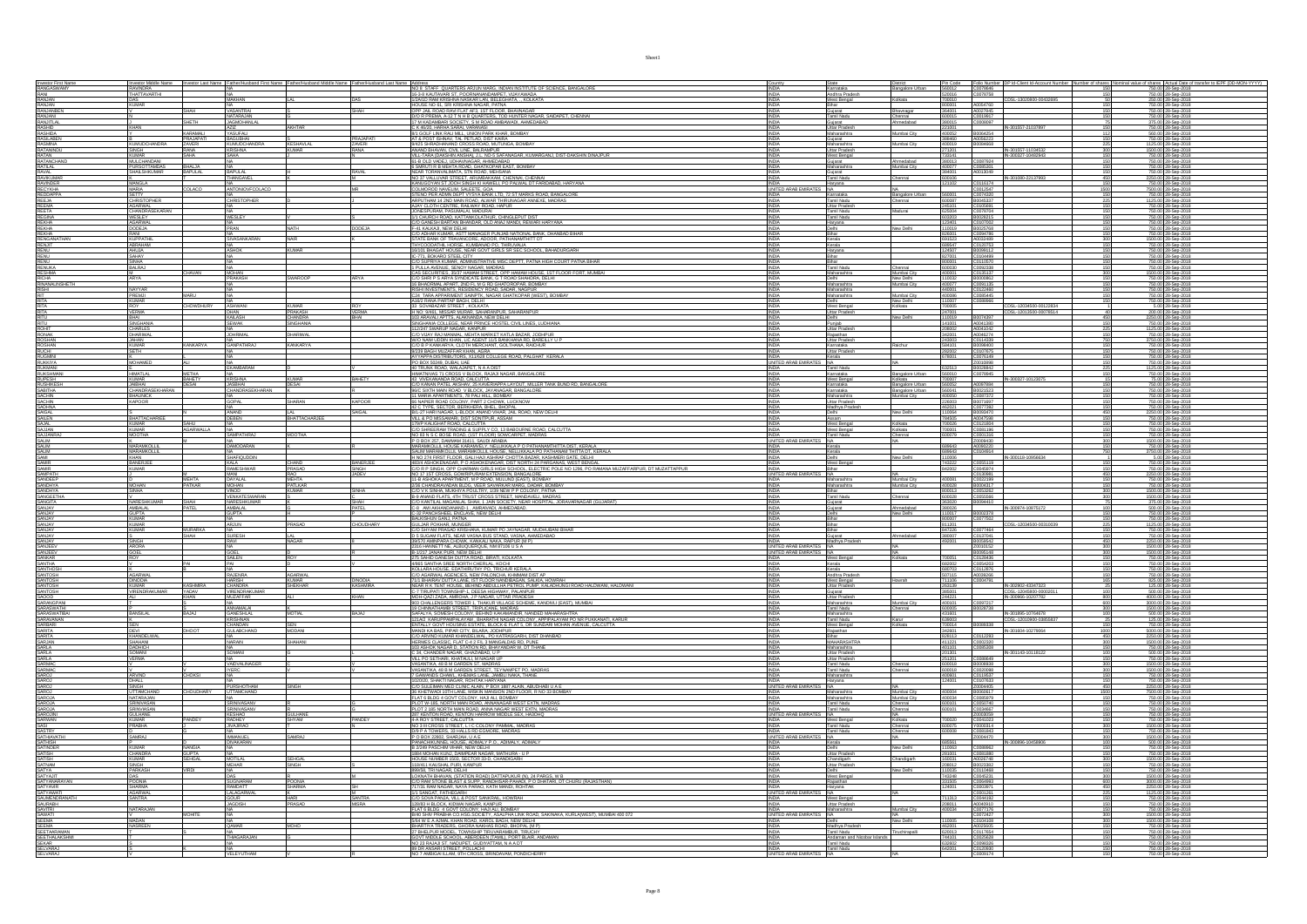|                                                                                                                                                                                                                                              |                                               |                                |                                            |                                |                        | Investor Middle Name Investor Last Name   Father/Husband First Name   Father/Husband Middle Name   Father/Husband Last Name   Address ACUN MARG, INDIAN INSTITUTE OF SCIENCE, BANGALORE                                                                                                                                                        | Country<br><b>INDIA</b>                          | State<br>Karnataka<br><b>District</b><br><b>Bangalore Urban</b>                                                  |                                                |                                                          |                                                  |                                                                |                   | Pin Code Folio Number DP Id-Client Id-Account Number Number of shares Nominal value of shares Actual Date of transfer to IEPF (DD-MON-YYYY) 560012 C0078646 |
|----------------------------------------------------------------------------------------------------------------------------------------------------------------------------------------------------------------------------------------------|-----------------------------------------------|--------------------------------|--------------------------------------------|--------------------------------|------------------------|------------------------------------------------------------------------------------------------------------------------------------------------------------------------------------------------------------------------------------------------------------------------------------------------------------------------------------------------|--------------------------------------------------|------------------------------------------------------------------------------------------------------------------|------------------------------------------------|----------------------------------------------------------|--------------------------------------------------|----------------------------------------------------------------|-------------------|-------------------------------------------------------------------------------------------------------------------------------------------------------------|
| Investor First Name<br>RANGASWAMY<br>RANI                                                                                                                                                                                                    | <b>THATTAVARTHI</b><br>KUMAR                  |                                |                                            |                                |                        | 16-3-8 KAUTAVARI ST, POORNANANDAMPET, VIJAYAWADA 1/2A/1D RAM KRISHNA NASKAR LAN, BELEGHATA, ., KOLKATA                                                                                                                                                                                                                                         | <b>INDIA</b>                                     | Andhra Pradesh<br>West Bengal<br>Kolkata<br>Bihar                                                                | 520016<br>700010<br>800001                     | C0078758<br>A0054760                                     | CDSL-13020800-0043269                            |                                                                |                   | 750.00 28-Sep-2018<br>250.00 28-Sep-2018                                                                                                                    |
| RANJAN<br>RANJANIBEN<br>RANJANIBEN<br>RASHID<br>RASHIDA<br>RASHIDA<br>RASHIDA<br>RATANINDU<br>RATANINDU<br>RATANINDU<br>RATANINDU<br>RATANINDU<br>RATANINDU<br>RATANINDU                                                                     |                                               |                                | ATARAJAN                                   |                                |                        | 2021 to USE IN A SERVER MARINA CONTRACT CONTRACT IN A SERVER OF THE ROAD RANGE RANGE AND CONTRACT ON A DISPLAN<br>COP JUN ROAD RANGE AT A SERVER AND THE SURFAING ARE SAIDAPET, CHENNAL<br>DISPERIMA A-12 TN HIS QUARTERS, TOD HUNTE                                                                                                           |                                                  | Gujarat<br>Tamil Nadu<br>Chennai                                                                                 | 600015                                         | A0027845<br>C0019917                                     |                                                  |                                                                |                   | 750.00 28-Sep-2018<br>750.00 28-Sep-2018<br>750.00 28-Sep-2018                                                                                              |
|                                                                                                                                                                                                                                              | KHAN                                          | SHETH                          | <b>JAGMOHANLAL</b>                         | AKHTAR                         |                        | C K 46/20, HARHA SARAI, VARANASI 4/1 GOLF LINK RALI MILL, UNION PARK KHAR, BOMBAY                                                                                                                                                                                                                                                              | <b>INDIA</b><br><b>INDIA</b>                     | Gujarat<br><b>Inmedabad</b><br>Uttar Pradesh                                                                     | 380015<br>221001                               | C0008097                                                 | IN-30155                                         |                                                                |                   | 375.00 28-Sep-2018<br>750.00 28-Sep-2018                                                                                                                    |
|                                                                                                                                                                                                                                              | B<br>KUMUDCHANDRA                             | KARAMALI<br>PRAJAPAT<br>ZAVERI | YASUFALI<br><b>MGUBHAI</b><br>KUMUDCHANDRA |                                | PRAJAPATI<br>ZAVERI    |                                                                                                                                                                                                                                                                                                                                                | <b>INDIA</b>                                     | Maharashtra<br>Mumbai City<br>Gujarat<br>Maharashtra                                                             | 400052                                         | B0064254<br>A0056223<br>B0084668                         |                                                  | 112                                                            |                   | 560.00 28-Sep-2018                                                                                                                                          |
|                                                                                                                                                                                                                                              |                                               | RANA<br>SAHA                   | RISHNA                                     | S<br>KESHAVLAL<br>KUMAR        |                        | <b>AT A POST ISHANY, TAL PETILOL DIST KARA<br/> SHORI MARKA NGA KARA NGA AKTIFANG A BOMBAY<br/> SHORI MARKA NGA KARA NGA BARANGAN A BOMBAY<br/> YANAD BHAVAN, CIVIL LINE, BALKAMPUR<br/> YANAD BHAVAN, CIVIL LINE, BALKAMPUR<br/> YANAD BHAVAN, CIVI</b>                                                                                       | <b>INDIA</b><br><b>INDIA</b>                     | Mumbai City<br>Uttar Pradesh<br>West Bengal                                                                      | 271201<br>733141                               |                                                          | IN-301557-11034532<br>IN-300327-10482943         | 300<br>150<br>150                                              |                   | 750.00 28-Sep-2018<br>1125.00 28-Sep-2018<br>1500.00 28-Sep-2018<br>750.00 28-Sep-2018                                                                      |
|                                                                                                                                                                                                                                              | KUMAR<br>MULCHANDANI                          | <b>BHALJA</b><br>BAPULAL       |                                            |                                |                        | 6 SMRUTI R B MEHTA ROAD, GHATKOPAR EAST, BOMBAY                                                                                                                                                                                                                                                                                                | <b>INDIA</b>                                     | Gujarat<br>Ahmedabad<br>Maharashtra<br>Mumbai City                                                               | 380013<br>400077                               | C0087924<br>C0085301<br>A0013049                         |                                                  | 150                                                            |                   | 750.00 28-Sep-2018<br>750.00 28-Sep-2018<br>750.00 28-Sep-2018                                                                                              |
| FRATILAL<br>RAVIAL<br>RAVIKUMAR<br>RAVINDER<br>RECYKHA<br>REELA<br>REELA<br>REELA                                                                                                                                                            | PURSOTTAMDAS<br>SHAILSHKUMAR<br><b>MANGLA</b> |                                | <b>BAPULAL</b>                             |                                | <b>RAVAL</b>           | <b>INSORT WARRANT AN INCOLUME AND ARREST AGRICULTURE IN A STATE OF A STATE OF A STATE OF A STATE OF A STATE OF A STATE OF A STATE OF A STATE OF A STATE OF A STATE OF A STATE OF A STATE OF A STATE OF A STATE OF A STATE OF A S</b>                                                                                                           |                                                  | Tamil Nadu<br>Chennai                                                                                            | 600106                                         | C0116174                                                 | IN-301080-22137993                               | 450                                                            |                   |                                                                                                                                                             |
|                                                                                                                                                                                                                                              | MARIA<br>SETTY                                |                                | NTONIOVFCOLA                               |                                |                        |                                                                                                                                                                                                                                                                                                                                                | UNITED ARAB E<br><b>INDIA</b>                    | Haryana<br>NA<br><b>Bangalore Urban</b><br>Karnataka                                                             | 560001                                         | C0012547<br>C0074320                                     |                                                  | 150                                                            |                   | 2250.00 28-Sep-2018<br>750.00 28-Sep-2018<br>7500.00 28-Sep-2018<br>750.00 28-Sep-2018                                                                      |
|                                                                                                                                                                                                                                              | <b>HRISTOPHEI</b><br>AGARWAL                  |                                | <b>HRISTOPHER</b>                          |                                |                        | AJAY CLOTH CENTRE, RAILWAY ROAD, HAPUR                                                                                                                                                                                                                                                                                                         | INDIA                                            | Tamil Nadu<br>Chennai<br>Uttar Pradesh                                                                           | 245101                                         | B0045337<br>C0105691                                     |                                                  | 150                                                            |                   | 25.00 28-Sep-201<br>750.00 28-Sep-2018                                                                                                                      |
| REEJA<br>REETA<br>REETA<br>REEGNA<br>REKHA<br>RENGANATHAN<br>RENU<br>RENU<br>RENU<br>RENU<br>RENU<br>RENU<br>RENU                                                                                                                            | CHANDRASEKAP                                  |                                | VESLEY                                     |                                |                        | ARIC CONTROLL MANUFACTURE CONTROLL OF A STATE CONTROLL AND CONTROLL AND CONTROLL OF A STATE OF A STATE OF A STATE OF A STATE OF A STATE OF A STATE OF A STATE OF A STATE OF A STATE OF A STATE OF A STATE OF A STATE OF A STAT                                                                                                                 |                                                  | Tamil Nadu<br>Tamil Nadu<br>Haryana                                                                              | 625004                                         | C0078704                                                 |                                                  |                                                                |                   | 750.00 28-Sep-201                                                                                                                                           |
|                                                                                                                                                                                                                                              | WESLEY<br>AGARWA<br>DODEJA<br>RANI            |                                |                                            |                                | <b>DODEJA</b>          |                                                                                                                                                                                                                                                                                                                                                | <b>INDIA</b>                                     | lew Delhi<br>Bihar                                                                                               | 603203<br>123401<br>110019<br>826001           | B0028215<br>C0107002<br>B0025768<br>C0094786             |                                                  |                                                                | 150               | 750.00 28-Sep-2018<br>750.00 28-Sep-2018<br>750.00 28-Sep-2018<br>750.00 28-Sep-2018                                                                        |
|                                                                                                                                                                                                                                              | <b>KUPPATHIL</b><br>ABRAHAM                   |                                | VASANKARA                                  |                                |                        | STATE BANK OF TRAVANCORE. ADOOR, PATHANAMTHITT DT                                                                                                                                                                                                                                                                                              | <b>INDIA</b><br><b>INDIA</b>                     | Kerala<br>Kerala                                                                                                 | 691523<br>689547                               | A0032489<br>C0120753                                     |                                                  | 300<br>150                                                     |                   | 1500.00 28-Sep-2018<br>750.00 28-Sep-2018                                                                                                                   |
|                                                                                                                                                                                                                                              | ahuja<br>Sahay<br>Sinha                       |                                | <b>SHOP</b>                                | KIMAR                          |                        | THYCOODATHIL HORSE, KUMBANAD PO, THIRUVALIA<br>16/101 BHAGAT HOUSE, NEAR GOVT GIRLS SR SEC SCHOOL, BAHADURG                                                                                                                                                                                                                                    |                                                  | Haryana                                                                                                          |                                                | B0099112                                                 |                                                  |                                                                |                   | 750.00 28-Sep-201<br>750.00 28-Sep-201                                                                                                                      |
| RENUKA<br>RESHMA                                                                                                                                                                                                                             | <b>BALRAJ</b>                                 | CHAVAN                         | MOHAN                                      |                                |                        | IO II , DUNNO 9 I EEL LITT<br>CIO SUPRIYA KUMAR, ADMINISTRATIVE MISC DEPTT, PATNA HIGH COURT PATNA BIHAR<br>1 PULLA AVENUE. SENOY NAGAR. MADRAS<br>CAS SECURITIES, 35/37 HAMAM STREET, OPP HAMAM HOUSE, 1ST FLOOR FORT, MUMBAL                                                                                                                 | <b>INDIA</b>                                     | Tamil Nadu<br>Mumbai City                                                                                        | 800001<br>600030                               | C0110570<br>C0092338                                     |                                                  | $\frac{150}{300}$                                              |                   | 750.00 28-Sep-2018<br>750.00 28-Sep-201                                                                                                                     |
|                                                                                                                                                                                                                                              | M.<br>ARYA                                    |                                | <b>PRAKASH</b>                             | <b>SWAROOP</b>                 |                        |                                                                                                                                                                                                                                                                                                                                                | INDIA<br><b>INDIA</b><br><b>INDIA</b>            | Maharashtra<br>Delhi<br>New Delhi<br>Maharashtra<br>Mumbai City                                                  | 400001<br>110032<br>400077                     | C0135137<br>B0000862<br>C0091135                         |                                                  | 150                                                            |                   | 1500.00 28-Sep-2018<br>750.00 28-Sep-2018<br>750.00 28-Sep-201                                                                                              |
| REGITION<br>RINANAL NSHETH<br>RISHI<br>RITA<br>RITA<br>RITA<br>RITA                                                                                                                                                                          | NAYYAR<br>PREMI                               |                                |                                            |                                |                        |                                                                                                                                                                                                                                                                                                                                                | <b>INDIA</b>                                     | Maharashtra<br>Maharashtra<br>Maharashtra<br>Delhi<br>West Bengal<br>Mumbai City<br>New Delhi                    | 440001<br>400066<br>110007                     | C0122460<br>C0085445<br>C0088966                         |                                                  | 150                                                            |                   | 750.00 28-Sep-2018<br>750.00 28-Sep-2018<br>750.00 28-Sep-2018                                                                                              |
|                                                                                                                                                                                                                                              | ROY<br>VERMA                                  | <b>CHOWDHURY</b>               | ASHWANI                                    | <b>KUMAR</b><br>PRAKASH        | VERMA                  | H NO: 9/461, MISSAR MURAR, SAHARANPUR, SAHARANPUR,                                                                                                                                                                                                                                                                                             | <b>INDIA</b><br><b>INDIA</b>                     | Kolkata<br>Uttar Pradesh                                                                                         | 700005<br>247001                               |                                                          | CDSL-12034500-00122834<br>CDSL-12013500-00078514 |                                                                |                   | 5.00 28-Sep-2018<br>200.00 28-Sep-2018                                                                                                                      |
|                                                                                                                                                                                                                                              |                                               |                                | DHAN<br>KAILASH<br><b>EWAK</b>             | CHANDRA<br>SINGHANIA           |                        | 103 ARAVALI APTTS, ALAKNANDA, NEW DELHI                                                                                                                                                                                                                                                                                                        | INDIA                                            | New Delhi<br>Delhi                                                                                               | 110019                                         | B0074397                                                 |                                                  | 450                                                            |                   | 2250.00 28-Sep-2018<br>750.00 28-Sep-201                                                                                                                    |
| RITU<br>ROHIT<br>RONAK                                                                                                                                                                                                                       | <b>SINGHANIA</b><br>CHARLES<br>DHARIWAL       |                                | <b>JOHRIMA</b>                             | <b>DHARIWAL</b>                |                        | SINGHANIA COLLEGE, NEAR PRINCE HOSTEL CIVIL LINES, LUDHIANA<br>112247 SWARUP NAGAR, KANPUR<br>COO VUAY RAJ MANAML, MEHTA MARKET KATLA BAZAR, JODHPUR<br>WO MANA INDIN KHAN TIC AGENT 4410 BANGHANA BIS BARCILLY                                                                                                                                | <b>INDIA</b>                                     | Punjab<br>Uttar Pradesh<br>Rajasthan                                                                             | 141001<br>208002<br>342001                     | A0041380<br>A0041042<br>A0046274                         |                                                  | 150                                                            |                   | 750.00 28-Sep-2018                                                                                                                                          |
| ROSHAN<br>ROSHAN<br>RUCHI<br>RUGMINI                                                                                                                                                                                                         | <b>JAHAN</b><br>KUMAR<br>SETH                 | <b>KANKARYA</b>                | <b>GANPATHRA</b>                           | KANKARYA                       |                        | W/O NAIM UDDIN KHAN, LIC AGENT 11/5 BANKHANA RD. BAREILLY U F<br>C/O B P KANKARYA, CLOTH MERCHANT, GOLTHANA, RAICHUR                                                                                                                                                                                                                           | <b>INDIA</b><br><b>INDIA</b>                     | Uttar Pradesh<br>Karnataka<br>Raichur                                                                            | 243003<br>584101                               | C0114339<br>B0098400                                     |                                                  | 750                                                            |                   | 3750.00 28-Sep-2018<br>750.00 28-Sep-2018                                                                                                                   |
|                                                                                                                                                                                                                                              | MOHAMED                                       |                                |                                            |                                |                        | 9/239 BAGH MUZAFFAR KHAN, AGRA<br>AYYAPPA DISTRIBUTORS, X11/628 COLLEGE ROAD, PALGHAT KERALA<br>PO BOX 50249, DUBAI, UAE                                                                                                                                                                                                                       | UNITED ARAB EMIRATES NA                          | Uttar Pradesh<br>Kerala                                                                                          | 282002<br>678001                               | C0107675<br>C0076149<br>Z0010898                         |                                                  |                                                                |                   | 750.00 28-Sep-2018<br>750.00 28-Sep-2018                                                                                                                    |
| RUKKIYA<br>RUKKIYA<br>RUKSHMANI<br>RUFESH<br>RUSHIKESH<br>SACHIN<br>SACHIN                                                                                                                                                                   | HIMATLAL                                      | METHA                          |                                            |                                |                        | 40 TRUNK ROAD, WALAJAPET, N.A.A.DIST<br>HIMATNIVAS 71 CROSS V BLOCK, RAJAJI NAGAR, BANGALORE                                                                                                                                                                                                                                                   | <b>INDIA</b>                                     | Tamil Nadu<br>Karnataka<br>Bangalore Urban                                                                       | 632513<br>560010                               | B0028842<br>C0078945                                     |                                                  | 225<br>150                                                     |                   | 750.00 28-Sep-2018<br>1125.00 28-Sep-2018<br>750.00 28-Sep-2018                                                                                             |
|                                                                                                                                                                                                                                              | KUMAR<br>JAIBHAI                              | BAHETY<br>DESAI                | KRISHNA<br>JASBHAI                         | KUMAR<br>DESAI                 | <b>BAHETY</b>          | 43 VIVEKANANDA ROAD, CALCUTTA<br>C/O KANAN PATEL AKSHAV, 25 KAVERIAPPA LAYOUT, MILLER TANK BUND RD, BANGALORE                                                                                                                                                                                                                                  | <b>INDIA</b>                                     | West Bengal<br>Karnataka<br>Kolkata<br>Bangalore Urban                                                           | 700007<br>560052                               | A0097884                                                 | IN-300327-10123075                               |                                                                |                   | 75.00 28-Sep-2018<br>750.00 28-Sep-2018                                                                                                                     |
| SACHIN                                                                                                                                                                                                                                       | CHANDRASEKHARAI<br>BHAUNICK<br>KAPOOR         |                                | CHANDRASEKHARAN<br><b>SOPAL</b>            | SHARAN                         | <b>KAPOOR</b>          | 96/C SIXTH MAIN ROAD V BLOCK, JAYANAGAR, BANGALORE                                                                                                                                                                                                                                                                                             | <b>INDIA</b><br><b>INDIA</b>                     | Karnataka<br>Bangalore Urban<br>Maharashtra<br>Mumbai City<br>Uttar Pradesh                                      | 560041<br>400050<br>226003                     | B0021523<br>C0087372<br>B0071697                         |                                                  | 150                                                            |                   | 750.00 28-Sep-2018<br>750.00 28-Sep-2018<br>750.00 28-Sep-2018                                                                                              |
|                                                                                                                                                                                                                                              |                                               |                                |                                            |                                | SAIGAL                 | <b>300 DOMINI BRANCHOLOGY, PART 2 CHONGAY</b><br><b>11 MARIA APARTMENTS, 78 PALI HILL, BOMBAY</b><br><b>19 NAPIER ROAD COLONY, PART 2 CHOWK, LUCKNOW<br/> BRAZY HARI NAGAR, LULICK MAND VIHAR, JAIL ROAD, NEW DELHI<br/> BRAZY HARI NAGAR, LULICK MAND</b>                                                                                     | INDIA<br>INDIA                                   | Madhya Prades<br>New Delhi                                                                                       | 462021<br>110064                               | C0077392<br>B0093470                                     |                                                  | 150<br>450                                                     |                   | 750.00 28-Sep-2018<br>2250.00 28-Sep-2018                                                                                                                   |
| SADHNA<br>SALEN<br>SALAN<br>SALAN<br>SALIM<br>SALIM<br>SALIM<br>SALIM<br>SALIM<br>SALIM<br>SALIM                                                                                                                                             | BHATTACHARIEE<br><b>KUMAR</b>                 | SAHU                           | DEBEN                                      | BHATTACHARJEE                  |                        | VILL & PO MISSAMARI, DIST SONITPUR, ASSAM<br>179/P KALIGHAT ROAD, CALCUTTA<br>C/O SHREERAM TRADING & SUPPLY CO, 13 BABOURNE ROAD, CALCUTT.                                                                                                                                                                                                     | <b>INDIA</b><br><b>INDIA</b>                     | Assam<br>West Bengal<br>Kolkata                                                                                  | 784505<br>700026                               | A0047598<br>C0121804                                     |                                                  |                                                                |                   | 750.00 28-Sep-2018<br>750.00 28-Sec-201                                                                                                                     |
|                                                                                                                                                                                                                                              | <b>KUMAR</b><br><b>MOOTHA</b>                 | AGARWALLA                      | SAMPATHRAJ                                 | <b>MOOTHA</b>                  |                        |                                                                                                                                                                                                                                                                                                                                                | <b>INDIA</b><br>UNITED ARAB EMIRA                | West Bengal<br>Kolkata<br>Tamil Nadu<br>Chennai                                                                  | 700001<br>600079                               | C0081196<br>C0001316                                     |                                                  | 150<br>300                                                     |                   | 750.00 28-Sep-2018<br>750.00 28-Sep-2018<br>1500.00 28-Sep-2018<br>750.00 28-Sep-2018                                                                       |
|                                                                                                                                                                                                                                              | .<br>MARAMKOLLIL<br>MARAMKOLLIL               |                                | NA<br>DAMODARAN                            |                                |                        | <b>CO-SINGENIER TRANSPORTS SCIPPED AND ARRANGEMENT CONSULTANT AND A CONSULTANT CONSULTANT CONSULTANT CONSULTANT CONSULTANT CONSULTANT CONSULTANT CONSULTANT CONSULTANT CONSULTANT CONSULTANT CONSULTANT CONSULTANT CONSULTANT CO</b>                                                                                                           |                                                  | Kerala<br>Kerala                                                                                                 | 689643<br>689643                               | Z0009430<br>A0090220<br>C0104914                         |                                                  | $\frac{150}{750}$                                              |                   |                                                                                                                                                             |
|                                                                                                                                                                                                                                              | BANERJEE                                      |                                | SHAFIQUDDIN<br><b>KALA</b>                 | CHAND<br><b>DRASAD</b>         | BANERJEE               | 483/4 ASHOKENAGAR, P O ASHOKENAGAR, DIST NORTH 24 PARGANAS, WEST BENGAL                                                                                                                                                                                                                                                                        | <b>INDIA</b>                                     | New Delhi<br>West Bengal                                                                                         | 110006<br>743222                               | C0055119                                                 | IN-300118-1095663-                               | 150                                                            |                   | 3750.00 28-Sep-2018<br>5.00 28-Sep-2018<br>750.00 28-Sep-2018                                                                                               |
| SAMIR<br>SAMIR<br>SAMPATH                                                                                                                                                                                                                    |                                               |                                | RAMESHWAR<br>ANI                           |                                | SINGH                  |                                                                                                                                                                                                                                                                                                                                                | NITED ARAB EMIRATES NA                           |                                                                                                                  |                                                | C0045974<br>C0130981                                     |                                                  |                                                                |                   | 750.00 28-Sep-201<br>250.00 28-Sep-2018                                                                                                                     |
| SANDEEP<br>SANDHYA<br>SANDHYA                                                                                                                                                                                                                | MOHAN<br>SINHA                                | MEHTA<br>PATKAR                | <u>DAYALAL</u><br>MOHAN<br>VINOD           | MEHTA<br>PATLKAR<br>KUMAR      | SINHA                  |                                                                                                                                                                                                                                                                                                                                                | <b>INDIA</b>                                     | Mumbai City<br>Mumbai City<br>Maharashtra<br>Maharashtra<br>Bihar                                                | 400061<br>800013                               | C0022199<br>B0004317<br>C0053262                         |                                                  |                                                                | $\frac{150}{150}$ | 750.00 28-Sep-2018<br>750.00 28-Sep-2018<br>1500.00 28-Sep-2018                                                                                             |
|                                                                                                                                                                                                                                              |                                               |                                |                                            |                                |                        | B-9 ANAND FLATS. 4TH TRUST CROSS STREET. MANDAVELL MADRA                                                                                                                                                                                                                                                                                       | <b>INDIA</b>                                     | Tamil Nadu                                                                                                       |                                                | C0055566                                                 |                                                  |                                                                | 300               | 1500.00 28-Sep-201                                                                                                                                          |
|                                                                                                                                                                                                                                              | NARESHKUMAR                                   | SHAH                           | VENKATESWARA<br>NARESHKUMAR                |                                | SHAH                   | C/O KANTILAL MAGANLAL SHAH, 1 JAIN SOCIETY, NEAR HOSPITAL, JORAVARNAGAR (GUJARA                                                                                                                                                                                                                                                                | INDIA                                            | Gujarat                                                                                                          | 600028<br>363020                               | B0094410                                                 |                                                  |                                                                |                   | 375.00 28-Sep-2018                                                                                                                                          |
|                                                                                                                                                                                                                                              | AMBALAL<br>GUPTA                              |                                | MBALAL<br>SUPTA                            |                                | PATEL                  |                                                                                                                                                                                                                                                                                                                                                |                                                  | Ahmedabad<br>New Delhi                                                                                           |                                                |                                                          | B0002378<br>CONTEAM                              |                                                                |                   |                                                                                                                                                             |
|                                                                                                                                                                                                                                              |                                               | MURARKA                        |                                            | PRASAD                         | CHOUDHARY              | C-8 AM AKHANDANAND-1, AMRAVADI, AHMEDABAD,<br>C-32 PANCHSHEEL ENCLAVE, NEW DELHI<br>BALKISHUN GANJ, PATNA<br>GULJAR POKHAR, MUNGER<br>C/O SHYAM PRASAD KRISHANA, KUMAR PO JAYNAGAR, MUDHUBANI BIHAR                                                                                                                                            | INDIA<br><b>INDIA</b><br><b>INDIA</b>            | Gujarat<br>Delhi<br>Bihar<br>Bihar<br>Bihar                                                                      | 380026<br>110017<br>800007<br>811201<br>847226 | C0077502<br>C0077464                                     |                                                  | 150<br>225<br>150                                              |                   | 500.00 28-Sep-2018<br>750.00 28-Sep-2018<br>750.00 28-Sep-2018<br>1125.00 28-Sep-201<br>750.00 28-Sep-2018                                                  |
| SANGEETHA<br>SANGEETHA<br>SANJAY<br>SANJAY<br>SANJAY<br>SANJAY<br>SANJAY<br>SANJAY                                                                                                                                                           | KUMAR<br>KUMAR<br>KUMAR<br>SINGH              | SHAH                           | SURESH                                     | LAL<br>NAGAR                   |                        | D 5 SUGAM FLATS, NEAR VASNA BUS STAND, VASNA, AHMEDABAD.<br>39/570 AMINPARA CHOWK, KANKALI NAKA, RAIPUR (M P)                                                                                                                                                                                                                                  |                                                  | Gujarat<br>Madhya Prades<br>Ahmedabad                                                                            | 380007<br>492001                               | C0137041<br>B0059542                                     |                                                  | 150                                                            |                   | 750.00 28-Sep-2018<br>2250.00 28-Sep-2018                                                                                                                   |
|                                                                                                                                                                                                                                              |                                               |                                |                                            |                                |                        |                                                                                                                                                                                                                                                                                                                                                | <b>JNITED ARAB EMIRATES N/</b>                   |                                                                                                                  |                                                |                                                          |                                                  |                                                                |                   |                                                                                                                                                             |
|                                                                                                                                                                                                                                              | ARORA<br>GOEL<br>ROY                          |                                | SAILEN                                     |                                |                        |                                                                                                                                                                                                                                                                                                                                                | <b>INDIA</b>                                     | West Bengal<br>Kerala<br>Kerala                                                                                  | 700051<br>682002<br>680703                     | Z0010152<br>B0095148<br>C0128436<br>C0054203<br>C0112876 |                                                  |                                                                | 150               | 1500.00 28-Sep-2018<br>1500.00 28-Sep-2018<br>750.00 28-Sep-2018<br>750.00 28-Sep-2018<br>750.00 28-Sep-201                                                 |
| SANJAY<br>SANJAY<br>SANJEEV<br>SANKAR<br>SANTHA<br>SANTHOSH<br>SANTHOSH                                                                                                                                                                      | AGARWAI<br>DINODIA                            |                                | RAJENRA                                    | <b>AGARWAL</b><br><b>KUMAR</b> |                        | SHISTO MINIPARA CHOWN, KWAKALI NAMOZ KARPUR (MP)<br>2316 HANNETT NE, ALBUQUERQUE, NM 87106 U S A<br>31/217 JANAK PURI, NEW DELHI<br>2775 SAHID GANESH DUTTA ROAD, BIRATI, KOLHATA<br>4985 SANTHA SREE NORTH CHERLAL, KOCHI<br>KOLLARA HOUSE,<br>C/O AGARWAL AGENCIES, NEW PALONCHA, KHMMAM DIST AP                                             | <b>INDIA</b><br><b>INDIA</b>                     | Andhra Pradesh<br>West Benga<br>Howrah                                                                           |                                                | A0039266<br>C0004791                                     |                                                  | 150                                                            |                   | 750.00 28-Sep-2018<br>825.00 28-Sep-201                                                                                                                     |
|                                                                                                                                                                                                                                              | KUMAR<br>VIRENDRAKUMAR                        | KASHMIRA<br>YADAV              | HARISH<br>CHANDRA<br>VIRENDRAKUMAR         | SHEKHAR                        | DINODIA<br>KASHMIRA    | 71/1 BHAIRAV DUTTA LANE, IST FLOOR NANDIBAGAN, SALKIA, HOWRAH<br>NEAR R.K.TENT HOUSE, BEHIND ABDULLHA PETROL PUMP, KALADHUNGI ROAD HALDWANI, HALDWANI<br>C-7 TIRUPATI TOWNSHIP-1, DEESA HIGHWAY, PALANPUR                                                                                                                                      | INDIA                                            |                                                                                                                  | 507115<br>711106<br>263139<br>385001           |                                                          | IN-302902-43347323<br>CDSL-12045800-00002011     | $rac{25}{100}$                                                 |                   | 125.00 28-Sep-2018                                                                                                                                          |
|                                                                                                                                                                                                                                              |                                               | KHAN                           | <b>MUZAFFAR</b><br>NA 11<br>ANNAMALAI      |                                | KHAN                   | MOH-QAZI ZADA, AMROHA, J P NAGAR, UTTAR PRADESH<br>903 CHALLENGERS TOWER 1, THAKUR VILLAGE SCHEME, KANDIVLI (EAST), MUMBAI<br>19 CHINNATHAMBI STREET, TRIPLICANE, MADRAS                                                                                                                                                                       | <b>INDIA</b><br>INDIA<br><b>INDIA</b>            | Vrest Bengar<br>Uttar Pradesh<br>Gujarat<br>Uttar Pradesh<br>Mumbai City<br>Maharashtra<br>Tamil Nadu<br>Chennai | 244221<br>400101<br>600005                     | C0097217<br>B0028738                                     | IN-300966-10207782                               | $\frac{800}{600}$<br>300                                       |                   | 4000.00 28-Sep-201<br>3000.00 28-Sep-2018<br>1500.00 28-Sep-2018                                                                                            |
|                                                                                                                                                                                                                                              | BANSILAL                                      | RAIAI                          | <b>GANESHLAL</b>                           | <b>MOTIAL</b>                  | <b>RAIAI</b>           | SAFALYA, SOMESH COLONY, BEHIND KAKAMANDIR, NANDED MAHARASHTRA                                                                                                                                                                                                                                                                                  | <b>INDIA</b>                                     | Maharashtra                                                                                                      | 431601<br>639003                               |                                                          | IN-301895-10764678                               |                                                                |                   | 500.00 28-Sep-201<br>125.00 28-Sep-201                                                                                                                      |
|                                                                                                                                                                                                                                              | DEVI                                          | DHOOT                          | HANUAN<br>ULABCHAND                        | SEN<br>MODANI                  |                        |                                                                                                                                                                                                                                                                                                                                                | <b>INDIA</b>                                     | Tamil Nadu<br>West Bengal<br>Rajasthan                                                                           | 700014<br>342601                               |                                                          | IN-301604-10279064                               | 1000                                                           |                   | 750.00 28-Sep-2018<br>5000.00 28-Sep-2018                                                                                                                   |
|                                                                                                                                                                                                                                              | KHANDELWAL<br>SHAHANI<br>DADHICH              |                                | VA<br>VARAIN                               | SHAHANI                        |                        | SIMALIA SURESMINALORI A BEHAD MAMARAMA (MARIE) MANAMOSININA<br>1994 Y.A. SURESMINALORI A BHARI MAMARAMA (MARIE) MANAMOSININA MERIE, CALCUITA<br>1994 Y. MARI COUT FOURNA BEHAR BLOCKE FLAT S. DR SURDARI MOHAN MERIE, CALCUITA<br>1994<br>103 ASHOK NAGAR D, STATION RD, BHAYANDAR W, DT THANE                                                 | <b>INDIA</b><br>INDIA<br><b>INDIA</b>            | Bihar<br>MAHARASHTRA<br>Maharashtra                                                                              | 828113<br>411221<br>401101                     | C0112293<br>C0002320<br>C0085308                         |                                                  | $\frac{450}{300}$<br>150                                       |                   | 2250.00 28-Sep-2018<br>1500.00 28-Sep-2018<br>750.00 28-Sep-2018                                                                                            |
|                                                                                                                                                                                                                                              | SOMANI<br><b>VERMA</b>                        |                                | OMANI                                      |                                |                        |                                                                                                                                                                                                                                                                                                                                                | <b>INDIA</b><br><b>INDIA</b>                     |                                                                                                                  |                                                | COORRAGO                                                 | IN-301143-10118122                               |                                                                | 100               | 500.00 28-Sep-201                                                                                                                                           |
|                                                                                                                                                                                                                                              |                                               |                                | <b>VAIDVALINAGER</b>                       |                                |                        |                                                                                                                                                                                                                                                                                                                                                | <b>INDIA</b>                                     | Uttar Pradesh<br>Uttar Pradesh<br>Tamil Nadu<br>Chennai<br>Tamil Nadu<br>Chennai                                 | 401101<br>201301<br>251201<br>600018<br>600018 | <b>BOOOBS38</b><br>C0020098                              |                                                  | $\frac{300}{300}$                                              |                   | 750.00 28-Sep-2018<br>1500.00 28-Sep-2018<br>1500.00 28-Sep-2018                                                                                            |
|                                                                                                                                                                                                                                              | ARVIND<br>SINGH                               | CHOKSI                         | PURSHOTHAM                                 | <b>SINGH</b>                   |                        | 193 ASHOK NAGAR CUSTANDARU, DHAWARDAR W, DT THANE<br>C 3A CHANDER NAGAR GHAZMAD, UP<br>WAL PO SETMAR (NATAULI, M NAGAR UP)<br>WASANTIKA, 48 B M GARDEN ST NADRAS<br>WASANTIKA, 48 B M GARDEN STREET, TEVNAMPET PO, MADRAS<br>TOGAZMATI NAGAR                                                                                                   | INDIA<br><b>INDIA</b><br>UNITED ARAB EMIRATES NA | Maharashtra<br>Harvana                                                                                           | 400601<br>124001                               | C0119537<br>00107633<br>Z0004405                         |                                                  | 150<br>450                                                     | 150               | 750.00 28-Sep-2018<br>750.00 28-Sep-2018<br>2250.00 28-Sep-201                                                                                              |
|                                                                                                                                                                                                                                              | UTTAMCHAND<br>NATARA IAN                      | <b>CHOUDHARY</b>               | <b>ITTAMCHAND</b>                          |                                |                        | CO SULEIMAN MED CLINIC ALAIN, P BOX 1887 ALAIN, ABUDHABI U A E                                                                                                                                                                                                                                                                                 |                                                  | Maharashtra                                                                                                      | 400004                                         | B0060617                                                 |                                                  | 1500                                                           |                   | 7500.00 28-Sep-2018                                                                                                                                         |
|                                                                                                                                                                                                                                              | SRINIVASAN<br>SRINVIASAN                      |                                | SRINIVASANV<br>RINIVASANY                  |                                |                        | 38 KHETWADI 10TH LANE, MISKIN MANSION 2ND FLOOR, R NO 33 BOMBAY<br>FLAT 6 BLDG 4 GOVT COLONY, HAJI ALI, BOMBAY<br>PLOT W-185, NORTH MAIN ROAD, ANNANAGAR WEST EXTN, MADRAS<br>PLOT 2 185 NORTH MAIN ROAD. ANNA NAGAR WEST EXTN. MADRAS                                                                                                         | <b>INDIA</b><br><b>INDIA</b>                     | Mumbai City<br>Mumbai City<br>Maharashtra<br>Tamil Nadu<br>Chennai<br>Tamil Nadu<br>Chennai                      | 600101                                         | C0050740<br>C0034667                                     |                                                  | 150<br>150                                                     |                   | 750.00 28-Sep-2018<br>750.00 28-Sep-201                                                                                                                     |
|                                                                                                                                                                                                                                              | GULHANE                                       | PANDEY                         | KESHAO<br>RADHEY<br>JIVAJIRAO              | <b>GULHANE</b><br>SHYAM        | PANDEY                 | 287 KENTON ROAD, KENTON HARROW MIDDLE SEX, HA3OHQ                                                                                                                                                                                                                                                                                              | UNITED ARAB EMIRATES NA                          | Kolkata<br>Chennai                                                                                               |                                                | 20003059<br>C0041023<br>Y0000314                         |                                                  | 300                                                            |                   | 750.00 28-Sep-2018<br>750.00 28-Sep-201<br>500.00 28-Sep-201                                                                                                |
|                                                                                                                                                                                                                                              | KUMAR<br>PRABHA<br>SAMRAJ                     |                                |                                            | SAMRAJ                         |                        | 4-A ROY STREET, CALCUTTA<br>NO 3 III CROSS STREET, L I C COLONY PAMMAL, MADRAS                                                                                                                                                                                                                                                                 | UNITED ARAB EMIRATES                             | West Bengal<br>Tamil Nadu<br>Tamil Nadu<br>Chennai<br>i NA                                                       | 700020<br>600075<br>600008                     | C0081843<br>20004470                                     |                                                  |                                                                |                   | 750.00 28-Sep-2018                                                                                                                                          |
|                                                                                                                                                                                                                                              | KUMAR                                         | NANGIA                         | IMMANUEL<br>DIVAKARAN                      |                                |                        | TO BE A TOWERS, 33 HALLS RD EGMORE, MADRAS<br>P O BOX 22802, SHARJAH, U A E<br>PANACHIKUNNEL HOUSE, ADIMALY P O., ADIMALY, ADIMALY<br>B 2/249 PASCHIM VIHAR, NEW DELHI                                                                                                                                                                         | INDIA<br><b>INDIA</b>                            | Kerala<br>New Delhi<br>Delhi                                                                                     | 685561<br>110063                               | C0088962                                                 | IN-300896-10458906                               | $\frac{300}{100}$                                              |                   | 1500.00 28-Sep-2018<br>500.00 28-Sep-2018<br>750.00 28-Sep-2018                                                                                             |
|                                                                                                                                                                                                                                              | <b>CHANDRA</b><br><b>KUMAR</b>                | <b>GUPTA</b><br>SEHGAL         | <b>MOTILAL</b>                             | <b>SEHGAL</b>                  |                        | 1884 MOHAN KUNJ, DAIMPEAR NAGAR, MATHURA - U.P.<br>HOUSE NUMBER 1503, SECTOR 33-D, CHANDIGARH                                                                                                                                                                                                                                                  | <b>INDIA</b><br>INDIA                            | Uttar Pradesh<br>Chandigarh<br>Chandigarh                                                                        | 281001<br>160031                               | C0081880<br>A0026748                                     |                                                  | 150<br>300                                                     |                   | 750.00 28-Sep-2018<br>1500.00 28-Sep-2018                                                                                                                   |
|                                                                                                                                                                                                                                              | SINGH<br>PARKASH<br>DAS                       |                                | <b>IEHAR</b>                               | SINGH                          |                        |                                                                                                                                                                                                                                                                                                                                                | <b>INDIA</b>                                     | Uttar Pradesh<br>New Delhi<br>Deirii<br>West Bengal                                                              | 208012<br>743248                               | B0023382<br>C0045231                                     |                                                  |                                                                |                   | 750.00 28-Sep-201<br>1500.00 28-Sep-2018                                                                                                                    |
|                                                                                                                                                                                                                                              | POONIA<br>SHARMA                              |                                | UGNAR.<br>TAQMAR                           | POONIA<br>SHARMA               |                        | PAUSE MUSEUM DE SECUN AFFICIAL CHARGEMENT<br>1986: TRAISIAL PUBLIC MAPUR<br>1986: TRAISIAL PUBLIC MAPUR<br>1996: TRAISIAL RASTA SUBPLEMENT PRODUCTION 24 PARGS, W B<br>1996: TRAISIAL MAGAR, MAYA PARAD, KATH MARD, ROHTAK<br>1997: RAM MAGAR                                                                                                  | <b>INDIA</b><br><b>INDIA</b>                     | Rajasthan<br>Haryana                                                                                             | 331505<br>124001                               | C0064993<br>C0003971                                     |                                                  | $\begin{array}{r} 150 \\ 150 \\ 300 \\ 600 \\ 450 \end{array}$ |                   | 3000.00 28-Sep-201<br>2250.00 28-Sep-2018                                                                                                                   |
|                                                                                                                                                                                                                                              | <b>AGARWAL</b><br>SANTRA                      |                                | LALAGARWA                                  |                                | <b>SANTRA</b><br>MISRA | 1/1 SANGAT, FATHEGARH<br>C/O SOVA PANJA, VILL & POST SANKRAIL, HOWRAH                                                                                                                                                                                                                                                                          | UNITED ARAB EMIRATES NA                          | West Bengal                                                                                                      | 711313                                         | C0001261<br>C0044192                                     |                                                  | 225                                                            |                   | 1125.00 28-Sep-2018<br>750.00 28-Sep-201                                                                                                                    |
| <u>uman alaman di seria di seria di seria di seria di seria di seria di seria di seria di seria di seria di seria<br/>2000 - Carlo Carlo Carlo Carlo Carlo Carlo Carlo Carlo Carlo Carlo Carlo Carlo Carlo Carlo Carlo Carlo Carlo<br/>2</u> | NATARAJAN                                     | <b>MOHITE</b>                  | <b>JAGDISH</b>                             | PRASAD                         |                        |                                                                                                                                                                                                                                                                                                                                                | Mah Mah Mah<br>UNITED ARAB EMIRATES NA           | Uttar Pradesh<br>umbai City<br>Maharashtra                                                                       | 208011<br>100034                               |                                                          |                                                  |                                                                |                   | 750.00 28-Sep-2018<br>750.00 28-Sep-2018<br>1500.00 28-Sep-2018                                                                                             |
| SEEMA<br>SEEMA                                                                                                                                                                                                                               | MADAN<br>ASREEN                               |                                |                                            |                                |                        | OR BUILDIGH ANN ANN AN AIR AN AIR AN AIR AN AIR AN AIR AN AIR AN AIR AN AIR AN AIR AN AIR AN AIR AN AIR AIR AI<br>THAT A BLOCK, NOWA NAGAR, NAN ALL BOABAY.<br>1940 SHIV PRABHA CO HSG SOCIETY, ASALPHA LINK ROAD, SAKINAKA, KURLA(W<br>5/64 W E A AJMAL KHAN ROAD, KAROL BAGH, NEW DELHI<br>BHARTIYA TRADERS, GHORA NAKHAS ROAD, BHOPAL (M.P) | <b>INDIA</b>                                     | New Delhi<br>Delhi<br>Madhya Prades                                                                              | 10005                                          | A0040910<br>C0077176<br>C0072427<br>C0104108<br>A0025605 |                                                  | $\frac{150}{300}$<br>$\frac{300}{150}$                         |                   | 1500.00 28-Sep-2018<br>750.00 28-Sep-201                                                                                                                    |
| SEEMA<br>SEETAARAMAN<br>SEETHALAKSHMI<br>SELVARAJ<br>SELVARAJ                                                                                                                                                                                |                                               |                                | <b>IIACARA IAN</b>                         |                                |                        | 27 BHELPUR MODEL, TOWNSHIP TIRUVARAMBUR, TIRUCHY<br>2 GOVT MIDDLE SCHOOL, ABERDEEN (TAMIL), PORT BLAIR, ANDAMA<br>NO 23 RAJAJI ST, NADUPET, GUDIYATTAM, N A A DT<br>99 DR ANSARI STREET, POLLACHI<br>NO 7 AMBIGAI ILLAM, 9TH CROSS, BRINDAVAM, PONDICHERRY                                                                                     | <b>INDIA</b><br>INDIA<br>I INITED ARAB EMIR/     | Tamil Nadu<br>Tiruchirapalli<br>Andaman and Nicobar Island<br>Tamil Nadu                                         | 620013                                         | C0117654<br>C0025628<br>C0098326                         |                                                  | 150                                                            |                   | 750.00 28-Sep-2018<br>50.00 28-Sep-2018                                                                                                                     |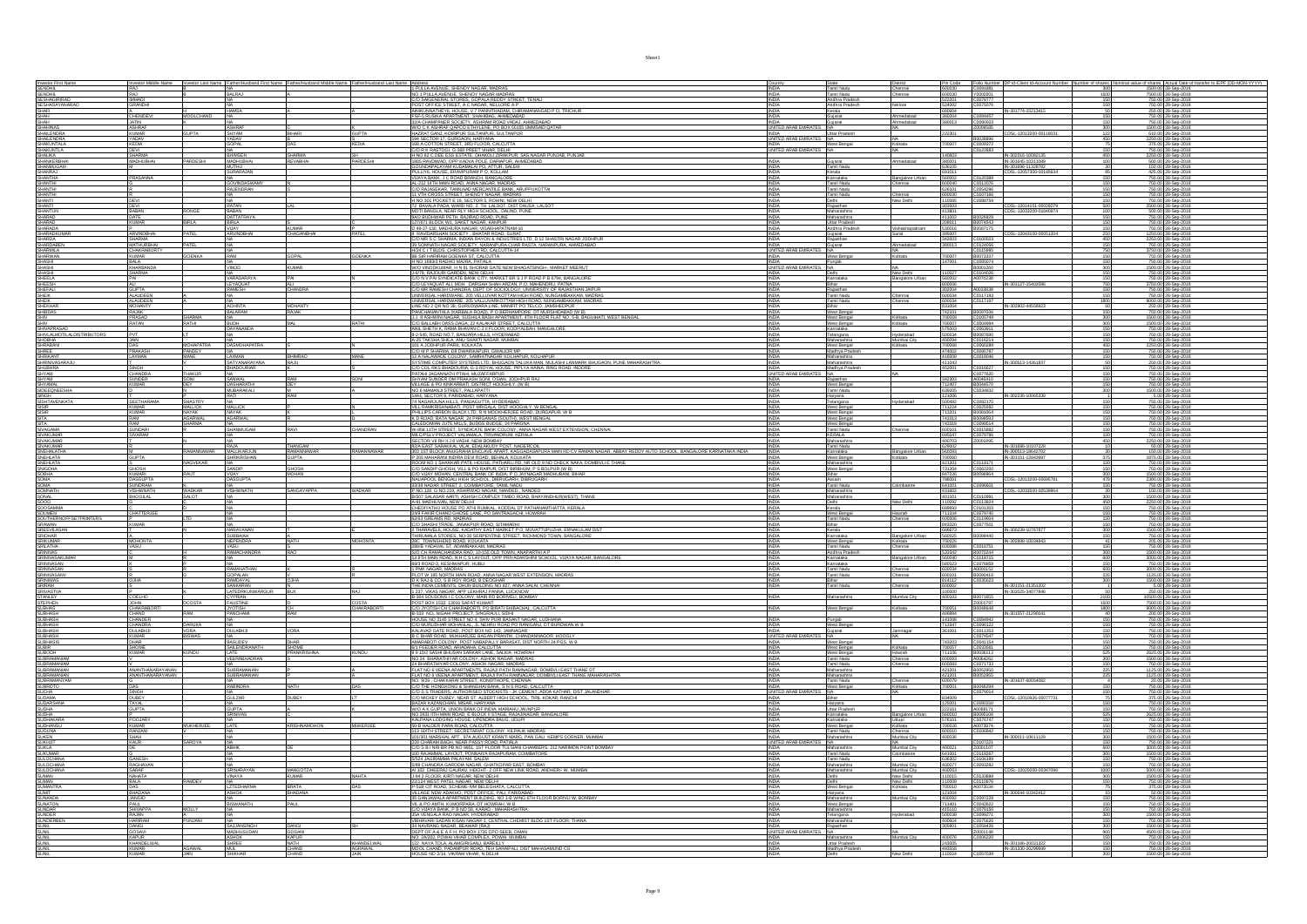|                                                                                                                                                                                                                                          | RAJ                             |                        |                                           |                         |                       |                                                                                                                                                                                                                                                                                                                                                                                                                                                                                       |                                         | State<br>Tamil Nadu                            |                                 | Pin Code<br>600030         | Folio Number                                                                                                                                       |      | of shares Actual Date of tr<br>1500.00 28-Sep-2018                                                           |
|------------------------------------------------------------------------------------------------------------------------------------------------------------------------------------------------------------------------------------------|---------------------------------|------------------------|-------------------------------------------|-------------------------|-----------------------|---------------------------------------------------------------------------------------------------------------------------------------------------------------------------------------------------------------------------------------------------------------------------------------------------------------------------------------------------------------------------------------------------------------------------------------------------------------------------------------|-----------------------------------------|------------------------------------------------|---------------------------------|----------------------------|----------------------------------------------------------------------------------------------------------------------------------------------------|------|--------------------------------------------------------------------------------------------------------------|
|                                                                                                                                                                                                                                          |                                 |                        | NA.<br><b>BALRAJ</b>                      |                         |                       | 1 PULLA AVENUE, SHENOY NAGAR, MADRAS                                                                                                                                                                                                                                                                                                                                                                                                                                                  | INDIA                                   |                                                | Chennai<br>Chennai              |                            | 300                                                                                                                                                |      |                                                                                                              |
|                                                                                                                                                                                                                                          | RAJ<br>IMMADI<br><b>GRANDHI</b> |                        |                                           |                         |                       | NO 1 PULLA AVENUE, SHENOY NAGAR MADRAS<br>C/O SAIGENERAL STORES, GOPALA REDDY STREET, TENAL<br>POST OFFICE STREET, A C NAGAR, NELLORE A P                                                                                                                                                                                                                                                                                                                                             | <b>INDIA</b><br><b>INDIA</b>            | Tamil Nadu<br>Andhra Pradesh<br>Andhra Pradesh | lellore                         | 600030<br>522201<br>524002 | Y0000201<br>C0078777<br>1500<br>C0075076<br>150                                                                                                    |      | 7500.00 28-Sep-2018<br>750.00 28-Sep-2018<br>750.00 28-Sep-2018                                              |
| Investor First Name<br>SENDHIL<br>SENDHIL<br>SESHAGIRIRAO<br>SESHASAYANARAO<br>SHAFI                                                                                                                                                     |                                 |                        | 403554                                    |                         |                       | ANNICONALE IN HOUSE VY PANNITHADAM CHIRAMANANGAD P O. TRICHUR<br>FSF-5 RUSIKA APARTMENT, SHAHIBAG, AHMEDABAD<br>32/A CHAMPANER SOCIETY, ASHRANA ROAD VADAL, AHMEDABAD<br>32/A CHAMPANER SOCIETY, ASHRAN ROAD VADAL AHMEDABAD<br>32/A CHAMP                                                                                                                                                                                                                                            | <b>INDIA</b>                            | Kerala                                         |                                 | 680604                     | IN-301774-15213415<br>C0084457                                                                                                                     |      | 250.00 28-Sep-2018                                                                                           |
| SHAH<br>SHAH                                                                                                                                                                                                                             | CHENIDEVI                       | MOOLCHAND              |                                           |                         |                       |                                                                                                                                                                                                                                                                                                                                                                                                                                                                                       | <b>INDIA</b>                            | Sujarat<br>Gujarat                             | <b>Ahmedabad</b><br>Ahmedabad   | 380004<br>380013           | 150<br>150<br>C0090503                                                                                                                             |      | 750.00 28-Sep-2018<br>750.00 28-Sep-2018                                                                     |
| SHAHINAS<br>SHAILENDRA                                                                                                                                                                                                                   | <b>JATIN</b><br>ASHRAF          |                        | ASHRA                                     |                         |                       | W/O C K ASHRAF QAPCO ETHYLENE. PO BOX 50155 UMMSAID QATA!<br>HAZRAT GANJ, KOIRIPUR SULTANPUR, SULTANPUR                                                                                                                                                                                                                                                                                                                                                                               | UNITED ARAB EMIRATE                     |                                                |                                 |                            | 20006585<br>300                                                                                                                                    |      | 1500.00 28-Sep-2018                                                                                          |
|                                                                                                                                                                                                                                          | <b>KUMAR</b><br>YADAV<br>KEDIA  |                        | SHYAM<br>YADAV<br>GOPAL                   |                         |                       | 194 SECTOR 17, GURGAON, HARYANA<br>168 A COTTON STREET, 3RD FLOOR, CALCUTTA                                                                                                                                                                                                                                                                                                                                                                                                           | <b>INDIA</b><br>UNITED ARAB EMIRATES NA | Uttar Pradesh                                  |                                 | 22301                      | CDSL-12013200-0011803<br>122<br>B0038896<br>450                                                                                                    |      | 610.00 28-Sep-2018<br>2250.00 28-Sep-2018<br>375.00 28-Sep-2018                                              |
| SHALENDRA<br>SHAKUNTALA<br>SHAKUNTLA                                                                                                                                                                                                     |                                 |                        |                                           |                         |                       |                                                                                                                                                                                                                                                                                                                                                                                                                                                                                       | UNITED ARAB EMIRATES NA                 | West Bengal                                    | olkata.                         | 700007                     | C0009372<br>C0122883                                                                                                                               |      |                                                                                                              |
|                                                                                                                                                                                                                                          | DEVI<br>SHARMA<br>MADHUBHAI     |                        | BHIMSEN<br>MADHUBHAI                      | SHARMA<br>REVABHAL      | <b>SH</b><br>PARDESHI | TREACAINDR SINGER", 2007 FLORIDA CALCUITA<br> HAD BE CLEERS ESSTATE, DHAGOLIZRACHER, SASANGAR PUNJAB, PUNJAB<br> HAD BE CLEERS ESSTATE, DHAGOLIZRACHER, SASANGAR PUNJAB, PUNJAB<br> SBS RACOWAD, OPP KADYA POLE, DARAPUR, SHAEDABAD<br> GU                                                                                                                                                                                                                                            |                                         |                                                |                                 | 140603                     | IN-302316-10082135<br>IN-301645-10311089                                                                                                           |      | 750.00 28-Sep-2018<br>2250.00 28-Sep-2018<br>500.00 28-Sep-2018                                              |
| SHALIKA<br>SHANKERBHAI<br>SHANNUGAM<br>SHANRAJ                                                                                                                                                                                           |                                 | PARDESHI               |                                           |                         |                       |                                                                                                                                                                                                                                                                                                                                                                                                                                                                                       | <b>INDIA</b>                            | Gujarat<br>Tamil Nadu                          | Ahmedabad                       | 380001<br>636105           | $\begin{array}{r}\n 450 \\  \hline\n 100 \\  \hline\n 30 \\  \hline\n 85\n \end{array}$                                                            |      |                                                                                                              |
|                                                                                                                                                                                                                                          | PRASANNA                        |                        | <u>MUTHU</u><br>SURARAJAN                 |                         |                       | VIJAYA BANK, J C ROAD BRANCH, BANGALORE                                                                                                                                                                                                                                                                                                                                                                                                                                               | <b>INDIA</b><br><b>INDIA</b><br>INDIA   | Kerala<br>Karnataka                            | Bangalore Urban                 | 560002                     | IN-301696-11328782<br>CDSL-12057300-001456<br>C0120388<br>150                                                                                      |      | 150.00 28-Sep-2018<br>425.00 28-Sep-2018<br>750.00 28-Sep-2018                                               |
|                                                                                                                                                                                                                                          |                                 |                        | OVINDASWAMY                               |                         |                       |                                                                                                                                                                                                                                                                                                                                                                                                                                                                                       |                                         | Tamil Nadu<br>Tamil Nadu                       |                                 |                            | C0012076                                                                                                                                           |      | 750.00 28-Sep-201                                                                                            |
|                                                                                                                                                                                                                                          |                                 |                        | RAJENDRAN                                 |                         |                       | YMATA BOWE, J.C. ROJO BRWAJ NAGRAJNOJ<br>AL 212 IATH MAN ROAD, ANNA NAGRAJNOJ ROSA, ARUPPUKOTTA<br>CO RAJASEKAR, TAMLAND MERCANTILE BANK, ARUPPUKOTTA<br>J.H.V. 301 POCKET E 18, SECTOR S, ROHN, NEW DELH<br>J.H. D. 301 POCKET E 18, SECT                                                                                                                                                                                                                                            | <b>INDIA</b>                            | Tamil Nadu                                     |                                 | 626101                     |                                                                                                                                                    |      | 750.00 28-Sep-2018                                                                                           |
|                                                                                                                                                                                                                                          | DEVI                            |                        | RATAN                                     |                         |                       |                                                                                                                                                                                                                                                                                                                                                                                                                                                                                       | INDIA<br>INDIA<br><b>INDIA</b>          |                                                | Chennai<br>New Delhi            |                            | C0107166<br>C0088759<br>$\frac{150}{150}$                                                                                                          |      | 750.00 28-Sep-2018<br>750.00 28-Sep-2018<br>2500.00 28-Sep-2018                                              |
| SHARRA<br>SHARRIHI<br>SHARRIHI<br>SHARRIHI<br>SHARRAD<br>SHARRAD<br>SHARRAD<br>SHARRAD<br>SHARRAD<br>SHARRAD<br>SHARRAD<br>SHARRAD<br>SHARRAD<br>SHARRAD                                                                                 | DEVI<br><b>BABAN</b>            |                        | BABAN<br>DATTATRAYA                       |                         |                       | MOTI BANGLA, NEAR RLY HIGH SCHOOL, DAUND, PUNE                                                                                                                                                                                                                                                                                                                                                                                                                                        | <b>INDIA</b>                            | Rajasthan<br>Maharashtra                       |                                 | 303503<br>413801           | CDSL-12014101-00029279<br>CDSL-12033200-01640974                                                                                                   |      | 500.00 28-Sep-2018                                                                                           |
|                                                                                                                                                                                                                                          | DATE<br><b>KUMAR</b>            | <b>BIRLA</b>           |                                           |                         |                       | 9A/2 BUDHWAR PETH, BAJIRAO ROAD, PUNE                                                                                                                                                                                                                                                                                                                                                                                                                                                 | <b>INDIA</b>                            | Maharashtra                                    |                                 | 411002                     | B0026928<br>150                                                                                                                                    |      | 750.00 28-Sep-2018                                                                                           |
|                                                                                                                                                                                                                                          |                                 | PATEL                  | BIRLA<br>VIJAY<br>ARVINDBHA               | S<br>KUMAR<br>CHAGANBHA | .<br>Patel            | POWER TO ANNIVER THE MARKET NAGAR, KANPUR<br>D-49-27-130, MADHURA NAGAR, VISAKHAPATNAM-16<br>8. RAVIDARSHAN SOCIETY, BHATAR ROAD, SURAT                                                                                                                                                                                                                                                                                                                                               | INDIA<br>INDIA<br>INDIA                 | Uttar Pradesh<br>Andhra Pradesh                | Vishakhapatnam                  |                            | B0074543<br>B0087175<br>$\frac{150}{150}$                                                                                                          |      | 750.00 28-Sep-2018<br>750.00 28-Sep-2018<br>1250.00 28-Sep-2018                                              |
|                                                                                                                                                                                                                                          | ARVINDBHAI                      |                        |                                           |                         |                       | O DUIS COMMAND NOULLE ANNIE IN AN AND CONTROL ON A SHASTRI NAGAR JODHPUR                                                                                                                                                                                                                                                                                                                                                                                                              |                                         | iujarat<br>tajasthan                           |                                 | 395007<br>342003           | CDSL-12043100-00051204<br>C0100503                                                                                                                 |      |                                                                                                              |
|                                                                                                                                                                                                                                          | SHARMA<br>MATHURBHAI            | PATEL                  |                                           |                         |                       |                                                                                                                                                                                                                                                                                                                                                                                                                                                                                       | INDIA<br>UNITED ARAB EMIRATES NA        | Gujarat                                        | Ahmedabad                       | 380013                     | 450<br>150<br>C0124056                                                                                                                             |      | 2250.00 28-Sep-2018<br>750.00 28-Sep-2018                                                                    |
| SHARMILA<br>SHARWAN                                                                                                                                                                                                                      | CHAKRABORTY<br>KUMAR            | SOENKA                 |                                           | GOPAL                   | <b>GOENKA</b>         | H/24 C I T BLDS, CHRISTOPHER RD, CALCUTTA-14<br>8B SIR HARIRAM GOENKA ST, CALCUTTA                                                                                                                                                                                                                                                                                                                                                                                                    |                                         | West Bengal                                    | olkata                          | zononz                     | 750<br>C0115995<br>B0073337                                                                                                                        |      | 3750.00 28-Sep-2018<br>750.00 28-Sep-2018                                                                    |
| SHARVIAN<br>SHASHI<br>SHASHI<br>SHEELA                                                                                                                                                                                                   | BALA                            |                        |                                           | KUMAR                   |                       | SIS SIKT PRIMONING DENTANT AT CURLOTION<br>HNO 1893/3 RAGHO MAJRA, PATNIJA<br>JUNO VINDOKUMAR, PIN 181 SHORAG GATE NEW BHAGATSINGH., MARKET MEERUT<br>JUOYN, RAJOURI GARDEN, NEW DELHI<br>CJO N V PAI SYNDICATE BANK CITY, MARKET BR S J P                                                                                                                                                                                                                                            |                                         |                                                |                                 |                            | C0085074                                                                                                                                           |      | 750.00 28-Sep-2018                                                                                           |
|                                                                                                                                                                                                                                          | KHARBAND<br>SHARMA<br>PAI       |                        | VARADARAYA                                | PAI                     |                       |                                                                                                                                                                                                                                                                                                                                                                                                                                                                                       | <b>LINITI</b><br><b>INDIA</b>           | Karnataka                                      | New Delhi<br>Bangalore Urbar    | 110027<br>560002           | 300<br>150<br>B0001260<br>C0104026<br>150<br>A0070238                                                                                              |      | 1500.00 28-Sep-2018<br>750.00 28-Sep-2018<br>750.00 28-Sep-2018                                              |
|                                                                                                                                                                                                                                          | <b>ALI</b>                      |                        | LEYAQUAT                                  | ALI.                    |                       |                                                                                                                                                                                                                                                                                                                                                                                                                                                                                       | <b>INDIA</b>                            | Bihar                                          |                                 | 800006                     | IN-301127-15402086<br>750                                                                                                                          |      | 3750.00 28-Sep-2018                                                                                          |
|                                                                                                                                                                                                                                          | <b>GUPTA</b><br>ALAUDEEN        |                        | <b>RAMESH</b>                             | CHANDRA                 |                       |                                                                                                                                                                                                                                                                                                                                                                                                                                                                                       |                                         | Raiasthan                                      | hennai                          | 302004                     | A0033838                                                                                                                                           |      |                                                                                                              |
| SHEESH<br>SHEESH<br>SHEK<br>SHEKHAR<br>SHIV<br>SHIV<br>SHIV                                                                                                                                                                              | ALAUDEEN                        |                        |                                           |                         |                       | $\underbrace{\begin{bmatrix} \color{red}\text{CO 11} \color{black} \color{red}\text{CO 21} \color{black} \text{CO 31} \color{black} \text{CO 41} \color{black} \text{CO 51} \color{black} \text{CO 61} \color{black} \text{CO 61} \color{black} \text{CO 61} \color{black} \text{CO 61} \color{black} \text{CO 61} \color{black} \text{CO 61} \color{black} \text{CO 61} \color{black} \text{CO 61} \color{black} \text{CO 61} \color{black} \text{CO 61} \color{black} \text{CO 61}$ | INDIA<br>INDIA<br>INDIA<br>INDIA        | Tamil Nadu<br>Tamil Nadu<br>Bihar              | Chennai                         | 600034                     | $\begin{array}{r}\n 150 \\  \hline\n 150 \\  \hline\n 1800 \\  \hline\n 50 \\  \hline\n \end{array}$<br>C0117193<br>C0117197<br>IN-302902-44558923 |      | 750.00 28-Sep-2018<br>750.00 28-Sep-2018<br>9000.00 28-Sep-2018<br>250.00 28-Sep-2018                        |
|                                                                                                                                                                                                                                          |                                 |                        | <b>ACHINTA</b><br>BALARAM                 | <b>MOHANTY</b><br>RAJAK |                       |                                                                                                                                                                                                                                                                                                                                                                                                                                                                                       | <b>INDIA</b>                            | West Bengal                                    |                                 | 742101                     | B0097036<br>150                                                                                                                                    |      | 750.00 28-Sep-2018                                                                                           |
|                                                                                                                                                                                                                                          | RAJAK<br>PRASAD<br><b>RATAN</b> | SHARMA                 | NA.<br><b>BUDH</b>                        |                         |                       | PANCHANANTALA (KARBALA ROAD), P O BERHAMPORE, DT MURSHIDABAD (W B)<br>J.J. 8 ASHWINI NAGAR, SUSHILA BASH APARTMENT, 4TH FLOOR FLAT NO. 5-B, BAGUIHATI, WEST BENGAL                                                                                                                                                                                                                                                                                                                    | <b>INDIA</b>                            | West Bengal                                    | Kolkata<br>Kolkata              | 700059                     | 300<br>C0105749                                                                                                                                    |      | 1500.00 28-Sep-2018                                                                                          |
| SHIV<br>SHIVAPRASAD<br>SHIVLALMOTILALDISTRIBUTORS<br>SHORIANI                                                                                                                                                                            | <b>PVL</b>                      |                        | <b>DAYANANDA</b>                          |                         |                       | C/O BALLABH DASS DAGA, 22 KALAKAR STREET, CALCUTTA<br>ANIL SHETH K, RAMA BHAVAN C-2 II FLOOR, KODIYALBAH, MANGALORE                                                                                                                                                                                                                                                                                                                                                                   |                                         | West Bengal<br>Karnataka                       |                                 | 700007<br>575003           | C0004994<br>C0063911<br>300                                                                                                                        |      | 1500.00 28-Sep-2018<br>750.00 28-Sep-2018                                                                    |
|                                                                                                                                                                                                                                          |                                 |                        |                                           |                         |                       | 8-2-545, ROAD NO.7, BANJARA HILLS, HYDERABAD                                                                                                                                                                                                                                                                                                                                                                                                                                          |                                         | felangana                                      | <b>lyderabad</b><br>Mumbai City |                            | B0087690<br>116214                                                                                                                                 |      | 750.00 28-Sep-2018                                                                                           |
| SHRABANI                                                                                                                                                                                                                                 | JAIN<br>DAS                     | MOHAPATRA              | <b>DASMOHAPATE</b>                        |                         |                       | A-25 TAKSHA SHILA, ANU SHAKTI NAGAR, MUMBAL<br>101 A JODHPUR PARK, KOLKATA                                                                                                                                                                                                                                                                                                                                                                                                            | INDIA                                   | Maharashtra<br>West Bengal                     | Kolkata                         | 700068                     | $\frac{150}{450}$<br>C0060289<br>C0095787                                                                                                          |      | 750.00 28-Sep-2018<br>2250.00 28-Sep-2018                                                                    |
| SHREE<br>SHRIKANT                                                                                                                                                                                                                        | PRAKASH<br>LAXMAN               | PANDEY<br>MANE         | NA<br>LAXMAN                              | BHIMRAO                 | MANE                  | C/O M P SHARMA, D8 DWARIKAPURI, GWALIOR MP<br>12 A NALAWADE COLONY, SAMRATNAGAR KOLHAPUR, KOLHAPUR                                                                                                                                                                                                                                                                                                                                                                                    | INDIA<br>INDIA                          | Madhya Pradesh<br>Maharashtra                  |                                 | 474002<br>416008           | 150<br>150<br>C0018046                                                                                                                             |      | 750.00 28-Sep-2018<br>750.00 28-Sep-2018                                                                     |
| SHRINIVASARAJU<br>SHUBHRA<br>SHYAM                                                                                                                                                                                                       | SINGH                           |                        | <b>SATYANARAYAN</b><br><b>BHADOLIBIAR</b> | RAILL                   |                       | <b>SYSTIME COMPUTER SYSTEMS LTD, BHAGAON TALUGA MAN, MULASHI LAWARRE BHUGAON, PUNE MAHARASHTRA</b><br>COCO COL INSERIADOURIAL G-SROVIAL HOUSE, PIPLYA HAMA, MULASHI LAWARRE BHUGAON, PUNE MAHARASHTRA<br>CALAMI JAGARANTH PTAH, MUZAFFARP                                                                                                                                                                                                                                             | INDIA                                   | Maharashtra<br>Madhya Prade                    |                                 | 411043                     | IN-300513-1436183<br>C0016627                                                                                                                      |      | 250.00 28-Sep-2018                                                                                           |
|                                                                                                                                                                                                                                          | CHANDRA<br>SUNDER<br>KUMAR      | Thakur                 |                                           |                         | SONI                  |                                                                                                                                                                                                                                                                                                                                                                                                                                                                                       | UNITED ARAB EMIRATES NA                 |                                                |                                 |                            | C0077620                                                                                                                                           | 150  | 750.00 28-Sep-2018<br>750.00 28-Sep-2018                                                                     |
|                                                                                                                                                                                                                                          |                                 | SONI<br>DEY            | SANWAL<br>DASHARATHI                      | RAM<br>DEY              |                       |                                                                                                                                                                                                                                                                                                                                                                                                                                                                                       | <b>INDIA</b><br>INDIA                   | Rajasthan<br>West Bengal                       |                                 | 342303<br>712407           | A0046410<br>$\frac{150}{150}$                                                                                                                      |      | 750.00 28-Sep-2018<br>750.00 28-Sep-2018                                                                     |
|                                                                                                                                                                                                                                          |                                 |                        | MUBARAKALI                                |                         |                       | SHYAM SUNDER OM PRAKASH SONI, OSMA, JODHPUR RAJ<br>VILLAGE & PO KINKARBATI, DISTRICT HOOGHLY, (W.B.)<br>NO 6 MAMANJI STREET, PALLAPATTI<br>1444, SECTOR 9. FADINABAN: HANYAHIT<br>1444. SECTOR 9. FARIDABAD. HARYANA                                                                                                                                                                                                                                                                  | <b>INDIA</b><br><b>INDIA</b>            | Tamil Nadu                                     |                                 | 639205<br>121006           | 300<br>C0034832<br>IN-302236-10065338                                                                                                              |      | 1500.00 28-Sep-2018<br>5.00 28-Sep-2018                                                                      |
|                                                                                                                                                                                                                                          | <b>SEETHARAM</b>                | <b>SHASTRY</b>         |                                           |                         |                       |                                                                                                                                                                                                                                                                                                                                                                                                                                                                                       |                                         | Haryana<br>Telangana                           | Mderabad                        | 500482                     | $\frac{1}{150}$<br>C0082170                                                                                                                        |      | 750.00 28-Sep-2018                                                                                           |
|                                                                                                                                                                                                                                          | <b>KUMAR</b><br>KUMAR           | MALLICK<br>NAYAK       | MALLICK<br>NAYAK                          |                         |                       |                                                                                                                                                                                                                                                                                                                                                                                                                                                                                       | INDIA<br>INDIA                          | West Bengal                                    |                                 | 711224<br>713201           | C0025592<br>B0081064<br>$\frac{150}{150}$                                                                                                          |      | 750.00 28-Sep-2018                                                                                           |
| SHTMM<br>SHYAMAL<br>SIDEEQNEESHA<br>SIDEEQNEESHA<br>SISHTAVENKATA<br>SISIR<br>SISIR<br>SIVAGAMA<br>SIVAGAMA<br>SIVAGAMA                                                                                                                  | RAM<br>RAM                      | <u>GARWAL</u><br>HARMA | <b>AGARWAL</b>                            |                         |                       | <b>1444: SECURE SE ARESIMANI: NATIVANA</b><br>1741: NATIVAL PARAMANI, PASIMANA PROFINO ANGERAL VI BENGAL<br>1741: NATA PARAMANI, POST NATIVAL DIST HOGGHLY, W BENGAL<br>1741: ILIS CARBON BLACK LTD, FI N MOOKHERJEE ROAD, DURGAPUR, W B<br>174                                                                                                                                                                                                                                       | INDIA<br><b>INDIA</b>                   | West Bengal<br>West Bengal                     |                                 | 743313<br>743319           | 150<br>150<br>150<br>B0098593<br>C0099514                                                                                                          |      | 750.00 28-Sep-2018<br>750.00 28-Sep-2018                                                                     |
|                                                                                                                                                                                                                                          | <b>SUNDARI</b>                  |                        | SHANMUGAM                                 |                         | CHANDRAN              | W-858 11TH STREET, SYNDICATE BANK COLONY, ANNA NAGAR WEST EXTENSION, CHENNAL                                                                                                                                                                                                                                                                                                                                                                                                          | INDIA                                   | Tamil Nadu                                     | Chennai                         | 600101                     | C0015882                                                                                                                                           |      | 750.00 28-Sep-2018                                                                                           |
| SIVAKUMAR<br>SIVAKUMAR<br>SIVAKUMAR<br>SNEHALATHA<br>SNEHLATA<br>SNEHLATA<br>SNEHLATA<br>SNEHLATA                                                                                                                                        | <b>SIVARAM</b>                  |                        | NA.                                       |                         |                       | MILC/PSLV PROJECT VALIAMALA, TRIVANDRUM, KERALA                                                                                                                                                                                                                                                                                                                                                                                                                                       | INDIA                                   | KERALA                                         |                                 | 695547<br>400703           | C0078786<br>150<br>Z0001895                                                                                                                        |      | 750.00 28-Sep-2018                                                                                           |
|                                                                                                                                                                                                                                          |                                 | <b>MANNAWAR</b>        |                                           | THANGAM                 | RAMANNAWAR            | JOILLEACH MOURAL VIAMANDA INTRIVIEWAM, NEWSA<br>1942/08: NIE STARMON, VIAL BOLANDOY POST, MOEBROOL<br>1930 ISTE BOOK MALGINAL BOLANDOY POST, MOEBROOL<br>1930 ISTE BOOK MALGINAL BOLAND (PPAT, MOEBROOL)<br>1903/INO 1 SHANGAR PATL HOUSE,                                                                                                                                                                                                                                            | INDIA                                   | Maharashtra<br>Tamil Nadu                      | Bangalore Urban                 | 629002                     | IN-301696-10107228                                                                                                                                 |      | 28.00 28-Sep-2018<br>50.00 28-Sep-2018                                                                       |
|                                                                                                                                                                                                                                          | M<br>GUPTA                      |                        | MALLIKARJUN<br>SHRIKRISHAN                | RAMANNAWAR<br>GUPTA     |                       |                                                                                                                                                                                                                                                                                                                                                                                                                                                                                       | <b>INDIA</b><br><b>INDIA</b>            | Karnataka<br>West Bengal                       | olkata                          | 560093                     | IN-300513-18642702<br>IN-301151-12943697<br>$\frac{30}{375}$<br>150                                                                                |      | 150.00 28-Sep-2018<br>1875.00 28-Sep-2018                                                                    |
|                                                                                                                                                                                                                                          | <b>GHOSH</b>                    | NAGVEKAR               | SANDIP                                    | GHOSH                   |                       | C/O SANDIP GHOSH, VILL & PO RAIPUR, DIST BIRBHUM, P S BOLPUR (W B)                                                                                                                                                                                                                                                                                                                                                                                                                    | <b>INDIA</b><br><b>INDIA</b>            | Maharashtra<br>West Bengal                     |                                 | 421201<br>731204           | C0119171<br>150 <sub>1</sub>                                                                                                                       |      | 750.00 28-Sep-2018<br>750.00 28-Sep-2018                                                                     |
| SOBHA<br>SOBHA<br>SOMA<br>SOMAL<br>SONAL<br>SOOD                                                                                                                                                                                         | <b>KUMARI</b>                   | TIAR                   | VUAY                                      | <b>MOHAN</b>            |                       | SOO SHANY MOHAN, SENTRAL BANK OF INDIA PO JAYNAGAR MADHUBAN, BIHAR<br>INLIAPOOL BENGALI HIGH SCHOOL, DIBRUGARH<br>JAYALAPOOL BENGALI HIGH SCHOOL, DIBRUGARH<br>JAYALAPOOL BENGATI JENGATORE, TAMIL NADU<br>P.NO.128 G.NO.219, ASHIRWAD NAG                                                                                                                                                                                                                                            | <b>INDIA</b>                            |                                                |                                 | 847226                     | B0096964<br>300                                                                                                                                    |      | 1500.00 28-Sep-2018                                                                                          |
|                                                                                                                                                                                                                                          | DASGUPT/<br>SUNDRAM             |                        | ASGUPT/                                   |                         |                       |                                                                                                                                                                                                                                                                                                                                                                                                                                                                                       | INDIA<br>INDIA                          | Assam<br>Tamil Nadu                            | Combatore                       |                            | CDSL-12013200-00695781<br>$\frac{478}{150}$<br>C0096601                                                                                            |      | 2390.00 28-Sep-2018                                                                                          |
|                                                                                                                                                                                                                                          | VISHWNAT<br>BHOGILAL            | <b>NADKAR</b>          |                                           | <b>SANGAYAPPA</b>       | <b>WADKAR</b>         | B/507 SALASAR AARTI. ASHISH COMPLEX TIMBO ROAD. BHAYANDHURIV                                                                                                                                                                                                                                                                                                                                                                                                                          | <b>INDIA</b>                            | Maharashtra<br>Maharashtra                     |                                 | 431602<br>401101           | CDSL-12033500-0053986<br>C0110991                                                                                                                  |      | 150.00 28-Sep-2018                                                                                           |
|                                                                                                                                                                                                                                          |                                 |                        |                                           |                         |                       | <b>COLORADO ANGLES DE PRESENTE COMPUTER CONTRACTA CONTRACTA CONTRACTA CONTRACTA CONTRACTA CONTRACTA CONTRACTA CONTRACTA CONTRACTA CONTRACTA CONTRACTA CONTRACTA CONTRACTA CONTRACTA CONTRACTA CONTRACTA CONTRACTA CONTRACTA CONT</b>                                                                                                                                                                                                                                                  | <b>INDIA</b><br>INDIA                   | Delhi                                          | New Delhi                       | 110092                     | $\frac{300}{450}$<br>C0113824                                                                                                                      |      | 1500.00 28-Sep-2018<br>2250.00 28-Sep-2018                                                                   |
|                                                                                                                                                                                                                                          | -<br>CHATTERJEE                 |                        |                                           |                         |                       |                                                                                                                                                                                                                                                                                                                                                                                                                                                                                       | <b>INDIA</b>                            | Kerala<br>West Bengal<br>Tamil Nadu            | <b>Kowrah</b>                   | 689693<br>711104           | C0101303<br>C0079740                                                                                                                               |      | 2750.00 28-Sep-2018<br>750.00 28-Sep-2018<br>750.00 28-Sep-2018<br>750.00 28-Sep-2018<br>1500.00 28-Sep-2018 |
|                                                                                                                                                                                                                                          | <b>KUMAR</b>                    |                        |                                           |                         |                       |                                                                                                                                                                                                                                                                                                                                                                                                                                                                                       | INDIA<br>INDIA<br>INDIA                 |                                                | Chennai                         | 843320                     | C0119604<br>C0077501<br>150<br>150<br>300<br>150<br>41                                                                                             |      |                                                                                                              |
|                                                                                                                                                                                                                                          |                                 |                        | NA<br>NARAYANAN                           |                         |                       | USAL START TAME, JANACIJE ROAD, SITAMARH<br>200 SHASHI TRADE, JANACIJE ROAD, SITAMARH<br>21 THARANGUL HOUSE, KADATIY EAST MARKET P O, MUVATTUPUZHA, ERNAKULAM DIST<br>200 TOWNSHEND ROAD, KOJKATA<br>200 TOWNSHEND ROAD, KOJKATA                                                                                                                                                                                                                                                      |                                         | Bihar<br>Kerala                                |                                 | 686673                     | IN-300239-1076787                                                                                                                                  |      |                                                                                                              |
|                                                                                                                                                                                                                                          | MOHONTA                         |                        | SUBBAIAH<br>NEPENDRA                      |                         | <b>MOHONTA</b>        |                                                                                                                                                                                                                                                                                                                                                                                                                                                                                       | <b>INDIA</b><br><b>INDIA</b>            | Karnataka<br>West Bengal                       | Bangalore Urban<br>Kolkata      | 560025                     | B0099440<br>IN-302898-10034843                                                                                                                     |      | 750.00 28-Sep-2018<br>205.00 28-Sep-2018                                                                     |
|                                                                                                                                                                                                                                          |                                 |                        |                                           |                         |                       | . 28L - LUWISSHEND ROAD, KOLKATA<br>288B YADAVAL ST, ADAMBAKKAM, MADRAS<br>13 D CH RAMACHANDRA RAO, 10-155 OLD TOWN, ANAPARTHI A P<br>13 B YA MAN ROAD, N H C S LAYOUT, OPP PRIYADARSHINI SCHOOL, VIJAYA NAGAR, BANGALORE<br>1893 ROAD-3,                                                                                                                                                                                                                                             | <b>INDIA</b>                            | Tamil Nadu<br>Andhra Prac                      | Chennai                         | 600088                     | C0016751<br>150                                                                                                                                    |      | 205.00 28-Sep-2018<br>150.00 28-Sep-2018<br>150.00 28-Sep-2018<br>3000.00 28-Sep-2018<br>750.00 28-Sep-2018  |
|                                                                                                                                                                                                                                          |                                 |                        |                                           |                         |                       |                                                                                                                                                                                                                                                                                                                                                                                                                                                                                       |                                         |                                                | <b>Bangalore Urba</b>           |                            | 300                                                                                                                                                |      |                                                                                                              |
|                                                                                                                                                                                                                                          |                                 |                        | <b>AMANATH</b>                            |                         |                       | 68/3 ROAD-3, KESHWAPUR, HUBLI<br>1 PMK NAGAR, MADRAS                                                                                                                                                                                                                                                                                                                                                                                                                                  | <b>INDIA</b>                            | Karnataka<br>Tamil Nadu                        | Chennai                         | 580023<br>600034           | C0076859<br>150<br>A0000152                                                                                                                        |      |                                                                                                              |
|                                                                                                                                                                                                                                          | <b>QIHA</b>                     |                        | <b>GOPALAN</b><br>RAMDAYAL                | <b>D.HA</b>             |                       | PLOT W 185 NORTH MAIN ROAD, ANNA NAGAR WEST EXTENSION, MADRAS                                                                                                                                                                                                                                                                                                                                                                                                                         | <b>INDIA</b><br>INDIA                   | Tamil Nadu                                     | Chennai                         | 600101<br>814112           | B0090416<br>225<br>300                                                                                                                             |      | 1125.00 28-Sep-2018<br>1500.00 28-Sep-2018                                                                   |
|                                                                                                                                                                                                                                          |                                 |                        | SANKARAN<br>LATEDRKUNY                    |                         |                       | POU W 189 NORTHWAIN WORLD, ANNI NORTHWAIN WEST EXTENSION, MARKING CO. S.B. ROY ROAD, B. DECOGHAR<br>THE NORTH COLORENTS, DHUN BULGING VO 827, ANNA SALAI, CHENNA<br>18-227, VIKOS NAGAR, APP LEKHRAJ PANNA, LUCHNOW<br>18-237, VIKOS                                                                                                                                                                                                                                                  |                                         | Tamil Nadu                                     | Chennai                         |                            | C0035023<br>IN-301151-21351202<br>IN-302025-34077846                                                                                               |      | 5.00 28-Sep-2018                                                                                             |
|                                                                                                                                                                                                                                          | COELHO                          |                        |                                           |                         |                       |                                                                                                                                                                                                                                                                                                                                                                                                                                                                                       | <b>INDIA</b>                            | Aaharashtra                                    | Aumbai City                     | 400103                     | B0071655                                                                                                                                           |      |                                                                                                              |
|                                                                                                                                                                                                                                          | <b>JOHN</b>                     | DCOSTA                 | CYPRIAN<br>FAUSTINE                       |                         | COSTA<br>CHAKRABORT   |                                                                                                                                                                                                                                                                                                                                                                                                                                                                                       | <b>INDIA</b>                            | West Bengal                                    | Kolkata                         |                            | 2100<br>1500<br>Z0001797                                                                                                                           |      | 10500.00 28-Sep-2018<br>7500.00 28-Sep-2018                                                                  |
|                                                                                                                                                                                                                                          | CHAKRABORT<br>CHAND             | RAM                    | <b>JYOTISH</b><br>PANCHAMI                | RAM                     |                       | B-333 NCL NIGAHI PROJECT, SINGRAULI, SIDHI                                                                                                                                                                                                                                                                                                                                                                                                                                            |                                         |                                                |                                 | 700051<br>486884           | B0048648<br>1800<br>IN-301557-21290041<br>$\frac{40}{150}$                                                                                         |      | 9000.00 28-Sep-2018<br>200.00 28-Sep-2018                                                                    |
|                                                                                                                                                                                                                                          | CHANDER<br>CHANDRA<br>DULABHJI  | DARUK                  |                                           |                         |                       | B'333 NCL NIGAHI PROJECT, SINGRADLI, SIDHI<br>HOUSE NO 2145 STREET NO 4, SHIV PURI BASANT NAGAR, LUDHIANA<br>CO MURLIDHAR MOHANLAL JL NEHRU ROAD PO RANIGANJ. DT BURI<br>KALAVAD GATE ROAD, POST BOX NO 143, JAMMAGAR<br>U. DT BURDWAN W B                                                                                                                                                                                                                                            |                                         | uniab                                          |                                 | 41008                      | C0084942                                                                                                                                           |      | 750.00 28-Sep-2018<br>750.00 28-Sep-2018                                                                     |
| <b>SOURI<br/>SOURIS CONSULTANT SUBMIT AND A SUBMIT SUBMIT OF SUBMIT AND SUBMIT SUBMIT SUBMIT SUBMIT SUBMIT SUBMIT SUBMIT SUBMIT SUBMIT SUBMIT SUBMIT SUBMIT SUBMIT SUBMIT SUBMIT SUBMIT SUBMIT SUBMIT SUBMIT SUBMIT SUBMIT SUBMIT SU</b> |                                 | VORA                   | <br>JULABHJI                              | VORA                    |                       |                                                                                                                                                                                                                                                                                                                                                                                                                                                                                       |                                         | rumus<br>West Benga<br>Gujarat                 | Jamnagar                        |                            | C0096122<br>C0011353                                                                                                                               |      | 750.00 28-Sep-2018                                                                                           |
|                                                                                                                                                                                                                                          | KUMAR<br>DHAR                   | <b>BISWAS</b>          | NA<br>BASUDEV                             | DHAR                    |                       | B C BHAR ROAD, MUKHARJEE BAGAN PRANTIK, CHANDANNAGOR HOOGLY<br>AMARABOTI COLONY, POST NABAPALLY BARASAT, DIST NORTH 24 PGS, W B                                                                                                                                                                                                                                                                                                                                                       | UNITED ARAB EMIRA                       | NA<br>West Bengal                              | NA.                             | 743203                     | C0074547<br>C0041154<br>150<br>150                                                                                                                 |      | 750.00 28-Sep-2018<br>750.00 28-Sep-2018                                                                     |
|                                                                                                                                                                                                                                          | SHOME<br><b>KUMAR</b>           | <b>KUNDU</b>           | SAILENDRANAT<br>LATE                      | SHOME<br>PRANKRISHN     | KINDU                 | 6/1 FEEDER ROAD, ARIADAHA, CALCUTTA                                                                                                                                                                                                                                                                                                                                                                                                                                                   | INDIA<br>INDIA                          | West Bengal                                    | Kolkata<br>Howrah               | 700057<br>711106           | C0033561<br>$\begin{array}{r}\n 150 \\  525 \\  \hline\n 300 \\  150 \\  \hline\n 225 \\  \hline\n 00\n \end{array}$<br>B0036112                   |      | 750.00 28-Sep-2018<br>2625.00 28-Sep-2018                                                                    |
|                                                                                                                                                                                                                                          |                                 |                        | VEERABHADRAN                              |                         |                       |                                                                                                                                                                                                                                                                                                                                                                                                                                                                                       |                                         | West Bengal<br>Tamil Nadu<br>Tamil Nadu        | Chennai<br>Chennai              |                            |                                                                                                                                                    |      |                                                                                                              |
|                                                                                                                                                                                                                                          |                                 |                        | NA<br>SUBRAMANIAN                         |                         |                       | ST FERIOR NORTHWING WAS ARRESTED FOR THE MANUFACTURE OF THE STATE RESIDENCE AND A STATE OF THE STATE RESIDENCE<br>18 J 1922 SASSEMBLISHN SARKAR LANG, NAVOIR A MARINA<br>1931 BHARAFHYAR COLONY, ASHOK NAGAR, MARNAS<br>FLAT NO 8 VEENA                                                                                                                                                                                                                                               | india<br>India<br>India                 | Maharashtra                                    |                                 | 600083<br>600083<br>421201 | A0064262<br>C0071733<br>B0052950                                                                                                                   |      | 1500.00 28-Sep-2018<br>750.00 28-Sep-2018<br>1125.00 28-Sep-2018<br>1125.00 28-Sep-2018                      |
|                                                                                                                                                                                                                                          | ANANTHANARAYANAN                |                        | SUBRAMANIAN                               |                         |                       |                                                                                                                                                                                                                                                                                                                                                                                                                                                                                       | INDIA<br>INDIA                          | Maharashtra<br>Tamil Nadu                      | Chennai                         | 421201<br>600079           | 225<br>B0052955<br>IN-301637-60054082                                                                                                              | $-4$ | 20.00 28-Sep-2018                                                                                            |
|                                                                                                                                                                                                                                          |                                 |                        | <b>RABINDRA</b>                           |                         |                       | NO. 9/29 . CHAKKARAI STREET. KONDITHOPE. CHENNAI<br>C/O THE HONGKONG & SHANGHAI BANK, S N S ROAD, CALCUTTA                                                                                                                                                                                                                                                                                                                                                                            | <b>INDIA</b>                            | West Bengal                                    | Kolkata                         | 700001                     | B0046299<br>150                                                                                                                                    |      | 750.00 28-Sep-2018                                                                                           |
| SUCHA<br>SUDAMA<br>SUDARSHNA                                                                                                                                                                                                             | SINGH<br>DUBEY                  |                        | <b>SULZAR</b>                             |                         |                       | C/O S S TRADERS, AUTHORISED STOCKISTS - JK CEMENT, ADDA KATHAR, DIST JALANDHAR, C/O MICKEY DUBEY, NEAR ST. ALBERT HIGH SCHOOL, TIRIL KOKAR, RANCHI                                                                                                                                                                                                                                                                                                                                    | UNITED ARAB EMIRATES N/                 |                                                |                                 | 834009                     | C0079014<br>150                                                                                                                                    |      | 750.00 28-Sep-2018<br>375.00 28-Sep-2018                                                                     |
|                                                                                                                                                                                                                                          | <b>TAYAL</b><br>GUPTA           |                        | NA<br>GUPTA                               |                         |                       | BAZAR KAZANCHIAN, MISAR, HARYANA<br>WO A K GUPTA, UNION BANK OF INDIA, MARIAHU JAUNPUR                                                                                                                                                                                                                                                                                                                                                                                                | INDIA                                   | Haryana                                        |                                 | 125001                     | C0080310<br>150                                                                                                                                    |      | 750.00 28-Sep-2018                                                                                           |
| SUDHA<br>SUDHA                                                                                                                                                                                                                           |                                 |                        | SRINIVAS                                  |                         |                       | NO 2631 ITH MAIN ROAD, E BLOCK II STAGE, RAJAJINAGAR, BANGALORE                                                                                                                                                                                                                                                                                                                                                                                                                       | INDIA<br>INDIA                          | Uttar Prades<br>Karnataka                      | Bangalore Urban                 | 222161<br>560010           | A0088171<br>150<br>B0095106<br>525                                                                                                                 |      | 750.00 28-Sep-2018<br>2625.00 28-Sep-2018                                                                    |
| SUDHAKARA<br>SUDHAKARA<br>SUDHANSU<br>SUKEA<br>SULOCHANA<br>SULOCHANA<br>SULOCHANA<br>SULOCHANA<br>SULOCHANA<br>SULOCHANA<br>SULOCHANA                                                                                                   | POOJARY<br>KUMAR                | MUKHERJEE              | NA<br>LATE                                | <b>KRISHNAMOHOM</b>     | <b>MUKERJEE</b>       | KALPANA LODGING HOUSE, UPENDRA BAUG, UDUPI                                                                                                                                                                                                                                                                                                                                                                                                                                            | <b>INDIA</b>                            | Karnataka<br>West Bengal                       | Udupi<br>Kolkata                | 576101<br>700026           | C0076747<br>A0073874<br>150                                                                                                                        |      | 750.00 28-Sep-2018<br>750.00 28-Sep-2018                                                                     |
|                                                                                                                                                                                                                                          | RANJANI                         |                        |                                           |                         |                       |                                                                                                                                                                                                                                                                                                                                                                                                                                                                                       | INDIA                                   | Tamil Nadu                                     | Chennai<br>Mumbai City          | 600010                     | C0106842<br>150                                                                                                                                    |      |                                                                                                              |
|                                                                                                                                                                                                                                          | SHAH<br>KAUR                    | SAROYA                 | NA.                                       |                         |                       | SPERINGER TWA ROBOT, CHECKLOTIN, YELPALIK MADRAS<br>193 SIXTH STREET, SECRETARIAT COLONY, KILPALIK MADRAS<br>193 SIXTH STREET, SECRETARIAT COLONY, KILPALIK PAN GALI KEMPS CORNER, MUMBAI<br>229 CHARAM BAGH, NEAR PASSY ROAD, PATIALA<br>                                                                                                                                                                                                                                            | INDIA<br>UNITED ARAB EMIRATE<br>S NA    | Maharashtra                                    |                                 |                            | IN-300011-10611129<br>$\frac{300}{150}$<br>C0107221                                                                                                |      | 750.00 28-Sep-2018<br>1500.00 28-Sep-2018<br>750.00 28-Sep-2018                                              |
|                                                                                                                                                                                                                                          |                                 |                        | ABHIK                                     |                         |                       | 100 RAJAMMAL LAYOUT, PONNAIYA RAJAPURAM, COIMBATORE                                                                                                                                                                                                                                                                                                                                                                                                                                   | <b>INDIA</b><br><b>INDIA</b>            | Maharashtra<br>Tamil Nadu                      | NA<br>Mumbai City               | 400021<br>641001           | Z0001107<br>C0118267<br>300                                                                                                                        |      | 3000.00 28-Sep-2018<br>1500.00 28-Sep-2018                                                                   |
|                                                                                                                                                                                                                                          | <b>GANESH</b>                   |                        |                                           |                         |                       |                                                                                                                                                                                                                                                                                                                                                                                                                                                                                       | <b>INDU</b>                             | Tamil Nadu                                     |                                 | 636302                     | C0106189<br>150                                                                                                                                    |      | 750.00 28-Sep-2018                                                                                           |
|                                                                                                                                                                                                                                          | RAGHAVAN<br>SARAF               |                        | INAD AV.                                  |                         |                       | <b>SECURE AND MANUFACTURE AND STATEMENT OF A STATE OF A STATE OF A STATE AND CONDUCT AND STATE OF A STATE OF A STATE OF A STATE OF A STATE OF A STATE OF A STATE OF A STATE OF A STATE OF A STATE OF A STATE OF A STATE OF A STA</b>                                                                                                                                                                                                                                                  |                                         | Maharashtra<br>Maharashtra                     | Mumbai City<br>Mumbai City      |                            | C0093292<br>$\frac{150}{000}$<br>CDSI-12020000-00347096                                                                                            |      | 750.00 28-Sep-2018                                                                                           |
|                                                                                                                                                                                                                                          | NAHATA                          | RAMDEV                 | VINAYA                                    | <b>KUMAR</b>            | NAHTA                 |                                                                                                                                                                                                                                                                                                                                                                                                                                                                                       | INDIA                                   | Delhi                                          | New Delhi                       | 110015                     | C0133899                                                                                                                                           |      | 1500.00 28-Sep-2018                                                                                          |
| SUMAN<br>SUMANTRA                                                                                                                                                                                                                        | <b>BALA</b><br>DAS              |                        | LZTEDHARM                                 | BRATA                   |                       | 22/124 WEST PATEL NAGAR, NEW DELHI<br>P-51B CIT ROAD, SCHEME-IVM BELEGHATA, CALCUTTA                                                                                                                                                                                                                                                                                                                                                                                                  | <b>INDIA</b><br><b>INDIA</b>            | Delhi<br>West Bengal                           | New Delhi<br><b>Colkata</b>     | 110008<br>700010           | $\frac{300}{150}$<br>C0110876<br>A0073534                                                                                                          |      | 750.00 28-Sep-2018<br>375.00 28-Sep-2018                                                                     |
| SUMIT<br>SUNANDA<br>SUNATON<br>SUNDER<br>SUNDER                                                                                                                                                                                          | BHADANA                         |                        | <b>ASHOK</b>                              | BHADANA                 |                       | VILLAGE NEW ADAKHO, POST OFFICE, PALI, FARIDABAD<br>35 GANJAWALA APARTMENT BUILDING, NO 1-B WING 6TH FLOOR BORIVLI W, BOMBA'                                                                                                                                                                                                                                                                                                                                                          | <b>INDIA</b><br>INDIA                   | Haryana<br>Maharashtra                         | Mumbai City                     | 121004                     | IN-300644-10342412<br>C0097228                                                                                                                     |      | 50.00 28-Sep-2018<br>750.00 28-Sep-2018                                                                      |
|                                                                                                                                                                                                                                          | PAUL<br>SHIVAPPA<br>RAJAN       | <b>MOLLY</b>           | <b>BISWANATH</b>                          | PAUL                    |                       |                                                                                                                                                                                                                                                                                                                                                                                                                                                                                       | india<br>India<br>India                 | West Bengal                                    |                                 | 711401                     | 150                                                                                                                                                |      | 750.00 28-Sep-2018<br>750.00 28-Sep-2018<br>1500.00 28-Sep-2018                                              |
|                                                                                                                                                                                                                                          |                                 |                        |                                           |                         |                       |                                                                                                                                                                                                                                                                                                                                                                                                                                                                                       |                                         | Maharashtra<br>Telangana                       | Hyderabad                       | 415110<br>500038           | C0042622<br>C0079156<br>C0099271<br>$\begin{array}{r} 150 \\ 300 \\ \hline 150 \\ 300 \end{array}$                                                 |      |                                                                                                              |
| SUNDERBEN                                                                                                                                                                                                                                | HARIRAM<br>DANGI                | PUNJANI                | SAJJANSINGH                               | DANGI                   |                       |                                                                                                                                                                                                                                                                                                                                                                                                                                                                                       | <b>INDIA</b>                            | Maharashtra<br>Rajasthan                       |                                 | 400604                     | C0075626<br>20059426                                                                                                                               |      | 750.00 28-Sep-2018<br>500.00 28-Sep-2018                                                                     |
| SUNIL                                                                                                                                                                                                                                    | GOSAVI<br><b>KAPLIR</b>         |                        | <b>MADHUSUDAN</b>                         | GOSANI<br>KAPLIR        |                       |                                                                                                                                                                                                                                                                                                                                                                                                                                                                                       | UNITED ARAB EMIRATES NA                 | Maharashtra                                    | Wumbai City                     | 400076                     | Z0001148<br>900<br><b>Connezzo</b>                                                                                                                 |      | 4500.00 28-Sep-2018<br>750.00 28-Sep-201                                                                     |
|                                                                                                                                                                                                                                          | KHANDELWA                       |                        | ASHOK<br>SHREE                            |                         | KHANDELWAL            | SCH TOT ALL AND MARINE ROOM THE REPORT OF STATE AND MARINE THE REPORT OF STATE REPORT OF STATE REPORT OF STATE REPORT OF STATE REPORT OF STATE REPORT OF STATE REPORT OF STATE REPORT OF STATE REPORT OF STATE REPORT OF STATE                                                                                                                                                                                                                                                        |                                         | Uttar Pradesh                                  |                                 |                            | IN-301186-20031322<br>IN-301330-20299699                                                                                                           |      | 750.00 28-Sep-2018                                                                                           |
|                                                                                                                                                                                                                                          | KUMAR                           | <b>AGAWA</b>           | <b>MUL</b><br>SHIKHAR                     | CHAND                   | <b>AGRAWAL</b>        |                                                                                                                                                                                                                                                                                                                                                                                                                                                                                       | INDL                                    | Madhya Pradesi                                 |                                 |                            |                                                                                                                                                    |      |                                                                                                              |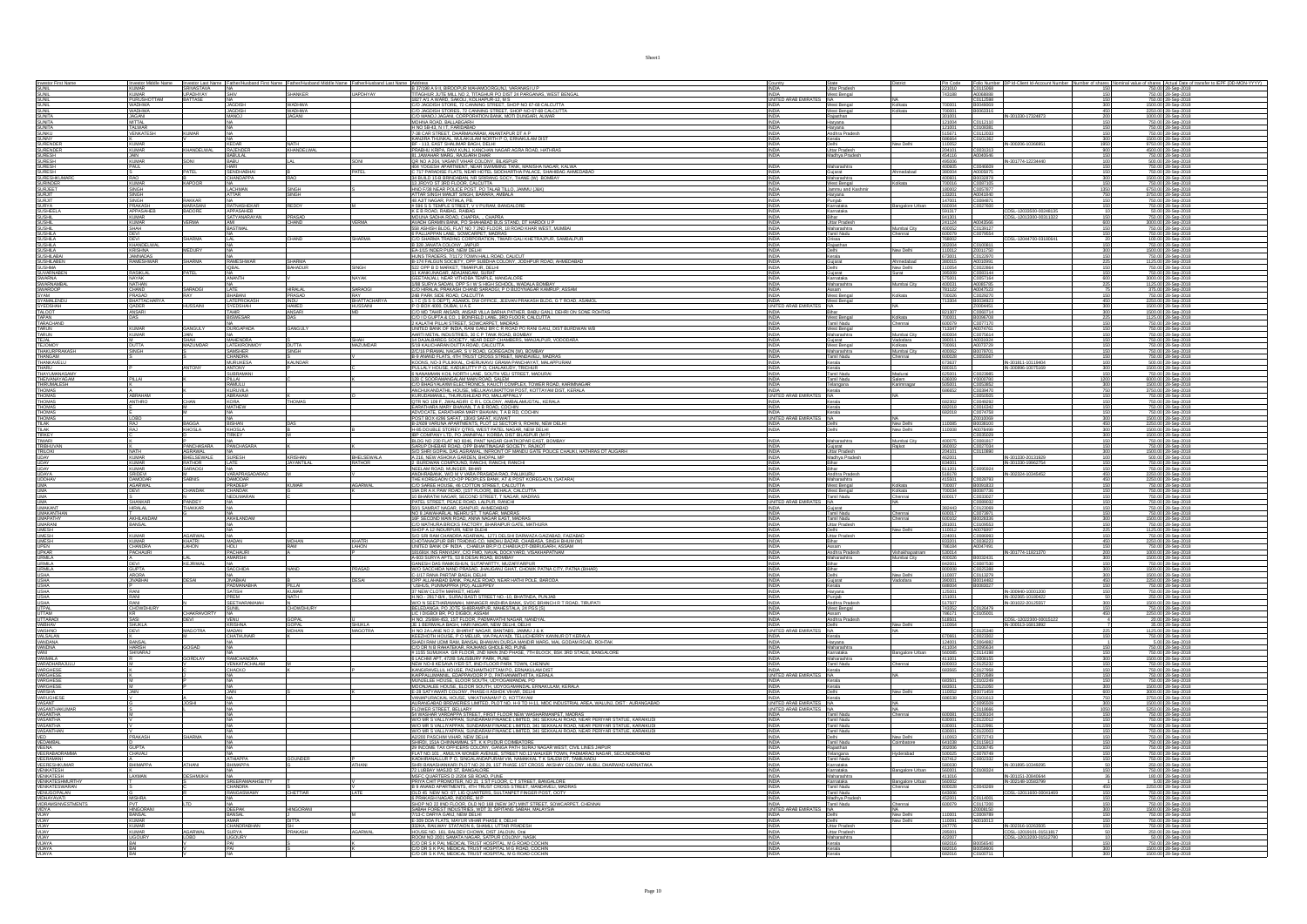|                                                                  | Investor Mid<br>KUMAR          | Investor Last Na<br>SRIVASTAVA  |                                                                   |                         |                                 |                                                                                                                                                                                                                                                                                                           |                                              | State<br>Uttar Pradesh                    |                              |                                      | Folio Number<br>C0115068                                 |                                                  |                   | f shares Actual Date of<br>750.00 28-Sep-2018                                                                                                                                                                                                                                                                                                  |
|------------------------------------------------------------------|--------------------------------|---------------------------------|-------------------------------------------------------------------|-------------------------|---------------------------------|-----------------------------------------------------------------------------------------------------------------------------------------------------------------------------------------------------------------------------------------------------------------------------------------------------------|----------------------------------------------|-------------------------------------------|------------------------------|--------------------------------------|----------------------------------------------------------|--------------------------------------------------|-------------------|------------------------------------------------------------------------------------------------------------------------------------------------------------------------------------------------------------------------------------------------------------------------------------------------------------------------------------------------|
| Investor First Nar<br>SUNL<br>SUNL<br>SUNL                       |                                |                                 | <b>SHIV</b>                                                       | SHANKER                 | <b>UAPDHYAY</b>                 | A 237/198 A 9 II, BIRDOPUR MAHAMOORGUNJ, VARANASI U P<br>TITAGHUR JUTE MILL NO 2, TITAGHUR PO DIST 24 PARGANAS, WEST BENGAL<br>1827 A/1 A WARD, SAKOLI, KOLHAPUR-12, M S                                                                                                                                  | INDIA                                        |                                           |                              | Pin Code<br>221010<br>743188         |                                                          |                                                  | 150               |                                                                                                                                                                                                                                                                                                                                                |
|                                                                  | KUMAR<br>PURUSHOTTAM           | UPADHYAY<br>BATTASE             |                                                                   | <b>WADHWA</b>           |                                 | C/O JAGDISH STORE, 72 CANNING STREET, SHOP NO 67-68 CALCUTTA<br><b>INDIA</b>                                                                                                                                                                                                                              | INDIA West Bengal<br>UNITED ARAB EMIRATES NA |                                           |                              | 700001                               | A0068888<br>C0112598                                     |                                                  |                   | 750.00 28-Sep-2018<br>750.00 28-Sep-2018                                                                                                                                                                                                                                                                                                       |
| SUNIL<br><b>SUNIL</b>                                            | <b>WADHWA</b><br><b>WADHWA</b> |                                 | <b>JAGDISH</b><br><b>ACDISH</b>                                   | <b>WADHWA</b>           |                                 |                                                                                                                                                                                                                                                                                                           | <b>INDIA</b>                                 | West Bengal<br>West Bengal                | Kolkata                      | 700001                               | B0049069<br>B0063316                                     |                                                  | 300<br>450        | 1500.00 28-Sep-2018<br>2250.00 28-Sep-2018                                                                                                                                                                                                                                                                                                     |
| SUNITA<br>SUNITA                                                 | JAGANI<br>MITTAL<br>TALWAR     |                                 | LOWAM                                                             | <b>JAGANI</b>           |                                 | C/O JAGDISH STORES. 72 CANNING STREET. SHOP NO 67-68 CALCUTTIC/O MANOJ JAGANI, CORPORATION BANK, MOTI DUNGARI, ALWAR<br>MOHNA ROAD, BALLABGARH                                                                                                                                                            |                                              | Rajasthan                                 |                              | 301001                               | $ \frac{C0112110}{C01}$                                  | IN-301330-17324873                               | $\frac{200}{150}$ | 1000.00 28-Sep-2018                                                                                                                                                                                                                                                                                                                            |
| SUNITA                                                           |                                |                                 |                                                                   |                         |                                 |                                                                                                                                                                                                                                                                                                           | INDIA<br><b>INDIA</b>                        | Haryana                                   |                              | 121004<br>121001                     | C0108381                                                 |                                                  | 150               | 750.00 28-Sep-2018<br>750.00 28-Sep-2018                                                                                                                                                                                                                                                                                                       |
| SUNKU                                                            | <b>VENKATESH</b>               |                                 |                                                                   |                         |                                 | H NO 5B-43. N I T. FARIDABAD<br>7-38 CAR STREET, DHARMAVARAM, ANANTAPUR DT A P                                                                                                                                                                                                                            | <b>INDIA</b>                                 | Haryana<br>Andhra Pradesh<br>Kerala       |                              | 515671                               | C0112033<br>C0101362                                     |                                                  |                   | 750.00 28-Sep-2018                                                                                                                                                                                                                                                                                                                             |
| SUNNY<br>SURENDER                                                | <b>KUMAR</b>                   |                                 | KEDAR                                                             | <b>NATH</b>             |                                 | KANJIRA THUNKAL, MULAKULAM NORTH P.O., ERNAKULAM DIST<br><b>INDIA</b>                                                                                                                                                                                                                                     |                                              |                                           | <b>Viny Delhi</b>            | 686664<br>110052                     |                                                          | IN-300206-10398                                  |                   | 1500.00 28-Sep-2018<br>9750.00 28-Sep-2018                                                                                                                                                                                                                                                                                                     |
| SURENDER                                                         | <b>KIIMAR</b>                  | <b>KHANDELWAL</b>               | RAJENDER                                                          | KHANDELWAL              |                                 | PRABHU KRIPA, RAVI KUNJ, KANCHAN NAGAR AGRA ROAD, HATHRAS<br><b>INDIA</b>                                                                                                                                                                                                                                 |                                              | Uttar Pradesh<br>Madhya Prade             |                              | 204101                               | C0031313<br>A0040646                                     |                                                  | 900               | 4500.00 28-Sep-2018                                                                                                                                                                                                                                                                                                                            |
| <b>SURESH</b>                                                    | JAIN<br>KUMAR                  | SONI                            | BABULAL<br>BABU                                                   | LAL.                    | SONI                            | 11 THEORY IN THE RAW NOTE, IN THE PHONE AND REAL AND A 2004 AND THE RAW OLD MAIN THE RAW OLD MAIN THE RAW OLD MAIN THAT A RAW OLD MAIN THAT A RAW OLD MAIN THAT A RAW OLD MAIN THAT A RAW OLD MAIN THAT A RAW OLD MAIN THAT A                                                                             |                                              |                                           |                              | 454116<br>495006                     |                                                          | E0046609<br>A0005875<br>RODOS975                 | $\frac{150}{100}$ | 750.00 28-Sep-2018<br>500.00 28-Sep-2018                                                                                                                                                                                                                                                                                                       |
| SURESH<br>SURESH                                                 | PAUL                           | PATEL                           | iari<br>Sendhabhai                                                |                         | PATEL                           | 404 YOGESH APARTMENT, NEAR SWIMMING TANK, MANISHA NAGAR, KALWA<br>C 717 PARADISE FLATS, NEAR HOTEL SIDDHARTHA PALACE, SHAHIBAG AHMEDABAI                                                                                                                                                                  | INDIA<br>INDIA                               | Maharashtra<br>Gujarat                    | Vhmedabad                    | 400605<br>380004                     |                                                          |                                                  | $\frac{150}{150}$ | 750.00 28-Sep-2018<br>750.00 28-Sep-2018                                                                                                                                                                                                                                                                                                       |
| <b>SURESHKUMAR</b>                                               | RAO                            |                                 | HANDAPPA                                                          |                         |                                 | 34 BUILD 15-B BRINDABAN, NR SRIRANG SOCY, THANE (W) BOMBAY<br><b>INDIA</b>                                                                                                                                                                                                                                |                                              | Maharashtra                               |                              | 400601                               | B0032878                                                 |                                                  |                   | 1500.00 28-Sep-2018                                                                                                                                                                                                                                                                                                                            |
| <b>SLIRINDER</b><br><b>SURJEET</b>                               | KI IMAR<br>SINGH               | KAPOOR                          | LACHMAN                                                           |                         |                                 | 34 JACO DE SER FLOOR, CALCUITA<br>13 JACO DE SER POLOGRE CALCUITA<br>13 JACO POS MERR POLOGRE POST, PO TALABITULO, JAMMU (J&K)<br>48 AIT NAGAR, PATALA, PRE, POLOGRE POLOGRE POLOGRE POLOGRE<br>48 AICH DAGAR, PATALA, PRE, VICTORIAL BANC                                                                | INDIA                                        | West Bennal<br>Jammu and Kash             | Colleges.                    | 700016<br>180002                     | C0087105<br>C0057877                                     |                                                  | 1350              | 750.00 28-Sep-2018<br>6750.00 28-Sep-2018                                                                                                                                                                                                                                                                                                      |
|                                                                  |                                |                                 | TTAR <sub>.</sub>                                                 | SNGH<br>SNGH            |                                 |                                                                                                                                                                                                                                                                                                           |                                              | Haryana                                   |                              |                                      |                                                          |                                                  | 750               |                                                                                                                                                                                                                                                                                                                                                |
| SURJIT<br>SURJIT<br>SURYA                                        | SINGH<br>SINGH<br>PRAKASH      | <b>RAKKAR</b><br>MARASANI       | NA<br>RATNASHEKAR                                                 | REDDY                   |                                 | 48 AUIT NAGAR, PATIADA, PB.<br>#596 S S TEMPLE STREET, V V PURAM, BANGALORE                                                                                                                                                                                                                               | INDIA<br>INDIA<br><b>INDIA</b>               | Punjab<br>Karnataka                       | Bangalore Urba               | 133201<br>147001<br>560004           | A0041840<br>C0084871<br>C0027600                         |                                                  |                   | 3750.00 28-Sep-2018<br>750.00 28-Sep-2018<br>750.00 28-Sep-2018                                                                                                                                                                                                                                                                                |
| <b>SUSHEELA</b>                                                  | APPASAHEE                      | <b>BADORE</b>                   | APPASAHEB                                                         |                         |                                 | K E B ROAD, RAIBAG, RAIBAG<br>MOUNA SADHA ROAD, CHAPRA, ., CHAPRA                                                                                                                                                                                                                                         | <b>INDIA</b>                                 | Karnataka                                 |                              | 591317                               |                                                          | CDSL-12033500-00248135                           |                   | 50.00 28-Sep-2018                                                                                                                                                                                                                                                                                                                              |
| <b>SUSHIL</b>                                                    | <b>KUMAR</b>                   | <b>VERMA</b>                    | SATYANARAYAN                                                      | PRASAD<br>CHAND         | VERMA                           |                                                                                                                                                                                                                                                                                                           | <b>INDIA</b>                                 | Bihar<br>Uttar Pradesh                    |                              | 841301                               |                                                          | CDSL-12013300-00311322                           |                   | 750.00 28-Sep-2018                                                                                                                                                                                                                                                                                                                             |
|                                                                  | KUMAR<br>SHAH                  |                                 | MI<br>IASTIMAL                                                    |                         |                                 | MODING WALPOWER CONDUCTION CONTROL ON THARDOLU P<br>AVADH GRAMIN BANK, PO SHAHABAD BUS STAND, DT HARDOLU P<br>6 PALLIAPPAN LANE, SOVICARPET, MADRAS<br>CO SHABAM TRADING CORPORATION. TINARI GALI KHETRAJPUR, SAMBALPUR<br>CO SHABAM TRADI                                                                |                                              | Maharashtra                               | Mumbai City                  | 241124<br>400062                     | A0043566<br>C0139127<br>C0079554                         |                                                  |                   | 3000.00 28-Sep-2018<br>750.00 28-Sep-2018<br>750.00 28-Sep-2018                                                                                                                                                                                                                                                                                |
| <b>SUSHILA</b>                                                   | <b>DEVI</b>                    | <b>SHARMA</b>                   |                                                                   | CHAND                   | <b>SHARMA</b>                   |                                                                                                                                                                                                                                                                                                           | INDIA                                        | Tamil Nadu                                | Chennai                      | 600079                               |                                                          | CDSL-12044700-03180641                           | 150               |                                                                                                                                                                                                                                                                                                                                                |
| SUSHILA<br>SUSHILA                                               | <b>DEVI</b><br>KHANDELWAL      |                                 |                                                                   |                         |                                 | <b>INDIA</b><br>B 328 JANATA COLONY, JAIPUR                                                                                                                                                                                                                                                               | <b>INDIA</b>                                 | Orissa<br>Rajasthan                       |                              | 768002<br>302004                     | C0100811                                                 |                                                  |                   | 100.00 28-Sep-2018<br>750.00 28-Sep-2018                                                                                                                                                                                                                                                                                                       |
| SUSHILA<br>SUSHILABAI                                            | KRISHNA<br>JAMNADAS            | <b>MEDURY</b>                   |                                                                   |                         |                                 | EA-1/15 INDER PURI, NEW DELHI<br>HUNS TRADERS, 7/1172 TOWN HALL ROAD, CALICUT<br><b>INDU</b>                                                                                                                                                                                                              |                                              | Delhi<br>Kerala                           | New Delhi                    | 110012<br>673001                     | 20011750                                                 |                                                  |                   | 1500.00 28-Sep-2018<br>750.00 28-Sep-2018                                                                                                                                                                                                                                                                                                      |
| SUSHILABEN                                                       | RAMESHWAR                      | SHARMA                          | <b>AMESHWAR</b>                                                   | SHARMA                  |                                 | 1947 HAGUN SOCIETY, OPP SUBDHA COLONY, JODHPUR ROAD, AHMEDABAD<br>1822 OPP B D MARKET, TMARPUR, DELHI<br>11 KANKUNGAR, ADALINGAN, SURAT<br>11 KANKUNGAR, ADALINGAN, SURAT<br>1888 OURVA EARAH (ITHOBA EUR MENDADORO NATIONAL BOLITIN)                                                                     |                                              | Gujarat                                   | Ahmedabad                    | 380015                               | A0010991                                                 |                                                  |                   | 1125.00 28-Sep-2018                                                                                                                                                                                                                                                                                                                            |
| SUSHMA<br>SUVARNABEN                                             | <b>RASIKLAL</b>                |                                 |                                                                   | <b>MHADUR</b>           |                                 |                                                                                                                                                                                                                                                                                                           |                                              | Delhi                                     | New Delhi                    | 110054                               | C0022864<br>C0083144                                     |                                                  |                   | 750.00 28-Sep-2018                                                                                                                                                                                                                                                                                                                             |
| SWARNA                                                           | NAYAK                          |                                 | ANANTH                                                            |                         | <b>NAYAK</b>                    |                                                                                                                                                                                                                                                                                                           | <b>INDIA</b><br><b>INDIA</b>                 | Gujarat<br>Karnataka                      | Surat                        | 395009<br>575001                     | C0057164                                                 |                                                  | 150<br>600        | 750.00 28-Sep-2018<br>3000.00 28-Sep-2018                                                                                                                                                                                                                                                                                                      |
| SWARNAMBAL<br>SWAROOP                                            | NATHAN<br>CHAND                | SARAOG                          | LATE                                                              | <b>HIRALAL</b>          | <b>SARAOG</b>                   | 1/88 SURYA SADAN, OPP S I W S HIGH SCHOOL, WADALA BOMBA'<br>C/O HIRALAL PRAKASH CHAND SARAOGI, P O BIJOYNAGAR KAMRUP, ASSA<br><b>INDIA</b>                                                                                                                                                                | <b>INDIA</b>                                 | Maharashtra<br>Assam                      | Mumbai City                  | 400031<br>781122                     | A0085785<br>A0047523                                     |                                                  |                   | 1125.00 28-Sep-2018<br>375.00 28-Sep-2018                                                                                                                                                                                                                                                                                                      |
|                                                                  | PRASAD                         |                                 | RHARANI                                                           | PRASAD                  |                                 |                                                                                                                                                                                                                                                                                                           |                                              | West Bennal                               | Kolkste                      | 700026                               |                                                          |                                                  |                   |                                                                                                                                                                                                                                                                                                                                                |
| SYAM<br>SYAM<br>SYAMALENDU                                       | BHATTACHARYA                   | <b>HUSSAINI</b>                 | <b>LATEPROKASH</b>                                                | <b>INDU</b>             | KAT<br>BHATTACHARYA<br>HUSSAINI | LOC INSULATIONAUS INTERNATION CONTINUANT NAIRWY, ASSAM<br>LAB PARK SIDE ROAD, CALCUTTA<br>LAB PARK SIDE ROAD, CALCUTTA<br>CO DID TAHE NASHEL ANSARO, MARKER PARK SING BABLOG, GT ROAD, ASAMOL<br>CO ID GUPTA & CO. I BONFIELD LABE SIDE FL                                                                |                                              | West Bengal                               |                              | 713304                               | B0034923                                                 |                                                  | 450               | 750.00 28-Sep-2018<br>2250.00 28-Sep-2018                                                                                                                                                                                                                                                                                                      |
| SYEDSHAH<br>TALOOT<br>TAPAN                                      | QADER<br>ANSARI                |                                 | SYEDSHAH<br>TAHIR                                                 | <b>HAMED</b><br>ANSARI  |                                 |                                                                                                                                                                                                                                                                                                           | UNITED ARAB EMIRATES NA<br><b>INDIA</b>      | Bihar                                     |                              | 821307                               | 20004451                                                 |                                                  | 300<br>300        | 1500.00 28-Sep-2018                                                                                                                                                                                                                                                                                                                            |
|                                                                  | DAS                            |                                 | BISWESAR                                                          |                         |                                 | <b>INDV</b>                                                                                                                                                                                                                                                                                               | <b>INDIA</b>                                 | West Bengal<br>Tamil Nadu                 | Kolkata<br>Chennai           | 700001                               | C0060714<br>B0096708                                     |                                                  | 225<br>150        | 1500.00 28-Sep-2018<br>1125.00 28-Sep-2018                                                                                                                                                                                                                                                                                                     |
| TARACHAND<br>TARUN                                               | <b>KUMAR</b>                   | <b>GANGULY</b>                  | <br>IURGAPADA                                                     | GANGULY                 |                                 | 2 KALATHI PILLAI STREET, SOWCARPET, MADRAS<br>UNITED BANK OF INDIA, RANI GANJ BR C R ROAD PO RANI GANJ, DIST BURDWAN WB                                                                                                                                                                                   |                                              | West Bengal                               |                              | 600079                               | C0077170<br>A0074761                                     |                                                  |                   | 750.00 28-Sep-2018<br>750.00 28-Sep-2018                                                                                                                                                                                                                                                                                                       |
| TARUN                                                            | <b>KUMAR</b>                   |                                 |                                                                   |                         |                                 | ORTEGI DIAN DE SIGNATO DE TANCARE DE LA CARLA DE SIGNATO DE LA CARLA DE LA CARLA DE LA CARLA DE LA CARLA DE LA<br>14 DE LA CARLA DE LA CARLA DE LA CARLA DE LA CARLA DE LA CARLA DE LA CARLA DE LA CARLA DE LA CARLA DE LA CAR<br>14                                                                      |                                              | Maharashtra                               | Mumbai City                  | 400004                               | C0075614                                                 |                                                  |                   | 750.00 28-Sep-2018                                                                                                                                                                                                                                                                                                                             |
| TEJAL<br>TEJOMOY                                                 | M<br>DUTTA<br>SINGH            | SHAH<br>MAZUMDAF                | AAHENDRA<br>ATEKIRONMO                                            | <b>DUTTA</b>            | SHAH<br>MAZUMDAR                | <b>INDIA</b>                                                                                                                                                                                                                                                                                              | INDIA                                        | Gujarat<br>West Bengal                    | Vadodara<br>Kolkata          | 390011<br>700061                     | A0031924<br>A0073729                                     |                                                  | 150               | 750.00 28-Sep-2018<br>750.00 28-Sep-2018                                                                                                                                                                                                                                                                                                       |
| THAKURPRAKASH.<br>THANGAM                                        |                                |                                 | SAMSHER<br>CHANDRA                                                | SINGH                   |                                 |                                                                                                                                                                                                                                                                                                           | <b>INDIA</b>                                 | Maharashtra<br>Tamil Nadu                 | Mumbai City<br>Chennai       | 400062                               | B0079701                                                 |                                                  |                   | 750.00 28-Sep-2018<br>750.00 28-Sep-2018                                                                                                                                                                                                                                                                                                       |
| THANKAVELU                                                       |                                |                                 | <b>MURUKESA</b>                                                   | <b>KAUNDAR</b>          |                                 | KOONS, NO-3 PULIKKAL, CHERUKAVU GRAMA PANCHAYAT, MALAPPURAM                                                                                                                                                                                                                                               | <b>INDIA</b>                                 | Kerala                                    |                              | 600028<br>673637                     |                                                          | IN-301811-10119404                               | 100               | 500.00 28-Sep-2018                                                                                                                                                                                                                                                                                                                             |
| THARU<br>THAYUMANASAMY<br>THEIVANAYAGAM<br>THIRUMALESH<br>THOMAS |                                |                                 | ANTONY<br>SUBRAMANI                                               |                         |                                 | <b>KUARS, WEST PUBLICACITE DO CHALANDY PROFINAL INSURANCE DE CHALANDY PROFINAL PROFINAL PROFINAL PROFINAL PROFINAL PROFINAL PROFINAL PROFINAL PROFINAL PROFINAL PROFINAL PROFINAL PROFINAL PROFINAL PROFINAL PROFINAL PROFINAL P</b>                                                                      | INDIA<br>INDIA                               | Kerala<br>Tamil Nadu                      |                              | 680315                               |                                                          | IN-300896-10075169                               |                   | 1500.00 28-Sep-2018<br>750.00 28-Sep-2018                                                                                                                                                                                                                                                                                                      |
|                                                                  | PILLAI                         |                                 |                                                                   |                         |                                 |                                                                                                                                                                                                                                                                                                           | INDIA                                        |                                           | Madurai                      | 625001<br>636009                     | C0023985                                                 |                                                  |                   |                                                                                                                                                                                                                                                                                                                                                |
|                                                                  |                                |                                 | <u>PILLAI</u><br>RAMULU<br><b>KURUVILA</b>                        |                         |                                 |                                                                                                                                                                                                                                                                                                           | INDIA                                        | Tamil Nadu<br>Telangana<br>Kerala         | Salem<br>Karimnagar          | 505001<br>686652                     | Y0000780<br>C0053852<br>C0039470                         |                                                  | 1200<br>300       | 6000.00 28-Sep-2018<br>1500.00 28-Sep-2018<br>3750.00 28-Sep-2018                                                                                                                                                                                                                                                                              |
| THOMAS                                                           | <b>ABRAHAM</b>                 |                                 | ABRAHAM                                                           |                         |                                 | KURUDAMANILL, THURUSHLEAD PO, MALLAPPALLY                                                                                                                                                                                                                                                                 | UNITED ARAB EMIRATES NA                      |                                           |                              |                                      | C0050505                                                 |                                                  | 150               | 750.00 28-Sep-2018                                                                                                                                                                                                                                                                                                                             |
| <b>THOMAS</b>                                                    | <b>ANTHRO</b>                  | CHAN                            | KORA                                                              | <b>THOMAS</b>           |                                 |                                                                                                                                                                                                                                                                                                           | <b>INDIA</b>                                 | Kerala                                    |                              | 682302                               | C0049292                                                 |                                                  | 150               | 750.00 28-Sep-2018                                                                                                                                                                                                                                                                                                                             |
| THOMAS<br>THOMAS<br>THOMAS                                       |                                |                                 | <b>MATHEW</b>                                                     |                         |                                 |                                                                                                                                                                                                                                                                                                           | <b>INDIA</b>                                 | Kerala<br>Kerala                          |                              | 682018<br>682018                     | C0016342<br>C0074758                                     |                                                  |                   | 750.00 28-Sep-2018<br>750.00 28-Sep-2018                                                                                                                                                                                                                                                                                                       |
|                                                                  | LOBO                           |                                 |                                                                   |                         |                                 | KIKIKDAMANILL THURUSHEAD PO MALIAPPALI<br>CIRK NO 109 F, JIVALAGIRI CR L COLONY, AMBALAMUGTAL, KERALA<br>EARATHARA MARY BHAVAN, TA B ROAD, COCHIN<br>POST BOX 4296 SAFAT, 1993 SAFAT, KIWAIT<br>POST BOX 4296 SAFAT, 1993 SAFAT, KIWAIT<br>PO                                                             | UNITED ARAB EMI                              |                                           |                              | 110085                               | Z0010069                                                 |                                                  | 300               | 1500.00 28-Sep-2018                                                                                                                                                                                                                                                                                                                            |
| <b>TILAK</b><br><b>TILAK</b>                                     | <b>RAJ</b><br>RAJ              | KHOSLA                          | <b>ISHAN</b><br>KHOSLA                                            |                         |                                 |                                                                                                                                                                                                                                                                                                           | <b>INDIA</b><br><b>INDIA</b>                 | Delhi                                     | New Delhi<br>New Delhi       | 110008                               | B0038100                                                 |                                                  | $\frac{450}{300}$ | 2250.00 28-Sep-2018<br>1500.00 28-Sep-2018                                                                                                                                                                                                                                                                                                     |
| <b>TIRKEY</b>                                                    |                                |                                 | TIRKEY                                                            |                         |                                 | <b>THE COMPANY LTD, P.O. JAMERPAL, YORKA, DIST BLASPICK IN PLACES CHAUGE AND STATE OF STATE AND STATE AND STATE AND STATE AND STATE AND STATE AND STATE AND STATE AND STATE AND STATE AND STATE AND STATE AND STATE AND STATE AN</b>                                                                      |                                              | Maharashtra                               |                              |                                      | C0035029                                                 |                                                  | 300               | 1500.00 28-Sep-2018<br>750.00 28-Sep-2018<br>750.00 28-Sep-2018<br>750.00 28-Sep-2018                                                                                                                                                                                                                                                          |
| TIMARI<br>TRIBHUVAN<br>TRILOKI<br>UDAY                           |                                | PANCHASARA                      | PANCHASARA                                                        |                         |                                 |                                                                                                                                                                                                                                                                                                           | INDIA<br>INDIA                               |                                           | Mumbai City<br>Rajkot        | 400075<br>360002                     | C0081817<br>C0081817<br>C0027034<br>C0110890             |                                                  |                   |                                                                                                                                                                                                                                                                                                                                                |
|                                                                  | NATH<br>KUMAR                  | AGRAWAL<br>BHELSEWALE<br>RATHOR | na<br>Suresh                                                      |                         |                                 | <b>INDIA</b>                                                                                                                                                                                                                                                                                              |                                              | Gujarat<br>Uttar Pradesh<br>Madhya Prades |                              | 204101<br>462001                     |                                                          |                                                  | 300               | 1500.00 28-Sep-2018<br>500.00 28-Sep-2018                                                                                                                                                                                                                                                                                                      |
| <b>UDAY</b>                                                      | <b>KUMAR</b>                   |                                 | LATE                                                              | (RISHAN<br>AYANTILAL    | BHELSEWALA                      | 2 BURDWAN COMPOUND, RANCHI, RANCHI, RANCHI                                                                                                                                                                                                                                                                | <b>INDIA</b>                                 | Bihar                                     |                              | 834001                               |                                                          | IN-301330-20131929<br>IN-301330-19962754         |                   | 750.00 28-Sep-2018                                                                                                                                                                                                                                                                                                                             |
| <b>UDAY</b><br><b>UDAYA</b>                                      | <b>KUMAR</b><br>SRIDEVI        | CARACCI                         | VARAPRASADARAC                                                    |                         |                                 | NEELAM ROAD, MUNGER, BIHAR<br>INDIA                                                                                                                                                                                                                                                                       | <b>INDIA</b>                                 | Andhra Pradesh                            |                              | 811201<br>518178                     | C0095924                                                 | IN-302324-1034545                                | 150<br>450        | 750.00 28-Sep-2018<br>2250.00 28-Sep-2018                                                                                                                                                                                                                                                                                                      |
|                                                                  |                                | SABNIS                          |                                                                   |                         |                                 | INEELAIN ROAD, MUNGER, BIHAR<br>ANDHRABANK, WIO M.Y. VARA PRASADA RAO, PALUKURU<br>THE KOREGAON CO-OP PEOPLES BANK, AT & POST KOREGAON, (SATARA)<br>CO SAREE HOUSE, 46 COTTON STREET, CALCUTTA<br>19A DR A K. PAW ROAD, (1ST FLOOR), BEHAL                                                                |                                              |                                           |                              |                                      |                                                          |                                                  | 450               |                                                                                                                                                                                                                                                                                                                                                |
| UDDHAV<br>UMA<br>UMA                                             | DAMODAR<br>AGARWAL             | CHANDAK                         | AMODAR<br>RADEEP                                                  | kumar                   | <b>AGARWAL</b>                  |                                                                                                                                                                                                                                                                                                           | <b>INDIA</b><br>INDIA                        | Maharashtra<br>West Bengal                | Kolkata                      | 415501<br>700007                     | C0028793<br>B0091833<br>B0087736                         |                                                  |                   | 2250.00 28-Sep-2018<br>750.00 28-Sep-2018                                                                                                                                                                                                                                                                                                      |
|                                                                  | DEVI                           |                                 | :HANDAK<br>DUMARA                                                 |                         |                                 |                                                                                                                                                                                                                                                                                                           | <b>INDIA</b>                                 | West Bengal<br>Tamil Nadu                 | Kolkata<br>Chennai           | 700034                               | 20033027                                                 |                                                  |                   | 750.00 28-Sep-2018<br>750.00 28-Sep-2018                                                                                                                                                                                                                                                                                                       |
| UMA<br>UMA                                                       | SHANKAR                        | PANDEY                          |                                                                   |                         |                                 | 10 BHARATHI NAGAR. SECOND STREET. T NAGAR. MAD                                                                                                                                                                                                                                                            | UNITED ARAB EM                               | <b>NA</b>                                 | <b>NA</b>                    |                                      | C0089032                                                 |                                                  | 150               | 750.00 28-Sep-2018                                                                                                                                                                                                                                                                                                                             |
| UMAKANT<br>UMAKANTHAN<br>UMAPATHY                                | <b>HIRALAL</b>                 | THAKKAR                         |                                                                   |                         |                                 | 30/1 SMARAT NAGAR, ISANPUR, AHMEDABAD<br>NO 8 JAWAHARLA NEHRU ST, T MAGAR, MADRAS<br>16F SECOND MAIN ROAD, ANNA NAGAR EAST, MADRAS<br>CAO MATHURA BRICKS FACTORY, BHARAIPUR GATE, MATHURA<br>SHOP A 12 INDURPURI MEW DI FHI                                                                               |                                              | Gujarat<br>Tamil Nadu                     |                              | 382443                               | C0123069<br>C0073971                                     |                                                  |                   | 750.00 28-Sep-2018<br>750.00 28-Sep-2018<br>1500.00 28-Sep-2018                                                                                                                                                                                                                                                                                |
|                                                                  | AKHILANDAM                     |                                 | AKHILANDAM                                                        |                         |                                 |                                                                                                                                                                                                                                                                                                           | INDIA                                        | Tamil Nadu                                | Chennai<br>Chennai           | 600102                               | B0028336                                                 |                                                  | 300               |                                                                                                                                                                                                                                                                                                                                                |
| UMARANI<br>UMESH                                                 | BANSAL                         |                                 |                                                                   |                         |                                 |                                                                                                                                                                                                                                                                                                           | <b>INDIA</b><br><b>INDIA</b>                 | Uttar Pradesh<br>Delhi                    | New Delhi                    | 281001<br>110012                     | C0109553<br>A0076897                                     |                                                  | 150<br>225        | 750.00 28-Sep-2018<br>1125.00 28-Sep-2018                                                                                                                                                                                                                                                                                                      |
| UMESH<br>UMESH                                                   | <b>KUMAR</b>                   | <b>AGARWAL</b><br>KHATRI        | MADAN                                                             |                         | <b>KHATRI</b>                   | SHOP A 12 INDURPURI, NEW DLEHI<br>SIO SRI RAM CHANDRA AGARWAL, 1271 DELSHI DARWAZA GAIZABAD, FAIZABAD<br>CHOTANAGPUR BIRI TRADING CO, MADHU BAZAR, CHAIBASA, SINGH BHUM (W)<br><b>INDIA</b><br><b>INDIA</b>                                                                                               |                                              | Uttar Pradesh                             |                              | 224001                               | C0086993<br>C0036223                                     |                                                  | 150               | 750.00 28-Sep-2018<br>2250.00 28-Sep-2018                                                                                                                                                                                                                                                                                                      |
|                                                                  | <b>KUMAR</b>                   | <b>LAHON</b>                    | HOLI                                                              | <b>MOHAN</b><br>RAM     | LAHON                           | <b>INDIA</b>                                                                                                                                                                                                                                                                                              |                                              | Assam                                     |                              | 786184                               | A0047491                                                 |                                                  |                   | 750.00 28-Sep-2018                                                                                                                                                                                                                                                                                                                             |
| UPEN<br>UPKAR<br>URMILA                                          | CHANDRA                        |                                 | -<br>MACHAURI<br>WARSHI                                           |                         |                                 | UNDERWARM (MARINENSE), MARINI BRANCO DE BRUGARIA ANNI INDIA<br>1918 DE MARINA (MARINENSE), MARINI DE LO CANDIA DE DE MARINI BRANCO DE MARINI ANNI ANNI ANNI ANNI ANNI ANNI A<br>1918 DE MARINI ANNI ANNI COMPANY (MARINI DE MARINI A<br>INDIA<br>INDIA                                                    |                                              | Andhra Prades<br>Maharashtra              |                              | 530014                               | B0032431                                                 |                                                  | 200               | 1000.00 28-Sep-2018<br>1500.00 28-Sep-2018                                                                                                                                                                                                                                                                                                     |
|                                                                  | DEVI<br>GUPTA                  | LAL<br>KEJRIWA                  |                                                                   |                         |                                 | INDIA                                                                                                                                                                                                                                                                                                     |                                              | Bihar                                     | Mumbai City                  | 842001                               |                                                          |                                                  |                   |                                                                                                                                                                                                                                                                                                                                                |
| URMILA<br>URMILA                                                 |                                |                                 | <b>ACCHIDA</b>                                                    |                         |                                 |                                                                                                                                                                                                                                                                                                           |                                              | Bihar                                     |                              | 800008                               | C0087530<br>C0025388                                     |                                                  |                   | 750.00 28-Sep-2018<br>1500.00 28-Sep-2018                                                                                                                                                                                                                                                                                                      |
| <b>USHA</b><br><b>USHA</b>                                       | ARORA<br><b>JIVABHAI</b>       |                                 | <b>JIVABHAI</b>                                                   |                         |                                 | C-1/17 RANA PARTAP BAGH, DELHI<br><b>INDIA</b><br>OPP ALLAHABAD BANK, PALACE ROAD, NEAR HATHI POLE, BARO<br>INDIA                                                                                                                                                                                         |                                              | Delhi<br>Guiarat                          | New Delhi                    | 110007<br>390001                     | C0113279<br>B0014482                                     |                                                  | 300<br>450        | 1500.00 28-Sep-2018<br>2250.00 28-Sep-2018                                                                                                                                                                                                                                                                                                     |
| USHA<br>USHA                                                     |                                |                                 | SIVAREN<br>PADMANABHA<br>SATISH<br>SEETHARAMAIAH<br>SEETHARAMAIAH |                         |                                 |                                                                                                                                                                                                                                                                                                           | <b>INDIA</b>                                 | Kerala                                    |                              | 688004<br>125001<br>151001<br>517507 | B0083027                                                 |                                                  |                   | 750.00 28-Sep-2018                                                                                                                                                                                                                                                                                                                             |
|                                                                  | RANI                           |                                 |                                                                   | PILLAI<br>KUMAR<br>NATH |                                 |                                                                                                                                                                                                                                                                                                           | INDIA<br><b>INDIA</b>                        | Haryana                                   |                              |                                      |                                                          | IN-300940-10001200                               | 150               |                                                                                                                                                                                                                                                                                                                                                |
| USHA<br>USHA<br>UTPAL                                            | RANI<br>RANI                   |                                 |                                                                   |                         |                                 | (2012)<br><u>1984 – Annan Reich, prinse announ merchanistae, bernar<br/>1984 – Annan Paramet, HSAR<br/>1986 – Annan Samuel, american announce announce<br/>1986 – Annan Samuel, american announce<br/>1986 Danis Annan Samuel (b. 1988)<br/>1986 Danis </u>                                               | INDIA                                        | Punjab<br>Andhra Pradesh                  |                              |                                      |                                                          | IN-302365-10180422<br>IN-301022-20125557         | $\frac{50}{300}$  | 250.00 28-Sep-2018<br>1500.00 28-Sep-2018                                                                                                                                                                                                                                                                                                      |
| UTTAM                                                            | CHOWDHUF                       | CHAKRAVORTY                     |                                                                   | <b>HOWDHUR</b>          |                                 |                                                                                                                                                                                                                                                                                                           | <b>INDIA</b><br><b>INDIA</b>                 | West Bengal<br>Assam                      |                              | 743352<br>786171                     | C0126479<br>C0105001                                     |                                                  | 150<br>450        | 750.00 28-Sep-2018<br>2250.00 28-Sep-2018                                                                                                                                                                                                                                                                                                      |
| <b>UTTARADI</b>                                                  | SASI                           |                                 | <b>ENU</b>                                                        | <b>GOPAL</b>            |                                 | THE DISPOSITION OF DISPOSITION WITH THE REPORT OF THE REPORT OF THE REPORT OF THE REPORT OF THE REPORT OF THE REPORT OF THE REPORT OF THE REPORT OF THE REPORT OF THE REPORT OF THE REPORT OF THE REPORT OF THE REPORT OF THE                                                                             |                                              | Andhra Pradest                            |                              | 518501                               |                                                          | CDSL-12022300-00015122                           |                   | 20.00 28-Sep-2018<br>35.00 28-Sep-2018<br>35.00 28-Sep-2018<br>750.00 28-Sep-2018                                                                                                                                                                                                                                                              |
| VAIBHAV<br>VAISHNO                                               | SHUKLI<br>DEVI                 |                                 | (RISHNA<br>MADAN<br>CHATHUNAIR                                    | GOPAL<br>MOHAN          |                                 |                                                                                                                                                                                                                                                                                                           | UNITED ARAB EMI                              |                                           |                              |                                      |                                                          |                                                  |                   |                                                                                                                                                                                                                                                                                                                                                |
| VALSALAN<br>VANDANA                                              | BANSAL                         |                                 |                                                                   |                         |                                 |                                                                                                                                                                                                                                                                                                           | INDIA                                        | Kerala                                    |                              | 670661                               | C0023302                                                 |                                                  |                   |                                                                                                                                                                                                                                                                                                                                                |
| <b>VANDNA</b>                                                    | HARISH                         | GOGAD                           |                                                                   |                         |                                 | <b>INDIA</b><br>C/O DR N B RAHATEKAR, RAJHANS GHOLE RD, PUNE                                                                                                                                                                                                                                              | INDIA                                        | Haryana<br>Maharashtra                    |                              | 124001<br>411004                     | C0064882<br>C0095634                                     |                                                  | 150               | 5.00 28-Sep-2018<br>750.00 28-Sep-2018                                                                                                                                                                                                                                                                                                         |
|                                                                  |                                | <b>GORDLAY</b>                  | <b>AMCHANDRA</b>                                                  |                         |                                 | <b>INDIA</b>                                                                                                                                                                                                                                                                                              |                                              | Karnataka                                 | <b>Bangalore Urb</b>         | 560085<br>411001                     | C0114198                                                 |                                                  |                   | 750.00 28-Sep-2018                                                                                                                                                                                                                                                                                                                             |
| VANI<br>VANIMALA<br>VARADHARAJULU<br>VARGHESE<br>VARGHESE        |                                |                                 | VENKATACHALAM<br>CHACKO                                           |                         |                                 | COUNTRY MANUFACTURE AND MANUFACTURE THIRLOCK, ISSN 3RD STAGE, BANGALORI<br>4.1115 SUMUAN CR FLOOR 200 MANUFACTURE THIRLOCK, ISSN 3RD STAGE, BANGALORI<br>5.1115 SUMUAN CR FLOOR 200 MANUFACTURE OF THIRLOCK, ISSN 3RD STAGE, BANGALO                                                                      |                                              | Maharashtra<br>Tamil Nadu                 | Chennai                      |                                      | C0008155                                                 |                                                  |                   |                                                                                                                                                                                                                                                                                                                                                |
|                                                                  |                                |                                 |                                                                   |                         |                                 |                                                                                                                                                                                                                                                                                                           | INDIA<br>INDIA<br>UNITED ARAB EMIRATES NA    | Kerala                                    |                              | 600003                               | C0125232<br>C0127958                                     |                                                  | $\frac{150}{150}$ | 750.00 28-Sep-2018<br>750.00 28-Sep-2018<br>750.00 28-Sep-2018                                                                                                                                                                                                                                                                                 |
| VARGHESE                                                         |                                |                                 |                                                                   |                         |                                 | MUNJELEE HOUSE. ELOOR SOUTH. UDYOGAMANDAL PO.                                                                                                                                                                                                                                                             | <b>INDIA</b>                                 | Kerala                                    |                              | 683501                               | C0072689<br>C0102249                                     |                                                  |                   | 750.00 28-Sep-2018                                                                                                                                                                                                                                                                                                                             |
| VARGHESE                                                         |                                |                                 |                                                                   |                         |                                 | MOONJALEE HOUSE, ELOOR SOUTH, UDYOGAMANDAL ERNAKULAM, KERALA<br><b>INDIA</b>                                                                                                                                                                                                                              |                                              | Kerala                                    |                              | 683501                               | C0121050                                                 |                                                  | 300               | 1500.00 28-Sep-2018                                                                                                                                                                                                                                                                                                                            |
| VARSHA<br>VARUGHESE                                              |                                |                                 |                                                                   |                         |                                 | E-28 SATYAWATI COLONY, PHASE-II ASHOK VIHAR, DELHI<br>VANAPURANCIAL HOUSE, VAKATHANAM P O, KOTTAYAM<br>AURANGABAD BREWERES UMITED, PLOT NO. H-9 TO H-11, MIDC INDUSTRIAL AREA, WALUNI, DIST : AURANGABAD                                                                                                  |                                              |                                           | New Delhi                    | 110052<br>686538                     | B0071459<br>C0101613                                     |                                                  | 600               | 3000.00 28-Sep-2018<br>3750.00 28-Sep-2018                                                                                                                                                                                                                                                                                                     |
|                                                                  |                                |                                 |                                                                   |                         |                                 |                                                                                                                                                                                                                                                                                                           | UNITED ARAB EMIRATES                         |                                           |                              |                                      | C0095509                                                 |                                                  | 300               | 1500.00 28-Sep-2018                                                                                                                                                                                                                                                                                                                            |
| VASANT<br>VASANTHAKUMAR<br>VASANTHA                              |                                |                                 |                                                                   |                         |                                 | FLOWER STREET. BELLARY<br>54 WASHAR VARDAPPA STREET, FIRST FLOOR NEW WASHARMANPET, MADRAS                                                                                                                                                                                                                 | UNITED ARAB EMIRATES NA<br><b>INDIA</b>      | Tamil Nadu                                | NA<br>Chennai                | 600081                               | C0118666<br>C0108104                                     |                                                  | 1050              | 5250.00 28-Sep-2018<br>750.00 28-Sep-2018                                                                                                                                                                                                                                                                                                      |
| VASANTHA                                                         |                                |                                 |                                                                   |                         |                                 | W/O MR S VALLIYAPPAN, SUNDARAM FINANCE LIMITED, 341 SEKKALAI ROAD, NEAR PERIYAR STATUE, KARAIKUDI<br>W/O MR S VALLIYAPPAN, SUNDARAM FINANCE LIMITED, 341 SEKKALAI ROAD, NEAR PERIYAR STATUE, KARAIKUDI                                                                                                    | INDIA                                        | Tamil Nadu<br>Tamil Nadu                  |                              | 630001<br>630001                     | C0122012<br>C0122991                                     |                                                  | 150               |                                                                                                                                                                                                                                                                                                                                                |
|                                                                  |                                |                                 |                                                                   |                         |                                 |                                                                                                                                                                                                                                                                                                           |                                              | Tamil Nadu                                |                              |                                      |                                                          |                                                  |                   | $\frac{750.00}{750.00} \frac{29 \cdot 99 \cdot 2018}{28 \cdot 92 \cdot 2018} \frac{750.00}{750.00} \frac{28 \cdot 99 \cdot 2018}{28 \cdot 92 \cdot 2018} \frac{750.00}{750.00} \frac{28 \cdot 99 \cdot 2018}{28 \cdot 92 \cdot 2018} \frac{750.00}{750.00} \frac{28 \cdot 99 \cdot 2018}{28 \cdot 92 \cdot 2018} \frac{750.00}{750.00} \frac{$ |
| VASANTHAN<br>VASANTHAN<br>VED<br>VEENA<br>VEENA                  | PRAKASH                        |                                 |                                                                   |                         |                                 | WO MIS ZWILIWEPM, SURDANA FRANCE LIMITED, 341 SERKALA ROAD, NEAR PERIYAR STATUE, KARAKUDI<br>AZZIO PASCHIA VIHAR, NEW DELHI<br>29 INCOME TAX OFFICERS COLONY, GANGA PORBATORE<br>29 INCOME TAX OFFICERS COLONY, GANGA PATH SURAI NAGAR                                                                    | INDIA<br>INDIA<br>INDIA                      | Delhi<br>Tamil Nadu                       | New Delhi<br>Ccimbatore      | 630001<br>110063<br>641038           | C0122003<br>C0122003<br>C0072743<br>C0106745<br>C0106745 |                                                  | 150               |                                                                                                                                                                                                                                                                                                                                                |
|                                                                  | <b>GUPTA</b>                   |                                 |                                                                   |                         |                                 |                                                                                                                                                                                                                                                                                                           | <b>INDIA</b>                                 | Rajasthan                                 |                              | 302006                               |                                                          |                                                  | 150               |                                                                                                                                                                                                                                                                                                                                                |
| <b>VEERABADRAMM</b>                                              | HAVAL                          |                                 |                                                                   |                         |                                 | <b>CATING TO THAN YAWARE AIRPLE STREET NO IS WARRENT DUNI PARAMERO INGRE SECURITERED</b><br>CATING TO THE VALUATION OF THE VALUATION OF THE VALUATION PARAMERO INGRE SECURITERED SECURITERED SECURITERED SECURITERED IN THE VALUATION                                                                     | <b>INDIA</b>                                 | Telangana                                 | Hyderabad                    | 500025                               | C0078749                                                 |                                                  | 150               | 750.00 28-Sep-2018                                                                                                                                                                                                                                                                                                                             |
| VEERAMANI                                                        | <b>ВНІМАРРА</b>                | THANI                           | ΑΤΗΙΑΡΡΑ<br>HIMAPP/                                               | <b>GOUNDER</b>          | ATHANI                          |                                                                                                                                                                                                                                                                                                           | INDIA                                        | Tamil Nadu                                |                              | 637412                               | C0002332                                                 | IN-301895-1034929                                |                   | 750.00 28-Sep-2018<br>250.00 28-Sep-2018<br>750.00 28-Sep-2018<br>180.00 28-Sep-2018<br>180.00 28-Sep-2018                                                                                                                                                                                                                                     |
| VEERESHKUMAR<br>VENKATESH<br>VENKATESH                           | n.<br>Laxman                   |                                 |                                                                   |                         |                                 |                                                                                                                                                                                                                                                                                                           |                                              | Karnataka<br>Karnataka                    | <b>Bangalore Urba</b>        |                                      | C0108324                                                 |                                                  |                   |                                                                                                                                                                                                                                                                                                                                                |
| VENKATESHMURTH                                                   |                                | <b>DESHMUKH</b>                 | <b>REERAM</b>                                                     |                         |                                 | <b>INDIA</b><br>MSFC QUARTERS D'2/204 SB ROAD, PUNE<br>PRIYA CHIT PROMOTER, NO 21-1 ST FLOOR, C.T. STREET, BANGALORE<br>B 9 ANAND APARTMENTS, 4TH TRUST CROSS STREET, MANDAVELI, MADRAS                                                                                                                   | <b>INDIA</b>                                 | Maharashtra<br>Karnataka                  | <b>Bangalore Urba</b>        | 411016<br>560002                     |                                                          | IN-301151-20840644<br>IN-302148-1058379          |                   | 5.00 28-Sep-2018                                                                                                                                                                                                                                                                                                                               |
| VENKATESWARAN                                                    |                                |                                 | <b>HANDRA</b>                                                     |                         |                                 |                                                                                                                                                                                                                                                                                                           | <b>INDIA</b>                                 | Tamil Nadu                                | Chennai                      | 600028                               | C0043269                                                 |                                                  |                   | 2250.00 28-Sep-2018                                                                                                                                                                                                                                                                                                                            |
|                                                                  |                                |                                 | RANGASWAMY                                                        | CHETTIAR                |                                 | OLD 45 NEW NO: 67, LIG QUARTERS, SULTANPET FINGER POST, OOTY 6 PRAKASH NAGAR, INDORE, M P                                                                                                                                                                                                                 | <b>INDIA</b>                                 | Tamil Nadu<br>Madhya Pradesh              |                              | 643006<br>452001                     | C0114001                                                 | CDSL-12011600-00041469                           |                   |                                                                                                                                                                                                                                                                                                                                                |
| VENUGOPALAN<br>VIDHAYAVATI                                       | <b>MISHRA</b>                  |                                 |                                                                   |                         |                                 |                                                                                                                                                                                                                                                                                                           |                                              |                                           |                              |                                      |                                                          |                                                  |                   |                                                                                                                                                                                                                                                                                                                                                |
|                                                                  |                                |                                 |                                                                   |                         |                                 |                                                                                                                                                                                                                                                                                                           |                                              | Tamil Nadu                                | Chennai                      | 600079                               |                                                          |                                                  |                   |                                                                                                                                                                                                                                                                                                                                                |
|                                                                  |                                |                                 |                                                                   | HINGORANI               |                                 |                                                                                                                                                                                                                                                                                                           |                                              |                                           |                              |                                      |                                                          |                                                  |                   |                                                                                                                                                                                                                                                                                                                                                |
| VIDRAMSINVESTMENTS<br>VIDYA<br>VIJAY                             | PVT<br>HINGORANI<br>BANSAL     |                                 | IVA<br>DEEPAK<br>BANSAL<br>MAR.                                   |                         |                                 |                                                                                                                                                                                                                                                                                                           | <b>INDIA</b>                                 | Delhi                                     | NA<br>New Delhi<br>New Delhi | 110001<br>110091                     | C0117200<br>Z0008150<br>C0009789<br>A0010013             |                                                  |                   | 250.00 28-Sep-2018<br>750.00 28-Sep-2018<br>750.00 28-Sep-2018<br>1500.00 28-Sep-2018<br>750.00 28-Sep-2018                                                                                                                                                                                                                                    |
|                                                                  | KUMAR<br>KUMAR<br><b>KUMAR</b> | <b>AGARWAL</b>                  | HANDRABHAI<br><b>SURYA</b>                                        | PRAKASH                 | <b>AGARWAL</b>                  | S PRAKSIN NAGAR NOOR: ALD IN 168 NEW 347 MINT STREET, SOWCARPET, CHENNAL<br>SHOP NO ZE IND FLOOR: OLD IN 158 NEW 347 MINT STREET, SOWCARPET, CHENNAL<br>SABAH FOREST INDUSTRIES, WOT 31 SIPITANG SABAH, MALAYSIA<br>E-2009 DON FLOOR: M<br>HOUSE NO. 161. BALDEV CHOWK, DIST JALOUN, Orai<br><b>INDIA</b> |                                              | Uttar Pradesh<br>Uttar Pradesh            |                              | 285001                               |                                                          | IN-302316-10263505                               |                   | 750.00 28-Sep-2018<br>750.00 28-Sep-2018                                                                                                                                                                                                                                                                                                       |
|                                                                  |                                |                                 | <b>IGOURY</b>                                                     |                         |                                 |                                                                                                                                                                                                                                                                                                           |                                              |                                           |                              |                                      |                                                          | CDSL-12019101-01511817<br>CDSL-12013200-01512780 |                   | 250.00 28-Sep-2018                                                                                                                                                                                                                                                                                                                             |
|                                                                  |                                |                                 |                                                                   |                         |                                 | HOUGH HOT THAT AN ARREST HOT THE COLONY NASIK<br>CO DR S K PAI, MEDICAL TRUST HOSPITAL, M G ROAD COCHIN<br>CO DR S K PAI, MEDICAL TRUST HOSPITAL M G ROAD COCHIN<br>CO DR S K PAI, MEDICAL TRUST HOSPITAL M G ROAD COCHIN<br>CO DR S K PAI                                                                |                                              | Kerala<br>Kerala                          |                              | 682016<br>682016                     | B0056540<br>B0059606                                     |                                                  |                   | 750.00 28-Sep-2018                                                                                                                                                                                                                                                                                                                             |